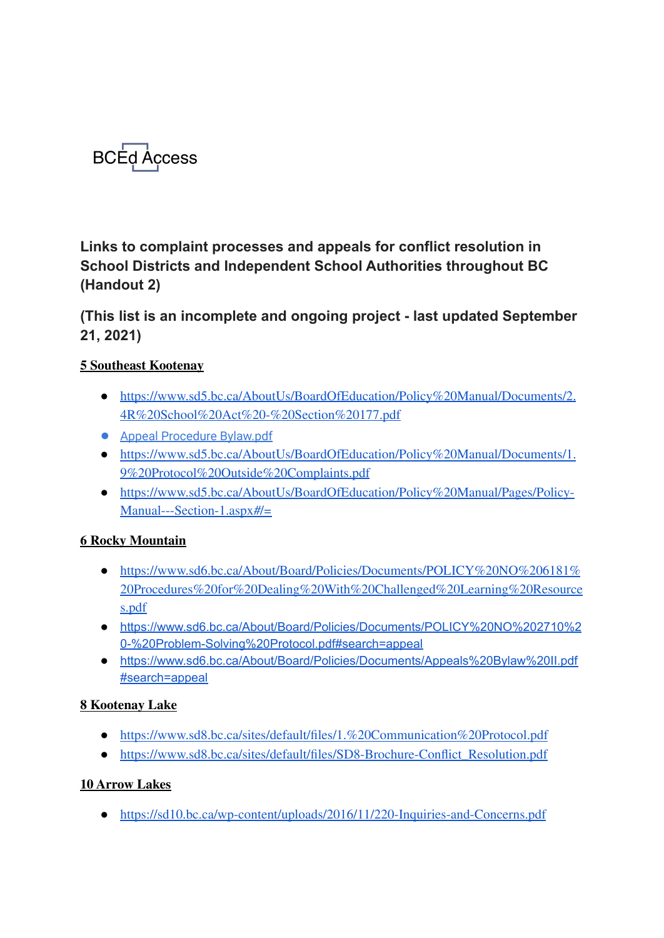

**Links to complaint processes and appeals for conflict resolution in School Districts and Independent School Authorities throughout BC (Handout 2)**

**(This list is an incomplete and ongoing project - last updated September 21, 2021)**

### **5 [Southeast](https://www2.gov.bc.ca/assets/gov/data/geographic/land-use/administrative-boundaries/school-district-boundaries/map_-_sd_05_-_southeast_kootenay.pdf) Kootenay**

- [https://www.sd5.bc.ca/AboutUs/BoardOfEducation/Policy%20Manual/Documents/2.](https://www.sd5.bc.ca/AboutUs/BoardOfEducation/Policy%20Manual/Documents/2.4R%20School%20Act%20-%20Section%20177.pdf) [4R%20School%20Act%20-%20Section%20177.pdf](https://www.sd5.bc.ca/AboutUs/BoardOfEducation/Policy%20Manual/Documents/2.4R%20School%20Act%20-%20Section%20177.pdf)
- Appeal [Procedure](https://www.sd5.bc.ca/AboutUs/BoardOfEducation/Policy%20Manual/Documents/1.3%20Appeal%20Procedure%20Bylaw.pdf) Bylaw.pdf
- [https://www.sd5.bc.ca/AboutUs/BoardOfEducation/Policy%20Manual/Documents/1.](https://www.sd5.bc.ca/AboutUs/BoardOfEducation/Policy%20Manual/Documents/1.9%20Protocol%20Outside%20Complaints.pdf) [9%20Protocol%20Outside%20Complaints.pdf](https://www.sd5.bc.ca/AboutUs/BoardOfEducation/Policy%20Manual/Documents/1.9%20Protocol%20Outside%20Complaints.pdf)
- [https://www.sd5.bc.ca/AboutUs/BoardOfEducation/Policy%20Manual/Pages/Policy-](https://www.sd5.bc.ca/AboutUs/BoardOfEducation/Policy%20Manual/Pages/Policy-Manual---Section-1.aspx#/=)[Manual---Section-1.aspx#/=](https://www.sd5.bc.ca/AboutUs/BoardOfEducation/Policy%20Manual/Pages/Policy-Manual---Section-1.aspx#/=)

### **6 Rocky [Mountain](https://www2.gov.bc.ca/assets/gov/data/geographic/land-use/administrative-boundaries/school-district-boundaries/map_-_sd_06_-_rocky_mountain.pdf)**

- [https://www.sd6.bc.ca/About/Board/Policies/Documents/POLICY%20NO%206181%](https://www.sd6.bc.ca/About/Board/Policies/Documents/POLICY%20NO%206181%20Procedures%20for%20Dealing%20With%20Challenged%20Learning%20Resources.pdf) [20Procedures%20for%20Dealing%20With%20Challenged%20Learning%20Resource](https://www.sd6.bc.ca/About/Board/Policies/Documents/POLICY%20NO%206181%20Procedures%20for%20Dealing%20With%20Challenged%20Learning%20Resources.pdf) [s.pdf](https://www.sd6.bc.ca/About/Board/Policies/Documents/POLICY%20NO%206181%20Procedures%20for%20Dealing%20With%20Challenged%20Learning%20Resources.pdf)
- [https://www.sd6.bc.ca/About/Board/Policies/Documents/POLICY%20NO%202710%2](https://www.sd6.bc.ca/About/Board/Policies/Documents/POLICY%20NO%202710%20-%20Problem-Solving%20Protocol.pdf#search=appeal) [0-%20Problem-Solving%20Protocol.pdf#search=appeal](https://www.sd6.bc.ca/About/Board/Policies/Documents/POLICY%20NO%202710%20-%20Problem-Solving%20Protocol.pdf#search=appeal)
- [https://www.sd6.bc.ca/About/Board/Policies/Documents/Appeals%20Bylaw%20II.pdf](https://www.sd6.bc.ca/About/Board/Policies/Documents/Appeals%20Bylaw%20II.pdf#search=appeal) [#search=appeal](https://www.sd6.bc.ca/About/Board/Policies/Documents/Appeals%20Bylaw%20II.pdf#search=appeal)

### **8 [Kootenay](https://www2.gov.bc.ca/assets/gov/data/geographic/land-use/administrative-boundaries/school-district-boundaries/map_-_sd_08_-_kootenay_lake.pdf) Lake**

- <https://www.sd8.bc.ca/sites/default/files/1.%20Communication%20Protocol.pdf>
- [https://www.sd8.bc.ca/sites/default/files/SD8-Brochure-Conflict\\_Resolution.pdf](https://www.sd8.bc.ca/sites/default/files/SD8-Brochure-Conflict_Resolution.pdf)

### **10 [Arrow](https://www2.gov.bc.ca/assets/gov/data/geographic/land-use/administrative-boundaries/school-district-boundaries/map_-_sd_10_-_arrow_lakes.pdf) Lakes**

● <https://sd10.bc.ca/wp-content/uploads/2016/11/220-Inquiries-and-Concerns.pdf>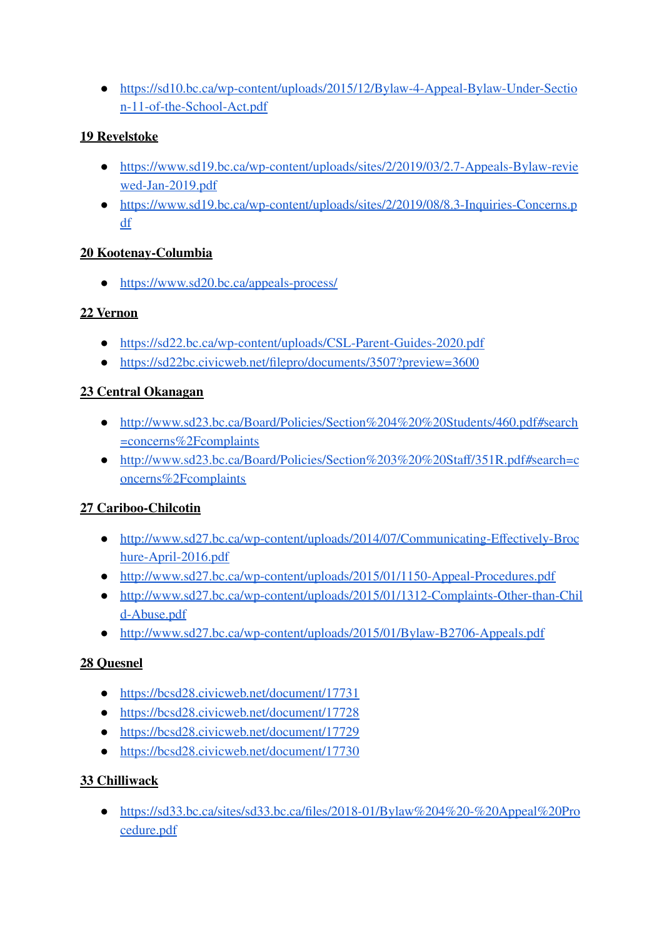● [https://sd10.bc.ca/wp-content/uploads/2015/12/Bylaw-4-Appeal-Bylaw-Under-Sectio](https://sd10.bc.ca/wp-content/uploads/2015/12/Bylaw-4-Appeal-Bylaw-Under-Section-11-of-the-School-Act.pdf) [n-11-of-the-School-Act.pdf](https://sd10.bc.ca/wp-content/uploads/2015/12/Bylaw-4-Appeal-Bylaw-Under-Section-11-of-the-School-Act.pdf)

### **19 [Revelstoke](https://www2.gov.bc.ca/assets/gov/data/geographic/land-use/administrative-boundaries/school-district-boundaries/map_-_sd_19_-_revelstoke.pdf)**

- [https://www.sd19.bc.ca/wp-content/uploads/sites/2/2019/03/2.7-Appeals-Bylaw-revie](https://www.sd19.bc.ca/wp-content/uploads/sites/2/2019/03/2.7-Appeals-Bylaw-reviewed-Jan-2019.pdf) [wed-Jan-2019.pdf](https://www.sd19.bc.ca/wp-content/uploads/sites/2/2019/03/2.7-Appeals-Bylaw-reviewed-Jan-2019.pdf)
- [https://www.sd19.bc.ca/wp-content/uploads/sites/2/2019/08/8.3-Inquiries-Concerns.p](https://www.sd19.bc.ca/wp-content/uploads/sites/2/2019/08/8.3-Inquiries-Concerns.pdf) [df](https://www.sd19.bc.ca/wp-content/uploads/sites/2/2019/08/8.3-Inquiries-Concerns.pdf)

### **20 [Kootenay-Columbia](https://www2.gov.bc.ca/assets/gov/data/geographic/land-use/administrative-boundaries/school-district-boundaries/map_-_sd_20_-_kootenay_columbia.pdf)**

● <https://www.sd20.bc.ca/appeals-process/>

## **22 [Vernon](https://www2.gov.bc.ca/assets/gov/data/geographic/land-use/administrative-boundaries/school-district-boundaries/map_-_sd_22_-_vernon.pdf)**

- <https://sd22.bc.ca/wp-content/uploads/CSL-Parent-Guides-2020.pdf>
- <https://sd22bc.civicweb.net/filepro/documents/3507?preview=3600>

# **23 Central [Okanagan](https://www2.gov.bc.ca/assets/gov/data/geographic/land-use/administrative-boundaries/school-district-boundaries/map_-_sd_23_-_central_okanagan.pdf)**

- [http://www.sd23.bc.ca/Board/Policies/Section%204%20%20Students/460.pdf#search](http://www.sd23.bc.ca/Board/Policies/Section%204%20%20Students/460.pdf#search=concerns%2Fcomplaints) [=concerns%2Fcomplaints](http://www.sd23.bc.ca/Board/Policies/Section%204%20%20Students/460.pdf#search=concerns%2Fcomplaints)
- [http://www.sd23.bc.ca/Board/Policies/Section%203%20%20Staff/351R.pdf#search=c](http://www.sd23.bc.ca/Board/Policies/Section%203%20%20Staff/351R.pdf#search=concerns%2Fcomplaints) [oncerns%2Fcomplaints](http://www.sd23.bc.ca/Board/Policies/Section%203%20%20Staff/351R.pdf#search=concerns%2Fcomplaints)

# **27 [Cariboo-Chilcotin](https://www2.gov.bc.ca/assets/gov/data/geographic/land-use/administrative-boundaries/school-district-boundaries/map_-_sd_27_-_cariboo_chilcotin.pdf)**

- [http://www.sd27.bc.ca/wp-content/uploads/2014/07/Communicating-Effectively-Broc](http://www.sd27.bc.ca/wp-content/uploads/2014/07/Communicating-Effectively-Brochure-April-2016.pdf) [hure-April-2016.pdf](http://www.sd27.bc.ca/wp-content/uploads/2014/07/Communicating-Effectively-Brochure-April-2016.pdf)
- <http://www.sd27.bc.ca/wp-content/uploads/2015/01/1150-Appeal-Procedures.pdf>
- [http://www.sd27.bc.ca/wp-content/uploads/2015/01/1312-Complaints-Other-than-Chil](http://www.sd27.bc.ca/wp-content/uploads/2015/01/1312-Complaints-Other-than-Child-Abuse.pdf) [d-Abuse.pdf](http://www.sd27.bc.ca/wp-content/uploads/2015/01/1312-Complaints-Other-than-Child-Abuse.pdf)
- <http://www.sd27.bc.ca/wp-content/uploads/2015/01/Bylaw-B2706-Appeals.pdf>

# **28 [Quesnel](https://www2.gov.bc.ca/assets/gov/data/geographic/land-use/administrative-boundaries/school-district-boundaries/map_-_sd_28_-_quesnel.pdf)**

- <https://bcsd28.civicweb.net/document/17731>
- <https://bcsd28.civicweb.net/document/17728>
- <https://bcsd28.civicweb.net/document/17729>
- <https://bcsd28.civicweb.net/document/17730>

### **33 [Chilliwack](https://www2.gov.bc.ca/assets/gov/data/geographic/land-use/administrative-boundaries/school-district-boundaries/map_-_sd_33_-_chilliwack.pdf)**

● [https://sd33.bc.ca/sites/sd33.bc.ca/files/2018-01/Bylaw%204%20-%20Appeal%20Pro](https://sd33.bc.ca/sites/sd33.bc.ca/files/2018-01/Bylaw%204%20-%20Appeal%20Procedure.pdf) [cedure.pdf](https://sd33.bc.ca/sites/sd33.bc.ca/files/2018-01/Bylaw%204%20-%20Appeal%20Procedure.pdf)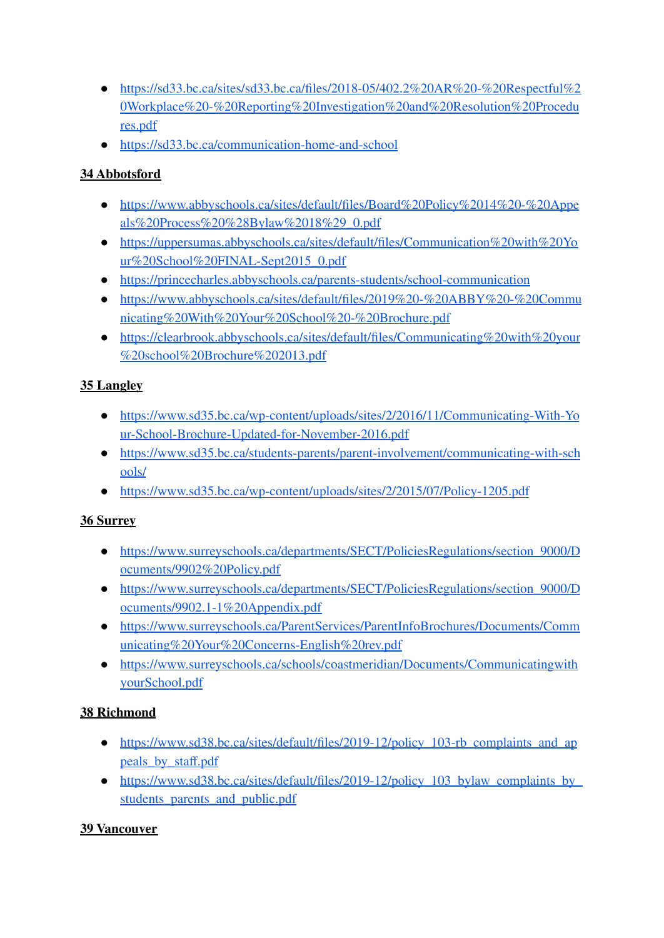- $\bullet$  [https://sd33.bc.ca/sites/sd33.bc.ca/files/2018-05/402.2%20AR%20-%20Respectful%2](https://sd33.bc.ca/sites/sd33.bc.ca/files/2018-05/402.2%20AR%20-%20Respectful%20Workplace%20-%20Reporting%20Investigation%20and%20Resolution%20Procedures.pdf) [0Workplace%20-%20Reporting%20Investigation%20and%20Resolution%20Procedu](https://sd33.bc.ca/sites/sd33.bc.ca/files/2018-05/402.2%20AR%20-%20Respectful%20Workplace%20-%20Reporting%20Investigation%20and%20Resolution%20Procedures.pdf) [res.pdf](https://sd33.bc.ca/sites/sd33.bc.ca/files/2018-05/402.2%20AR%20-%20Respectful%20Workplace%20-%20Reporting%20Investigation%20and%20Resolution%20Procedures.pdf)
- <https://sd33.bc.ca/communication-home-and-school>

# **34 [Abbotsford](https://www2.gov.bc.ca/assets/gov/data/geographic/land-use/administrative-boundaries/school-district-boundaries/map_-_sd_34_-_abbotsford.pdf)**

- [https://www.abbyschools.ca/sites/default/files/Board%20Policy%2014%20-%20Appe](https://www.abbyschools.ca/sites/default/files/Board%20Policy%2014%20-%20Appeals%20Process%20%28Bylaw%2018%29_0.pdf) [als%20Process%20%28Bylaw%2018%29\\_0.pdf](https://www.abbyschools.ca/sites/default/files/Board%20Policy%2014%20-%20Appeals%20Process%20%28Bylaw%2018%29_0.pdf)
- [https://uppersumas.abbyschools.ca/sites/default/files/Communication%20with%20Yo](https://uppersumas.abbyschools.ca/sites/default/files/Communication%20with%20Your%20School%20FINAL-Sept2015_0.pdf) [ur%20School%20FINAL-Sept2015\\_0.pdf](https://uppersumas.abbyschools.ca/sites/default/files/Communication%20with%20Your%20School%20FINAL-Sept2015_0.pdf)
- <https://princecharles.abbyschools.ca/parents-students/school-communication>
- [https://www.abbyschools.ca/sites/default/files/2019%20-%20ABBY%20-%20Commu](https://www.abbyschools.ca/sites/default/files/2019%20-%20ABBY%20-%20Communicating%20With%20Your%20School%20-%20Brochure.pdf) [nicating%20With%20Your%20School%20-%20Brochure.pdf](https://www.abbyschools.ca/sites/default/files/2019%20-%20ABBY%20-%20Communicating%20With%20Your%20School%20-%20Brochure.pdf)
- [https://clearbrook.abbyschools.ca/sites/default/files/Communicating%20with%20your](https://clearbrook.abbyschools.ca/sites/default/files/Communicating%20with%20your%20school%20Brochure%202013.pdf) [%20school%20Brochure%202013.pdf](https://clearbrook.abbyschools.ca/sites/default/files/Communicating%20with%20your%20school%20Brochure%202013.pdf)

# **35 [Langley](https://www2.gov.bc.ca/assets/gov/data/geographic/land-use/administrative-boundaries/school-district-boundaries/map_-_sd_35_-_langley.pdf)**

- [https://www.sd35.bc.ca/wp-content/uploads/sites/2/2016/11/Communicating-With-Yo](https://www.sd35.bc.ca/wp-content/uploads/sites/2/2016/11/Communicating-With-Your-School-Brochure-Updated-for-November-2016.pdf) [ur-School-Brochure-Updated-for-November-2016.pdf](https://www.sd35.bc.ca/wp-content/uploads/sites/2/2016/11/Communicating-With-Your-School-Brochure-Updated-for-November-2016.pdf)
- [https://www.sd35.bc.ca/students-parents/parent-involvement/communicating-with-sch](https://www.sd35.bc.ca/students-parents/parent-involvement/communicating-with-schools/) [ools/](https://www.sd35.bc.ca/students-parents/parent-involvement/communicating-with-schools/)
- <https://www.sd35.bc.ca/wp-content/uploads/sites/2/2015/07/Policy-1205.pdf>

# **36 [Surrey](https://www2.gov.bc.ca/assets/gov/data/geographic/land-use/administrative-boundaries/school-district-boundaries/map_-_sd_36_-_surrey.pdf)**

- https://www.surreyschools.ca/departments/SECT/PoliciesRegulations/section 9000/D [ocuments/9902%20Policy.pdf](https://www.surreyschools.ca/departments/SECT/PoliciesRegulations/section_9000/Documents/9902%20Policy.pdf)
- https://www.surreyschools.ca/departments/SECT/PoliciesRegulations/section 9000/D [ocuments/9902.1-1%20Appendix.pdf](https://www.surreyschools.ca/departments/SECT/PoliciesRegulations/section_9000/Documents/9902.1-1%20Appendix.pdf)
- [https://www.surreyschools.ca/ParentServices/ParentInfoBrochures/Documents/Comm](https://www.surreyschools.ca/ParentServices/ParentInfoBrochures/Documents/Communicating%20Your%20Concerns-English%20rev.pdf) [unicating%20Your%20Concerns-English%20rev.pdf](https://www.surreyschools.ca/ParentServices/ParentInfoBrochures/Documents/Communicating%20Your%20Concerns-English%20rev.pdf)
- [https://www.surreyschools.ca/schools/coastmeridian/Documents/Communicatingwith](https://www.surreyschools.ca/schools/coastmeridian/Documents/CommunicatingwithyourSchool.pdf) [yourSchool.pdf](https://www.surreyschools.ca/schools/coastmeridian/Documents/CommunicatingwithyourSchool.pdf)

# **38 [Richmond](https://www2.gov.bc.ca/assets/gov/data/geographic/land-use/administrative-boundaries/school-district-boundaries/map_-_sd_38_-_richmond.pdf)**

- [https://www.sd38.bc.ca/sites/default/files/2019-12/policy\\_103-rb\\_complaints\\_and\\_ap](https://www.sd38.bc.ca/sites/default/files/2019-12/policy_103-rb_complaints_and_appeals_by_staff.pdf) [peals\\_by\\_staff.pdf](https://www.sd38.bc.ca/sites/default/files/2019-12/policy_103-rb_complaints_and_appeals_by_staff.pdf)
- https://www.sd38.bc.ca/sites/default/files/2019-12/policy 103 bylaw complaints by students parents and public.pdf

# **39 [Vancouver](https://www2.gov.bc.ca/assets/gov/data/geographic/land-use/administrative-boundaries/school-district-boundaries/map_-_sd_39_-_vancouver.pdf)**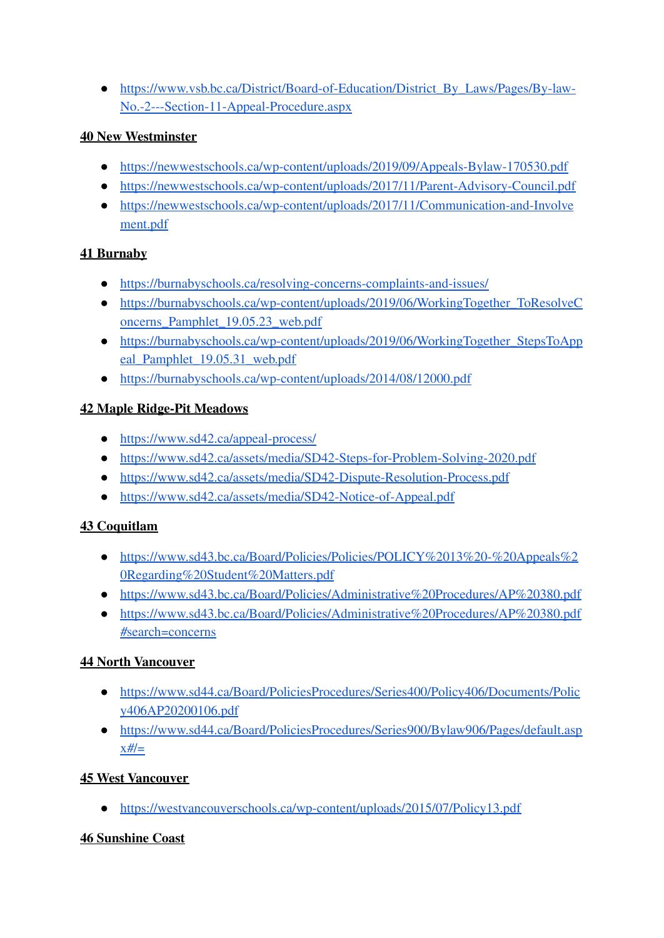● [https://www.vsb.bc.ca/District/Board-of-Education/District\\_By\\_Laws/Pages/By-law-](https://www.vsb.bc.ca/District/Board-of-Education/District_By_Laws/Pages/By-law-No.-2---Section-11-Appeal-Procedure.aspx)[No.-2---Section-11-Appeal-Procedure.aspx](https://www.vsb.bc.ca/District/Board-of-Education/District_By_Laws/Pages/By-law-No.-2---Section-11-Appeal-Procedure.aspx)

### **40 New [Westminster](https://www2.gov.bc.ca/assets/gov/data/geographic/land-use/administrative-boundaries/school-district-boundaries/map_-_sd_40_-_new_westminster.pdf)**

- <https://newwestschools.ca/wp-content/uploads/2019/09/Appeals-Bylaw-170530.pdf>
- <https://newwestschools.ca/wp-content/uploads/2017/11/Parent-Advisory-Council.pdf>
- [https://newwestschools.ca/wp-content/uploads/2017/11/Communication-and-Involve](https://newwestschools.ca/wp-content/uploads/2017/11/Communication-and-Involvement.pdf) [ment.pdf](https://newwestschools.ca/wp-content/uploads/2017/11/Communication-and-Involvement.pdf)

## **41 [Burnaby](https://www2.gov.bc.ca/assets/gov/data/geographic/land-use/administrative-boundaries/school-district-boundaries/map_-_sd_41_-_burnaby.pdf)**

- <https://burnabyschools.ca/resolving-concerns-complaints-and-issues/>
- [https://burnabyschools.ca/wp-content/uploads/2019/06/WorkingTogether\\_ToResolveC](https://burnabyschools.ca/wp-content/uploads/2019/06/WorkingTogether_ToResolveConcerns_Pamphlet_19.05.23_web.pdf) [oncerns\\_Pamphlet\\_19.05.23\\_web.pdf](https://burnabyschools.ca/wp-content/uploads/2019/06/WorkingTogether_ToResolveConcerns_Pamphlet_19.05.23_web.pdf)
- [https://burnabyschools.ca/wp-content/uploads/2019/06/WorkingTogether\\_StepsToApp](https://burnabyschools.ca/wp-content/uploads/2019/06/WorkingTogether_StepsToAppeal_Pamphlet_19.05.31_web.pdf) [eal\\_Pamphlet\\_19.05.31\\_web.pdf](https://burnabyschools.ca/wp-content/uploads/2019/06/WorkingTogether_StepsToAppeal_Pamphlet_19.05.31_web.pdf)
- <https://burnabyschools.ca/wp-content/uploads/2014/08/12000.pdf>

# **42 Maple [Ridge-Pit](https://www2.gov.bc.ca/assets/gov/data/geographic/land-use/administrative-boundaries/school-district-boundaries/map_-_sd_42_-_maple_ridge-pitt_meadows.pdf) Meadows**

- <https://www.sd42.ca/appeal-process/>
- <https://www.sd42.ca/assets/media/SD42-Steps-for-Problem-Solving-2020.pdf>
- <https://www.sd42.ca/assets/media/SD42-Dispute-Resolution-Process.pdf>
- <https://www.sd42.ca/assets/media/SD42-Notice-of-Appeal.pdf>

# **43 [Coquitlam](https://www2.gov.bc.ca/assets/gov/data/geographic/land-use/administrative-boundaries/school-district-boundaries/map_-_sd_43_-_coquitlam.pdf)**

- [https://www.sd43.bc.ca/Board/Policies/Policies/POLICY%2013%20-%20Appeals%2](https://www.sd43.bc.ca/Board/Policies/Policies/POLICY%2013%20-%20Appeals%20Regarding%20Student%20Matters.pdf) [0Regarding%20Student%20Matters.pdf](https://www.sd43.bc.ca/Board/Policies/Policies/POLICY%2013%20-%20Appeals%20Regarding%20Student%20Matters.pdf)
- <https://www.sd43.bc.ca/Board/Policies/Administrative%20Procedures/AP%20380.pdf>
- [https://www.sd43.bc.ca/Board/Policies/Administrative%20Procedures/AP%20380.pdf](https://www.sd43.bc.ca/Board/Policies/Administrative%20Procedures/AP%20380.pdf#search=concerns) [#search=concerns](https://www.sd43.bc.ca/Board/Policies/Administrative%20Procedures/AP%20380.pdf#search=concerns)

# **44 North [Vancouver](https://www2.gov.bc.ca/assets/gov/data/geographic/land-use/administrative-boundaries/school-district-boundaries/map_-_sd_44_-_north_vancouver.pdf)**

- [https://www.sd44.ca/Board/PoliciesProcedures/Series400/Policy406/Documents/Polic](https://www.sd44.ca/Board/PoliciesProcedures/Series400/Policy406/Documents/Policy406AP20200106.pdf) [y406AP20200106.pdf](https://www.sd44.ca/Board/PoliciesProcedures/Series400/Policy406/Documents/Policy406AP20200106.pdf)
- [https://www.sd44.ca/Board/PoliciesProcedures/Series900/Bylaw906/Pages/default.asp](https://www.sd44.ca/Board/PoliciesProcedures/Series900/Bylaw906/Pages/default.aspx#/=)  $x#$ /=

# **45 West [Vancouver](https://www2.gov.bc.ca/assets/gov/data/geographic/land-use/administrative-boundaries/school-district-boundaries/map_-_sd_45_-_west_vancouver.pdf)**

● <https://westvancouverschools.ca/wp-content/uploads/2015/07/Policy13.pdf>

### **46 [Sunshine](https://www2.gov.bc.ca/assets/gov/data/geographic/land-use/administrative-boundaries/school-district-boundaries/map_-_sd_46_-_sunshine_coast.pdf) Coast**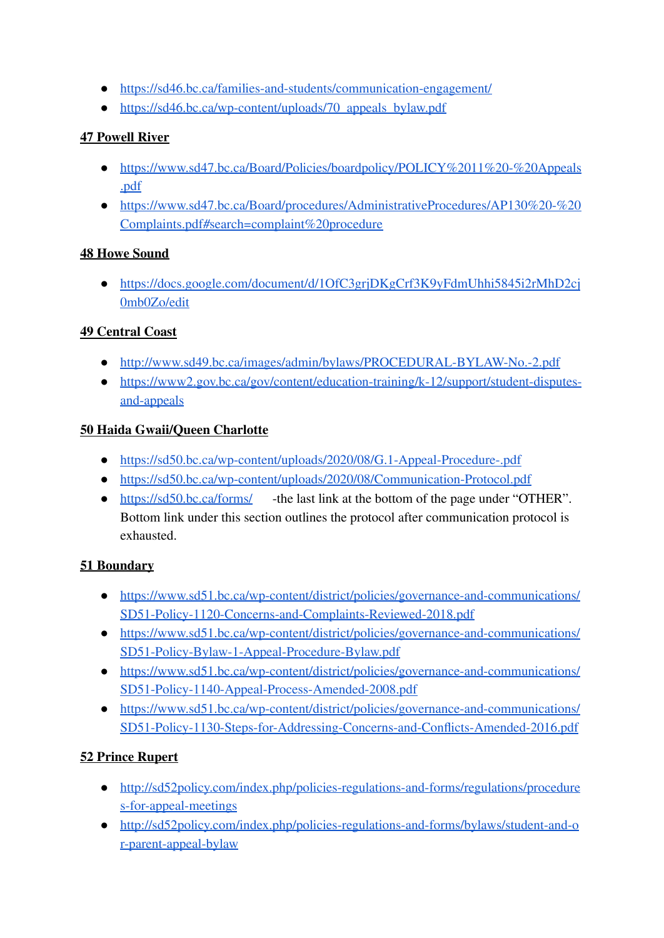- <https://sd46.bc.ca/families-and-students/communication-engagement/>
- https://sd46.bc.ca/wp-content/uploads/70 appeals bylaw.pdf

## **47 [Powell](https://www2.gov.bc.ca/assets/gov/data/geographic/land-use/administrative-boundaries/school-district-boundaries/map_-_sd_47_-_powell_river.pdf) River**

- [https://www.sd47.bc.ca/Board/Policies/boardpolicy/POLICY%2011%20-%20Appeals](https://www.sd47.bc.ca/Board/Policies/boardpolicy/POLICY%2011%20-%20Appeals.pdf) [.pdf](https://www.sd47.bc.ca/Board/Policies/boardpolicy/POLICY%2011%20-%20Appeals.pdf)
- [https://www.sd47.bc.ca/Board/procedures/AdministrativeProcedures/AP130%20-%20](https://www.sd47.bc.ca/Board/procedures/AdministrativeProcedures/AP130%20-%20Complaints.pdf#search=complaint%20procedure) [Complaints.pdf#search=complaint%20procedure](https://www.sd47.bc.ca/Board/procedures/AdministrativeProcedures/AP130%20-%20Complaints.pdf#search=complaint%20procedure)

### **48 Howe [Sound](https://www2.gov.bc.ca/assets/gov/data/geographic/land-use/administrative-boundaries/school-district-boundaries/map_-_sd_48_-_sea_to_sky.pdf)**

● [https://docs.google.com/document/d/1OfC3grjDKgCrf3K9yFdmUhhi5845i2rMhD2cj](https://docs.google.com/document/d/1OfC3grjDKgCrf3K9yFdmUhhi5845i2rMhD2cj0mb0Zo/edit) [0mb0Zo/edit](https://docs.google.com/document/d/1OfC3grjDKgCrf3K9yFdmUhhi5845i2rMhD2cj0mb0Zo/edit)

## **49 [Central](https://www2.gov.bc.ca/assets/gov/data/geographic/land-use/administrative-boundaries/school-district-boundaries/map_-_sd_49_-_central_coast.pdf) Coast**

- <http://www.sd49.bc.ca/images/admin/bylaws/PROCEDURAL-BYLAW-No.-2.pdf>
- [https://www2.gov.bc.ca/gov/content/education-training/k-12/support/student-disputes](https://www2.gov.bc.ca/gov/content/education-training/k-12/support/student-disputes-and-appeals)[and-appeals](https://www2.gov.bc.ca/gov/content/education-training/k-12/support/student-disputes-and-appeals)

## **50 Haida [Gwaii/Queen](https://www2.gov.bc.ca/assets/gov/data/geographic/land-use/administrative-boundaries/school-district-boundaries/map_-_sd_50_-_haida_gwaii.pdf) Charlotte**

- <https://sd50.bc.ca/wp-content/uploads/2020/08/G.1-Appeal-Procedure-.pdf>
- <https://sd50.bc.ca/wp-content/uploads/2020/08/Communication-Protocol.pdf>
- <https://sd50.bc.ca/forms/> -the last link at the bottom of the page under "OTHER". Bottom link under this section outlines the protocol after communication protocol is exhausted.

### **51 [Boundary](https://www2.gov.bc.ca/assets/gov/data/geographic/land-use/administrative-boundaries/school-district-boundaries/map_-_sd_51_-_boundary.pdf)**

- [https://www.sd51.bc.ca/wp-content/district/policies/governance-and-communications/](https://www.sd51.bc.ca/wp-content/district/policies/governance-and-communications/SD51-Policy-1120-Concerns-and-Complaints-Reviewed-2018.pdf) [SD51-Policy-1120-Concerns-and-Complaints-Reviewed-2018.pdf](https://www.sd51.bc.ca/wp-content/district/policies/governance-and-communications/SD51-Policy-1120-Concerns-and-Complaints-Reviewed-2018.pdf)
- [https://www.sd51.bc.ca/wp-content/district/policies/governance-and-communications/](https://www.sd51.bc.ca/wp-content/district/policies/governance-and-communications/SD51-Policy-Bylaw-1-Appeal-Procedure-Bylaw.pdf) [SD51-Policy-Bylaw-1-Appeal-Procedure-Bylaw.pdf](https://www.sd51.bc.ca/wp-content/district/policies/governance-and-communications/SD51-Policy-Bylaw-1-Appeal-Procedure-Bylaw.pdf)
- [https://www.sd51.bc.ca/wp-content/district/policies/governance-and-communications/](https://www.sd51.bc.ca/wp-content/district/policies/governance-and-communications/SD51-Policy-1140-Appeal-Process-Amended-2008.pdf) [SD51-Policy-1140-Appeal-Process-Amended-2008.pdf](https://www.sd51.bc.ca/wp-content/district/policies/governance-and-communications/SD51-Policy-1140-Appeal-Process-Amended-2008.pdf)
- [https://www.sd51.bc.ca/wp-content/district/policies/governance-and-communications/](https://www.sd51.bc.ca/wp-content/district/policies/governance-and-communications/SD51-Policy-1130-Steps-for-Addressing-Concerns-and-Conflicts-Amended-2016.pdf) [SD51-Policy-1130-Steps-for-Addressing-Concerns-and-Conflicts-Amended-2016.pdf](https://www.sd51.bc.ca/wp-content/district/policies/governance-and-communications/SD51-Policy-1130-Steps-for-Addressing-Concerns-and-Conflicts-Amended-2016.pdf)

# **52 Prince [Rupert](https://www2.gov.bc.ca/assets/gov/data/geographic/land-use/administrative-boundaries/school-district-boundaries/map_-_sd_52_-_prince_rupert.pdf)**

- [http://sd52policy.com/index.php/policies-regulations-and-forms/regulations/procedure](http://sd52policy.com/index.php/policies-regulations-and-forms/regulations/procedures-for-appeal-meetings) [s-for-appeal-meetings](http://sd52policy.com/index.php/policies-regulations-and-forms/regulations/procedures-for-appeal-meetings)
- [http://sd52policy.com/index.php/policies-regulations-and-forms/bylaws/student-and-o](http://sd52policy.com/index.php/policies-regulations-and-forms/bylaws/student-and-or-parent-appeal-bylaw) [r-parent-appeal-bylaw](http://sd52policy.com/index.php/policies-regulations-and-forms/bylaws/student-and-or-parent-appeal-bylaw)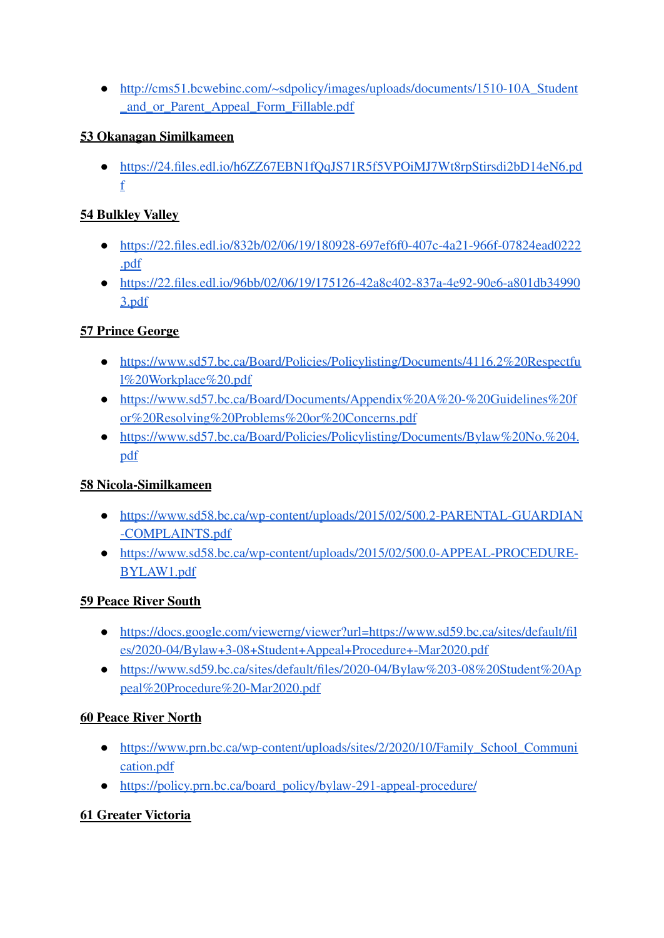• http://cms51.bcwebinc.com/~sdpolicy/images/uploads/documents/1510-10A Student [\\_and\\_or\\_Parent\\_Appeal\\_Form\\_Fillable.pdf](http://cms51.bcwebinc.com/~sdpolicy/images/uploads/documents/1510-10A_Student_and_or_Parent_Appeal_Form_Fillable.pdf)

### **53 Okanagan [Similkameen](https://www2.gov.bc.ca/assets/gov/data/geographic/land-use/administrative-boundaries/school-district-boundaries/map_-_sd_53_-_okanagan_similkameen.pdf)**

● [https://24.files.edl.io/h6ZZ67EBN1fQqJS71R5f5VPOiMJ7Wt8rpStirsdi2bD14eN6.pd](https://24.files.edl.io/h6ZZ67EBN1fQqJS71R5f5VPOiMJ7Wt8rpStirsdi2bD14eN6.pdf) [f](https://24.files.edl.io/h6ZZ67EBN1fQqJS71R5f5VPOiMJ7Wt8rpStirsdi2bD14eN6.pdf)

## **54 [Bulkley](https://www2.gov.bc.ca/assets/gov/data/geographic/land-use/administrative-boundaries/school-district-boundaries/map_-_sd_54_-_bulkley_valley.pdf) Valley**

- [https://22.files.edl.io/832b/02/06/19/180928-697ef6f0-407c-4a21-966f-07824ead0222](https://22.files.edl.io/832b/02/06/19/180928-697ef6f0-407c-4a21-966f-07824ead0222.pdf) [.pdf](https://22.files.edl.io/832b/02/06/19/180928-697ef6f0-407c-4a21-966f-07824ead0222.pdf)
- [https://22.files.edl.io/96bb/02/06/19/175126-42a8c402-837a-4e92-90e6-a801db34990](https://22.files.edl.io/96bb/02/06/19/175126-42a8c402-837a-4e92-90e6-a801db349903.pdf) [3.pdf](https://22.files.edl.io/96bb/02/06/19/175126-42a8c402-837a-4e92-90e6-a801db349903.pdf)

# **57 Prince [George](https://www2.gov.bc.ca/assets/gov/data/geographic/land-use/administrative-boundaries/school-district-boundaries/map_-_sd_57_-_prince_george.pdf)**

- [https://www.sd57.bc.ca/Board/Policies/Policylisting/Documents/4116.2%20Respectfu](https://www.sd57.bc.ca/Board/Policies/Policylisting/Documents/4116.2%20Respectful%20Workplace%20.pdf) [l%20Workplace%20.pdf](https://www.sd57.bc.ca/Board/Policies/Policylisting/Documents/4116.2%20Respectful%20Workplace%20.pdf)
- [https://www.sd57.bc.ca/Board/Documents/Appendix%20A%20-%20Guidelines%20f](https://www.sd57.bc.ca/Board/Documents/Appendix%20A%20-%20Guidelines%20for%20Resolving%20Problems%20or%20Concerns.pdf) [or%20Resolving%20Problems%20or%20Concerns.pdf](https://www.sd57.bc.ca/Board/Documents/Appendix%20A%20-%20Guidelines%20for%20Resolving%20Problems%20or%20Concerns.pdf)
- [https://www.sd57.bc.ca/Board/Policies/Policylisting/Documents/Bylaw%20No.%204.](https://www.sd57.bc.ca/Board/Policies/Policylisting/Documents/Bylaw%20No.%204.pdf) [pdf](https://www.sd57.bc.ca/Board/Policies/Policylisting/Documents/Bylaw%20No.%204.pdf)

### **58 [Nicola-Similkameen](https://www2.gov.bc.ca/assets/gov/data/geographic/land-use/administrative-boundaries/school-district-boundaries/map_-_sd_58_-_nicola-similkameen.pdf)**

- [https://www.sd58.bc.ca/wp-content/uploads/2015/02/500.2-PARENTAL-GUARDIAN](https://www.sd58.bc.ca/wp-content/uploads/2015/02/500.2-PARENTAL-GUARDIAN-COMPLAINTS.pdf) [-COMPLAINTS.pdf](https://www.sd58.bc.ca/wp-content/uploads/2015/02/500.2-PARENTAL-GUARDIAN-COMPLAINTS.pdf)
- [https://www.sd58.bc.ca/wp-content/uploads/2015/02/500.0-APPEAL-PROCEDURE-](https://www.sd58.bc.ca/wp-content/uploads/2015/02/500.0-APPEAL-PROCEDURE-BYLAW1.pdf)[BYLAW1.pdf](https://www.sd58.bc.ca/wp-content/uploads/2015/02/500.0-APPEAL-PROCEDURE-BYLAW1.pdf)

### **59 Peace River [South](https://www2.gov.bc.ca/assets/gov/data/geographic/land-use/administrative-boundaries/school-district-boundaries/map_-_sd_59_-_peace_river_south.pdf)**

- [https://docs.google.com/viewerng/viewer?url=https://www.sd59.bc.ca/sites/default/fil](https://docs.google.com/viewerng/viewer?url=https://www.sd59.bc.ca/sites/default/files/2020-04/Bylaw+3-08+Student+Appeal+Procedure+-Mar2020.pdf) [es/2020-04/Bylaw+3-08+Student+Appeal+Procedure+-Mar2020.pdf](https://docs.google.com/viewerng/viewer?url=https://www.sd59.bc.ca/sites/default/files/2020-04/Bylaw+3-08+Student+Appeal+Procedure+-Mar2020.pdf)
- [https://www.sd59.bc.ca/sites/default/files/2020-04/Bylaw%203-08%20Student%20Ap](https://www.sd59.bc.ca/sites/default/files/2020-04/Bylaw%203-08%20Student%20Appeal%20Procedure%20-Mar2020.pdf) [peal%20Procedure%20-Mar2020.pdf](https://www.sd59.bc.ca/sites/default/files/2020-04/Bylaw%203-08%20Student%20Appeal%20Procedure%20-Mar2020.pdf)

### **60 Peace River [North](https://www2.gov.bc.ca/assets/gov/data/geographic/land-use/administrative-boundaries/school-district-boundaries/map_-_sd_60_-_peace_river_north.pdf)**

- https://www.prn.bc.ca/wp-content/uploads/sites/2/2020/10/Family School Communi [cation.pdf](https://www.prn.bc.ca/wp-content/uploads/sites/2/2020/10/Family_School_Communication.pdf)
- [https://policy.prn.bc.ca/board\\_policy/bylaw-291-appeal-procedure/](https://policy.prn.bc.ca/board_policy/bylaw-291-appeal-procedure/)

# **61 Greater [Victoria](https://www2.gov.bc.ca/assets/gov/data/geographic/land-use/administrative-boundaries/school-district-boundaries/map_-_sd_61_-_greater_victoria.pdf)**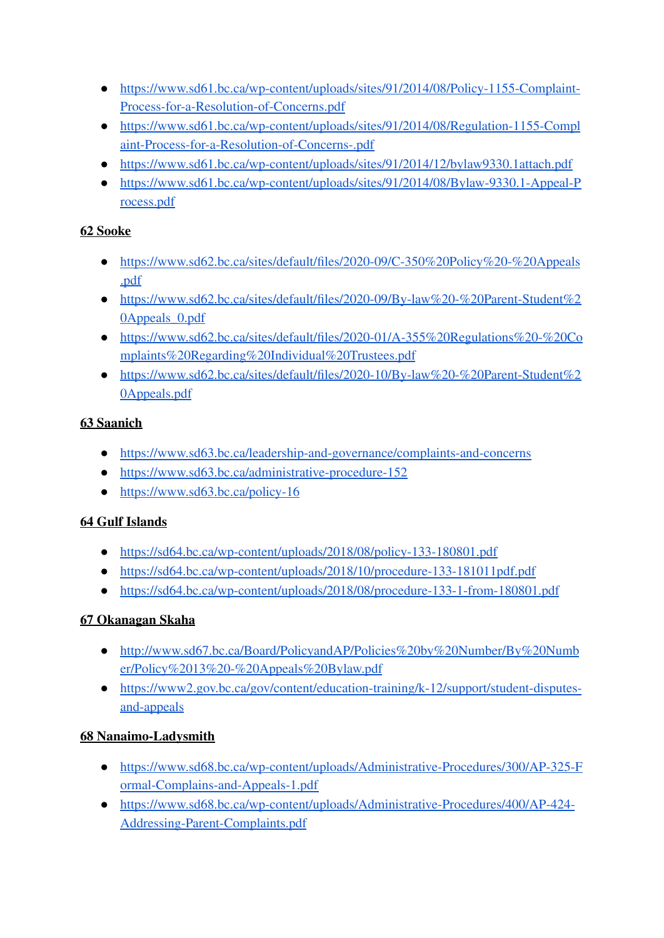- [https://www.sd61.bc.ca/wp-content/uploads/sites/91/2014/08/Policy-1155-Complaint-](https://www.sd61.bc.ca/wp-content/uploads/sites/91/2014/08/Policy-1155-Complaint-Process-for-a-Resolution-of-Concerns.pdf)[Process-for-a-Resolution-of-Concerns.pdf](https://www.sd61.bc.ca/wp-content/uploads/sites/91/2014/08/Policy-1155-Complaint-Process-for-a-Resolution-of-Concerns.pdf)
- [https://www.sd61.bc.ca/wp-content/uploads/sites/91/2014/08/Regulation-1155-Compl](https://www.sd61.bc.ca/wp-content/uploads/sites/91/2014/08/Regulation-1155-Complaint-Process-for-a-Resolution-of-Concerns-.pdf) [aint-Process-for-a-Resolution-of-Concerns-.pdf](https://www.sd61.bc.ca/wp-content/uploads/sites/91/2014/08/Regulation-1155-Complaint-Process-for-a-Resolution-of-Concerns-.pdf)
- <https://www.sd61.bc.ca/wp-content/uploads/sites/91/2014/12/bylaw9330.1attach.pdf>
- [https://www.sd61.bc.ca/wp-content/uploads/sites/91/2014/08/Bylaw-9330.1-Appeal-P](https://www.sd61.bc.ca/wp-content/uploads/sites/91/2014/08/Bylaw-9330.1-Appeal-Process.pdf) [rocess.pdf](https://www.sd61.bc.ca/wp-content/uploads/sites/91/2014/08/Bylaw-9330.1-Appeal-Process.pdf)

## **62 [Sooke](https://www2.gov.bc.ca/assets/gov/data/geographic/land-use/administrative-boundaries/school-district-boundaries/map_-_sd_62_-_sooke.pdf)**

- [https://www.sd62.bc.ca/sites/default/files/2020-09/C-350%20Policy%20-%20Appeals](https://www.sd62.bc.ca/sites/default/files/2020-09/C-350%20Policy%20-%20Appeals.pdf) [.pdf](https://www.sd62.bc.ca/sites/default/files/2020-09/C-350%20Policy%20-%20Appeals.pdf)
- [https://www.sd62.bc.ca/sites/default/files/2020-09/By-law%20-%20Parent-Student%2](https://www.sd62.bc.ca/sites/default/files/2020-09/By-law%20-%20Parent-Student%20Appeals_0.pdf) [0Appeals\\_0.pdf](https://www.sd62.bc.ca/sites/default/files/2020-09/By-law%20-%20Parent-Student%20Appeals_0.pdf)
- [https://www.sd62.bc.ca/sites/default/files/2020-01/A-355%20Regulations%20-%20Co](https://www.sd62.bc.ca/sites/default/files/2020-01/A-355%20Regulations%20-%20Complaints%20Regarding%20Individual%20Trustees.pdf) [mplaints%20Regarding%20Individual%20Trustees.pdf](https://www.sd62.bc.ca/sites/default/files/2020-01/A-355%20Regulations%20-%20Complaints%20Regarding%20Individual%20Trustees.pdf)
- [https://www.sd62.bc.ca/sites/default/files/2020-10/By-law%20-%20Parent-Student%2](https://www.sd62.bc.ca/sites/default/files/2020-10/By-law%20-%20Parent-Student%20Appeals.pdf) [0Appeals.pdf](https://www.sd62.bc.ca/sites/default/files/2020-10/By-law%20-%20Parent-Student%20Appeals.pdf)

## **63 [Saanich](https://www2.gov.bc.ca/assets/gov/data/geographic/land-use/administrative-boundaries/school-district-boundaries/map_-_sd_63_-_saanich.pdf)**

- <https://www.sd63.bc.ca/leadership-and-governance/complaints-and-concerns>
- <https://www.sd63.bc.ca/administrative-procedure-152>
- <https://www.sd63.bc.ca/policy-16>

### **64 Gulf [Islands](https://www2.gov.bc.ca/assets/gov/data/geographic/land-use/administrative-boundaries/school-district-boundaries/map_-_sd_64_-_gulf_islands.pdf)**

- <https://sd64.bc.ca/wp-content/uploads/2018/08/policy-133-180801.pdf>
- <https://sd64.bc.ca/wp-content/uploads/2018/10/procedure-133-181011pdf.pdf>
- <https://sd64.bc.ca/wp-content/uploads/2018/08/procedure-133-1-from-180801.pdf>

# **67 [Okanagan](https://www2.gov.bc.ca/assets/gov/data/geographic/land-use/administrative-boundaries/school-district-boundaries/map_-_sd_67_-_okanagan_skaha.pdf) Skaha**

- [http://www.sd67.bc.ca/Board/PolicyandAP/Policies%20by%20Number/By%20Numb](http://www.sd67.bc.ca/Board/PolicyandAP/Policies%20by%20Number/By%20Number/Policy%2013%20-%20Appeals%20Bylaw.pdf) [er/Policy%2013%20-%20Appeals%20Bylaw.pdf](http://www.sd67.bc.ca/Board/PolicyandAP/Policies%20by%20Number/By%20Number/Policy%2013%20-%20Appeals%20Bylaw.pdf)
- [https://www2.gov.bc.ca/gov/content/education-training/k-12/support/student-disputes](https://www2.gov.bc.ca/gov/content/education-training/k-12/support/student-disputes-and-appeals)[and-appeals](https://www2.gov.bc.ca/gov/content/education-training/k-12/support/student-disputes-and-appeals)

# **68 [Nanaimo-Ladysmith](https://www2.gov.bc.ca/assets/gov/data/geographic/land-use/administrative-boundaries/school-district-boundaries/map_-_sd_68_-_nanaimo-ladysmith.pdf)**

- [https://www.sd68.bc.ca/wp-content/uploads/Administrative-Procedures/300/AP-325-F](https://www.sd68.bc.ca/wp-content/uploads/Administrative-Procedures/300/AP-325-Formal-Complains-and-Appeals-1.pdf) [ormal-Complains-and-Appeals-1.pdf](https://www.sd68.bc.ca/wp-content/uploads/Administrative-Procedures/300/AP-325-Formal-Complains-and-Appeals-1.pdf)
- [https://www.sd68.bc.ca/wp-content/uploads/Administrative-Procedures/400/AP-424-](https://www.sd68.bc.ca/wp-content/uploads/Administrative-Procedures/400/AP-424-Addressing-Parent-Complaints.pdf) [Addressing-Parent-Complaints.pdf](https://www.sd68.bc.ca/wp-content/uploads/Administrative-Procedures/400/AP-424-Addressing-Parent-Complaints.pdf)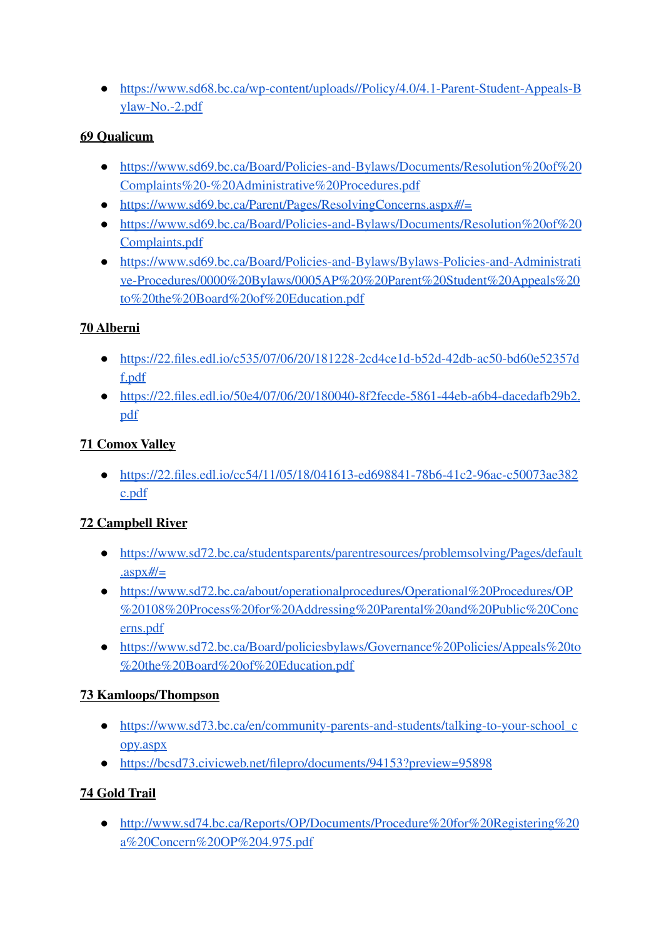● [https://www.sd68.bc.ca/wp-content/uploads//Policy/4.0/4.1-Parent-Student-Appeals-B](https://www.sd68.bc.ca/wp-content/uploads//Policy/4.0/4.1-Parent-Student-Appeals-Bylaw-No.-2.pdf) [ylaw-No.-2.pdf](https://www.sd68.bc.ca/wp-content/uploads//Policy/4.0/4.1-Parent-Student-Appeals-Bylaw-No.-2.pdf)

### **69 [Qualicum](https://www2.gov.bc.ca/assets/gov/data/geographic/land-use/administrative-boundaries/school-district-boundaries/map_-_sd_69_-_qualicum.pdf)**

- [https://www.sd69.bc.ca/Board/Policies-and-Bylaws/Documents/Resolution%20of%20](https://www.sd69.bc.ca/Board/Policies-and-Bylaws/Documents/Resolution%20of%20Complaints%20-%20Administrative%20Procedures.pdf) [Complaints%20-%20Administrative%20Procedures.pdf](https://www.sd69.bc.ca/Board/Policies-and-Bylaws/Documents/Resolution%20of%20Complaints%20-%20Administrative%20Procedures.pdf)
- <https://www.sd69.bc.ca/Parent/Pages/ResolvingConcerns.aspx#/=>
- [https://www.sd69.bc.ca/Board/Policies-and-Bylaws/Documents/Resolution%20of%20](https://www.sd69.bc.ca/Board/Policies-and-Bylaws/Documents/Resolution%20of%20Complaints.pdf) [Complaints.pdf](https://www.sd69.bc.ca/Board/Policies-and-Bylaws/Documents/Resolution%20of%20Complaints.pdf)
- [https://www.sd69.bc.ca/Board/Policies-and-Bylaws/Bylaws-Policies-and-Administrati](https://www.sd69.bc.ca/Board/Policies-and-Bylaws/Bylaws-Policies-and-Administrative-Procedures/0000%20Bylaws/0005AP%20%20Parent%20Student%20Appeals%20to%20the%20Board%20of%20Education.pdf) [ve-Procedures/0000%20Bylaws/0005AP%20%20Parent%20Student%20Appeals%20](https://www.sd69.bc.ca/Board/Policies-and-Bylaws/Bylaws-Policies-and-Administrative-Procedures/0000%20Bylaws/0005AP%20%20Parent%20Student%20Appeals%20to%20the%20Board%20of%20Education.pdf) [to%20the%20Board%20of%20Education.pdf](https://www.sd69.bc.ca/Board/Policies-and-Bylaws/Bylaws-Policies-and-Administrative-Procedures/0000%20Bylaws/0005AP%20%20Parent%20Student%20Appeals%20to%20the%20Board%20of%20Education.pdf)

### **70 [Alberni](https://www2.gov.bc.ca/assets/gov/data/geographic/land-use/administrative-boundaries/school-district-boundaries/map_-_sd_70_-_alberni.pdf)**

- [https://22.files.edl.io/c535/07/06/20/181228-2cd4ce1d-b52d-42db-ac50-bd60e52357d](https://22.files.edl.io/c535/07/06/20/181228-2cd4ce1d-b52d-42db-ac50-bd60e52357df.pdf) [f.pdf](https://22.files.edl.io/c535/07/06/20/181228-2cd4ce1d-b52d-42db-ac50-bd60e52357df.pdf)
- [https://22.files.edl.io/50e4/07/06/20/180040-8f2fecde-5861-44eb-a6b4-dacedafb29b2.](https://22.files.edl.io/50e4/07/06/20/180040-8f2fecde-5861-44eb-a6b4-dacedafb29b2.pdf) [pdf](https://22.files.edl.io/50e4/07/06/20/180040-8f2fecde-5861-44eb-a6b4-dacedafb29b2.pdf)

## **71 [Comox](https://www2.gov.bc.ca/assets/gov/data/geographic/land-use/administrative-boundaries/school-district-boundaries/map_-_sd_71_-_comox_valley.pdf) Valley**

● [https://22.files.edl.io/cc54/11/05/18/041613-ed698841-78b6-41c2-96ac-c50073ae382](https://22.files.edl.io/cc54/11/05/18/041613-ed698841-78b6-41c2-96ac-c50073ae382c.pdf) [c.pdf](https://22.files.edl.io/cc54/11/05/18/041613-ed698841-78b6-41c2-96ac-c50073ae382c.pdf)

# **72 [Campbell](https://www2.gov.bc.ca/assets/gov/data/geographic/land-use/administrative-boundaries/school-district-boundaries/map_-_sd_72_-_campbell_river.pdf) River**

- [https://www.sd72.bc.ca/studentsparents/parentresources/problemsolving/Pages/default](https://www.sd72.bc.ca/studentsparents/parentresources/problemsolving/Pages/default.aspx#/=)  $.$ aspx $\frac{H}{=}$
- [https://www.sd72.bc.ca/about/operationalprocedures/Operational%20Procedures/OP](https://www.sd72.bc.ca/about/operationalprocedures/Operational%20Procedures/OP%20108%20Process%20for%20Addressing%20Parental%20and%20Public%20Concerns.pdf) [%20108%20Process%20for%20Addressing%20Parental%20and%20Public%20Conc](https://www.sd72.bc.ca/about/operationalprocedures/Operational%20Procedures/OP%20108%20Process%20for%20Addressing%20Parental%20and%20Public%20Concerns.pdf) [erns.pdf](https://www.sd72.bc.ca/about/operationalprocedures/Operational%20Procedures/OP%20108%20Process%20for%20Addressing%20Parental%20and%20Public%20Concerns.pdf)
- [https://www.sd72.bc.ca/Board/policiesbylaws/Governance%20Policies/Appeals%20to](https://www.sd72.bc.ca/Board/policiesbylaws/Governance%20Policies/Appeals%20to%20the%20Board%20of%20Education.pdf) [%20the%20Board%20of%20Education.pdf](https://www.sd72.bc.ca/Board/policiesbylaws/Governance%20Policies/Appeals%20to%20the%20Board%20of%20Education.pdf)

# **73 [Kamloops/Thompson](https://www2.gov.bc.ca/assets/gov/data/geographic/land-use/administrative-boundaries/school-district-boundaries/map_-_sd_73_-_kamloopsthompson.pdf)**

- https://www.sd73.bc.ca/en/community-parents-and-students/talking-to-your-school c [opy.aspx](https://www.sd73.bc.ca/en/community-parents-and-students/talking-to-your-school_copy.aspx)
- <https://bcsd73.civicweb.net/filepro/documents/94153?preview=95898>

# **74 [Gold](https://www2.gov.bc.ca/assets/gov/data/geographic/land-use/administrative-boundaries/school-district-boundaries/map_-_sd_74_-_gold_trail.pdf) Trail**

● [http://www.sd74.bc.ca/Reports/OP/Documents/Procedure%20for%20Registering%20](http://www.sd74.bc.ca/Reports/OP/Documents/Procedure%20for%20Registering%20a%20Concern%20OP%204.975.pdf) [a%20Concern%20OP%204.975.pdf](http://www.sd74.bc.ca/Reports/OP/Documents/Procedure%20for%20Registering%20a%20Concern%20OP%204.975.pdf)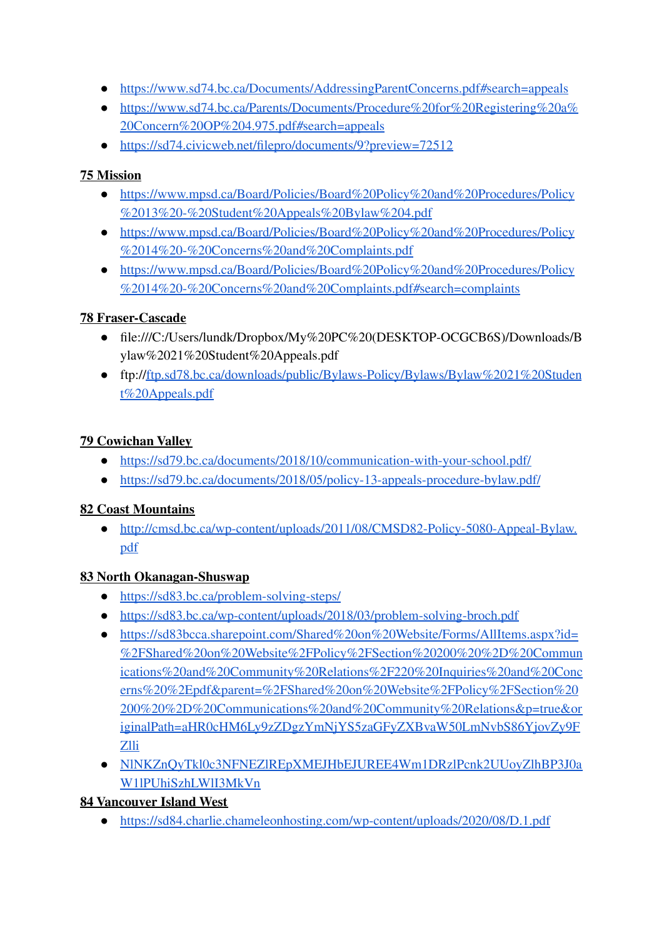- <https://www.sd74.bc.ca/Documents/AddressingParentConcerns.pdf#search=appeals>
- [https://www.sd74.bc.ca/Parents/Documents/Procedure%20for%20Registering%20a%](https://www.sd74.bc.ca/Parents/Documents/Procedure%20for%20Registering%20a%20Concern%20OP%204.975.pdf#search=appeals) [20Concern%20OP%204.975.pdf#search=appeals](https://www.sd74.bc.ca/Parents/Documents/Procedure%20for%20Registering%20a%20Concern%20OP%204.975.pdf#search=appeals)
- <https://sd74.civicweb.net/filepro/documents/9?preview=72512>

## **75 [Mission](https://www2.gov.bc.ca/assets/gov/data/geographic/land-use/administrative-boundaries/school-district-boundaries/map_-_sd_75_-_mission.pdf)**

- [https://www.mpsd.ca/Board/Policies/Board%20Policy%20and%20Procedures/Policy](https://www.mpsd.ca/Board/Policies/Board%20Policy%20and%20Procedures/Policy%2013%20-%20Student%20Appeals%20Bylaw%204.pdf) [%2013%20-%20Student%20Appeals%20Bylaw%204.pdf](https://www.mpsd.ca/Board/Policies/Board%20Policy%20and%20Procedures/Policy%2013%20-%20Student%20Appeals%20Bylaw%204.pdf)
- [https://www.mpsd.ca/Board/Policies/Board%20Policy%20and%20Procedures/Policy](https://www.mpsd.ca/Board/Policies/Board%20Policy%20and%20Procedures/Policy%2014%20-%20Concerns%20and%20Complaints.pdf) [%2014%20-%20Concerns%20and%20Complaints.pdf](https://www.mpsd.ca/Board/Policies/Board%20Policy%20and%20Procedures/Policy%2014%20-%20Concerns%20and%20Complaints.pdf)
- [https://www.mpsd.ca/Board/Policies/Board%20Policy%20and%20Procedures/Policy](https://www.mpsd.ca/Board/Policies/Board%20Policy%20and%20Procedures/Policy%2014%20-%20Concerns%20and%20Complaints.pdf#search=complaints) [%2014%20-%20Concerns%20and%20Complaints.pdf#search=complaints](https://www.mpsd.ca/Board/Policies/Board%20Policy%20and%20Procedures/Policy%2014%20-%20Concerns%20and%20Complaints.pdf#search=complaints)

## **78 [Fraser-Cascade](https://www2.gov.bc.ca/assets/gov/data/geographic/land-use/administrative-boundaries/school-district-boundaries/map_-_sd_78_-_fraser-cascade.pdf)**

- file:///C:/Users/lundk/Dropbox/My%20PC%20(DESKTOP-OCGCB6S)/Downloads/B ylaw%2021%20Student%20Appeals.pdf
- ftp:/[/ftp.sd78.bc.ca/downloads/public/Bylaws-Policy/Bylaws/Bylaw%2021%20Studen](http://ftp.sd78.bc.ca/downloads/public/Bylaws-Policy/Bylaws/Bylaw%2021%20Student%20Appeals.pdf) [t%20Appeals.pdf](http://ftp.sd78.bc.ca/downloads/public/Bylaws-Policy/Bylaws/Bylaw%2021%20Student%20Appeals.pdf)

## **79 [Cowichan](https://www2.gov.bc.ca/assets/gov/data/geographic/land-use/administrative-boundaries/school-district-boundaries/map_-_sd_79_-_cowichan_valley.pdf) Valley**

- <https://sd79.bc.ca/documents/2018/10/communication-with-your-school.pdf/>
- <https://sd79.bc.ca/documents/2018/05/policy-13-appeals-procedure-bylaw.pdf/>

### **82 Coast [Mountains](https://www2.gov.bc.ca/assets/gov/data/geographic/land-use/administrative-boundaries/school-district-boundaries/map_-_sd_82_-_coast_mountains.pdf)**

● [http://cmsd.bc.ca/wp-content/uploads/2011/08/CMSD82-Policy-5080-Appeal-Bylaw.](http://cmsd.bc.ca/wp-content/uploads/2011/08/CMSD82-Policy-5080-Appeal-Bylaw.pdf) [pdf](http://cmsd.bc.ca/wp-content/uploads/2011/08/CMSD82-Policy-5080-Appeal-Bylaw.pdf)

### **83 North [Okanagan-Shuswap](https://www2.gov.bc.ca/assets/gov/data/geographic/land-use/administrative-boundaries/school-district-boundaries/map_-_sd_83_-_north_okanagan-shuswap.pdf)**

- <https://sd83.bc.ca/problem-solving-steps/>
- <https://sd83.bc.ca/wp-content/uploads/2018/03/problem-solving-broch.pdf>
- [https://sd83bcca.sharepoint.com/Shared%20on%20Website/Forms/AllItems.aspx?id=](https://sd83bcca.sharepoint.com/Shared%20on%20Website/Forms/AllItems.aspx?id=%2FShared%20on%20Website%2FPolicy%2FSection%20200%20%2D%20Communications%20and%20Community%20Relations%2F220%20Inquiries%20and%20Concerns%20%2Epdf&parent=%2FShared%20on%20Website%2FPolicy%2FSection%20200%20%2D%20Communications%20and%20Community%20Relations&p=true&originalPath=aHR0cHM6Ly9zZDgzYmNjYS5zaGFyZXBvaW50LmNvbS86YjovZy9FZlliNlNKZnQyTkl0c3NFNEZlREpXMEJHbEJUREE4Wm1DRzlPcnk2UUoyZlhBP3J0aW1lPUhiSzhLWlI3MkVn) [%2FShared%20on%20Website%2FPolicy%2FSection%20200%20%2D%20Commun](https://sd83bcca.sharepoint.com/Shared%20on%20Website/Forms/AllItems.aspx?id=%2FShared%20on%20Website%2FPolicy%2FSection%20200%20%2D%20Communications%20and%20Community%20Relations%2F220%20Inquiries%20and%20Concerns%20%2Epdf&parent=%2FShared%20on%20Website%2FPolicy%2FSection%20200%20%2D%20Communications%20and%20Community%20Relations&p=true&originalPath=aHR0cHM6Ly9zZDgzYmNjYS5zaGFyZXBvaW50LmNvbS86YjovZy9FZlliNlNKZnQyTkl0c3NFNEZlREpXMEJHbEJUREE4Wm1DRzlPcnk2UUoyZlhBP3J0aW1lPUhiSzhLWlI3MkVn) [ications%20and%20Community%20Relations%2F220%20Inquiries%20and%20Conc](https://sd83bcca.sharepoint.com/Shared%20on%20Website/Forms/AllItems.aspx?id=%2FShared%20on%20Website%2FPolicy%2FSection%20200%20%2D%20Communications%20and%20Community%20Relations%2F220%20Inquiries%20and%20Concerns%20%2Epdf&parent=%2FShared%20on%20Website%2FPolicy%2FSection%20200%20%2D%20Communications%20and%20Community%20Relations&p=true&originalPath=aHR0cHM6Ly9zZDgzYmNjYS5zaGFyZXBvaW50LmNvbS86YjovZy9FZlliNlNKZnQyTkl0c3NFNEZlREpXMEJHbEJUREE4Wm1DRzlPcnk2UUoyZlhBP3J0aW1lPUhiSzhLWlI3MkVn) [erns%20%2Epdf&parent=%2FShared%20on%20Website%2FPolicy%2FSection%20](https://sd83bcca.sharepoint.com/Shared%20on%20Website/Forms/AllItems.aspx?id=%2FShared%20on%20Website%2FPolicy%2FSection%20200%20%2D%20Communications%20and%20Community%20Relations%2F220%20Inquiries%20and%20Concerns%20%2Epdf&parent=%2FShared%20on%20Website%2FPolicy%2FSection%20200%20%2D%20Communications%20and%20Community%20Relations&p=true&originalPath=aHR0cHM6Ly9zZDgzYmNjYS5zaGFyZXBvaW50LmNvbS86YjovZy9FZlliNlNKZnQyTkl0c3NFNEZlREpXMEJHbEJUREE4Wm1DRzlPcnk2UUoyZlhBP3J0aW1lPUhiSzhLWlI3MkVn) [200%20%2D%20Communications%20and%20Community%20Relations&p=true&or](https://sd83bcca.sharepoint.com/Shared%20on%20Website/Forms/AllItems.aspx?id=%2FShared%20on%20Website%2FPolicy%2FSection%20200%20%2D%20Communications%20and%20Community%20Relations%2F220%20Inquiries%20and%20Concerns%20%2Epdf&parent=%2FShared%20on%20Website%2FPolicy%2FSection%20200%20%2D%20Communications%20and%20Community%20Relations&p=true&originalPath=aHR0cHM6Ly9zZDgzYmNjYS5zaGFyZXBvaW50LmNvbS86YjovZy9FZlliNlNKZnQyTkl0c3NFNEZlREpXMEJHbEJUREE4Wm1DRzlPcnk2UUoyZlhBP3J0aW1lPUhiSzhLWlI3MkVn) [iginalPath=aHR0cHM6Ly9zZDgzYmNjYS5zaGFyZXBvaW50LmNvbS86YjovZy9F](https://sd83bcca.sharepoint.com/Shared%20on%20Website/Forms/AllItems.aspx?id=%2FShared%20on%20Website%2FPolicy%2FSection%20200%20%2D%20Communications%20and%20Community%20Relations%2F220%20Inquiries%20and%20Concerns%20%2Epdf&parent=%2FShared%20on%20Website%2FPolicy%2FSection%20200%20%2D%20Communications%20and%20Community%20Relations&p=true&originalPath=aHR0cHM6Ly9zZDgzYmNjYS5zaGFyZXBvaW50LmNvbS86YjovZy9FZlliNlNKZnQyTkl0c3NFNEZlREpXMEJHbEJUREE4Wm1DRzlPcnk2UUoyZlhBP3J0aW1lPUhiSzhLWlI3MkVn) [Zlli](https://sd83bcca.sharepoint.com/Shared%20on%20Website/Forms/AllItems.aspx?id=%2FShared%20on%20Website%2FPolicy%2FSection%20200%20%2D%20Communications%20and%20Community%20Relations%2F220%20Inquiries%20and%20Concerns%20%2Epdf&parent=%2FShared%20on%20Website%2FPolicy%2FSection%20200%20%2D%20Communications%20and%20Community%20Relations&p=true&originalPath=aHR0cHM6Ly9zZDgzYmNjYS5zaGFyZXBvaW50LmNvbS86YjovZy9FZlliNlNKZnQyTkl0c3NFNEZlREpXMEJHbEJUREE4Wm1DRzlPcnk2UUoyZlhBP3J0aW1lPUhiSzhLWlI3MkVn)
- [NlNKZnQyTkl0c3NFNEZlREpXMEJHbEJUREE4Wm1DRzlPcnk2UUoyZlhBP3J0a](https://sd83bcca.sharepoint.com/Shared%20on%20Website/Forms/AllItems.aspx?id=%2FShared%20on%20Website%2FPolicy%2FSection%20200%20%2D%20Communications%20and%20Community%20Relations%2F220%20Inquiries%20and%20Concerns%20%2Epdf&parent=%2FShared%20on%20Website%2FPolicy%2FSection%20200%20%2D%20Communications%20and%20Community%20Relations&p=true&originalPath=aHR0cHM6Ly9zZDgzYmNjYS5zaGFyZXBvaW50LmNvbS86YjovZy9FZlliNlNKZnQyTkl0c3NFNEZlREpXMEJHbEJUREE4Wm1DRzlPcnk2UUoyZlhBP3J0aW1lPUhiSzhLWlI3MkVn) [W1lPUhiSzhLWlI3MkVn](https://sd83bcca.sharepoint.com/Shared%20on%20Website/Forms/AllItems.aspx?id=%2FShared%20on%20Website%2FPolicy%2FSection%20200%20%2D%20Communications%20and%20Community%20Relations%2F220%20Inquiries%20and%20Concerns%20%2Epdf&parent=%2FShared%20on%20Website%2FPolicy%2FSection%20200%20%2D%20Communications%20and%20Community%20Relations&p=true&originalPath=aHR0cHM6Ly9zZDgzYmNjYS5zaGFyZXBvaW50LmNvbS86YjovZy9FZlliNlNKZnQyTkl0c3NFNEZlREpXMEJHbEJUREE4Wm1DRzlPcnk2UUoyZlhBP3J0aW1lPUhiSzhLWlI3MkVn)

### **84 [Vancouver](https://www2.gov.bc.ca/assets/gov/data/geographic/land-use/administrative-boundaries/school-district-boundaries/map_-_sd_84_-_vancouver_island_west.pdf) Island West**

● <https://sd84.charlie.chameleonhosting.com/wp-content/uploads/2020/08/D.1.pdf>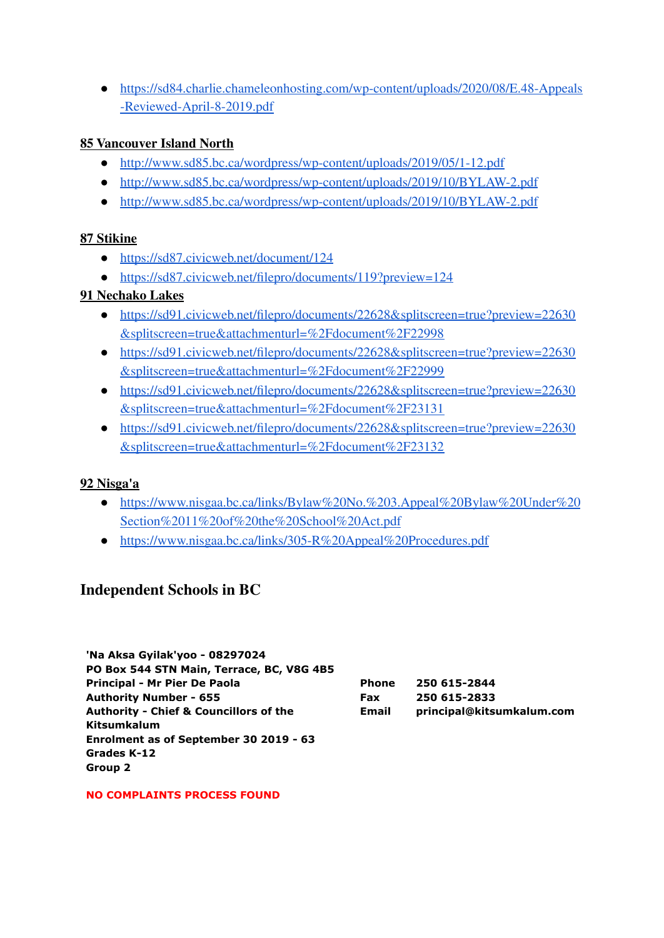● [https://sd84.charlie.chameleonhosting.com/wp-content/uploads/2020/08/E.48-Appeals](https://sd84.charlie.chameleonhosting.com/wp-content/uploads/2020/08/E.48-Appeals-Reviewed-April-8-2019.pdf) [-Reviewed-April-8-2019.pdf](https://sd84.charlie.chameleonhosting.com/wp-content/uploads/2020/08/E.48-Appeals-Reviewed-April-8-2019.pdf)

#### **85 [Vancouver](https://www2.gov.bc.ca/assets/gov/data/geographic/land-use/administrative-boundaries/school-district-boundaries/map_-_sd_85_-_vancouver_island_north.pdf) Island North**

- <http://www.sd85.bc.ca/wordpress/wp-content/uploads/2019/05/1-12.pdf>
- <http://www.sd85.bc.ca/wordpress/wp-content/uploads/2019/10/BYLAW-2.pdf>
- <http://www.sd85.bc.ca/wordpress/wp-content/uploads/2019/10/BYLAW-2.pdf>

#### **87 [Stikine](https://www2.gov.bc.ca/assets/gov/data/geographic/land-use/administrative-boundaries/school-district-boundaries/map_-_sd_87_-_stikine.pdf)**

- <https://sd87.civicweb.net/document/124>
- <https://sd87.civicweb.net/filepro/documents/119?preview=124>

#### **91 [Nechako](https://www2.gov.bc.ca/assets/gov/data/geographic/land-use/administrative-boundaries/school-district-boundaries/map_-_sd_91_-_nechako_lakes.pdf) Lakes**

- [https://sd91.civicweb.net/filepro/documents/22628&splitscreen=true?preview=22630](https://sd91.civicweb.net/filepro/documents/22628&splitscreen=true?preview=22630&splitscreen=true&attachmenturl=%2Fdocument%2F22998) [&splitscreen=true&attachmenturl=%2Fdocument%2F22998](https://sd91.civicweb.net/filepro/documents/22628&splitscreen=true?preview=22630&splitscreen=true&attachmenturl=%2Fdocument%2F22998)
- [https://sd91.civicweb.net/filepro/documents/22628&splitscreen=true?preview=22630](https://sd91.civicweb.net/filepro/documents/22628&splitscreen=true?preview=22630&splitscreen=true&attachmenturl=%2Fdocument%2F22999) [&splitscreen=true&attachmenturl=%2Fdocument%2F22999](https://sd91.civicweb.net/filepro/documents/22628&splitscreen=true?preview=22630&splitscreen=true&attachmenturl=%2Fdocument%2F22999)
- [https://sd91.civicweb.net/filepro/documents/22628&splitscreen=true?preview=22630](https://sd91.civicweb.net/filepro/documents/22628&splitscreen=true?preview=22630&splitscreen=true&attachmenturl=%2Fdocument%2F23131) [&splitscreen=true&attachmenturl=%2Fdocument%2F23131](https://sd91.civicweb.net/filepro/documents/22628&splitscreen=true?preview=22630&splitscreen=true&attachmenturl=%2Fdocument%2F23131)
- [https://sd91.civicweb.net/filepro/documents/22628&splitscreen=true?preview=22630](https://sd91.civicweb.net/filepro/documents/22628&splitscreen=true?preview=22630&splitscreen=true&attachmenturl=%2Fdocument%2F23132) [&splitscreen=true&attachmenturl=%2Fdocument%2F23132](https://sd91.civicweb.net/filepro/documents/22628&splitscreen=true?preview=22630&splitscreen=true&attachmenturl=%2Fdocument%2F23132)

#### **92 [Nisga'a](https://www2.gov.bc.ca/assets/gov/data/geographic/land-use/administrative-boundaries/school-district-boundaries/map_-_sd_92_-_nisgaa.pdf)**

**Group 2**

- [https://www.nisgaa.bc.ca/links/Bylaw%20No.%203.Appeal%20Bylaw%20Under%20](https://www.nisgaa.bc.ca/links/Bylaw%20No.%203.Appeal%20Bylaw%20Under%20Section%2011%20of%20the%20School%20Act.pdf) [Section%2011%20of%20the%20School%20Act.pdf](https://www.nisgaa.bc.ca/links/Bylaw%20No.%203.Appeal%20Bylaw%20Under%20Section%2011%20of%20the%20School%20Act.pdf)
- <https://www.nisgaa.bc.ca/links/305-R%20Appeal%20Procedures.pdf>

# **Independent Schools in BC**

| 'Na Aksa Gyilak'yoo - 08297024                    |              |                           |
|---------------------------------------------------|--------------|---------------------------|
| PO Box 544 STN Main, Terrace, BC, V8G 4B5         |              |                           |
| Principal - Mr Pier De Paola                      | <b>Phone</b> | 250 615-2844              |
| <b>Authority Number - 655</b>                     | <b>Fax</b>   | 250 615-2833              |
| <b>Authority - Chief &amp; Councillors of the</b> | Email        | principal@kitsumkalum.com |
| <b>Kitsumkalum</b>                                |              |                           |
| Enrolment as of September 30 2019 - 63            |              |                           |
| Grades K-12                                       |              |                           |

#### **NO COMPLAINTS PROCESS FOUND**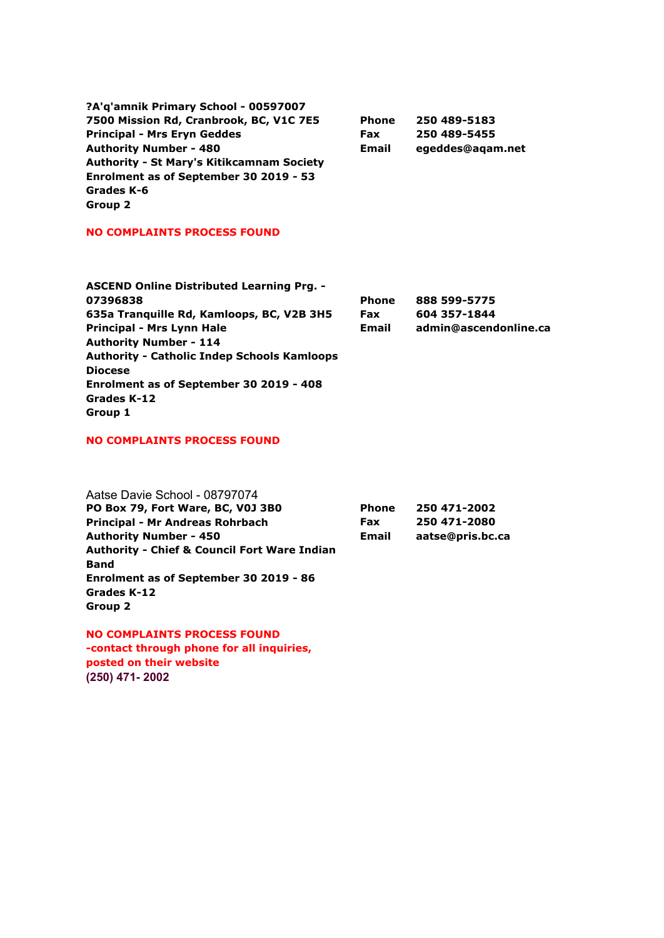| ?A'q'amnik Primary School - 00597007             |              |                  |
|--------------------------------------------------|--------------|------------------|
| 7500 Mission Rd, Cranbrook, BC, V1C 7E5          | <b>Phone</b> | 250 489-5183     |
| <b>Principal - Mrs Eryn Geddes</b>               | <b>Fax</b>   | 250 489-5455     |
| <b>Authority Number - 480</b>                    | <b>Email</b> | egeddes@agam.net |
| <b>Authority - St Mary's Kitikcamnam Society</b> |              |                  |
| Enrolment as of September 30 2019 - 53           |              |                  |
| Grades K-6                                       |              |                  |
| Group 2                                          |              |                  |

#### **NO COMPLAINTS PROCESS FOUND**

| <b>ASCEND Online Distributed Learning Prg. -</b>   |              |                       |
|----------------------------------------------------|--------------|-----------------------|
| 07396838                                           | <b>Phone</b> | 888 599-5775          |
| 635a Tranguille Rd, Kamloops, BC, V2B 3H5          | <b>Fax</b>   | 604 357-1844          |
| <b>Principal - Mrs Lynn Hale</b>                   | <b>Email</b> | admin@ascendonline.ca |
| <b>Authority Number - 114</b>                      |              |                       |
| <b>Authority - Catholic Indep Schools Kamloops</b> |              |                       |
| <b>Diocese</b>                                     |              |                       |
| Enrolment as of September 30 2019 - 408            |              |                       |
| Grades K-12                                        |              |                       |
| Group 1                                            |              |                       |

#### **NO COMPLAINTS PROCESS FOUND**

| Aatse Davie School - 08797074                           |              |                  |
|---------------------------------------------------------|--------------|------------------|
| PO Box 79, Fort Ware, BC, V0J 3B0                       | <b>Phone</b> | 250 471-2002     |
| Principal - Mr Andreas Rohrbach                         | <b>Fax</b>   | 250 471-2080     |
| <b>Authority Number - 450</b>                           | Email        | aatse@pris.bc.ca |
| <b>Authority - Chief &amp; Council Fort Ware Indian</b> |              |                  |
| <b>Band</b>                                             |              |                  |
| Enrolment as of September 30 2019 - 86                  |              |                  |
| Grades K-12                                             |              |                  |
| Group 2                                                 |              |                  |

**NO COMPLAINTS PROCESS FOUND -contact through phone for all inquiries, posted on their website (250) 471- 2002**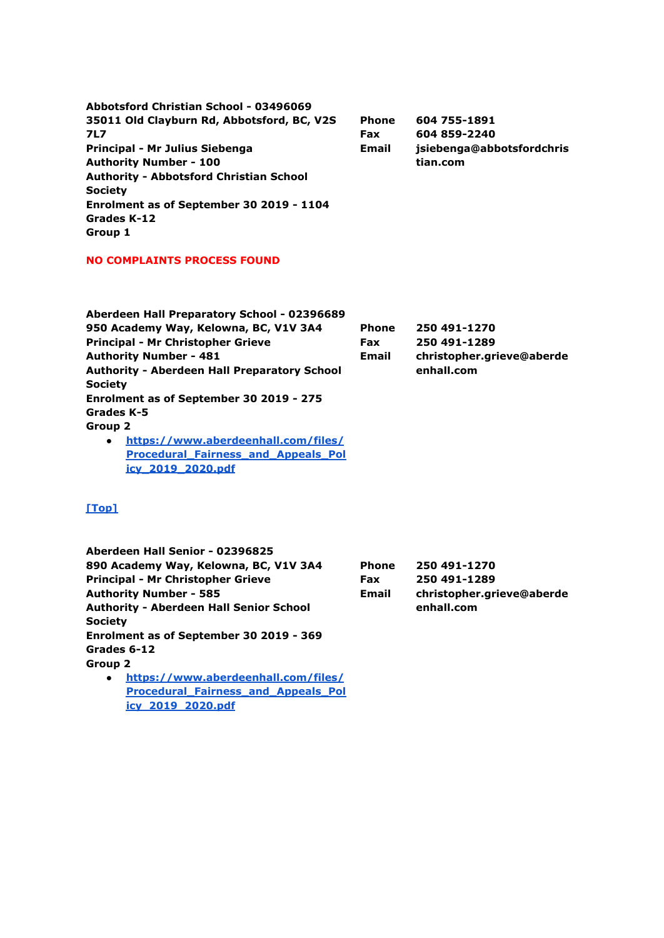**Abbotsford Christian School - 03496069 35011 Old Clayburn Rd, Abbotsford, BC, V2S 7L7 Principal - Mr Julius Siebenga Authority Number - 100 Authority - Abbotsford Christian School Society Enrolment as of September 30 2019 - 1104 Grades K-12 Group 1 Phone Fax Email 604 755-1891 604 859-2240 jsiebenga@abbotsfordchris tian.com**

**NO COMPLAINTS PROCESS FOUND**

| Aberdeen Hall Preparatory School - 02396689         |              |                           |
|-----------------------------------------------------|--------------|---------------------------|
| 950 Academy Way, Kelowna, BC, V1V 3A4               | <b>Phone</b> | 250 491-1270              |
| <b>Principal - Mr Christopher Grieve</b>            | <b>Fax</b>   | 250 491-1289              |
| <b>Authority Number - 481</b>                       | <b>Email</b> | christopher.grieve@aberde |
| <b>Authority - Aberdeen Hall Preparatory School</b> |              | enhall.com                |
| <b>Society</b>                                      |              |                           |
| Enrolment as of September 30 2019 - 275             |              |                           |
| Grades K-5                                          |              |                           |
| Group 2                                             |              |                           |
| https://www.aberdeenhall.com/files/<br>$\bullet$    |              |                           |
| <b>Procedural Fairness and Appeals Pol</b>          |              |                           |

**[icy\\_2019\\_2020.pdf](https://www.aberdeenhall.com/files/Procedural_Fairness_and_Appeals_Policy_2019_2020.pdf)**

#### **[\[Top\]](http://www.bced.gov.bc.ca/apps/imcl/imclWeb/IndSchool.do?school_category=Independent%20School#top)**

| Aberdeen Hall Senior - 02396825                  |              |                           |
|--------------------------------------------------|--------------|---------------------------|
| 890 Academy Way, Kelowna, BC, V1V 3A4            | <b>Phone</b> | 250 491-1270              |
| <b>Principal - Mr Christopher Grieve</b>         | <b>Fax</b>   | 250 491-1289              |
| <b>Authority Number - 585</b>                    | <b>Email</b> | christopher.grieve@aberde |
| <b>Authority - Aberdeen Hall Senior School</b>   |              | enhall.com                |
| <b>Society</b>                                   |              |                           |
| Enrolment as of September 30 2019 - 369          |              |                           |
| Grades 6-12                                      |              |                           |
| Group 2                                          |              |                           |
| httns://www.aherdeenhall.com/files/<br>$\bullet$ |              |                           |

**● [https://www.aberdeenhall.com/files/](https://www.aberdeenhall.com/files/Procedural_Fairness_and_Appeals_Policy_2019_2020.pdf) [Procedural\\_Fairness\\_and\\_Appeals\\_Pol](https://www.aberdeenhall.com/files/Procedural_Fairness_and_Appeals_Policy_2019_2020.pdf) [icy\\_2019\\_2020.pdf](https://www.aberdeenhall.com/files/Procedural_Fairness_and_Appeals_Policy_2019_2020.pdf)**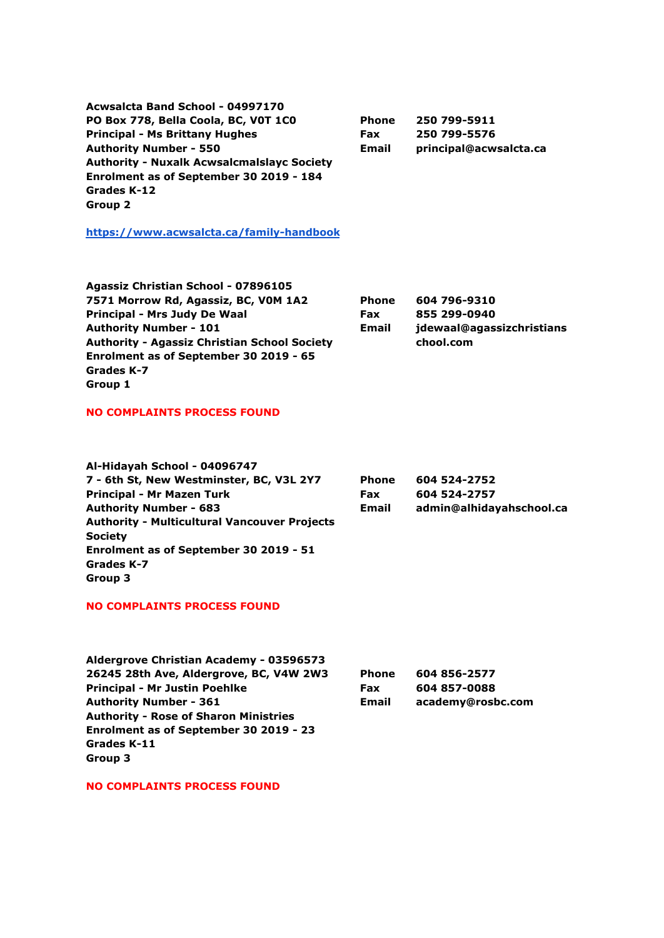**Acwsalcta Band School - 04997170 PO Box 778, Bella Coola, BC, V0T 1C0 Principal - Ms Brittany Hughes Authority Number - 550 Authority - Nuxalk Acwsalcmalslayc Society Enrolment as of September 30 2019 - 184 Grades K-12 Group 2**

**Phone Fax Email 250 799-5911 250 799-5576 principal@acwsalcta.ca**

**<https://www.acwsalcta.ca/family-handbook>**

| Agassiz Christian School - 07896105                 |              |                           |
|-----------------------------------------------------|--------------|---------------------------|
| 7571 Morrow Rd, Agassiz, BC, V0M 1A2                | <b>Phone</b> | 604 796-9310              |
| Principal - Mrs Judy De Waal                        | <b>Fax</b>   | 855 299-0940              |
| <b>Authority Number - 101</b>                       | Email        | jdewaal@agassizchristians |
| <b>Authority - Agassiz Christian School Society</b> |              | chool.com                 |
| Enrolment as of September 30 2019 - 65              |              |                           |
| Grades K-7                                          |              |                           |
| Group 1                                             |              |                           |

#### **NO COMPLAINTS PROCESS FOUND**

| Al-Hidayah School - 04096747                        |              |                          |
|-----------------------------------------------------|--------------|--------------------------|
| 7 - 6th St, New Westminster, BC, V3L 2Y7            | <b>Phone</b> | 604 524-2752             |
| <b>Principal - Mr Mazen Turk</b>                    | <b>Fax</b>   | 604 524-2757             |
| <b>Authority Number - 683</b>                       | <b>Email</b> | admin@alhidayahschool.ca |
| <b>Authority - Multicultural Vancouver Projects</b> |              |                          |
| <b>Society</b>                                      |              |                          |
| Enrolment as of September 30 2019 - 51              |              |                          |
| Grades K-7                                          |              |                          |
| Group 3                                             |              |                          |
|                                                     |              |                          |

#### **NO COMPLAINTS PROCESS FOUND**

| Aldergrove Christian Academy - 03596573      |              |                   |
|----------------------------------------------|--------------|-------------------|
| 26245 28th Ave, Aldergrove, BC, V4W 2W3      | <b>Phone</b> | 604 856-2577      |
| <b>Principal - Mr Justin Poehlke</b>         | <b>Fax</b>   | 604 857-0088      |
| <b>Authority Number - 361</b>                | Email        | academy@rosbc.com |
| <b>Authority - Rose of Sharon Ministries</b> |              |                   |
| Enrolment as of September 30 2019 - 23       |              |                   |
| Grades K-11                                  |              |                   |
| Group 3                                      |              |                   |

**NO COMPLAINTS PROCESS FOUND**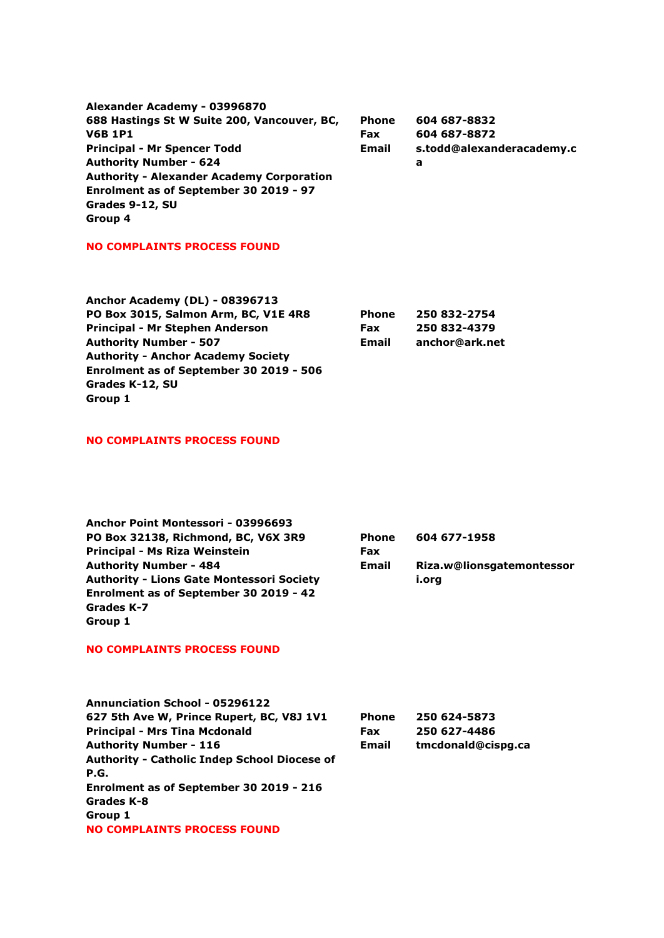| Alexander Academy - 03996870                     |              |                           |
|--------------------------------------------------|--------------|---------------------------|
| 688 Hastings St W Suite 200, Vancouver, BC,      | <b>Phone</b> | 604 687-8832              |
| <b>V6B 1P1</b>                                   | <b>Fax</b>   | 604 687-8872              |
| <b>Principal - Mr Spencer Todd</b>               | Email        | s.todd@alexanderacademy.c |
| <b>Authority Number - 624</b>                    |              | а                         |
| <b>Authority - Alexander Academy Corporation</b> |              |                           |
| Enrolment as of September 30 2019 - 97           |              |                           |
| Grades 9-12, SU                                  |              |                           |
| Group 4                                          |              |                           |

#### **NO COMPLAINTS PROCESS FOUND**

| <b>Phone</b> | 250 832-2754   |
|--------------|----------------|
| <b>Fax</b>   | 250 832-4379   |
| Email        | anchor@ark.net |
|              |                |
|              |                |
|              |                |
|              |                |
|              |                |

#### **NO COMPLAINTS PROCESS FOUND**

| Anchor Point Montessori - 03996693               |              |                           |
|--------------------------------------------------|--------------|---------------------------|
| PO Box 32138, Richmond, BC, V6X 3R9              | <b>Phone</b> | 604 677-1958              |
| Principal - Ms Riza Weinstein                    | <b>Fax</b>   |                           |
| <b>Authority Number - 484</b>                    | Email        | Riza.w@lionsgatemontessor |
| <b>Authority - Lions Gate Montessori Society</b> |              | i.org                     |
| Enrolment as of September 30 2019 - 42           |              |                           |
| Grades K-7                                       |              |                           |
| Group 1                                          |              |                           |

#### **NO COMPLAINTS PROCESS FOUND**

| <b>Annunciation School - 05296122</b>               |              |                    |
|-----------------------------------------------------|--------------|--------------------|
| 627 5th Ave W, Prince Rupert, BC, V8J 1V1           | <b>Phone</b> | 250 624-5873       |
| <b>Principal - Mrs Tina Mcdonald</b>                | <b>Fax</b>   | 250 627-4486       |
| <b>Authority Number - 116</b>                       | <b>Email</b> | tmcdonald@cispq.ca |
| <b>Authority - Catholic Indep School Diocese of</b> |              |                    |
| P.G.                                                |              |                    |
| Enrolment as of September 30 2019 - 216             |              |                    |
| Grades K-8                                          |              |                    |
| Group 1                                             |              |                    |
| <b>NO COMPLAINTS PROCESS FOUND</b>                  |              |                    |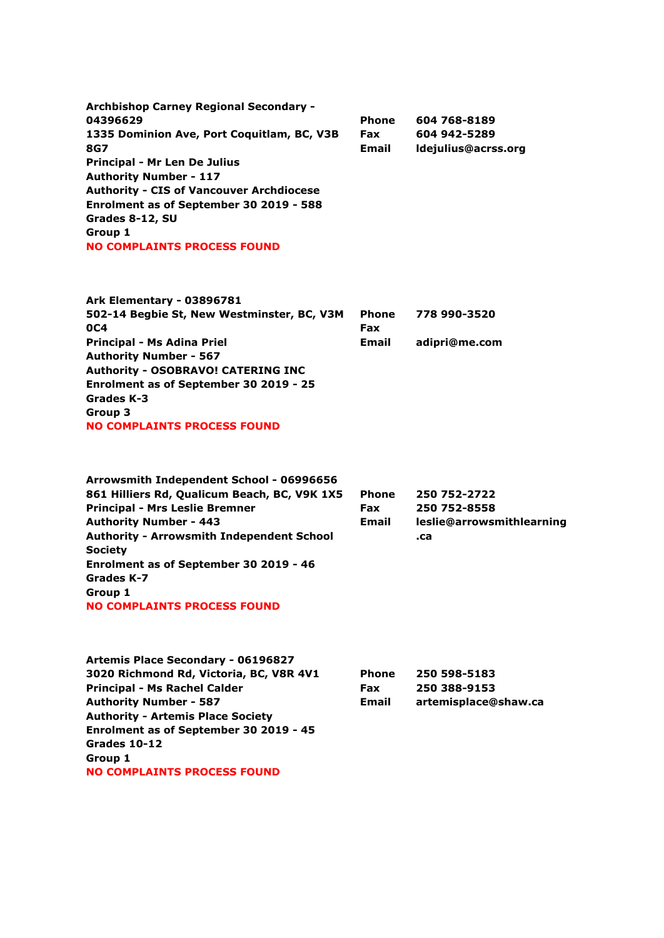**Archbishop Carney Regional Secondary - 04396629 1335 Dominion Ave, Port Coquitlam, BC, V3B 8G7 Principal - Mr Len De Julius Authority Number - 117 Authority - CIS of Vancouver Archdiocese Enrolment as of September 30 2019 - 588 Grades 8-12, SU Group 1 NO COMPLAINTS PROCESS FOUND Phone Fax Email 604 768-8189 604 942-5289 ldejulius@acrss.org**

| Ark Elementary - 03896781                  |              |               |
|--------------------------------------------|--------------|---------------|
| 502-14 Begbie St, New Westminster, BC, V3M | <b>Phone</b> | 778 990-3520  |
| 0C4                                        | <b>Fax</b>   |               |
| Principal - Ms Adina Priel                 | <b>Email</b> | adipri@me.com |
| <b>Authority Number - 567</b>              |              |               |
| <b>Authority - OSOBRAVO! CATERING INC</b>  |              |               |
| Enrolment as of September 30 2019 - 25     |              |               |
| Grades K-3                                 |              |               |
| Group 3                                    |              |               |
| <b>NO COMPLAINTS PROCESS FOUND</b>         |              |               |
|                                            |              |               |

| Arrowsmith Independent School - 06996656         |              |                           |
|--------------------------------------------------|--------------|---------------------------|
| 861 Hilliers Rd, Qualicum Beach, BC, V9K 1X5     | <b>Phone</b> | 250 752-2722              |
| <b>Principal - Mrs Leslie Bremner</b>            | <b>Fax</b>   | 250 752-8558              |
| <b>Authority Number - 443</b>                    | <b>Email</b> | leslie@arrowsmithlearning |
| <b>Authority - Arrowsmith Independent School</b> |              | .ca                       |
| <b>Society</b>                                   |              |                           |
| Enrolment as of September 30 2019 - 46           |              |                           |
| Grades K-7                                       |              |                           |
| Group 1                                          |              |                           |
| <b>NO COMPLAINTS PROCESS FOUND</b>               |              |                           |

| <b>Artemis Place Secondary - 06196827</b> |              |                      |
|-------------------------------------------|--------------|----------------------|
| 3020 Richmond Rd, Victoria, BC, V8R 4V1   | <b>Phone</b> | 250 598-5183         |
| <b>Principal - Ms Rachel Calder</b>       | <b>Fax</b>   | 250 388-9153         |
| <b>Authority Number - 587</b>             | <b>Email</b> | artemisplace@shaw.ca |
| <b>Authority - Artemis Place Society</b>  |              |                      |
| Enrolment as of September 30 2019 - 45    |              |                      |
| Grades 10-12                              |              |                      |
| Group 1                                   |              |                      |
| <b>NO COMPLAINTS PROCESS FOUND</b>        |              |                      |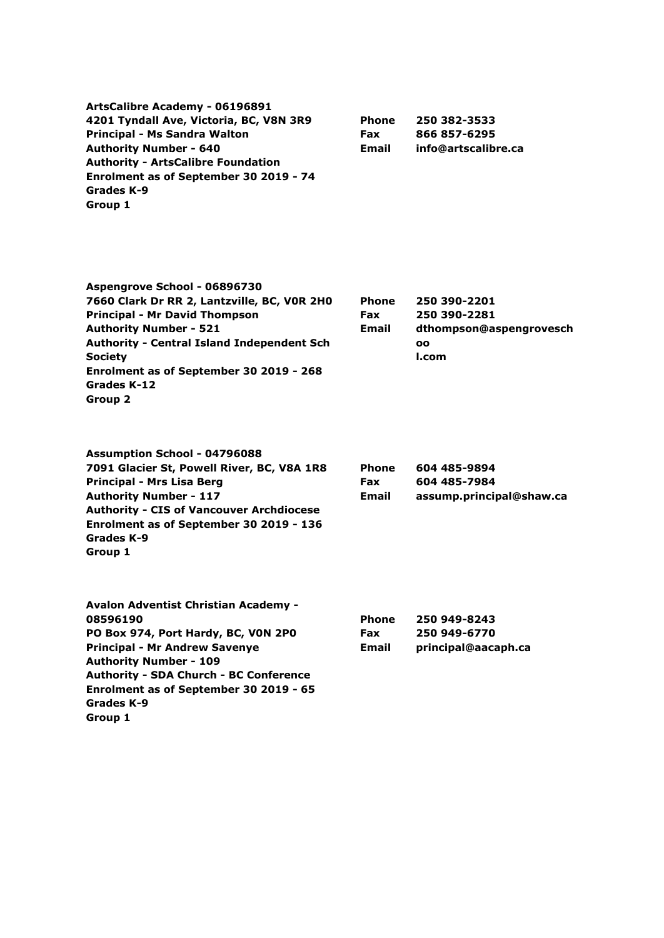| <b>Phone</b> | 250 382-3533        |
|--------------|---------------------|
| <b>Fax</b>   | 866 857-6295        |
| Email        | info@artscalibre.ca |
|              |                     |
|              |                     |
|              |                     |
|              |                     |
|              |                     |

**Aspengrove School - 06896730 7660 Clark Dr RR 2, Lantzville, BC, V0R 2H0 Principal - Mr David Thompson Authority Number - 521 Authority - Central Island Independent Sch Society Enrolment as of September 30 2019 - 268 Grades K-12 Group 2 Phone Fax Email**

| <b>Assumption School - 04796088</b>             |
|-------------------------------------------------|
| 7091 Glacier St, Powell River, BC, V8A 1R8      |
| Principal - Mrs Lisa Berg                       |
| <b>Authority Number - 117</b>                   |
| <b>Authority - CIS of Vancouver Archdiocese</b> |
| Enrolment as of September 30 2019 - 136         |
| Grades K-9                                      |
| Group 1                                         |
|                                                 |

| <b>Phone</b> | 604 485-9894             |
|--------------|--------------------------|
| <b>Fax</b>   | 604 485-7984             |
| Email        | assump.principal@shaw.ca |

**250 390-2201 250 390-2281**

**oo l.com**

**dthompson@aspengrovesch**

| <b>Avalon Adventist Christian Academy -</b>   |              |                     |
|-----------------------------------------------|--------------|---------------------|
| 08596190                                      | <b>Phone</b> | 250 949-8243        |
| PO Box 974, Port Hardy, BC, VON 2PO           | <b>Fax</b>   | 250 949-6770        |
| <b>Principal - Mr Andrew Savenye</b>          | <b>Email</b> | principal@aacaph.ca |
| <b>Authority Number - 109</b>                 |              |                     |
| <b>Authority - SDA Church - BC Conference</b> |              |                     |
| Enrolment as of September 30 2019 - 65        |              |                     |
| Grades K-9                                    |              |                     |
| Group 1                                       |              |                     |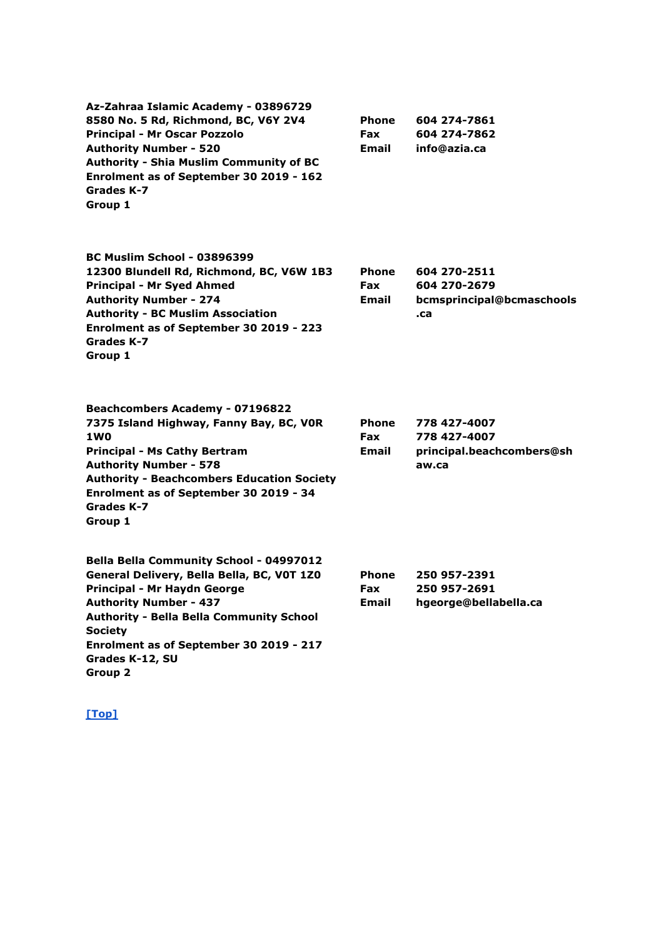| Az-Zahraa Islamic Academy - 03896729<br>8580 No. 5 Rd, Richmond, BC, V6Y 2V4<br><b>Principal - Mr Oscar Pozzolo</b><br><b>Authority Number - 520</b><br><b>Authority - Shia Muslim Community of BC</b><br>Enrolment as of September 30 2019 - 162<br>Grades K-7<br>Group 1                           | <b>Phone</b><br><b>Fax</b><br>Email | 604 274-7861<br>604 274-7862<br>info@azia.ca                       |
|------------------------------------------------------------------------------------------------------------------------------------------------------------------------------------------------------------------------------------------------------------------------------------------------------|-------------------------------------|--------------------------------------------------------------------|
| <b>BC Muslim School - 03896399</b><br>12300 Blundell Rd, Richmond, BC, V6W 1B3<br><b>Principal - Mr Syed Ahmed</b><br><b>Authority Number - 274</b><br><b>Authority - BC Muslim Association</b><br>Enrolment as of September 30 2019 - 223<br>Grades K-7<br>Group 1                                  | <b>Phone</b><br>Fax<br><b>Email</b> | 604 270-2511<br>604 270-2679<br>bcmsprincipal@bcmaschools<br>.ca   |
| <b>Beachcombers Academy - 07196822</b><br>7375 Island Highway, Fanny Bay, BC, VOR<br>1W <sub>0</sub><br><b>Principal - Ms Cathy Bertram</b><br><b>Authority Number - 578</b><br><b>Authority - Beachcombers Education Society</b><br>Enrolment as of September 30 2019 - 34<br>Grades K-7<br>Group 1 | <b>Phone</b><br>Fax<br><b>Email</b> | 778 427-4007<br>778 427-4007<br>principal.beachcombers@sh<br>aw.ca |
| Bella Bella Community School - 04997012<br>General Delivery, Bella Bella, BC, V0T 1Z0<br>Principal - Mr Haydn George<br><b>Authority Number - 437</b><br><b>Authority - Bella Bella Community School</b><br><b>Society</b><br>Enrolment as of September 30 2019 - 217<br>Grades K-12, SU<br>Group 2  | <b>Phone</b><br>Fax<br><b>Email</b> | 250 957-2391<br>250 957-2691<br>hgeorge@bellabella.ca              |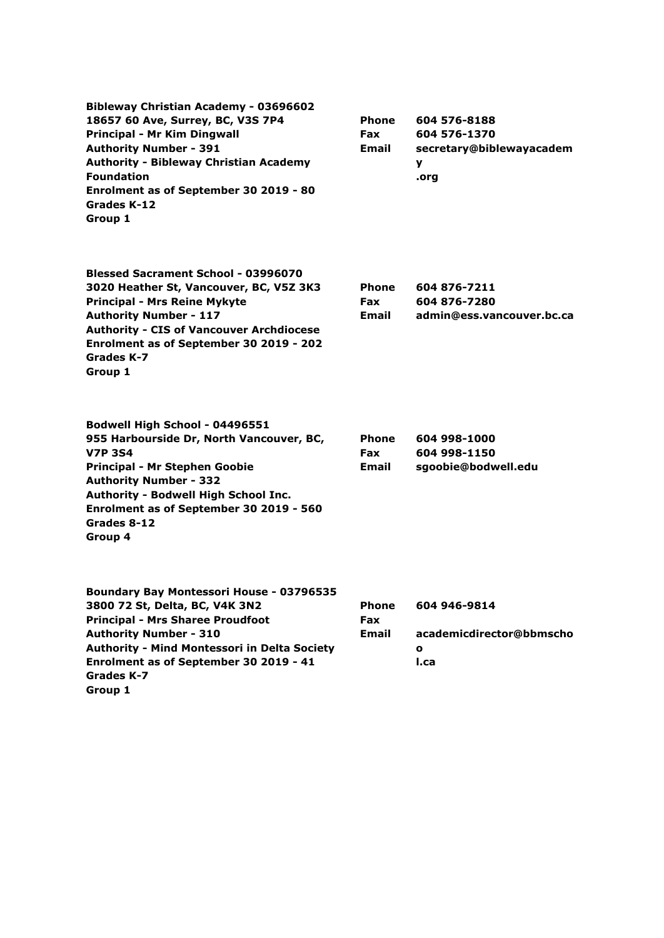**Bibleway Christian Academy - 03696602 18657 60 Ave, Surrey, BC, V3S 7P4 Principal - Mr Kim Dingwall Authority Number - 391 Authority - Bibleway Christian Academy Foundation Enrolment as of September 30 2019 - 80 Grades K-12 Group 1**

**Phone Fax Email 604 576-8188 604 576-1370 secretary@biblewayacadem y .org**

> **604 876-7211 604 876-7280**

**admin@ess.vancouver.bc.ca**

| <b>Blessed Sacrament School - 03996070</b>      |              |
|-------------------------------------------------|--------------|
| 3020 Heather St, Vancouver, BC, V5Z 3K3         | <b>Phone</b> |
| <b>Principal - Mrs Reine Mykyte</b>             | Fax          |
| <b>Authority Number - 117</b>                   | <b>Email</b> |
| <b>Authority - CIS of Vancouver Archdiocese</b> |              |
| Enrolment as of September 30 2019 - 202         |              |
| Grades K-7                                      |              |
| Group 1                                         |              |

**Bodwell High School - 04496551 955 Harbourside Dr, North Vancouver, BC, V7P 3S4 Principal - Mr Stephen Goobie Authority Number - 332 Authority - Bodwell High School Inc. Enrolment as of September 30 2019 - 560 Grades 8-12 Group 4 Phone Fax Email 604 998-1000 604 998-1150 sgoobie@bodwell.edu**

| Boundary Bay Montessori House - 03796535            |              |                          |
|-----------------------------------------------------|--------------|--------------------------|
| 3800 72 St, Delta, BC, V4K 3N2                      | <b>Phone</b> | 604 946-9814             |
| <b>Principal - Mrs Sharee Proudfoot</b>             | <b>Fax</b>   |                          |
| <b>Authority Number - 310</b>                       | Email        | academicdirector@bbmscho |
| <b>Authority - Mind Montessori in Delta Society</b> |              | $\mathbf o$              |
| Enrolment as of September 30 2019 - 41              |              | I.ca                     |
| Grades K-7                                          |              |                          |
| Group 1                                             |              |                          |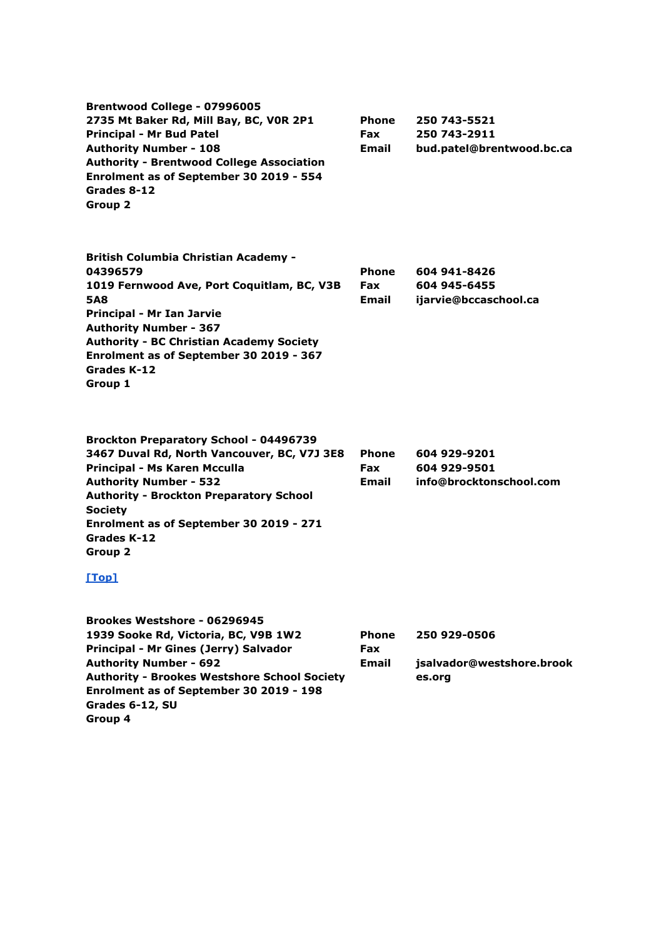| Brentwood College - 07996005<br>2735 Mt Baker Rd, Mill Bay, BC, VOR 2P1<br><b>Principal - Mr Bud Patel</b><br><b>Authority Number - 108</b><br><b>Authority - Brentwood College Association</b><br>Enrolment as of September 30 2019 - 554<br>Grades 8-12<br>Group 2                                             | Phone<br><b>Fax</b><br>Email | 250 743-5521<br>250 743-2911<br>bud.patel@brentwood.bc.ca |
|------------------------------------------------------------------------------------------------------------------------------------------------------------------------------------------------------------------------------------------------------------------------------------------------------------------|------------------------------|-----------------------------------------------------------|
| <b>British Columbia Christian Academy -</b><br>04396579<br>1019 Fernwood Ave, Port Coquitlam, BC, V3B<br><b>5A8</b><br><b>Principal - Mr Ian Jarvie</b><br><b>Authority Number - 367</b><br><b>Authority - BC Christian Academy Society</b><br>Enrolment as of September 30 2019 - 367<br>Grades K-12<br>Group 1 | Phone<br><b>Fax</b><br>Email | 604 941-8426<br>604 945-6455<br>ijarvie@bccaschool.ca     |
| <b>Brockton Preparatory School - 04496739</b><br>3467 Duval Rd, North Vancouver, BC, V7J 3E8<br>Principal - Ms Karen Mcculla<br><b>Authority Number - 532</b><br><b>Authority - Brockton Preparatory School</b><br><b>Society</b><br>Enrolment as of September 30 2019 - 271<br>Grades K-12<br>Group 2<br>$Top1$ | Phone<br><b>Fax</b><br>Email | 604 929-9201<br>604 929-9501<br>info@brocktonschool.com   |
| Brookes Westshore - 06296945<br>1939 Sooke Rd, Victoria, BC, V9B 1W2<br>Principal - Mr Gines (Jerry) Salvador<br><b>Authority Number - 692</b><br><b>Authority - Brookes Westshore School Society</b><br>Enrolment as of September 30 2019 - 198<br>Grades 6-12, SU                                              | <b>Phone</b><br>Fax<br>Email | 250 929-0506<br>jsalvador@westshore.brook<br>es.org       |

**Group 4**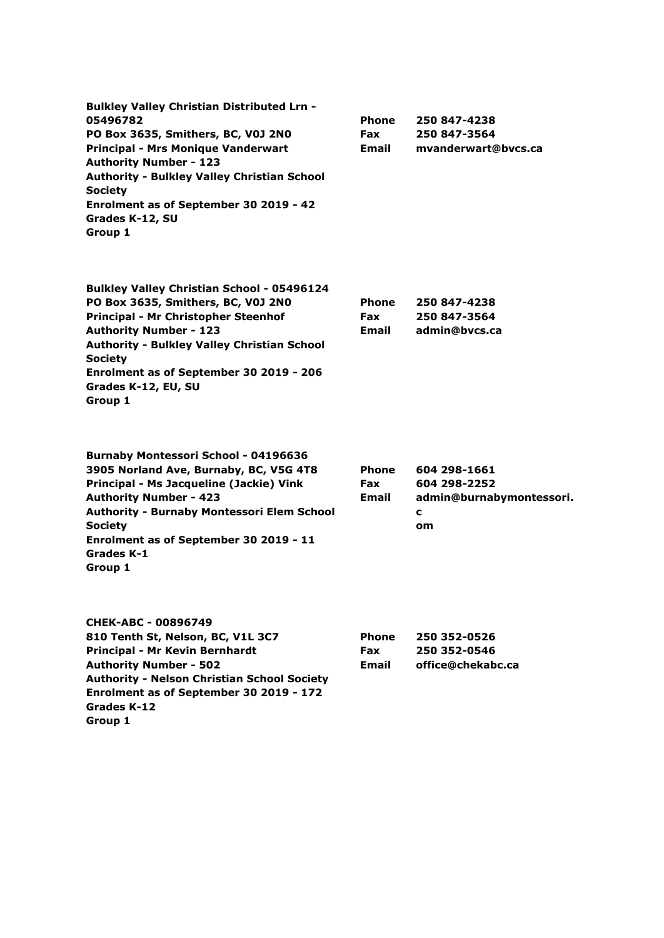| <b>Bulkley Valley Christian Distributed Lrn -</b>  |              |                     |
|----------------------------------------------------|--------------|---------------------|
| 05496782                                           | <b>Phone</b> | 250 847-4238        |
| <b>PO Box 3635, Smithers, BC, V0J 2N0</b>          | <b>Fax</b>   | 250 847-3564        |
| <b>Principal - Mrs Monique Vanderwart</b>          | <b>Email</b> | mvanderwart@bycs.ca |
| <b>Authority Number - 123</b>                      |              |                     |
| <b>Authority - Bulkley Valley Christian School</b> |              |                     |
| <b>Society</b>                                     |              |                     |
| Enrolment as of September 30 2019 - 42             |              |                     |
| Grades K-12, SU                                    |              |                     |
| Group 1                                            |              |                     |

| <b>Bulkley Valley Christian School - 05496124</b>  |            |               |
|----------------------------------------------------|------------|---------------|
| PO Box 3635, Smithers, BC, V0J 2N0                 | Phone      | 250 847-4238  |
| Principal - Mr Christopher Steenhof                | <b>Fax</b> | 250 847-3564  |
| <b>Authority Number - 123</b>                      | Email      | admin@bycs.ca |
| <b>Authority - Bulkley Valley Christian School</b> |            |               |
| <b>Society</b>                                     |            |               |
| Enrolment as of September 30 2019 - 206            |            |               |
| Grades K-12, EU, SU                                |            |               |
| Group 1                                            |            |               |
|                                                    |            |               |

| <b>Burnaby Montessori School - 04196636</b>       |              |                          |
|---------------------------------------------------|--------------|--------------------------|
| 3905 Norland Ave, Burnaby, BC, V5G 4T8            | <b>Phone</b> | 604 298-1661             |
| Principal - Ms Jacqueline (Jackie) Vink           | <b>Fax</b>   | 604 298-2252             |
| <b>Authority Number - 423</b>                     | Email        | admin@burnabymontessori. |
| <b>Authority - Burnaby Montessori Elem School</b> |              | c                        |
| <b>Society</b>                                    |              | om                       |
| Enrolment as of September 30 2019 - 11            |              |                          |
| Grades K-1                                        |              |                          |
| Group 1                                           |              |                          |

| CHEK-ABC - 00896749                                |              |                   |
|----------------------------------------------------|--------------|-------------------|
| 810 Tenth St, Nelson, BC, V1L 3C7                  | <b>Phone</b> | 250 352-0526      |
| Principal - Mr Kevin Bernhardt                     | <b>Fax</b>   | 250 352-0546      |
| <b>Authority Number - 502</b>                      | Email        | office@chekabc.ca |
| <b>Authority - Nelson Christian School Society</b> |              |                   |
| Enrolment as of September 30 2019 - 172            |              |                   |
| Grades K-12                                        |              |                   |
| Group 1                                            |              |                   |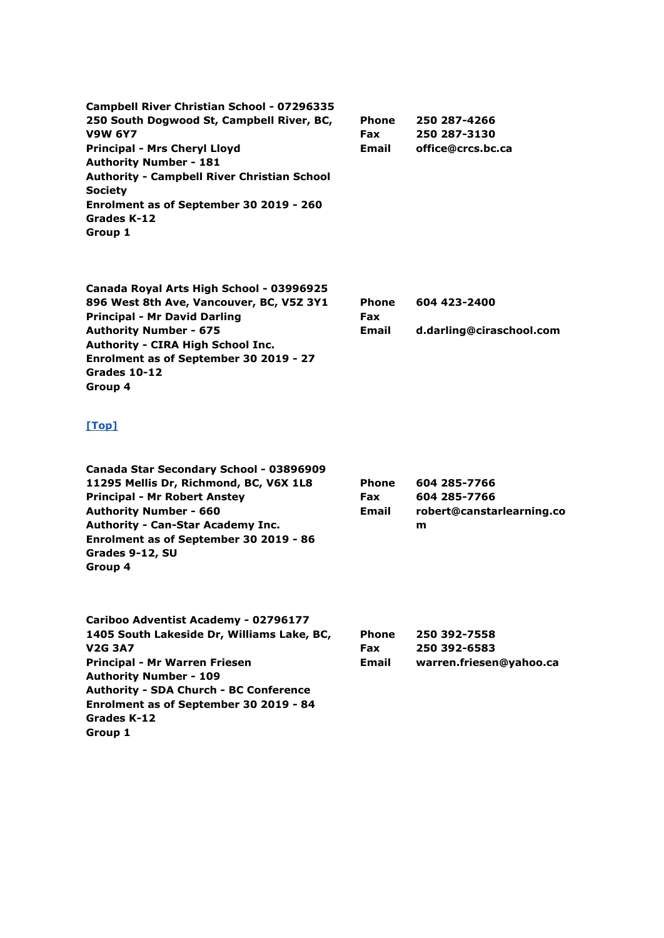| Campbell River Christian School - 07296335         |              |                   |
|----------------------------------------------------|--------------|-------------------|
| 250 South Dogwood St, Campbell River, BC,          | <b>Phone</b> | 250 287-4266      |
| <b>V9W 6Y7</b>                                     | <b>Fax</b>   | 250 287-3130      |
| <b>Principal - Mrs Cheryl Lloyd</b>                | <b>Email</b> | office@crcs.bc.ca |
| <b>Authority Number - 181</b>                      |              |                   |
| <b>Authority - Campbell River Christian School</b> |              |                   |
| <b>Society</b>                                     |              |                   |
| Enrolment as of September 30 2019 - 260            |              |                   |
| Grades K-12                                        |              |                   |
| Group 1                                            |              |                   |

| Canada Royal Arts High School - 03996925 |              |                          |
|------------------------------------------|--------------|--------------------------|
| 896 West 8th Ave, Vancouver, BC, V5Z 3Y1 | <b>Phone</b> | 604 423-2400             |
| <b>Principal - Mr David Darling</b>      | <b>Fax</b>   |                          |
| <b>Authority Number - 675</b>            | <b>Email</b> | d.darling@ciraschool.com |
| <b>Authority - CIRA High School Inc.</b> |              |                          |
| Enrolment as of September 30 2019 - 27   |              |                          |
| Grades 10-12                             |              |                          |
| Group 4                                  |              |                          |

| Canada Star Secondary School - 03896909  |              |                           |
|------------------------------------------|--------------|---------------------------|
| 11295 Mellis Dr, Richmond, BC, V6X 1L8   | <b>Phone</b> | 604 285-7766              |
| <b>Principal - Mr Robert Anstey</b>      | <b>Fax</b>   | 604 285-7766              |
| <b>Authority Number - 660</b>            | <b>Email</b> | robert@canstarlearning.co |
| <b>Authority - Can-Star Academy Inc.</b> |              | m                         |
| Enrolment as of September 30 2019 - 86   |              |                           |
| Grades 9-12, SU                          |              |                           |
| Group 4                                  |              |                           |
|                                          |              |                           |
|                                          |              |                           |
|                                          |              |                           |

| Cariboo Adventist Academy - 02796177          |              |                         |
|-----------------------------------------------|--------------|-------------------------|
| 1405 South Lakeside Dr, Williams Lake, BC,    | <b>Phone</b> | 250 392-7558            |
| <b>V2G 3A7</b>                                | <b>Fax</b>   | 250 392-6583            |
| <b>Principal - Mr Warren Friesen</b>          | Email        | warren.friesen@yahoo.ca |
| <b>Authority Number - 109</b>                 |              |                         |
| <b>Authority - SDA Church - BC Conference</b> |              |                         |
| Enrolment as of September 30 2019 - 84        |              |                         |
| Grades K-12                                   |              |                         |
| Group 1                                       |              |                         |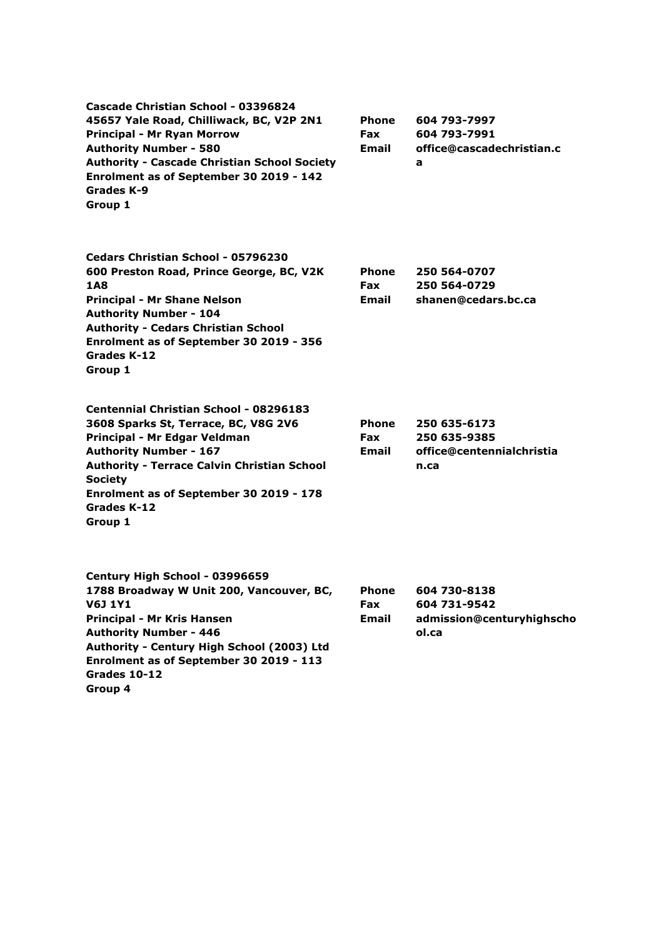| Cascade Christian School - 03396824<br>45657 Yale Road, Chilliwack, BC, V2P 2N1<br>Principal - Mr Ryan Morrow<br><b>Authority Number - 580</b><br><b>Authority - Cascade Christian School Society</b><br>Enrolment as of September 30 2019 - 142<br>Grades K-9<br>Group 1                           | <b>Phone</b><br><b>Fax</b><br><b>Email</b> | 604 793-7997<br>604 793-7991<br>office@cascadechristian.c<br>a     |
|-----------------------------------------------------------------------------------------------------------------------------------------------------------------------------------------------------------------------------------------------------------------------------------------------------|--------------------------------------------|--------------------------------------------------------------------|
| Cedars Christian School - 05796230<br>600 Preston Road, Prince George, BC, V2K<br>1A8<br><b>Principal - Mr Shane Nelson</b><br><b>Authority Number - 104</b><br><b>Authority - Cedars Christian School</b><br>Enrolment as of September 30 2019 - 356<br>Grades K-12<br>Group 1                     | <b>Phone</b><br><b>Fax</b><br><b>Email</b> | 250 564-0707<br>250 564-0729<br>shanen@cedars.bc.ca                |
| <b>Centennial Christian School - 08296183</b><br>3608 Sparks St, Terrace, BC, V8G 2V6<br>Principal - Mr Edgar Veldman<br><b>Authority Number - 167</b><br><b>Authority - Terrace Calvin Christian School</b><br><b>Society</b><br>Enrolment as of September 30 2019 - 178<br>Grades K-12<br>Group 1 | <b>Phone</b><br>Fax<br>Email               | 250 635-6173<br>250 635-9385<br>office@centennialchristia<br>n.ca  |
| Century High School - 03996659<br>1788 Broadway W Unit 200, Vancouver, BC,<br><b>V6J 1Y1</b><br><b>Principal - Mr Kris Hansen</b><br><b>Authority Number - 446</b><br>Authority - Century High School (2003) Ltd<br>Enrolment as of September 30 2019 - 113<br>Grades 10-12<br>Group 4              | <b>Phone</b><br>Fax<br><b>Email</b>        | 604 730-8138<br>604 731-9542<br>admission@centuryhighscho<br>ol.ca |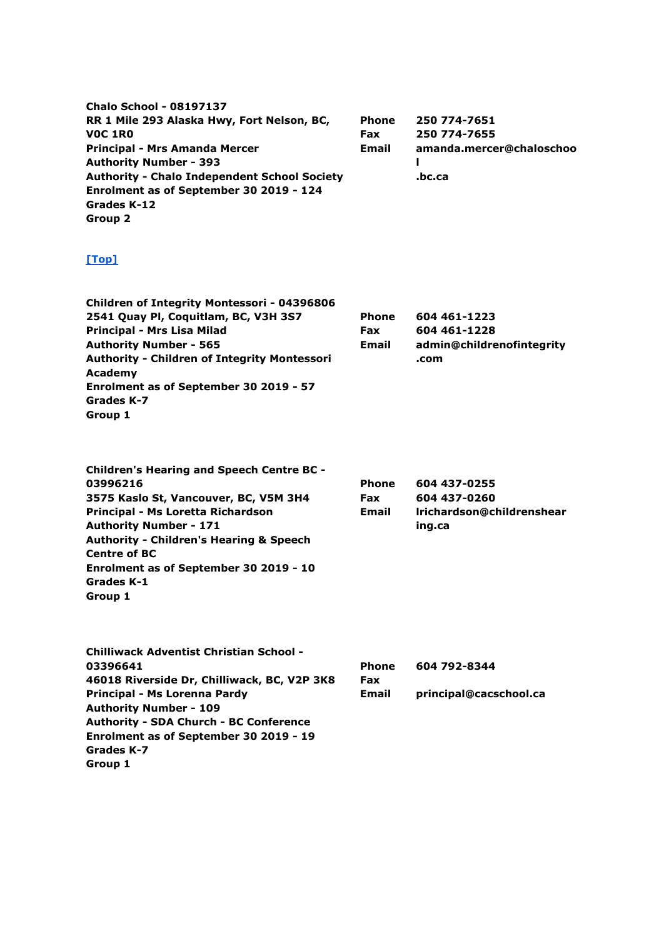**Chalo School - 08197137 RR 1 Mile 293 Alaska Hwy, Fort Nelson, BC, V0C 1R0 Principal - Mrs Amanda Mercer Authority Number - 393 Authority - Chalo Independent School Society Enrolment as of September 30 2019 - 124 Grades K-12 Group 2 Phone Fax Email 250 774-7651 250 774-7655 amanda.mercer@chaloschoo l .bc.ca**

| <b>Children of Integrity Montessori - 04396806</b>  |              |                           |
|-----------------------------------------------------|--------------|---------------------------|
| 2541 Quay Pl, Coquitlam, BC, V3H 3S7                | <b>Phone</b> | 604 461-1223              |
| Principal - Mrs Lisa Milad                          | <b>Fax</b>   | 604 461-1228              |
| <b>Authority Number - 565</b>                       | Email        | admin@childrenofintegrity |
| <b>Authority - Children of Integrity Montessori</b> |              | .com                      |
| Academy                                             |              |                           |
| Enrolment as of September 30 2019 - 57              |              |                           |
| Grades K-7                                          |              |                           |
| Group 1                                             |              |                           |
|                                                     |              |                           |

| <b>Children's Hearing and Speech Centre BC -</b>   |              |                           |
|----------------------------------------------------|--------------|---------------------------|
| 03996216                                           | <b>Phone</b> | 604 437-0255              |
| 3575 Kaslo St, Vancouver, BC, V5M 3H4              | <b>Fax</b>   | 604 437-0260              |
| Principal - Ms Loretta Richardson                  | <b>Email</b> | Irichardson@childrenshear |
| <b>Authority Number - 171</b>                      |              | ing.ca                    |
| <b>Authority - Children's Hearing &amp; Speech</b> |              |                           |
| <b>Centre of BC</b>                                |              |                           |
| Enrolment as of September 30 2019 - 10             |              |                           |
| Grades K-1                                         |              |                           |
| Group 1                                            |              |                           |

| <b>Chilliwack Adventist Christian School -</b> |              |                        |
|------------------------------------------------|--------------|------------------------|
| 03396641                                       | <b>Phone</b> | 604 792-8344           |
| 46018 Riverside Dr, Chilliwack, BC, V2P 3K8    | <b>Fax</b>   |                        |
| Principal - Ms Lorenna Pardy                   | <b>Email</b> | principal@cacschool.ca |
| <b>Authority Number - 109</b>                  |              |                        |
| <b>Authority - SDA Church - BC Conference</b>  |              |                        |
| Enrolment as of September 30 2019 - 19         |              |                        |
| Grades K-7                                     |              |                        |
| Group 1                                        |              |                        |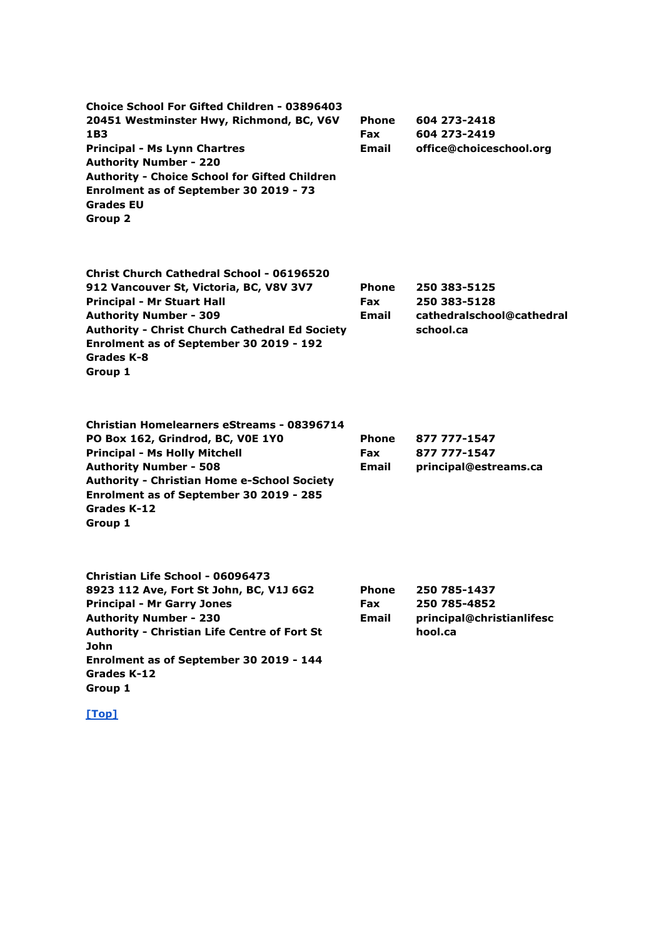| <b>Choice School For Gifted Children - 03896403</b><br>20451 Westminster Hwy, Richmond, BC, V6V<br>1B3<br><b>Principal - Ms Lynn Chartres</b><br><b>Authority Number - 220</b><br><b>Authority - Choice School for Gifted Children</b><br>Enrolment as of September 30 2019 - 73<br><b>Grades EU</b><br>Group 2 | Phone<br>Fax<br>Email               | 604 273-2418<br>604 273-2419<br>office@choiceschool.org                |
|-----------------------------------------------------------------------------------------------------------------------------------------------------------------------------------------------------------------------------------------------------------------------------------------------------------------|-------------------------------------|------------------------------------------------------------------------|
| <b>Christ Church Cathedral School - 06196520</b><br>912 Vancouver St, Victoria, BC, V8V 3V7<br><b>Principal - Mr Stuart Hall</b><br><b>Authority Number - 309</b><br><b>Authority - Christ Church Cathedral Ed Society</b><br>Enrolment as of September 30 2019 - 192<br>Grades K-8<br>Group 1                  | <b>Phone</b><br><b>Fax</b><br>Email | 250 383-5125<br>250 383-5128<br>cathedralschool@cathedral<br>school.ca |
| <b>Christian Homelearners eStreams - 08396714</b><br>PO Box 162, Grindrod, BC, VOE 1Y0<br><b>Principal - Ms Holly Mitchell</b><br><b>Authority Number - 508</b><br><b>Authority - Christian Home e-School Society</b><br>Enrolment as of September 30 2019 - 285<br>Grades K-12<br>Group 1                      | <b>Phone</b><br><b>Fax</b><br>Email | 877 777-1547<br>877 777-1547<br>principal@estreams.ca                  |
| Christian Life School - 06096473<br>8923 112 Ave, Fort St John, BC, V1J 6G2<br><b>Principal - Mr Garry Jones</b><br><b>Authority Number - 230</b><br><b>Authority - Christian Life Centre of Fort St</b><br><b>John</b><br>Enrolment as of September 30 2019 - 144<br>Grades K-12<br>Group 1                    | Phone<br>Fax<br><b>Email</b>        | 250 785-1437<br>250 785-4852<br>principal@christianlifesc<br>hool.ca   |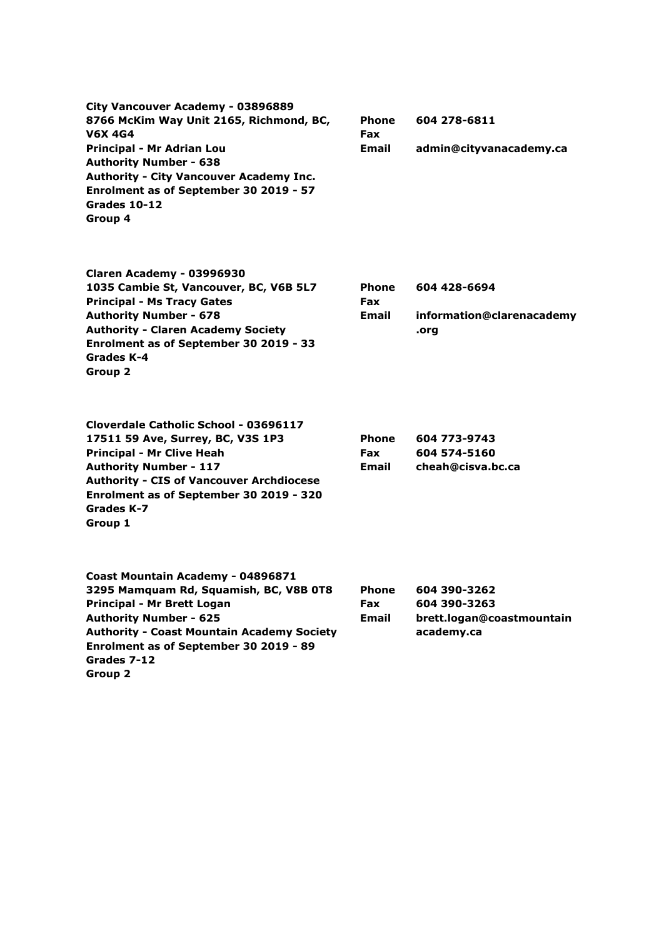**City Vancouver Academy - 03896889 8766 McKim Way Unit 2165, Richmond, BC, V6X 4G4 Principal - Mr Adrian Lou Authority Number - 638 Authority - City Vancouver Academy Inc. Enrolment as of September 30 2019 - 57 Grades 10-12 Group 4**

**Phone Fax Email 604 278-6811 admin@cityvanacademy.ca**

| Claren Academy - 03996930                 |
|-------------------------------------------|
| 1035 Cambie St, Vancouver, BC, V6B 5L7    |
| <b>Principal - Ms Tracy Gates</b>         |
| <b>Authority Number - 678</b>             |
| <b>Authority - Claren Academy Society</b> |
| Enrolment as of September 30 2019 - 33    |
| Grades K-4                                |
| Group 2                                   |

**Cloverdale Catholic School - 03696117 17511 59 Ave, Surrey, BC, V3S 1P3**

**Authority - CIS of Vancouver Archdiocese Enrolment as of September 30 2019 - 320**

**Principal - Mr Clive Heah Authority Number - 117**

**Grades K-7 Group 1**

| Phone | 604 428-6694              |
|-------|---------------------------|
| Fax   |                           |
| Email | information@clarenacademy |
|       | .ora                      |

**Phone Fax Email 604 773-9743 604 574-5160 cheah@cisva.bc.ca**

| Coast Mountain Academy - 04896871                 |              |                           |
|---------------------------------------------------|--------------|---------------------------|
| 3295 Mamquam Rd, Squamish, BC, V8B 0T8            | <b>Phone</b> | 604 390-3262              |
| Principal - Mr Brett Logan                        | <b>Fax</b>   | 604 390-3263              |
| <b>Authority Number - 625</b>                     | <b>Email</b> | brett.logan@coastmountain |
| <b>Authority - Coast Mountain Academy Society</b> |              | academy.ca                |
| Enrolment as of September 30 2019 - 89            |              |                           |
| Grades 7-12                                       |              |                           |
| Group 2                                           |              |                           |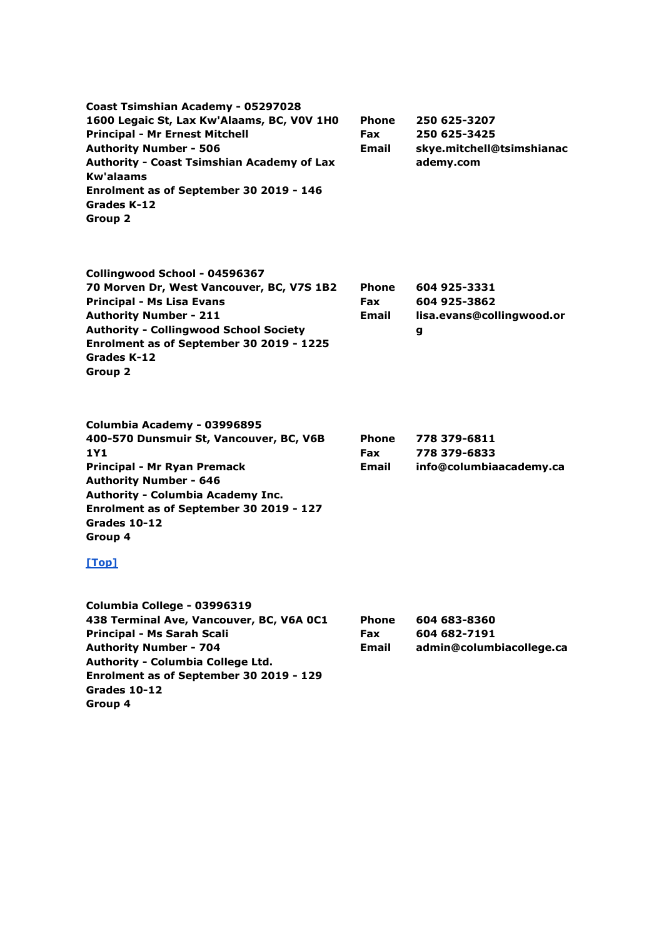**Coast Tsimshian Academy - 05297028 1600 Legaic St, Lax Kw'Alaams, BC, V0V 1H0 Principal - Mr Ernest Mitchell Authority Number - 506 Authority - Coast Tsimshian Academy of Lax Kw'alaams Enrolment as of September 30 2019 - 146 Grades K-12 Group 2 Phone Fax Email 250 625-3207 250 625-3425 skye.mitchell@tsimshianac ademy.com**

**Collingwood School - 04596367 70 Morven Dr, West Vancouver, BC, V7S 1B2 Principal - Ms Lisa Evans Authority Number - 211 Authority - Collingwood School Society Enrolment as of September 30 2019 - 1225 Grades K-12 Group 2 Phone Fax Email 604 925-3331 604 925-3862 lisa.evans@collingwood.or g**

**Columbia Academy - 03996895 400-570 Dunsmuir St, Vancouver, BC, V6B 1Y1 Principal - Mr Ryan Premack Authority Number - 646 Authority - Columbia Academy Inc. Enrolment as of September 30 2019 - 127 Grades 10-12 Group 4 Phone Fax Email 778 379-6811 778 379-6833 info@columbiaacademy.ca**

#### **[\[Top\]](http://www.bced.gov.bc.ca/apps/imcl/imclWeb/IndSchool.do?school_category=Independent%20School#top)**

**Columbia College - 03996319 438 Terminal Ave, Vancouver, BC, V6A 0C1 Principal - Ms Sarah Scali Authority Number - 704 Authority - Columbia College Ltd. Enrolment as of September 30 2019 - 129 Grades 10-12 Group 4 Phone Fax Email 604 683-8360 604 682-7191 admin@columbiacollege.ca**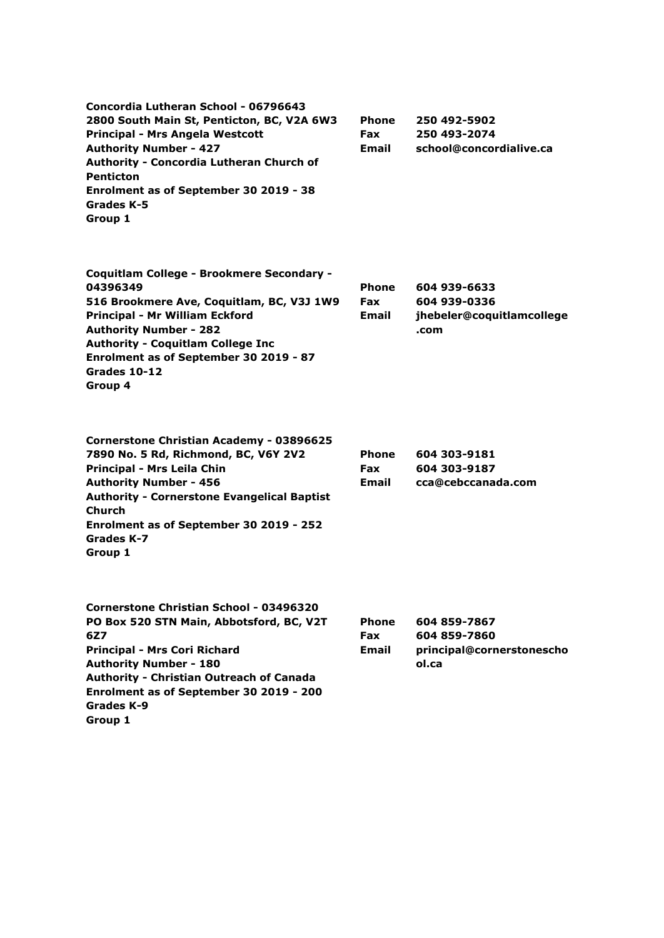| Concordia Lutheran School - 06796643<br>2800 South Main St, Penticton, BC, V2A 6W3<br><b>Principal - Mrs Angela Westcott</b><br><b>Authority Number - 427</b><br>Authority - Concordia Lutheran Church of<br><b>Penticton</b><br>Enrolment as of September 30 2019 - 38<br>Grades K-5<br>Group 1 | <b>Phone</b><br><b>Fax</b><br>Email | 250 492-5902<br>250 493-2074<br>school@concordialive.ca            |
|--------------------------------------------------------------------------------------------------------------------------------------------------------------------------------------------------------------------------------------------------------------------------------------------------|-------------------------------------|--------------------------------------------------------------------|
| Coquitlam College - Brookmere Secondary -<br>04396349<br>516 Brookmere Ave, Coquitlam, BC, V3J 1W9<br>Principal - Mr William Eckford<br><b>Authority Number - 282</b><br><b>Authority - Coquitlam College Inc</b><br>Enrolment as of September 30 2019 - 87<br>Grades 10-12<br>Group 4           | <b>Phone</b><br><b>Fax</b><br>Email | 604 939-6633<br>604 939-0336<br>jhebeler@coquitlamcollege<br>.com  |
| <b>Cornerstone Christian Academy - 03896625</b><br>7890 No. 5 Rd, Richmond, BC, V6Y 2V2<br>Principal - Mrs Leila Chin<br><b>Authority Number - 456</b><br><b>Authority - Cornerstone Evangelical Baptist</b><br>Church<br>Enrolment as of September 30 2019 - 252<br>Grades K-7<br>Group 1       | <b>Phone</b><br><b>Fax</b><br>Email | 604 303-9181<br>604 303-9187<br>cca@cebccanada.com                 |
| <b>Cornerstone Christian School - 03496320</b><br>PO Box 520 STN Main, Abbotsford, BC, V2T<br>6Z7<br><b>Principal - Mrs Cori Richard</b><br><b>Authority Number - 180</b><br><b>Authority - Christian Outreach of Canada</b><br>Enrolment as of September 30 2019 - 200<br>Grades K-9            | <b>Phone</b><br><b>Fax</b><br>Email | 604 859-7867<br>604 859-7860<br>principal@cornerstonescho<br>ol.ca |

**Group 1**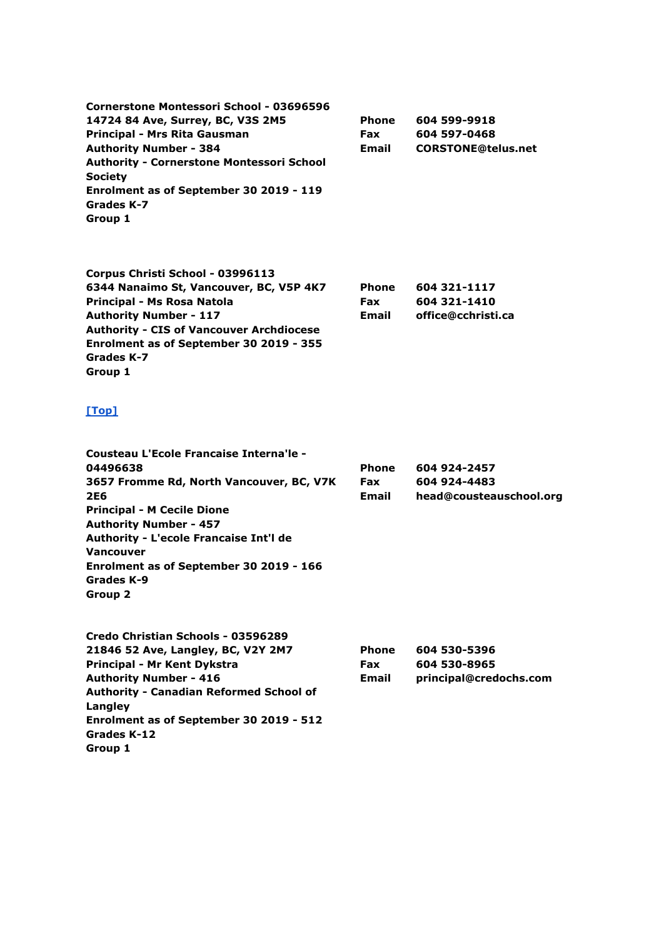**Cornerstone Montessori School - 03696596 14724 84 Ave, Surrey, BC, V3S 2M5 Principal - Mrs Rita Gausman Authority Number - 384 Authority - Cornerstone Montessori School Society Enrolment as of September 30 2019 - 119 Grades K-7 Group 1 Phone Fax Email**

**Corpus Christi School - 03996113 6344 Nanaimo St, Vancouver, BC, V5P 4K7 Principal - Ms Rosa Natola Authority Number - 117 Authority - CIS of Vancouver Archdiocese Enrolment as of September 30 2019 - 355 Grades K-7 Group 1 Phone Fax Email 604 321-1117 604 321-1410 office@cchristi.ca**

#### **[\[Top\]](http://www.bced.gov.bc.ca/apps/imcl/imclWeb/IndSchool.do?school_category=Independent%20School#top)**

**Cousteau L'Ecole Francaise Interna'le - 04496638 3657 Fromme Rd, North Vancouver, BC, V7K 2E6 Principal - M Cecile Dione Authority Number - 457 Authority - L'ecole Francaise Int'l de Vancouver Enrolment as of September 30 2019 - 166 Grades K-9 Group 2 Phone Fax Email 604 924-2457 604 924-4483 head@cousteauschool.org**

**604 599-9918 604 597-0468**

**CORSTONE@telus.net**

| Credo Christian Schools - 03596289             |            |                        |
|------------------------------------------------|------------|------------------------|
| 21846 52 Ave, Langley, BC, V2Y 2M7             | Phone      | 604 530-5396           |
| Principal - Mr Kent Dykstra                    | <b>Fax</b> | 604 530-8965           |
| <b>Authority Number - 416</b>                  | Email      | principal@credochs.com |
| <b>Authority - Canadian Reformed School of</b> |            |                        |
| Langley                                        |            |                        |
| Enrolment as of September 30 2019 - 512        |            |                        |
| Grades K-12                                    |            |                        |
| Group 1                                        |            |                        |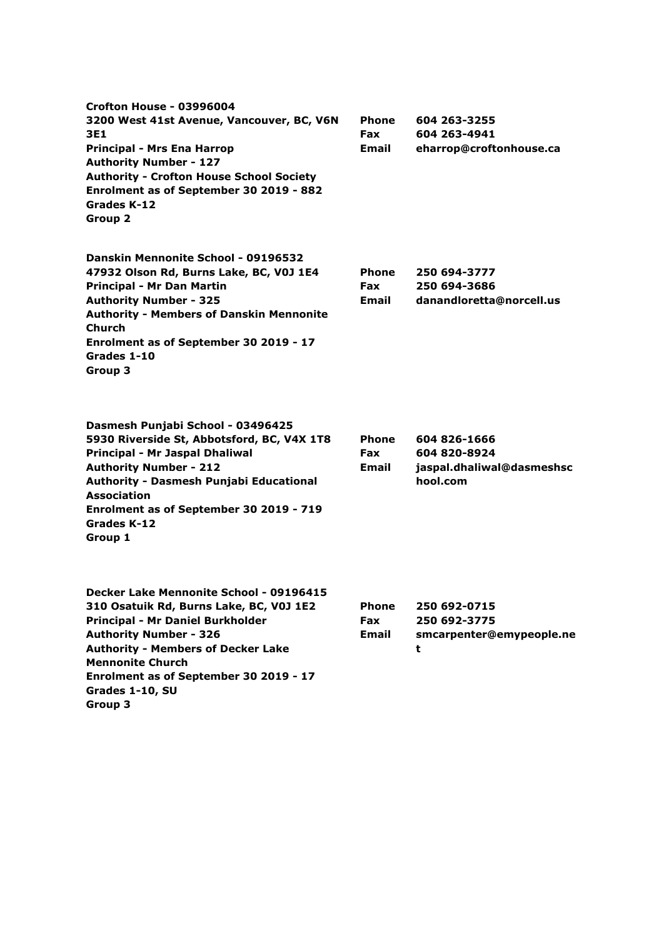| <b>Crofton House - 03996004</b><br>3200 West 41st Avenue, Vancouver, BC, V6N<br>3E1<br><b>Principal - Mrs Ena Harrop</b><br><b>Authority Number - 127</b><br><b>Authority - Crofton House School Society</b><br>Enrolment as of September 30 2019 - 882<br>Grades K-12<br>Group 2                       | Phone<br><b>Fax</b><br>Email        | 604 263-3255<br>604 263-4941<br>eharrop@croftonhouse.ca               |
|---------------------------------------------------------------------------------------------------------------------------------------------------------------------------------------------------------------------------------------------------------------------------------------------------------|-------------------------------------|-----------------------------------------------------------------------|
| Danskin Mennonite School - 09196532<br>47932 Olson Rd, Burns Lake, BC, V0J 1E4<br>Principal - Mr Dan Martin<br><b>Authority Number - 325</b><br><b>Authority - Members of Danskin Mennonite</b><br><b>Church</b><br>Enrolment as of September 30 2019 - 17<br>Grades 1-10<br>Group 3                    | <b>Phone</b><br><b>Fax</b><br>Email | 250 694-3777<br>250 694-3686<br>danandloretta@norcell.us              |
| Dasmesh Punjabi School - 03496425<br>5930 Riverside St, Abbotsford, BC, V4X 1T8<br>Principal - Mr Jaspal Dhaliwal<br><b>Authority Number - 212</b><br>Authority - Dasmesh Punjabi Educational<br><b>Association</b><br>Enrolment as of September 30 2019 - 719<br>Grades K-12<br>Group 1                | <b>Phone</b><br><b>Fax</b><br>Email | 604 826-1666<br>604 820-8924<br>jaspal.dhaliwal@dasmeshsc<br>hool.com |
| Decker Lake Mennonite School - 09196415<br>310 Osatuik Rd, Burns Lake, BC, V0J 1E2<br>Principal - Mr Daniel Burkholder<br><b>Authority Number - 326</b><br><b>Authority - Members of Decker Lake</b><br><b>Mennonite Church</b><br>Enrolment as of September 30 2019 - 17<br>Grades 1-10, SU<br>Group 3 | <b>Phone</b><br>Fax<br><b>Email</b> | 250 692-0715<br>250 692-3775<br>smcarpenter@emypeople.ne<br>t         |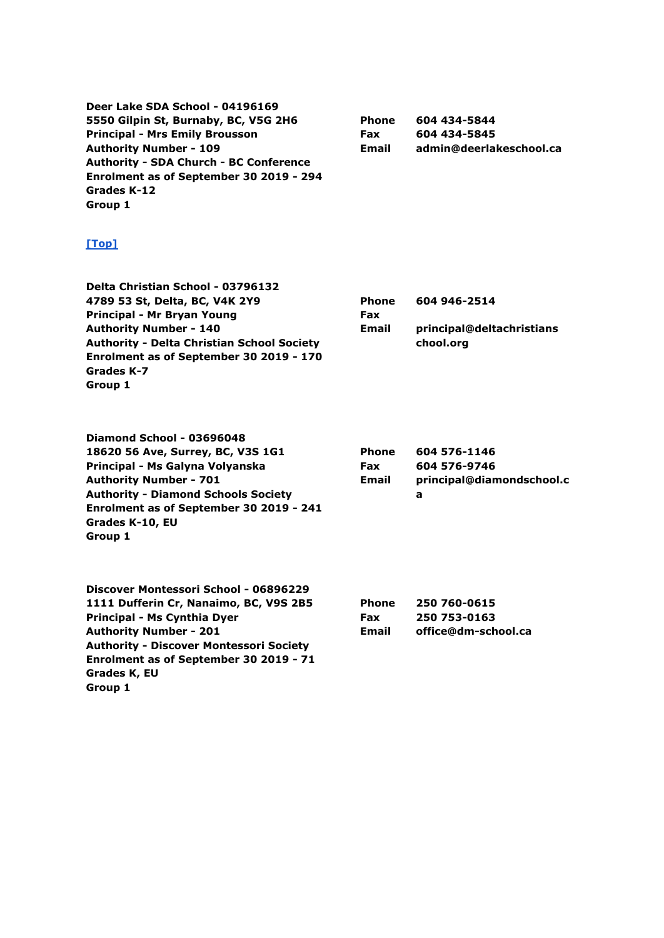**Deer Lake SDA School - 04196169 5550 Gilpin St, Burnaby, BC, V5G 2H6 Principal - Mrs Emily Brousson Authority Number - 109 Authority - SDA Church - BC Conference Enrolment as of September 30 2019 - 294 Grades K-12 Group 1**

**Phone Fax Email 604 434-5844 604 434-5845 admin@deerlakeschool.ca**

#### **[\[Top\]](http://www.bced.gov.bc.ca/apps/imcl/imclWeb/IndSchool.do?school_category=Independent%20School#top)**

| Delta Christian School - 03796132                 |              |                           |
|---------------------------------------------------|--------------|---------------------------|
| 4789 53 St, Delta, BC, V4K 2Y9                    | <b>Phone</b> | 604 946-2514              |
| Principal - Mr Bryan Young                        | <b>Fax</b>   |                           |
| <b>Authority Number - 140</b>                     | Email        | principal@deltachristians |
| <b>Authority - Delta Christian School Society</b> |              | chool.org                 |
| Enrolment as of September 30 2019 - 170           |              |                           |
| Grades K-7                                        |              |                           |
| Group 1                                           |              |                           |

**Diamond School - 03696048 18620 56 Ave, Surrey, BC, V3S 1G1 Principal - Ms Galyna Volyanska Authority Number - 701 Authority - Diamond Schools Society Enrolment as of September 30 2019 - 241 Grades K-10, EU Group 1**

| <b>Phone</b><br>Fax | 604 576-1146<br>604 576-9746 |
|---------------------|------------------------------|
| Email               | principal@diamondschool.c    |
|                     | а                            |

| Discover Montessori School - 06896229          |   |
|------------------------------------------------|---|
| 1111 Dufferin Cr, Nanaimo, BC, V9S 2B5         |   |
| Principal - Ms Cynthia Dyer                    |   |
| <b>Authority Number - 201</b>                  | в |
| <b>Authority - Discover Montessori Society</b> |   |
| Enrolment as of September 30 2019 - 71         |   |
| Grades K, EU                                   |   |
| Group 1                                        |   |

| Phone | 250 760-0615        |
|-------|---------------------|
| Fax   | 250 753-0163        |
| Email | office@dm-school.ca |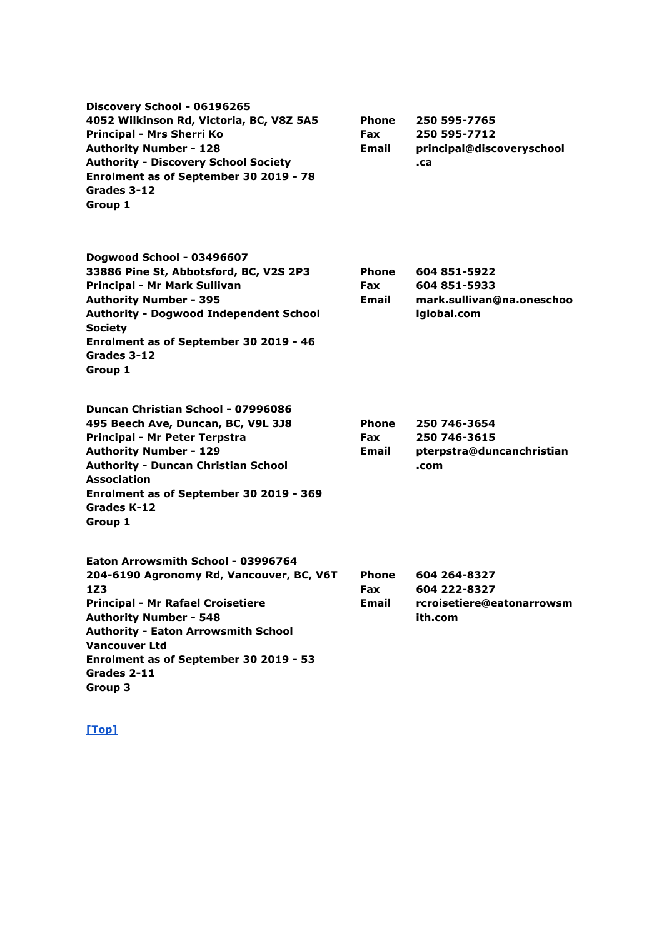| Discovery School - 06196265<br>4052 Wilkinson Rd, Victoria, BC, V8Z 5A5<br>Principal - Mrs Sherri Ko<br><b>Authority Number - 128</b><br><b>Authority - Discovery School Society</b><br>Enrolment as of September 30 2019 - 78<br>Grades 3-12<br>Group 1                                                     | <b>Phone</b><br><b>Fax</b><br>Email | 250 595-7765<br>250 595-7712<br>principal@discoveryschool<br>.ca         |
|--------------------------------------------------------------------------------------------------------------------------------------------------------------------------------------------------------------------------------------------------------------------------------------------------------------|-------------------------------------|--------------------------------------------------------------------------|
| Dogwood School - 03496607<br>33886 Pine St, Abbotsford, BC, V2S 2P3<br>Principal - Mr Mark Sullivan<br><b>Authority Number - 395</b><br><b>Authority - Dogwood Independent School</b><br><b>Society</b><br>Enrolment as of September 30 2019 - 46<br>Grades 3-12<br>Group 1                                  | <b>Phone</b><br>Fax<br>Email        | 604 851-5922<br>604 851-5933<br>mark.sullivan@na.oneschoo<br>Iglobal.com |
| Duncan Christian School - 07996086<br>495 Beech Ave, Duncan, BC, V9L 3J8<br>Principal - Mr Peter Terpstra<br><b>Authority Number - 129</b><br><b>Authority - Duncan Christian School</b><br><b>Association</b><br>Enrolment as of September 30 2019 - 369<br>Grades K-12<br>Group 1                          | <b>Phone</b><br>Fax<br>Email        | 250 746-3654<br>250 746-3615<br>pterpstra@duncanchristian<br>.com        |
| Eaton Arrowsmith School - 03996764<br>204-6190 Agronomy Rd, Vancouver, BC, V6T<br>1Z3<br><b>Principal - Mr Rafael Croisetiere</b><br><b>Authority Number - 548</b><br><b>Authority - Eaton Arrowsmith School</b><br><b>Vancouver Ltd</b><br>Enrolment as of September 30 2019 - 53<br>Grades 2-11<br>Group 3 | Phone<br>Fax<br><b>Email</b>        | 604 264-8327<br>604 222-8327<br>rcroisetiere@eatonarrowsm<br>ith.com     |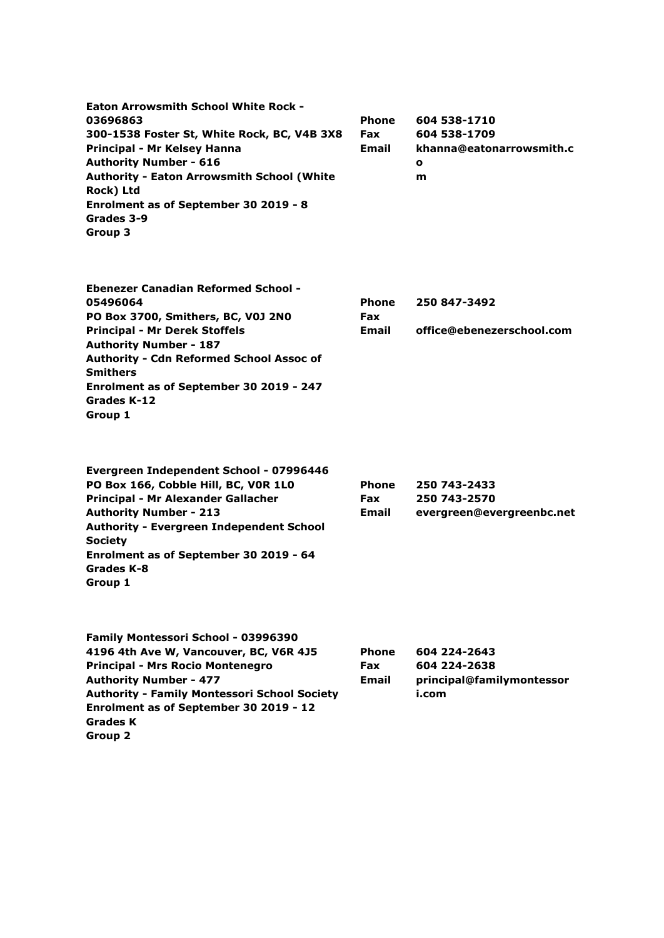| <b>Phone</b> | 604 538-1710             |
|--------------|--------------------------|
| <b>Fax</b>   | 604 538-1709             |
| <b>Email</b> | khanna@eatonarrowsmith.c |
|              | $\mathbf o$              |
|              | m                        |
|              |                          |
|              |                          |
|              |                          |
|              |                          |
|              |                          |

| <b>Ebenezer Canadian Reformed School -</b>      |              |                           |
|-------------------------------------------------|--------------|---------------------------|
| 05496064                                        | <b>Phone</b> | 250 847-3492              |
| PO Box 3700, Smithers, BC, V0J 2N0              | <b>Fax</b>   |                           |
| <b>Principal - Mr Derek Stoffels</b>            | Email        | office@ebenezerschool.com |
| <b>Authority Number - 187</b>                   |              |                           |
| <b>Authority - Cdn Reformed School Assoc of</b> |              |                           |
| <b>Smithers</b>                                 |              |                           |
| Enrolment as of September 30 2019 - 247         |              |                           |
| Grades K-12                                     |              |                           |
| Group 1                                         |              |                           |

| Evergreen Independent School - 07996446         |              |                           |
|-------------------------------------------------|--------------|---------------------------|
| PO Box 166, Cobble Hill, BC, VOR 1LO            | <b>Phone</b> | 250 743-2433              |
| Principal - Mr Alexander Gallacher              | <b>Fax</b>   | 250 743-2570              |
| <b>Authority Number - 213</b>                   | <b>Email</b> | evergreen@evergreenbc.net |
| <b>Authority - Evergreen Independent School</b> |              |                           |
| <b>Society</b>                                  |              |                           |
| Enrolment as of September 30 2019 - 64          |              |                           |
| Grades K-8                                      |              |                           |
| Group 1                                         |              |                           |
|                                                 |              |                           |

| Family Montessori School - 03996390                 |              |                           |
|-----------------------------------------------------|--------------|---------------------------|
| 4196 4th Ave W, Vancouver, BC, V6R 4J5              | <b>Phone</b> | 604 224-2643              |
| <b>Principal - Mrs Rocio Montenegro</b>             | <b>Fax</b>   | 604 224-2638              |
| <b>Authority Number - 477</b>                       | Email        | principal@familymontessor |
| <b>Authority - Family Montessori School Society</b> |              | i.com                     |
| Enrolment as of September 30 2019 - 12              |              |                           |
| <b>Grades K</b>                                     |              |                           |
| Group 2                                             |              |                           |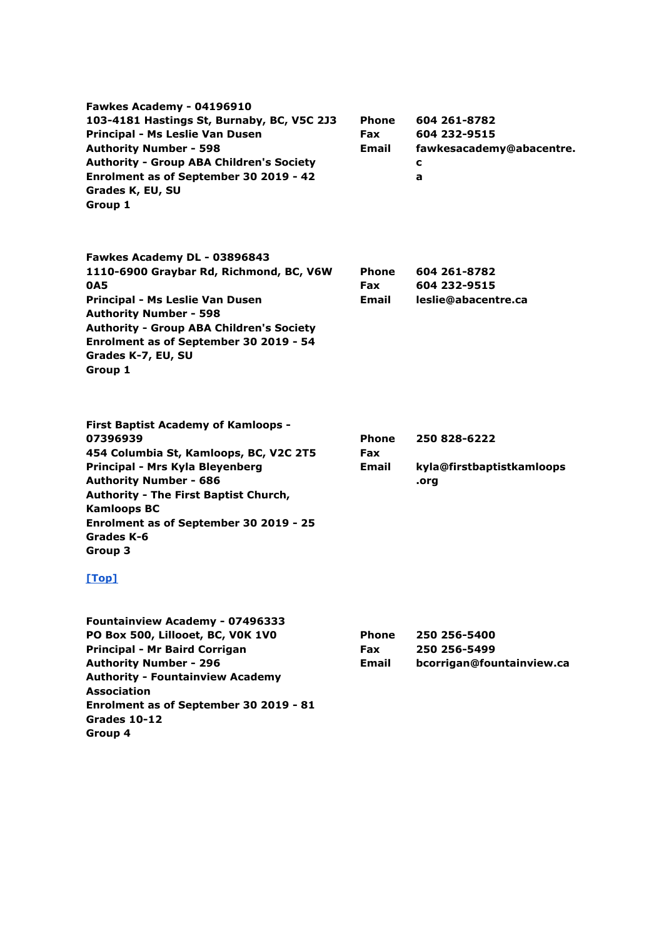| Fawkes Academy - 04196910<br>103-4181 Hastings St, Burnaby, BC, V5C 2J3<br>Principal - Ms Leslie Van Dusen<br><b>Authority Number - 598</b><br><b>Authority - Group ABA Children's Society</b><br>Enrolment as of September 30 2019 - 42<br>Grades K, EU, SU<br>Group 1                                         | Phone<br><b>Fax</b><br>Email | 604 261-8782<br>604 232-9515<br>fawkesacademy@abacentre.<br>c<br>a |
|-----------------------------------------------------------------------------------------------------------------------------------------------------------------------------------------------------------------------------------------------------------------------------------------------------------------|------------------------------|--------------------------------------------------------------------|
| Fawkes Academy DL - 03896843<br>1110-6900 Graybar Rd, Richmond, BC, V6W<br>0A5<br>Principal - Ms Leslie Van Dusen<br><b>Authority Number - 598</b><br><b>Authority - Group ABA Children's Society</b><br>Enrolment as of September 30 2019 - 54<br>Grades K-7, EU, SU<br>Group 1                                | Phone<br><b>Fax</b><br>Email | 604 261-8782<br>604 232-9515<br>leslie@abacentre.ca                |
| <b>First Baptist Academy of Kamloops -</b><br>07396939<br>454 Columbia St, Kamloops, BC, V2C 2T5<br>Principal - Mrs Kyla Bleyenberg<br><b>Authority Number - 686</b><br>Authority - The First Baptist Church,<br><b>Kamloops BC</b><br>Enrolment as of September 30 2019 - 25<br>Grades K-6<br>Group 3<br>[Top] | <b>Phone</b><br>Fax<br>Email | 250 828-6222<br>kyla@firstbaptistkamloops<br>.org                  |
| Fountainview Academy - 07496333<br>PO Box 500, Lillooet, BC, VOK 1VO<br>Principal - Mr Baird Corrigan<br><b>Authority Number - 296</b><br><b>Authority - Fountainview Academy</b><br><b>Association</b><br>Enrolment as of September 30 2019 - 81<br>Grades 10-12                                               | Phone<br><b>Fax</b><br>Email | 250 256-5400<br>250 256-5499<br>bcorrigan@fountainview.ca          |

**Group 4**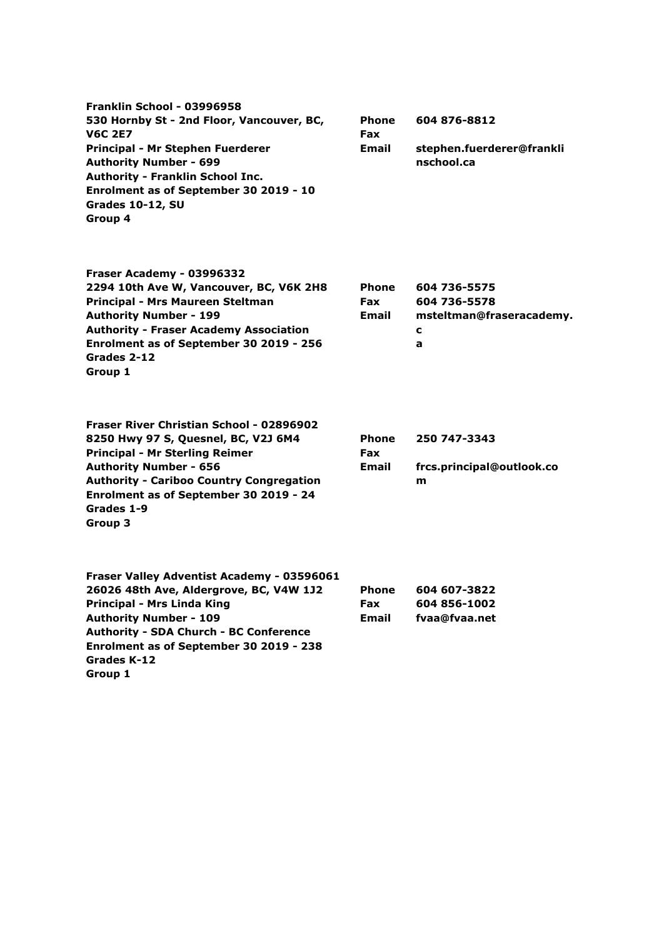| Franklin School - 03996958<br>530 Hornby St - 2nd Floor, Vancouver, BC,<br><b>V6C 2E7</b><br>Principal - Mr Stephen Fuerderer<br><b>Authority Number - 699</b><br><b>Authority - Franklin School Inc.</b><br>Enrolment as of September 30 2019 - 10<br><b>Grades 10-12, SU</b><br>Group 4 | <b>Phone</b><br>Fax<br>Email               | 604 876-8812<br>stephen.fuerderer@frankli<br>nschool.ca            |
|-------------------------------------------------------------------------------------------------------------------------------------------------------------------------------------------------------------------------------------------------------------------------------------------|--------------------------------------------|--------------------------------------------------------------------|
| Fraser Academy - 03996332<br>2294 10th Ave W, Vancouver, BC, V6K 2H8<br>Principal - Mrs Maureen Steltman<br><b>Authority Number - 199</b><br><b>Authority - Fraser Academy Association</b><br>Enrolment as of September 30 2019 - 256<br>Grades 2-12<br>Group 1                           | <b>Phone</b><br><b>Fax</b><br><b>Email</b> | 604 736-5575<br>604 736-5578<br>msteltman@fraseracademy.<br>c<br>a |
| Fraser River Christian School - 02896902<br>8250 Hwy 97 S, Quesnel, BC, V2J 6M4<br><b>Principal - Mr Sterling Reimer</b><br><b>Authority Number - 656</b><br><b>Authority - Cariboo Country Congregation</b><br>Enrolment as of September 30 2019 - 24<br>Grades 1-9<br>Group 3           | <b>Phone</b><br><b>Fax</b><br><b>Email</b> | 250 747-3343<br>frcs.principal@outlook.co<br>m                     |
| Fraser Valley Adventist Academy - 03596061<br>26026 48th Ave, Aldergrove, BC, V4W 1J2<br><b>Principal - Mrs Linda King</b><br><b>Authority Number - 109</b><br><b>Authority - SDA Church - BC Conference</b><br>Enrolment as of September 30 2019 - 238<br>Grades K-12<br>Group 1         | <b>Phone</b><br><b>Fax</b><br>Email        | 604 607-3822<br>604 856-1002<br>fvaa@fvaa.net                      |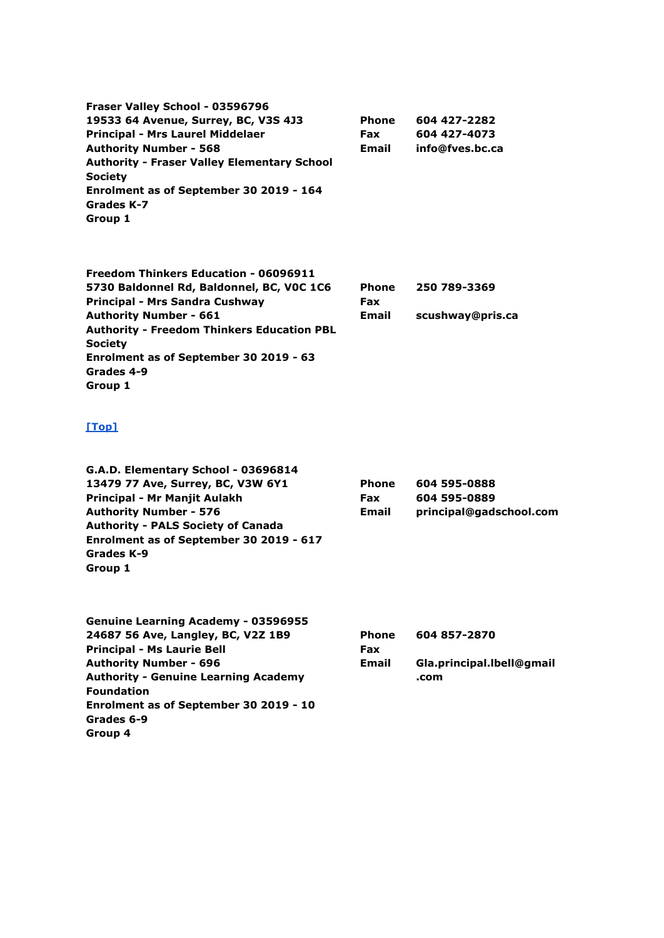**Fraser Valley School - 03596796 19533 64 Avenue, Surrey, BC, V3S 4J3 Principal - Mrs Laurel Middelaer Authority Number - 568 Authority - Fraser Valley Elementary School Society Enrolment as of September 30 2019 - 164 Grades K-7 Group 1 Phone Fax Email 604 427-2282 604 427-4073 info@fves.bc.ca**

| Freedom Thinkers Education - 06096911             |            |                  |
|---------------------------------------------------|------------|------------------|
| 5730 Baldonnel Rd, Baldonnel, BC, VOC 1C6         | Phone      | 250 789-3369     |
| Principal - Mrs Sandra Cushway                    | <b>Fax</b> |                  |
| <b>Authority Number - 661</b>                     | Email      | scushway@pris.ca |
| <b>Authority - Freedom Thinkers Education PBL</b> |            |                  |
| <b>Society</b>                                    |            |                  |
| Enrolment as of September 30 2019 - 63            |            |                  |
| Grades 4-9                                        |            |                  |
| Group 1                                           |            |                  |

#### **[\[Top\]](http://www.bced.gov.bc.ca/apps/imcl/imclWeb/IndSchool.do?school_category=Independent%20School#top)**

| G.A.D. Elementary School - 03696814        |              |                         |
|--------------------------------------------|--------------|-------------------------|
| 13479 77 Ave, Surrey, BC, V3W 6Y1          | <b>Phone</b> | 604 595-0888            |
| Principal - Mr Manjit Aulakh               | <b>Fax</b>   | 604 595-0889            |
| <b>Authority Number - 576</b>              | Email        | principal@gadschool.com |
| <b>Authority - PALS Society of Canada</b>  |              |                         |
| Enrolment as of September 30 2019 - 617    |              |                         |
| Grades K-9                                 |              |                         |
| Group 1                                    |              |                         |
| <b>Genuine Learning Academy - 03596955</b> |              |                         |
| 24687 56 Ave, Langley, BC, V2Z 1B9         | <b>Phone</b> | 604 857-2870            |

**Principal - Ms Laurie Bell Authority Number - 696 Authority - Genuine Learning Academy Foundation Enrolment as of September 30 2019 - 10 Grades 6-9 Group 4 Fax Email Gla.principal.lbell@gmail .com**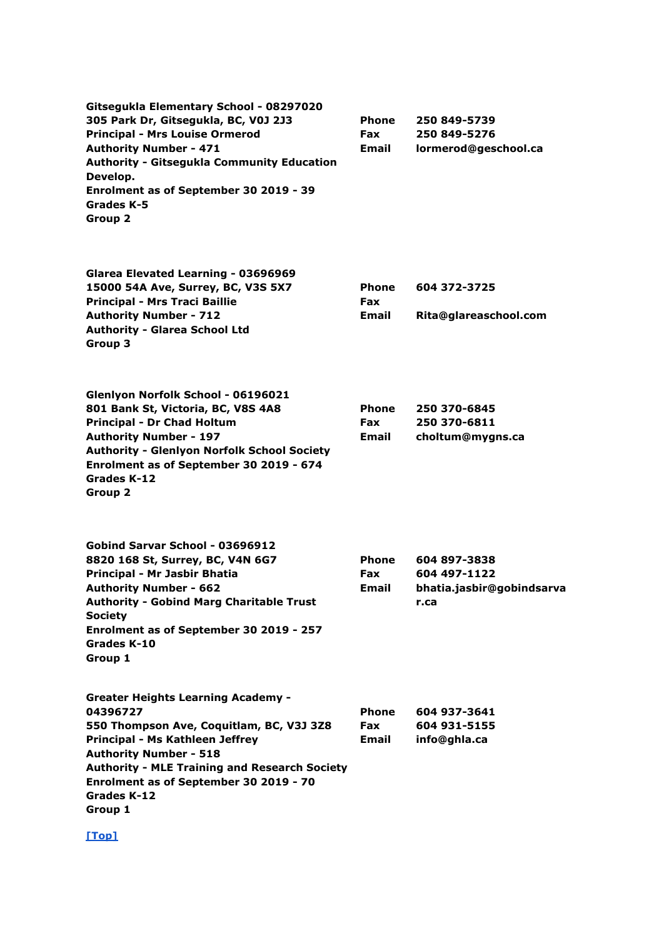**Gitsegukla Elementary School - 08297020 305 Park Dr, Gitsegukla, BC, V0J 2J3 Principal - Mrs Louise Ormerod Authority Number - 471 Authority - Gitsegukla Community Education Develop. Enrolment as of September 30 2019 - 39 Grades K-5 Group 2 Phone Fax Email 250 849-5739 250 849-5276 lormerod@geschool.ca Glarea Elevated Learning - 03696969 15000 54A Ave, Surrey, BC, V3S 5X7 Principal - Mrs Traci Baillie Authority Number - 712 Authority - Glarea School Ltd Group 3 Phone Fax Email 604 372-3725 Rita@glareaschool.com Glenlyon Norfolk School - 06196021 801 Bank St, Victoria, BC, V8S 4A8 Principal - Dr Chad Holtum Authority Number - 197 Authority - Glenlyon Norfolk School Society Enrolment as of September 30 2019 - 674 Grades K-12 Group 2 Phone Fax Email 250 370-6845 250 370-6811 choltum@mygns.ca Gobind Sarvar School - 03696912 8820 168 St, Surrey, BC, V4N 6G7 Principal - Mr Jasbir Bhatia Authority Number - 662 Authority - Gobind Marg Charitable Trust Society Enrolment as of September 30 2019 - 257 Grades K-10 Group 1 Phone Fax Email 604 897-3838 604 497-1122 bhatia.jasbir@gobindsarva r.ca Greater Heights Learning Academy - 04396727 550 Thompson Ave, Coquitlam, BC, V3J 3Z8 Principal - Ms Kathleen Jeffrey Authority Number - 518 Authority - MLE Training and Research Society Enrolment as of September 30 2019 - 70 Grades K-12 Group 1 Phone Fax Email 604 937-3641 604 931-5155 info@ghla.ca**

```
[Top]
```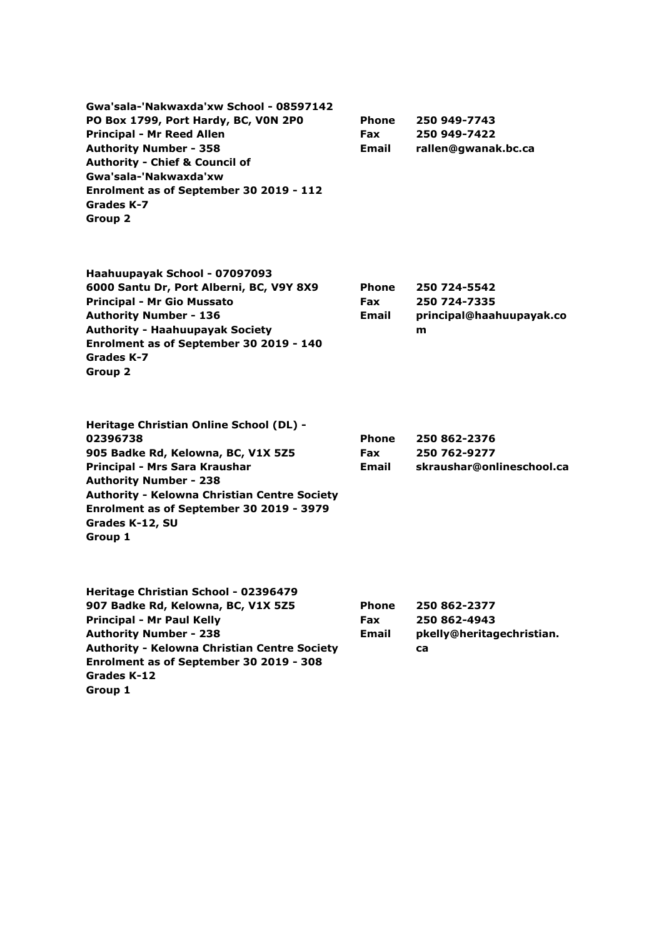| Gwa'sala-'Nakwaxda'xw School - 08597142   |
|-------------------------------------------|
| PO Box 1799, Port Hardy, BC, VON 2PO      |
| <b>Principal - Mr Reed Allen</b>          |
| <b>Authority Number - 358</b>             |
| <b>Authority - Chief &amp; Council of</b> |
| Gwa'sala-'Nakwaxda'xw                     |
| Enrolment as of September 30 2019 - 112   |
| Grades K-7                                |
| Group 2                                   |

| <b>Phone</b> | 250 949-7743        |
|--------------|---------------------|
| Fax          | 250 949-7422        |
| Email        | rallen@gwanak.bc.ca |

| Haahuupayak School - 07097093            |
|------------------------------------------|
| 6000 Santu Dr, Port Alberni, BC, V9Y 8X9 |
| <b>Principal - Mr Gio Mussato</b>        |
| <b>Authority Number - 136</b>            |
| <b>Authority - Haahuupayak Society</b>   |
| Enrolment as of September 30 2019 - 140  |
| Grades K-7                               |
| Group 2                                  |

| Phone      | 250 724-5542             |
|------------|--------------------------|
| <b>Fax</b> | 250 724-7335             |
| Email      | principal@haahuupayak.co |
|            | m                        |

| <b>Heritage Christian Online School (DL) -</b>      |              |                           |
|-----------------------------------------------------|--------------|---------------------------|
| 02396738                                            | <b>Phone</b> | 250 862-2376              |
| 905 Badke Rd, Kelowna, BC, V1X 5Z5                  | Fax          | 250 762-9277              |
| Principal - Mrs Sara Kraushar                       | Email        | skraushar@onlineschool.ca |
| <b>Authority Number - 238</b>                       |              |                           |
| <b>Authority - Kelowna Christian Centre Society</b> |              |                           |
| Enrolment as of September 30 2019 - 3979            |              |                           |
| Grades K-12, SU                                     |              |                           |
| Group 1                                             |              |                           |
|                                                     |              |                           |

| Heritage Christian School - 02396479                |              |                           |
|-----------------------------------------------------|--------------|---------------------------|
| 907 Badke Rd, Kelowna, BC, V1X 5Z5                  | <b>Phone</b> | 250 862-2377              |
| <b>Principal - Mr Paul Kelly</b>                    | <b>Fax</b>   | 250 862-4943              |
| <b>Authority Number - 238</b>                       | Email        | pkelly@heritagechristian. |
| <b>Authority - Kelowna Christian Centre Society</b> |              | ca                        |
| Enrolment as of September 30 2019 - 308             |              |                           |
| Grades K-12                                         |              |                           |
| Group 1                                             |              |                           |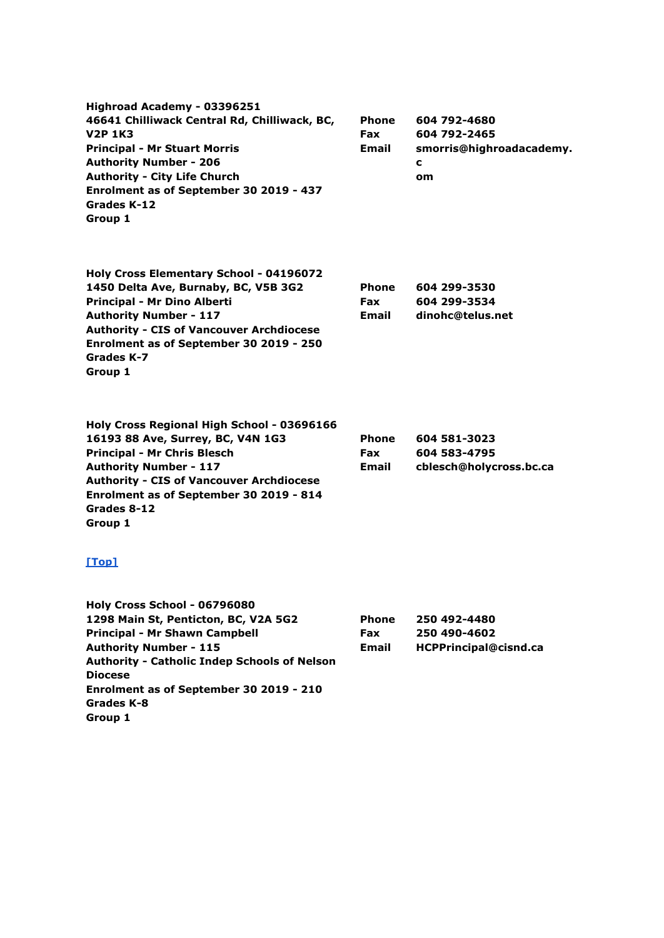| Highroad Academy - 03396251<br>46641 Chilliwack Central Rd, Chilliwack, BC,<br><b>V2P 1K3</b><br><b>Principal - Mr Stuart Morris</b><br><b>Authority Number - 206</b><br><b>Authority - City Life Church</b><br>Enrolment as of September 30 2019 - 437<br>Grades K-12<br>Group 1       | <b>Phone</b><br><b>Fax</b><br>Email        | 604 792-4680<br>604 792-2465<br>smorris@highroadacademy.<br>c<br>om |
|-----------------------------------------------------------------------------------------------------------------------------------------------------------------------------------------------------------------------------------------------------------------------------------------|--------------------------------------------|---------------------------------------------------------------------|
| Holy Cross Elementary School - 04196072<br>1450 Delta Ave, Burnaby, BC, V5B 3G2<br>Principal - Mr Dino Alberti<br><b>Authority Number - 117</b><br><b>Authority - CIS of Vancouver Archdiocese</b><br>Enrolment as of September 30 2019 - 250<br>Grades K-7<br>Group 1                  | <b>Phone</b><br><b>Fax</b><br><b>Email</b> | 604 299-3530<br>604 299-3534<br>dinohc@telus.net                    |
| Holy Cross Regional High School - 03696166<br>16193 88 Ave, Surrey, BC, V4N 1G3<br><b>Principal - Mr Chris Blesch</b><br><b>Authority Number - 117</b><br><b>Authority - CIS of Vancouver Archdiocese</b><br>Enrolment as of September 30 2019 - 814<br>Grades 8-12<br>Group 1<br>[Top] | <b>Phone</b><br><b>Fax</b><br>Email        | 604 581-3023<br>604 583-4795<br>cblesch@holycross.bc.ca             |
| Holy Cross School - 06796080<br>1298 Main St, Penticton, BC, V2A 5G2<br><b>Principal - Mr Shawn Campbell</b>                                                                                                                                                                            | <b>Phone</b><br><b>Fax</b>                 | 250 492-4480<br>250 490-4602                                        |

**Authority Number - 115 Authority - Catholic Indep Schools of Nelson Diocese Enrolment as of September 30 2019 - 210 Grades K-8 Group 1**

| <b>Phone</b> | 250 492-4480          |
|--------------|-----------------------|
| <b>Fax</b>   | 250 490-4602          |
| Email        | HCPPrincipal@cisnd.ca |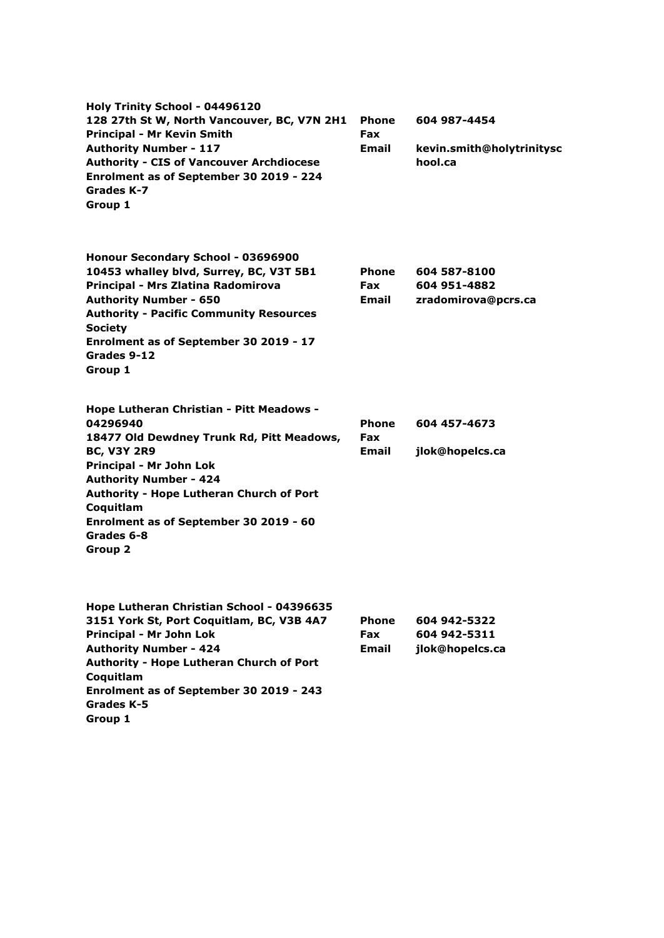| Holy Trinity School - 04496120<br>128 27th St W, North Vancouver, BC, V7N 2H1<br><b>Principal - Mr Kevin Smith</b><br><b>Authority Number - 117</b><br><b>Authority - CIS of Vancouver Archdiocese</b><br>Enrolment as of September 30 2019 - 224<br>Grades K-7<br>Group 1                                      | <b>Phone</b><br><b>Fax</b><br>Email | 604 987-4454<br>kevin.smith@holytrinitysc<br>hool.ca |
|-----------------------------------------------------------------------------------------------------------------------------------------------------------------------------------------------------------------------------------------------------------------------------------------------------------------|-------------------------------------|------------------------------------------------------|
| Honour Secondary School - 03696900<br>10453 whalley blvd, Surrey, BC, V3T 5B1<br>Principal - Mrs Zlatina Radomirova<br><b>Authority Number - 650</b><br><b>Authority - Pacific Community Resources</b><br><b>Society</b><br>Enrolment as of September 30 2019 - 17<br>Grades 9-12<br>Group 1                    | Phone<br><b>Fax</b><br>Email        | 604 587-8100<br>604 951-4882<br>zradomirova@pcrs.ca  |
| Hope Lutheran Christian - Pitt Meadows -<br>04296940<br>18477 Old Dewdney Trunk Rd, Pitt Meadows,<br><b>BC, V3Y 2R9</b><br>Principal - Mr John Lok<br><b>Authority Number - 424</b><br>Authority - Hope Lutheran Church of Port<br>Coquitlam<br>Enrolment as of September 30 2019 - 60<br>Grades 6-8<br>Group 2 | <b>Phone</b><br>Fax<br>Email        | 604 457-4673<br>jlok@hopelcs.ca                      |
| Hope Lutheran Christian School - 04396635<br>3151 York St, Port Coquitlam, BC, V3B 4A7<br>Principal - Mr John Lok<br><b>Authority Number - 424</b><br>Authority - Hope Lutheran Church of Port<br>Coquitlam<br>Enrolment as of September 30 2019 - 243<br>Grades K-5<br>Group 1                                 | Phone<br><b>Fax</b><br>Email        | 604 942-5322<br>604 942-5311<br>jlok@hopelcs.ca      |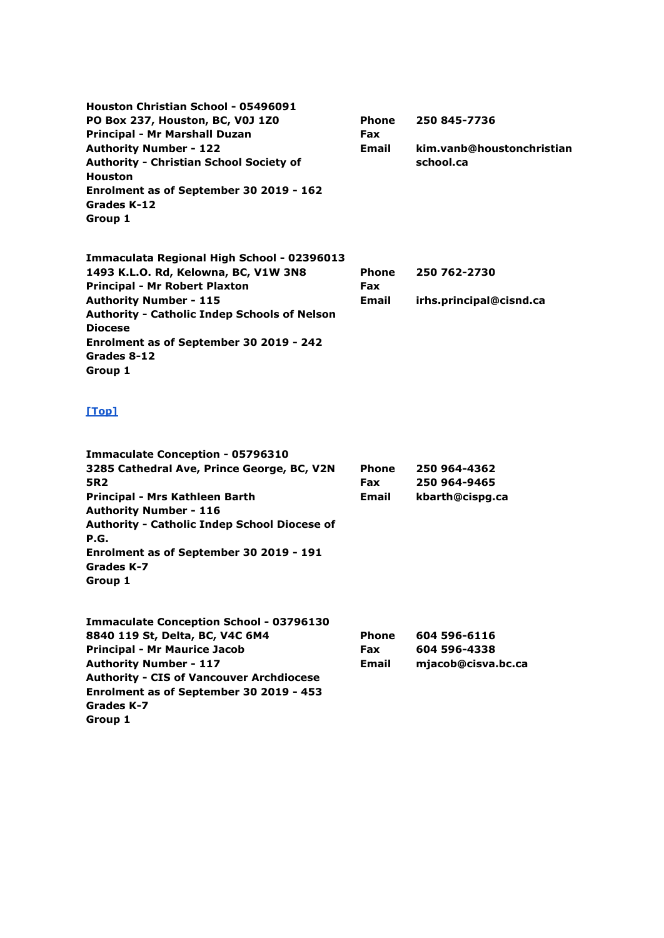**Houston Christian School - 05496091 PO Box 237, Houston, BC, V0J 1Z0 Principal - Mr Marshall Duzan Authority Number - 122 Authority - Christian School Society of Houston Enrolment as of September 30 2019 - 162 Grades K-12 Group 1 Phone Fax Email 250 845-7736 kim.vanb@houstonchristian school.ca**

**Immaculata Regional High School - 02396013 1493 K.L.O. Rd, Kelowna, BC, V1W 3N8 Principal - Mr Robert Plaxton Authority Number - 115 Authority - Catholic Indep Schools of Nelson Diocese Enrolment as of September 30 2019 - 242 Grades 8-12 Group 1 Phone Fax Email 250 762-2730 irhs.principal@cisnd.ca**

### **[\[Top\]](http://www.bced.gov.bc.ca/apps/imcl/imclWeb/IndSchool.do?school_category=Independent%20School#top)**

**Group 1**

| <b>Immaculate Conception - 05796310</b>             |       |                    |
|-----------------------------------------------------|-------|--------------------|
| 3285 Cathedral Ave, Prince George, BC, V2N          | Phone | 250 964-4362       |
| 5R <sub>2</sub>                                     | Fax   | 250 964-9465       |
| Principal - Mrs Kathleen Barth                      | Email | kbarth@cispg.ca    |
| <b>Authority Number - 116</b>                       |       |                    |
| <b>Authority - Catholic Indep School Diocese of</b> |       |                    |
| P.G.                                                |       |                    |
| Enrolment as of September 30 2019 - 191             |       |                    |
| Grades K-7                                          |       |                    |
| Group 1                                             |       |                    |
| <b>Immaculate Conception School - 03796130</b>      |       |                    |
| 8840 119 St, Delta, BC, V4C 6M4                     | Phone | 604 596-6116       |
| <b>Principal - Mr Maurice Jacob</b>                 | Fax   | 604 596-4338       |
| <b>Authority Number - 117</b>                       | Email | mjacob@cisva.bc.ca |
| <b>Authority - CIS of Vancouver Archdiocese</b>     |       |                    |
| Enrolment as of September 30 2019 - 453             |       |                    |
| Grades K-7                                          |       |                    |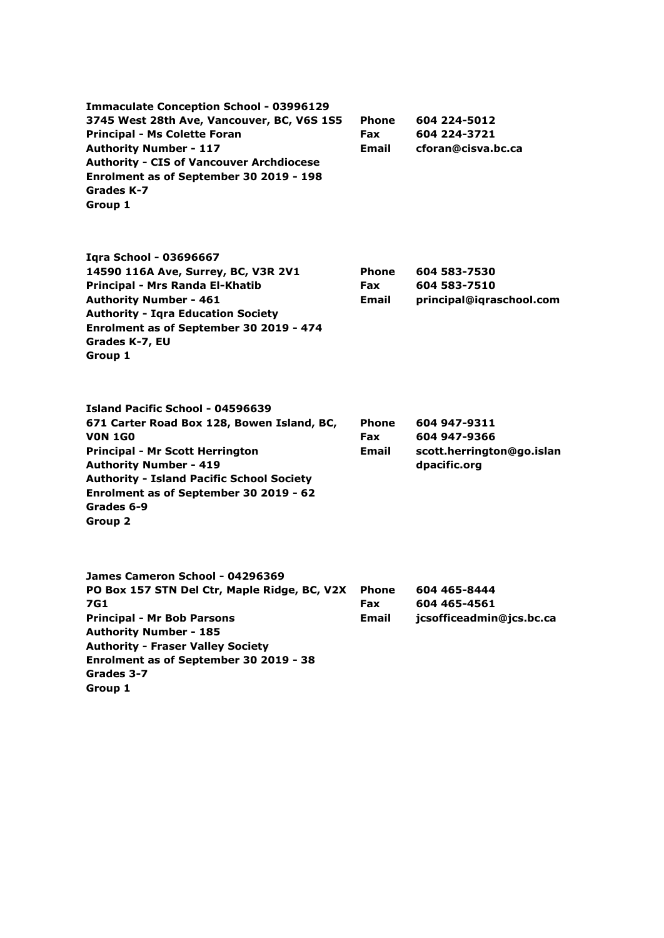**Immaculate Conception School - 03996129 3745 West 28th Ave, Vancouver, BC, V6S 1S5 Principal - Ms Colette Foran Authority Number - 117 Authority - CIS of Vancouver Archdiocese Enrolment as of September 30 2019 - 198 Grades K-7 Group 1 Phone Fax Email 604 224-5012 604 224-3721 cforan@cisva.bc.ca Iqra School - 03696667 14590 116A Ave, Surrey, BC, V3R 2V1 Principal - Mrs Randa El-Khatib Authority Number - 461 Authority - Iqra Education Society Enrolment as of September 30 2019 - 474 Grades K-7, EU Group 1 Phone Fax Email 604 583-7530 604 583-7510 principal@iqraschool.com Island Pacific School - 04596639 671 Carter Road Box 128, Bowen Island, BC, V0N 1G0 Principal - Mr Scott Herrington Authority Number - 419 Authority - Island Pacific School Society Enrolment as of September 30 2019 - 62 Grades 6-9 Group 2 Phone Fax Email 604 947-9311 604 947-9366 scott.herrington@go.islan dpacific.org James Cameron School - 04296369 PO Box 157 STN Del Ctr, Maple Ridge, BC, V2X 7G1 Principal - Mr Bob Parsons Authority Number - 185 Authority - Fraser Valley Society Enrolment as of September 30 2019 - 38 Grades 3-7 Group 1 Phone Fax Email 604 465-8444 604 465-4561 jcsofficeadmin@jcs.bc.ca**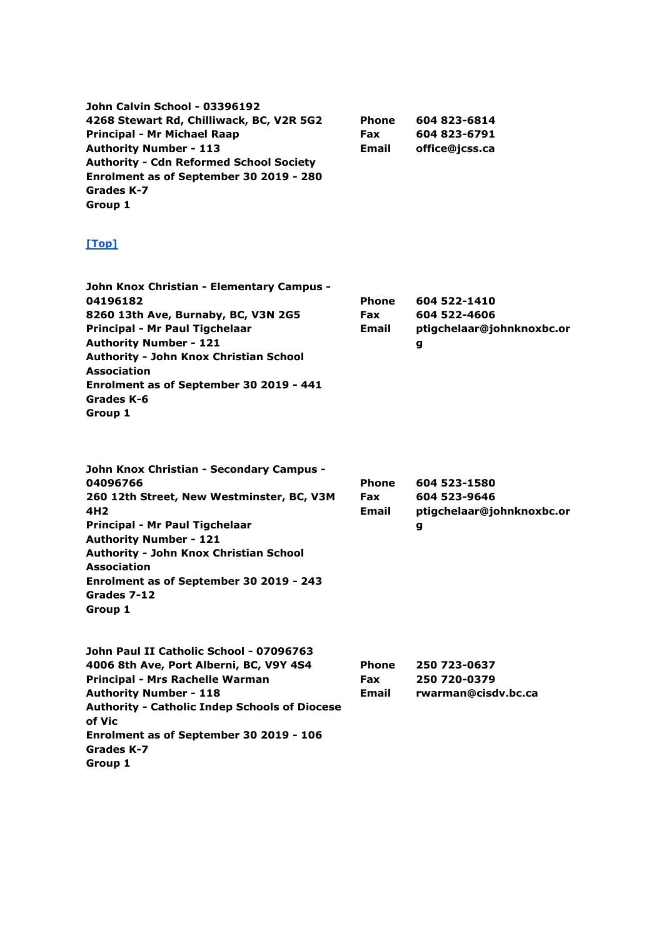| <b>Phone</b> | 604 823-6814   |
|--------------|----------------|
| <b>Fax</b>   | 604 823-6791   |
| <b>Email</b> | office@jcss.ca |
|              |                |
|              |                |
|              |                |
|              |                |
|              |                |

| <b>Phone</b> | 604 522-1410              |
|--------------|---------------------------|
| <b>Fax</b>   | 604 522-4606              |
| <b>Email</b> | ptigchelaar@johnknoxbc.or |
|              | g                         |
|              |                           |
|              |                           |
|              |                           |
|              |                           |
|              |                           |

| John Knox Christian - Secondary Campus -      |              |                           |
|-----------------------------------------------|--------------|---------------------------|
| 04096766                                      | <b>Phone</b> | 604 523-1580              |
| 260 12th Street, New Westminster, BC, V3M     | <b>Fax</b>   | 604 523-9646              |
| 4H <sub>2</sub>                               | <b>Email</b> | ptigchelaar@johnknoxbc.or |
| Principal - Mr Paul Tigchelaar                |              | g                         |
| <b>Authority Number - 121</b>                 |              |                           |
| <b>Authority - John Knox Christian School</b> |              |                           |
| Association                                   |              |                           |
| Enrolment as of September 30 2019 - 243       |              |                           |
| Grades 7-12                                   |              |                           |
| Group 1                                       |              |                           |

| John Paul II Catholic School - 07096763              |              |                     |
|------------------------------------------------------|--------------|---------------------|
| 4006 8th Ave, Port Alberni, BC, V9Y 4S4              | <b>Phone</b> | 250 723-0637        |
| Principal - Mrs Rachelle Warman                      | <b>Fax</b>   | 250 720-0379        |
| <b>Authority Number - 118</b>                        | <b>Email</b> | rwarman@cisdv.bc.ca |
| <b>Authority - Catholic Indep Schools of Diocese</b> |              |                     |
| of Vic                                               |              |                     |
| Enrolment as of September 30 2019 - 106              |              |                     |
| Grades K-7                                           |              |                     |
| Group 1                                              |              |                     |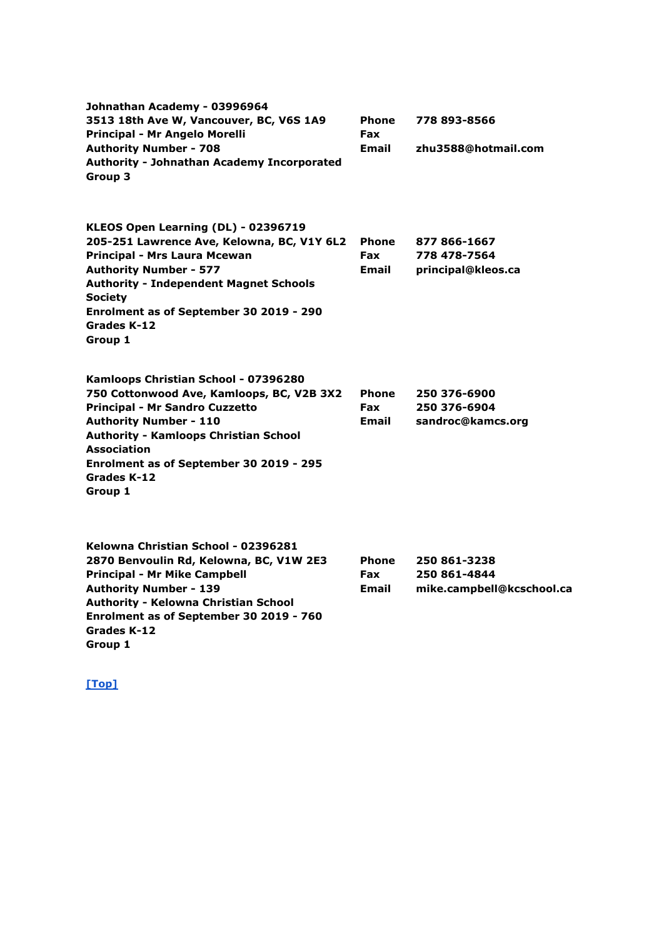| Johnathan Academy - 03996964<br>3513 18th Ave W, Vancouver, BC, V6S 1A9<br>Principal - Mr Angelo Morelli<br><b>Authority Number - 708</b><br><b>Authority - Johnathan Academy Incorporated</b><br>Group 3                                                                                              | <b>Phone</b><br>Fax<br>Email               | 778 893-8566<br>zhu3588@hotmail.com                       |
|--------------------------------------------------------------------------------------------------------------------------------------------------------------------------------------------------------------------------------------------------------------------------------------------------------|--------------------------------------------|-----------------------------------------------------------|
| KLEOS Open Learning (DL) - 02396719<br>205-251 Lawrence Ave, Kelowna, BC, V1Y 6L2<br>Principal - Mrs Laura Mcewan<br><b>Authority Number - 577</b><br><b>Authority - Independent Magnet Schools</b><br><b>Society</b><br>Enrolment as of September 30 2019 - 290<br>Grades K-12<br>Group 1             | <b>Phone</b><br>Fax<br>Email               | 877 866-1667<br>778 478-7564<br>principal@kleos.ca        |
| Kamloops Christian School - 07396280<br>750 Cottonwood Ave, Kamloops, BC, V2B 3X2<br><b>Principal - Mr Sandro Cuzzetto</b><br><b>Authority Number - 110</b><br><b>Authority - Kamloops Christian School</b><br><b>Association</b><br>Enrolment as of September 30 2019 - 295<br>Grades K-12<br>Group 1 | <b>Phone</b><br><b>Fax</b><br><b>Email</b> | 250 376-6900<br>250 376-6904<br>sandroc@kamcs.org         |
| Kelowna Christian School - 02396281<br>2870 Benvoulin Rd, Kelowna, BC, V1W 2E3<br><b>Principal - Mr Mike Campbell</b><br><b>Authority Number - 139</b>                                                                                                                                                 | <b>Phone</b><br><b>Fax</b><br><b>Email</b> | 250 861-3238<br>250 861-4844<br>mike.campbell@kcschool.ca |

**Grades K-12 Group 1**

**Authority - Kelowna Christian School Enrolment as of September 30 2019 - 760**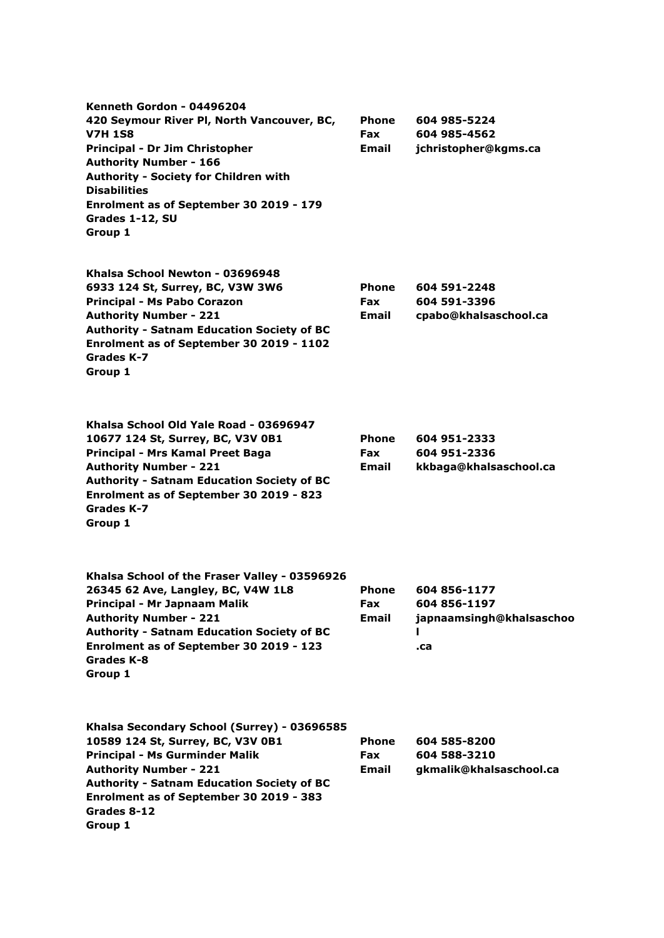| Kenneth Gordon - 04496204<br>420 Seymour River Pl, North Vancouver, BC,<br><b>V7H 1S8</b><br>Principal - Dr Jim Christopher<br><b>Authority Number - 166</b><br>Authority - Society for Children with<br><b>Disabilities</b><br>Enrolment as of September 30 2019 - 179<br>Grades 1-12, SU<br>Group 1 | Phone<br><b>Fax</b><br>Email        | 604 985-5224<br>604 985-4562<br>jchristopher@kgms.ca            |
|-------------------------------------------------------------------------------------------------------------------------------------------------------------------------------------------------------------------------------------------------------------------------------------------------------|-------------------------------------|-----------------------------------------------------------------|
| Khalsa School Newton - 03696948<br>6933 124 St, Surrey, BC, V3W 3W6<br>Principal - Ms Pabo Corazon<br><b>Authority Number - 221</b><br><b>Authority - Satnam Education Society of BC</b><br>Enrolment as of September 30 2019 - 1102<br>Grades K-7<br>Group 1                                         | <b>Phone</b><br><b>Fax</b><br>Email | 604 591-2248<br>604 591-3396<br>cpabo@khalsaschool.ca           |
| Khalsa School Old Yale Road - 03696947<br>10677 124 St, Surrey, BC, V3V 0B1<br>Principal - Mrs Kamal Preet Baga<br><b>Authority Number - 221</b><br><b>Authority - Satnam Education Society of BC</b><br>Enrolment as of September 30 2019 - 823<br>Grades K-7<br>Group 1                             | <b>Phone</b><br><b>Fax</b><br>Email | 604 951-2333<br>604 951-2336<br>kkbaga@khalsaschool.ca          |
| Khalsa School of the Fraser Valley - 03596926<br>26345 62 Ave, Langley, BC, V4W 1L8<br>Principal - Mr Japnaam Malik<br><b>Authority Number - 221</b><br><b>Authority - Satnam Education Society of BC</b><br>Enrolment as of September 30 2019 - 123<br><b>Grades K-8</b><br>Group 1                  | <b>Phone</b><br>Fax<br><b>Email</b> | 604 856-1177<br>604 856-1197<br>japnaamsingh@khalsaschoo<br>.ca |
| Khalsa Secondary School (Surrey) - 03696585<br>10589 124 St, Surrey, BC, V3V 0B1<br><b>Principal - Ms Gurminder Malik</b><br><b>Authority Number - 221</b><br><b>Authority - Satnam Education Society of BC</b><br>Enrolment as of September 30 2019 - 383<br>Grades 8-12<br>Group 1                  | <b>Phone</b><br><b>Fax</b><br>Email | 604 585-8200<br>604 588-3210<br>gkmalik@khalsaschool.ca         |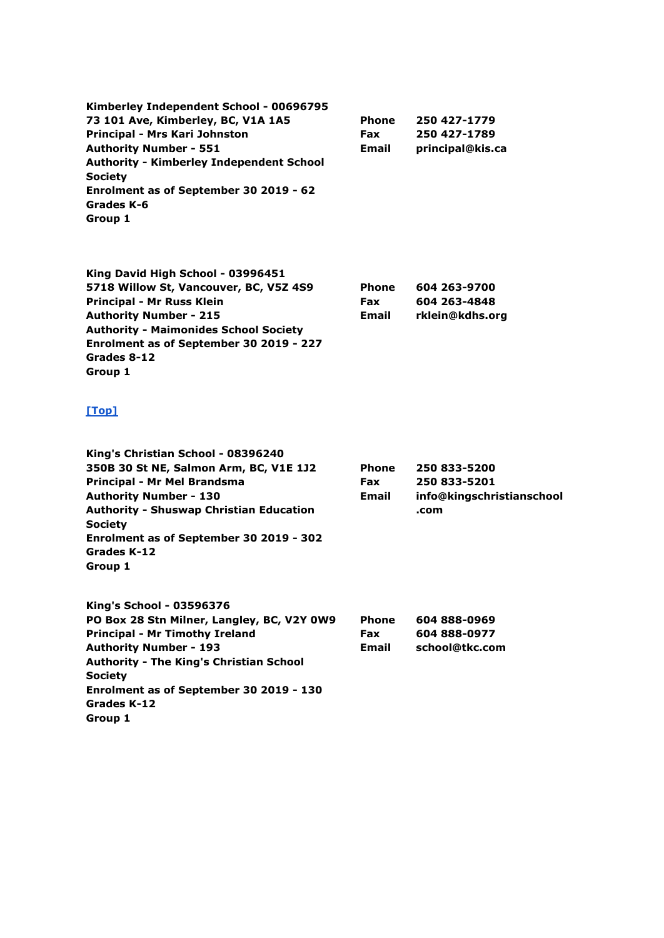**Kimberley Independent School - 00696795 73 101 Ave, Kimberley, BC, V1A 1A5 Principal - Mrs Kari Johnston Authority Number - 551 Authority - Kimberley Independent School Society Enrolment as of September 30 2019 - 62 Grades K-6 Group 1**

**Phone Fax Email 250 427-1779 250 427-1789 principal@kis.ca**

> **604 263-9700 604 263-4848 rklein@kdhs.org**

| King David High School - 03996451            |              |
|----------------------------------------------|--------------|
| 5718 Willow St, Vancouver, BC, V5Z 4S9       | <b>Phone</b> |
| Principal - Mr Russ Klein                    | <b>Fax</b>   |
| <b>Authority Number - 215</b>                | <b>Email</b> |
| <b>Authority - Maimonides School Society</b> |              |
| Enrolment as of September 30 2019 - 227      |              |
| Grades 8-12                                  |              |
| Group 1                                      |              |

### **[\[Top\]](http://www.bced.gov.bc.ca/apps/imcl/imclWeb/IndSchool.do?school_category=Independent%20School#top)**

| King's Christian School - 08396240             |              |                           |
|------------------------------------------------|--------------|---------------------------|
| 350B 30 St NE, Salmon Arm, BC, V1E 1J2         | <b>Phone</b> | 250 833-5200              |
| Principal - Mr Mel Brandsma                    | <b>Fax</b>   | 250 833-5201              |
| <b>Authority Number - 130</b>                  | <b>Email</b> | info@kingschristianschool |
| <b>Authority - Shuswap Christian Education</b> |              | .com                      |
| <b>Society</b>                                 |              |                           |
| Enrolment as of September 30 2019 - 302        |              |                           |
| Grades K-12                                    |              |                           |
| Group 1                                        |              |                           |
| King's School - 03596376                       |              |                           |
| PO Box 28 Stn Milner, Langley, BC, V2Y 0W9     | <b>Phone</b> | 604 888-0969              |
| <b>Principal - Mr Timothy Ireland</b>          | Fax          | 604 888-0977              |
| <b>Authority Number - 193</b>                  | <b>Email</b> | school@tkc.com            |

**Authority Number - 193 Authority - The King's Christian School Society Enrolment as of September 30 2019 - 130 Grades K-12**

**Group 1**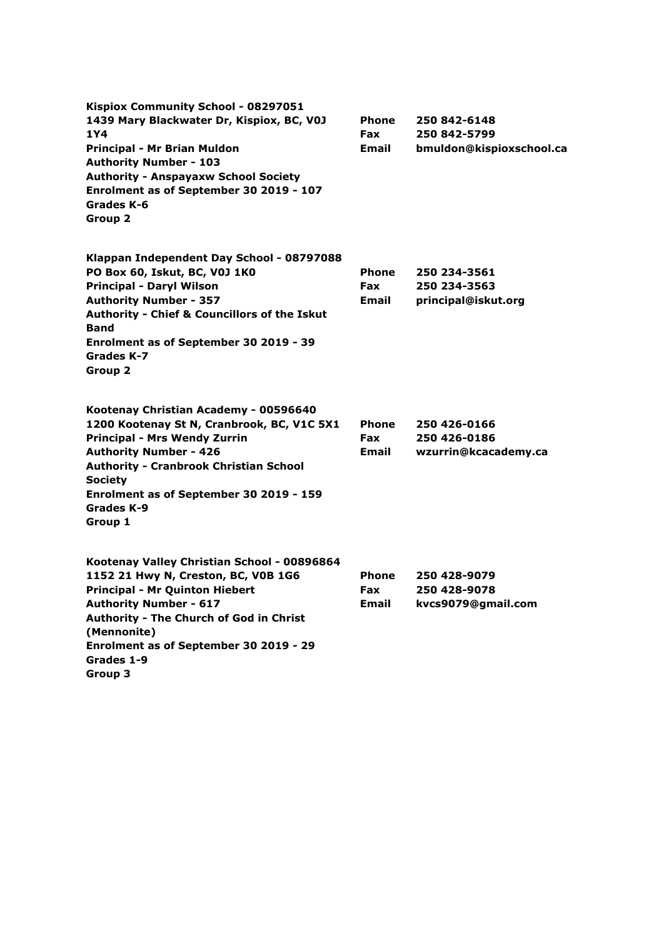| Kispiox Community School - 08297051<br>1439 Mary Blackwater Dr, Kispiox, BC, V0J<br>1Y4<br>Principal - Mr Brian Muldon<br><b>Authority Number - 103</b><br><b>Authority - Anspayaxw School Society</b><br>Enrolment as of September 30 2019 - 107<br>Grades K-6<br>Group 2                         | Phone<br><b>Fax</b><br><b>Email</b>        | 250 842-6148<br>250 842-5799<br>bmuldon@kispioxschool.ca |
|----------------------------------------------------------------------------------------------------------------------------------------------------------------------------------------------------------------------------------------------------------------------------------------------------|--------------------------------------------|----------------------------------------------------------|
| Klappan Independent Day School - 08797088<br>PO Box 60, Iskut, BC, V0J 1K0<br><b>Principal - Daryl Wilson</b><br><b>Authority Number - 357</b><br><b>Authority - Chief &amp; Councillors of the Iskut</b><br><b>Band</b><br>Enrolment as of September 30 2019 - 39<br>Grades K-7<br>Group 2        | <b>Phone</b><br><b>Fax</b><br><b>Email</b> | 250 234-3561<br>250 234-3563<br>principal@iskut.org      |
| Kootenay Christian Academy - 00596640<br>1200 Kootenay St N, Cranbrook, BC, V1C 5X1<br><b>Principal - Mrs Wendy Zurrin</b><br><b>Authority Number - 426</b><br><b>Authority - Cranbrook Christian School</b><br><b>Society</b><br>Enrolment as of September 30 2019 - 159<br>Grades K-9<br>Group 1 | <b>Phone</b><br><b>Fax</b><br>Email        | 250 426-0166<br>250 426-0186<br>wzurrin@kcacademy.ca     |
| Kootenay Valley Christian School - 00896864<br>1152 21 Hwy N, Creston, BC, V0B 1G6<br><b>Principal - Mr Quinton Hiebert</b><br><b>Authority Number - 617</b><br>Authority - The Church of God in Christ<br>(Mennonite)<br>Enrolment as of September 30 2019 - 29<br>Grades 1-9<br>Group 3          | <b>Phone</b><br><b>Fax</b><br><b>Email</b> | 250 428-9079<br>250 428-9078<br>kvcs9079@gmail.com       |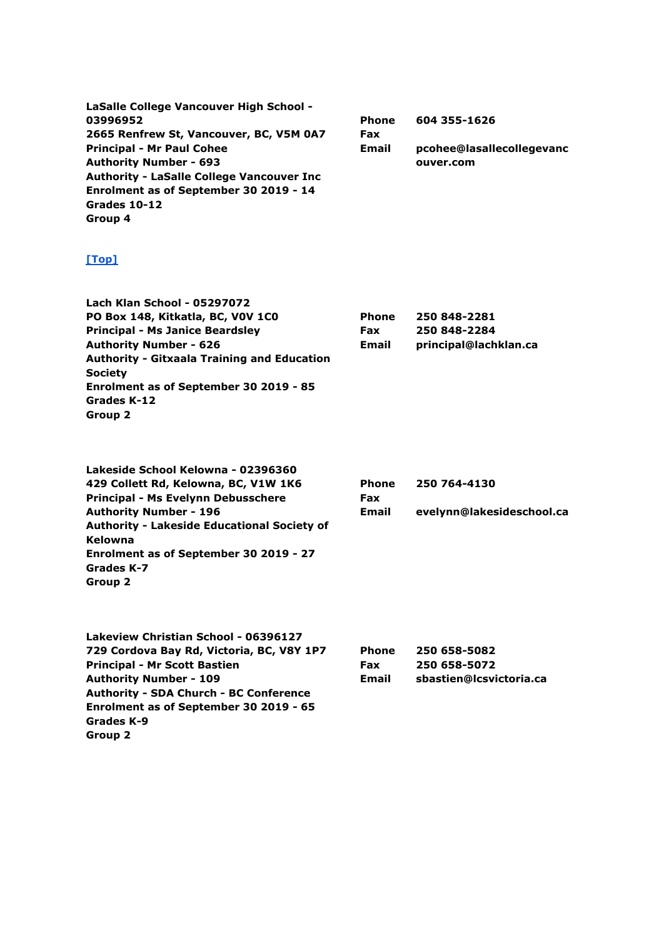| LaSalle College Vancouver High School -          |              |                           |
|--------------------------------------------------|--------------|---------------------------|
| 03996952                                         | <b>Phone</b> | 604 355-1626              |
| 2665 Renfrew St, Vancouver, BC, V5M 0A7          | <b>Fax</b>   |                           |
| <b>Principal - Mr Paul Cohee</b>                 | <b>Email</b> | pcohee@lasallecollegevanc |
| <b>Authority Number - 693</b>                    |              | ouver.com                 |
| <b>Authority - LaSalle College Vancouver Inc</b> |              |                           |
| Enrolment as of September 30 2019 - 14           |              |                           |
| Grades 10-12                                     |              |                           |
| Group 4                                          |              |                           |

| <b>Lach Klan School - 05297072</b>                 |              |                       |
|----------------------------------------------------|--------------|-----------------------|
| PO Box 148, Kitkatla, BC, VOV 1CO                  | <b>Phone</b> | 250 848-2281          |
| <b>Principal - Ms Janice Beardsley</b>             | <b>Fax</b>   | 250 848-2284          |
| <b>Authority Number - 626</b>                      | <b>Email</b> | principal@lachklan.ca |
| <b>Authority - Gitxaala Training and Education</b> |              |                       |
| <b>Society</b>                                     |              |                       |
| Enrolment as of September 30 2019 - 85             |              |                       |
| Grades K-12                                        |              |                       |
| Group 2                                            |              |                       |
|                                                    |              |                       |

| Lakeside School Kelowna - 02396360                 |              |                           |
|----------------------------------------------------|--------------|---------------------------|
| 429 Collett Rd, Kelowna, BC, V1W 1K6               | <b>Phone</b> | 250 764-4130              |
| <b>Principal - Ms Evelynn Debusschere</b>          | <b>Fax</b>   |                           |
| <b>Authority Number - 196</b>                      | <b>Email</b> | evelynn@lakesideschool.ca |
| <b>Authority - Lakeside Educational Society of</b> |              |                           |
| Kelowna                                            |              |                           |
| Enrolment as of September 30 2019 - 27             |              |                           |
| Grades K-7                                         |              |                           |
| Group 2                                            |              |                           |
|                                                    |              |                           |

| Lakeview Christian School - 06396127          |              |                         |
|-----------------------------------------------|--------------|-------------------------|
| 729 Cordova Bay Rd, Victoria, BC, V8Y 1P7     | <b>Phone</b> | 250 658-5082            |
| <b>Principal - Mr Scott Bastien</b>           | Fax          | 250 658-5072            |
| <b>Authority Number - 109</b>                 | Email        | sbastien@lcsvictoria.ca |
| <b>Authority - SDA Church - BC Conference</b> |              |                         |
| Enrolment as of September 30 2019 - 65        |              |                         |
| Grades K-9                                    |              |                         |
| Group 2                                       |              |                         |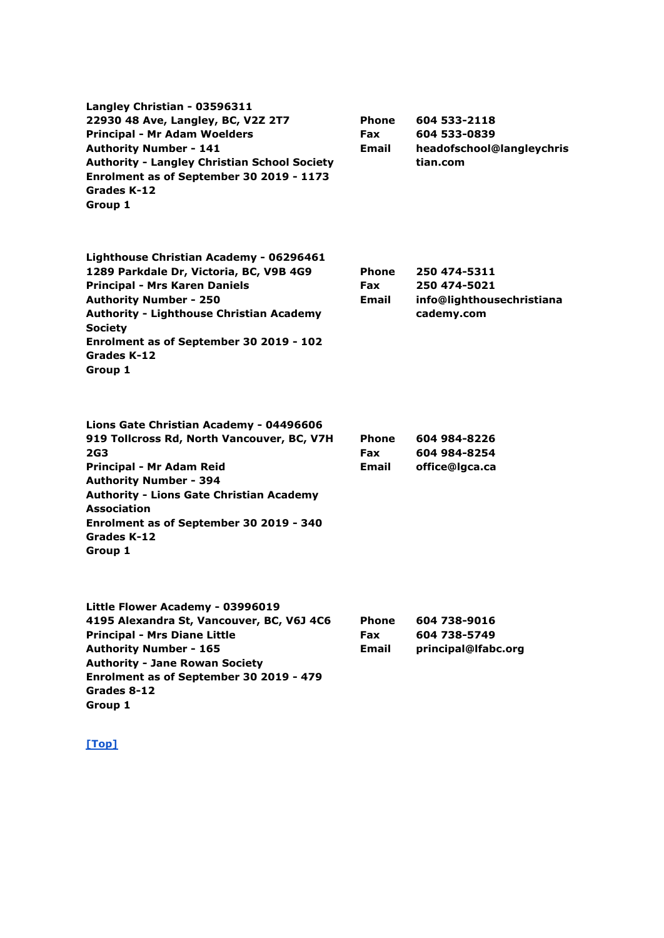| Langley Christian - 03596311<br>22930 48 Ave, Langley, BC, V2Z 2T7<br><b>Principal - Mr Adam Woelders</b><br><b>Authority Number - 141</b><br><b>Authority - Langley Christian School Society</b><br>Enrolment as of September 30 2019 - 1173<br>Grades K-12<br>Group 1                                        | <b>Phone</b><br><b>Fax</b><br>Email        | 604 533-2118<br>604 533-0839<br>headofschool@langleychris<br>tian.com   |
|----------------------------------------------------------------------------------------------------------------------------------------------------------------------------------------------------------------------------------------------------------------------------------------------------------------|--------------------------------------------|-------------------------------------------------------------------------|
| Lighthouse Christian Academy - 06296461<br>1289 Parkdale Dr, Victoria, BC, V9B 4G9<br><b>Principal - Mrs Karen Daniels</b><br><b>Authority Number - 250</b><br><b>Authority - Lighthouse Christian Academy</b><br><b>Society</b><br>Enrolment as of September 30 2019 - 102<br>Grades K-12<br>Group 1          | <b>Phone</b><br><b>Fax</b><br><b>Email</b> | 250 474-5311<br>250 474-5021<br>info@lighthousechristiana<br>cademy.com |
| Lions Gate Christian Academy - 04496606<br>919 Tollcross Rd, North Vancouver, BC, V7H<br><b>2G3</b><br>Principal - Mr Adam Reid<br><b>Authority Number - 394</b><br><b>Authority - Lions Gate Christian Academy</b><br><b>Association</b><br>Enrolment as of September 30 2019 - 340<br>Grades K-12<br>Group 1 | <b>Phone</b><br><b>Fax</b><br>Email        | 604 984-8226<br>604 984-8254<br>office@lgca.ca                          |
| Little Flower Academy - 03996019<br>4195 Alexandra St, Vancouver, BC, V6J 4C6<br><b>Principal - Mrs Diane Little</b><br><b>Authority Number - 165</b><br><b>Authority - Jane Rowan Society</b><br>Enrolment as of September 30 2019 - 479<br>Grades 8-12<br>Group 1                                            | Phone<br><b>Fax</b><br>Email               | 604 738-9016<br>604 738-5749<br>principal@lfabc.org                     |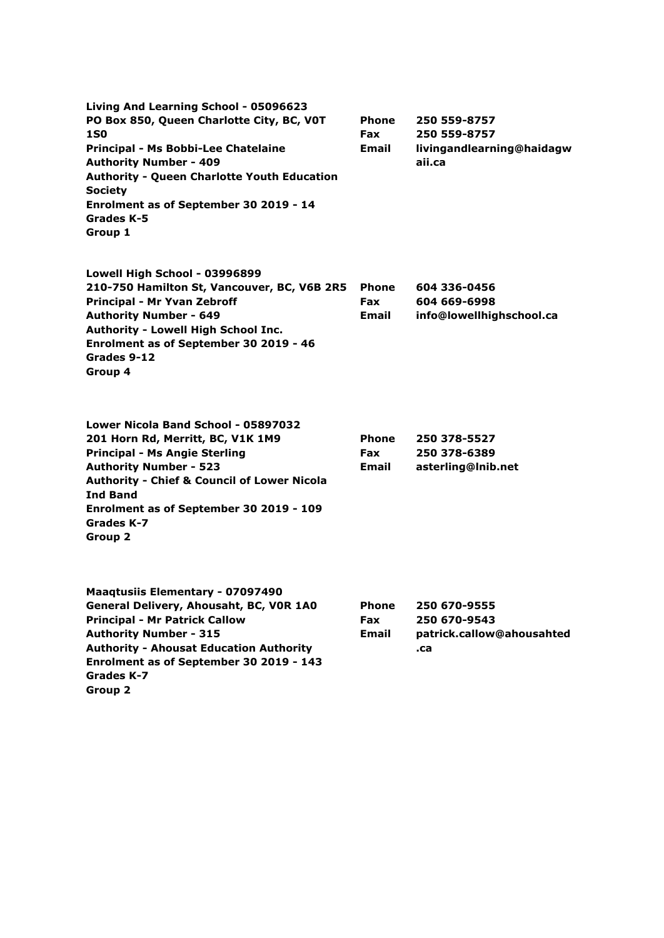| Living And Learning School - 05096623<br>PO Box 850, Queen Charlotte City, BC, VOT<br><b>1S0</b>                                                                                                     | <b>Phone</b><br><b>Fax</b> | 250 559-8757<br>250 559-8757        |
|------------------------------------------------------------------------------------------------------------------------------------------------------------------------------------------------------|----------------------------|-------------------------------------|
| Principal - Ms Bobbi-Lee Chatelaine<br><b>Authority Number - 409</b><br><b>Authority - Queen Charlotte Youth Education</b><br><b>Society</b><br>Enrolment as of September 30 2019 - 14<br>Grades K-5 | Email                      | livingandlearning@haidagw<br>aii.ca |
| Group 1                                                                                                                                                                                              |                            |                                     |
| Lowell High School - 03996899<br>210-750 Hamilton St, Vancouver, BC, V6B 2R5                                                                                                                         | Phone                      | 604 336-0456                        |
| Principal - Mr Yvan Zebroff                                                                                                                                                                          | <b>Fax</b>                 | 604 669-6998                        |
| <b>Authority Number - 649</b>                                                                                                                                                                        | Email                      | info@lowellhighschool.ca            |
| Authority - Lowell High School Inc.<br>Enrolment as of September 30 2019 - 46                                                                                                                        |                            |                                     |
| Grades 9-12                                                                                                                                                                                          |                            |                                     |
| Group 4                                                                                                                                                                                              |                            |                                     |
| Lower Nicola Band School - 05897032                                                                                                                                                                  |                            |                                     |
| 201 Horn Rd, Merritt, BC, V1K 1M9                                                                                                                                                                    | <b>Phone</b>               | 250 378-5527                        |
| <b>Principal - Ms Angie Sterling</b>                                                                                                                                                                 | Fax                        | 250 378-6389                        |
| <b>Authority Number - 523</b>                                                                                                                                                                        | Email                      | asterling@Inib.net                  |
| <b>Authority - Chief &amp; Council of Lower Nicola</b><br><b>Ind Band</b>                                                                                                                            |                            |                                     |
| Enrolment as of September 30 2019 - 109                                                                                                                                                              |                            |                                     |
| Grades K-7                                                                                                                                                                                           |                            |                                     |
| <b>Group 2</b>                                                                                                                                                                                       |                            |                                     |
| <b>Maaqtusiis Elementary - 07097490</b>                                                                                                                                                              |                            |                                     |
| General Delivery, Ahousaht, BC, VOR 1A0                                                                                                                                                              | <b>Phone</b>               | 250 670-9555                        |
| <b>Principal - Mr Patrick Callow</b>                                                                                                                                                                 | Fax                        | 250 670-9543                        |
| <b>Authority Number - 315</b>                                                                                                                                                                        | <b>Email</b>               | patrick.callow@ahousahted           |
| <b>Authority - Ahousat Education Authority</b><br>Enrolment as of September 30 2019 - 143<br>Grades K-7                                                                                              |                            | .ca                                 |
| Group 2                                                                                                                                                                                              |                            |                                     |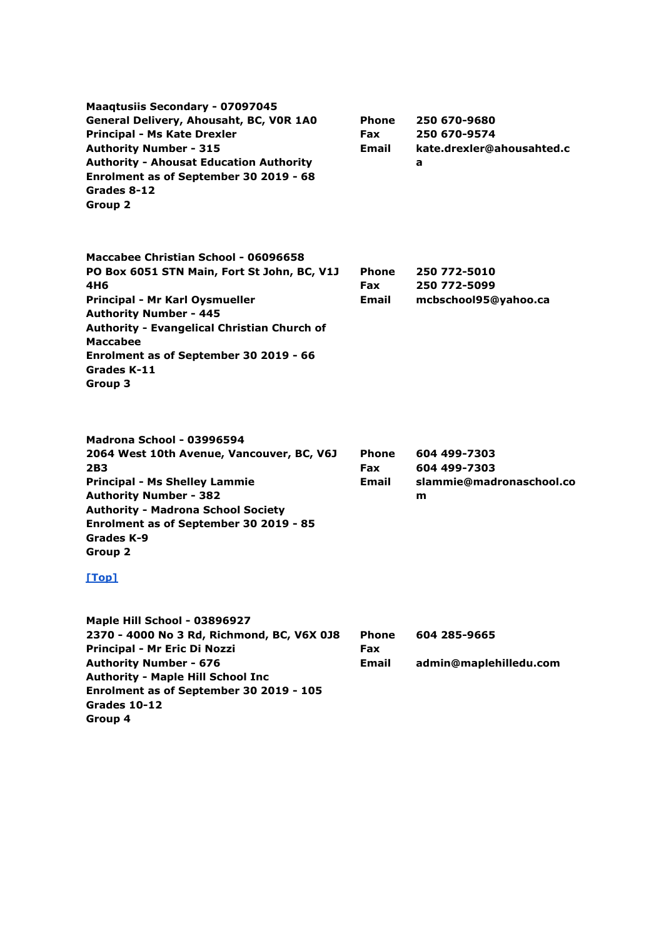| <b>Maaqtusiis Secondary - 07097045</b><br>General Delivery, Ahousaht, BC, VOR 1A0<br><b>Principal - Ms Kate Drexler</b><br><b>Authority Number - 315</b><br><b>Authority - Ahousat Education Authority</b><br>Enrolment as of September 30 2019 - 68<br>Grades 8-12<br>Group 2                      | Phone<br>Fax<br>Email        | 250 670-9680<br>250 670-9574<br>kate.drexler@ahousahted.c<br>a |
|-----------------------------------------------------------------------------------------------------------------------------------------------------------------------------------------------------------------------------------------------------------------------------------------------------|------------------------------|----------------------------------------------------------------|
| Maccabee Christian School - 06096658<br>PO Box 6051 STN Main, Fort St John, BC, V1J<br>4H6<br>Principal - Mr Karl Oysmueller<br><b>Authority Number - 445</b><br>Authority - Evangelical Christian Church of<br><b>Maccabee</b><br>Enrolment as of September 30 2019 - 66<br>Grades K-11<br>Group 3 | Phone<br><b>Fax</b><br>Email | 250 772-5010<br>250 772-5099<br>mcbschool95@yahoo.ca           |
| Madrona School - 03996594<br>2064 West 10th Avenue, Vancouver, BC, V6J<br>2B3<br><b>Principal - Ms Shelley Lammie</b><br><b>Authority Number - 382</b><br><b>Authority - Madrona School Society</b><br>Enrolment as of September 30 2019 - 85<br>Grades K-9<br><b>Group 2</b><br>$Top1$             | Phone<br>Fax<br>Email        | 604 499-7303<br>604 499-7303<br>slammie@madronaschool.co<br>m  |
| Maple Hill School - 03896927<br>2370 - 4000 No 3 Rd, Richmond, BC, V6X 0J8<br>Principal - Mr Eric Di Nozzi<br><b>Authority Number - 676</b><br><b>Authority - Maple Hill School Inc</b><br>Enrolment as of September 30 2019 - 105<br>Grades 10-12<br>Group 4                                       | Phone<br>Fax<br>Email        | 604 285-9665<br>admin@maplehilledu.com                         |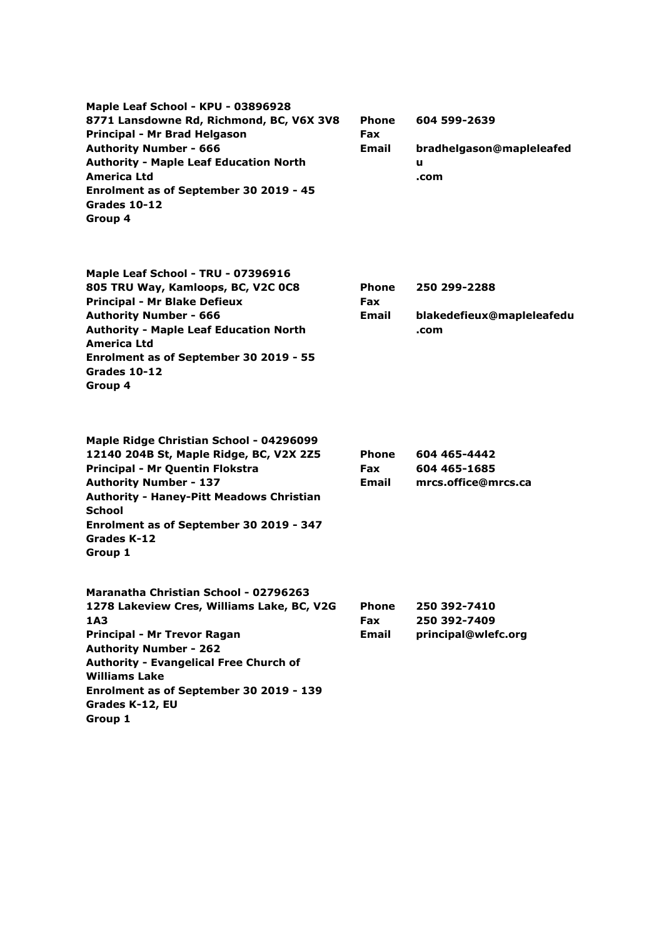**Maple Leaf School - KPU - 03896928 8771 Lansdowne Rd, Richmond, BC, V6X 3V8 Principal - Mr Brad Helgason Authority Number - 666 Authority - Maple Leaf Education North America Ltd Enrolment as of September 30 2019 - 45 Grades 10-12 Group 4**

**Phone Fax Email 604 599-2639 bradhelgason@mapleleafed u .com**

| Maple Leaf School - TRU - 07396916            |              |                           |
|-----------------------------------------------|--------------|---------------------------|
| 805 TRU Way, Kamloops, BC, V2C 0C8            | <b>Phone</b> | 250 299-2288              |
| <b>Principal - Mr Blake Defieux</b>           | <b>Fax</b>   |                           |
| <b>Authority Number - 666</b>                 | Email        | blakedefieux@mapleleafedu |
| <b>Authority - Maple Leaf Education North</b> |              | .com                      |
| America Ltd                                   |              |                           |
| Enrolment as of September 30 2019 - 55        |              |                           |
| Grades 10-12                                  |              |                           |
| Group 4                                       |              |                           |
|                                               |              |                           |

| Maple Ridge Christian School - 04296099         |              |                     |
|-------------------------------------------------|--------------|---------------------|
| 12140 204B St, Maple Ridge, BC, V2X 2Z5         | Phone        | 604 465-4442        |
| Principal - Mr Quentin Flokstra                 | Fax          | 604 465-1685        |
| <b>Authority Number - 137</b>                   | <b>Email</b> | mrcs.office@mrcs.ca |
| <b>Authority - Haney-Pitt Meadows Christian</b> |              |                     |
| <b>School</b>                                   |              |                     |
| Enrolment as of September 30 2019 - 347         |              |                     |
| Grades K-12                                     |              |                     |
| Group 1                                         |              |                     |
| Maranatha Christian School - 02796263           |              |                     |
| 1278 Lakeview Cres, Williams Lake, BC, V2G      | Phone        | 250 392-7410        |
| 1A3                                             | Fax          | 250 392-7409        |
| Principal - Mr Trevor Ragan                     | Email        | principal@wlefc.org |
| <b>Authority Number - 262</b>                   |              |                     |
| <b>Authority - Evangelical Free Church of</b>   |              |                     |
| <b>Williams Lake</b>                            |              |                     |
| Enrolment as of September 30 2019 - 139         |              |                     |
| Grades K-12, EU                                 |              |                     |
| Group 1                                         |              |                     |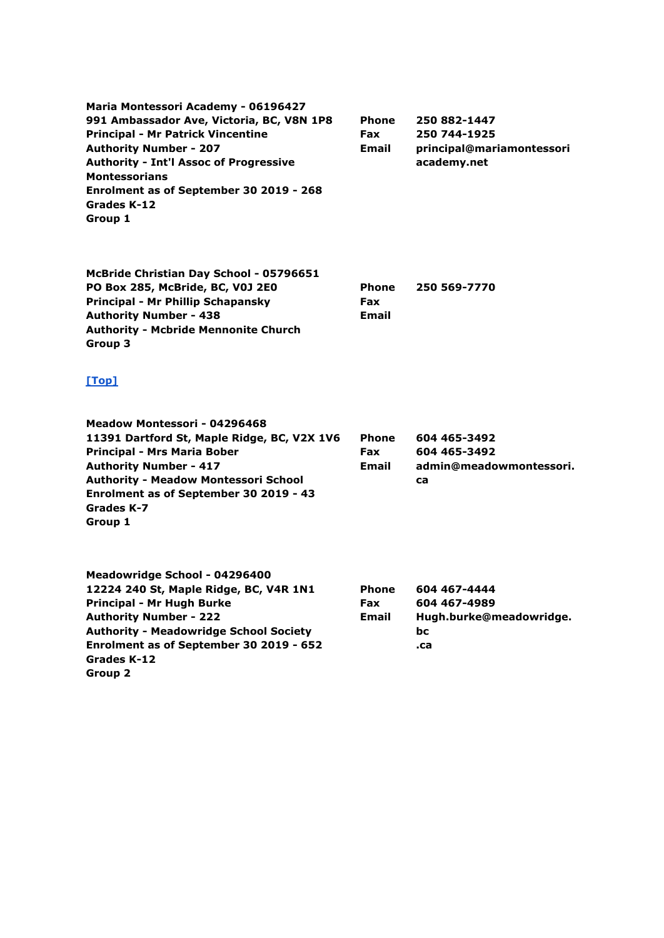**Maria Montessori Academy - 06196427 991 Ambassador Ave, Victoria, BC, V8N 1P8 Principal - Mr Patrick Vincentine Authority Number - 207 Authority - Int'l Assoc of Progressive Montessorians Enrolment as of September 30 2019 - 268 Grades K-12 Group 1**

**Phone Fax Email 250 882-1447 250 744-1925 principal@mariamontessori academy.net**

**McBride Christian Day School - 05796651 PO Box 285, McBride, BC, V0J 2E0 Principal - Mr Phillip Schapansky Authority Number - 438 Authority - Mcbride Mennonite Church Group 3 Phone Fax Email 250 569-7770**

| Meadow Montessori - 04296468                |              |                         |
|---------------------------------------------|--------------|-------------------------|
| 11391 Dartford St, Maple Ridge, BC, V2X 1V6 | <b>Phone</b> | 604 465-3492            |
| <b>Principal - Mrs Maria Bober</b>          | <b>Fax</b>   | 604 465-3492            |
| <b>Authority Number - 417</b>               | <b>Email</b> | admin@meadowmontessori. |
| <b>Authority - Meadow Montessori School</b> |              | ca                      |
| Enrolment as of September 30 2019 - 43      |              |                         |
| Grades K-7                                  |              |                         |
| Group 1                                     |              |                         |
|                                             |              |                         |
|                                             |              |                         |
|                                             |              |                         |

| Meadowridge School - 04296400                 |              |                         |
|-----------------------------------------------|--------------|-------------------------|
| 12224 240 St, Maple Ridge, BC, V4R 1N1        | <b>Phone</b> | 604 467-4444            |
| Principal - Mr Hugh Burke                     | Fax          | 604 467-4989            |
| <b>Authority Number - 222</b>                 | <b>Email</b> | Hugh.burke@meadowridge. |
| <b>Authority - Meadowridge School Society</b> |              | bс                      |
| Enrolment as of September 30 2019 - 652       |              | .ca                     |
| Grades K-12                                   |              |                         |
| Group 2                                       |              |                         |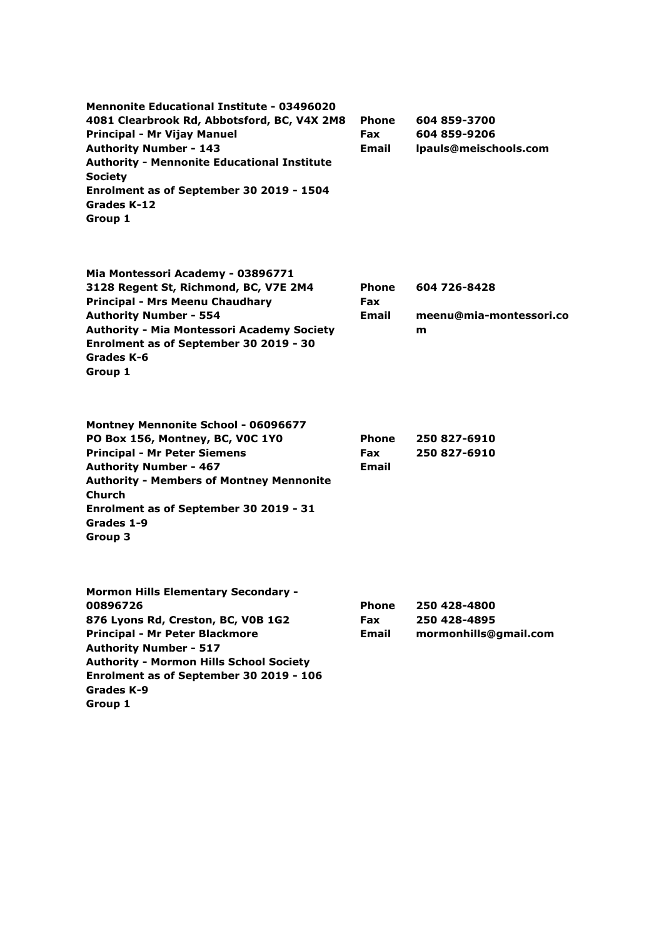**Mennonite Educational Institute - 03496020 4081 Clearbrook Rd, Abbotsford, BC, V4X 2M8 Principal - Mr Vijay Manuel Authority Number - 143 Authority - Mennonite Educational Institute Society Enrolment as of September 30 2019 - 1504 Grades K-12 Group 1 Phone Fax Email 604 859-3700 604 859-9206 lpauls@meischools.com**

| Mia Montessori Academy - 03896771                 |              |                         |
|---------------------------------------------------|--------------|-------------------------|
| 3128 Regent St, Richmond, BC, V7E 2M4             | <b>Phone</b> | 604 726-8428            |
| <b>Principal - Mrs Meenu Chaudhary</b>            | <b>Fax</b>   |                         |
| <b>Authority Number - 554</b>                     | <b>Email</b> | meenu@mia-montessori.co |
| <b>Authority - Mia Montessori Academy Society</b> |              | m                       |
| Enrolment as of September 30 2019 - 30            |              |                         |
| Grades K-6                                        |              |                         |
| Group 1                                           |              |                         |

**Montney Mennonite School - 06096677 PO Box 156, Montney, BC, V0C 1Y0 Principal - Mr Peter Siemens Authority Number - 467 Authority - Members of Montney Mennonite Church Enrolment as of September 30 2019 - 31 Grades 1-9 Group 3 Phone Fax Email 250 827-6910 250 827-6910**

| <b>Mormon Hills Elementary Secondary -</b>     |              |                       |
|------------------------------------------------|--------------|-----------------------|
| 00896726                                       | <b>Phone</b> | 250 428-4800          |
| 876 Lyons Rd, Creston, BC, V0B 1G2             | <b>Fax</b>   | 250 428-4895          |
| <b>Principal - Mr Peter Blackmore</b>          | <b>Email</b> | mormonhills@gmail.com |
| <b>Authority Number - 517</b>                  |              |                       |
| <b>Authority - Mormon Hills School Society</b> |              |                       |
| Enrolment as of September 30 2019 - 106        |              |                       |
| Grades K-9                                     |              |                       |
| Group 1                                        |              |                       |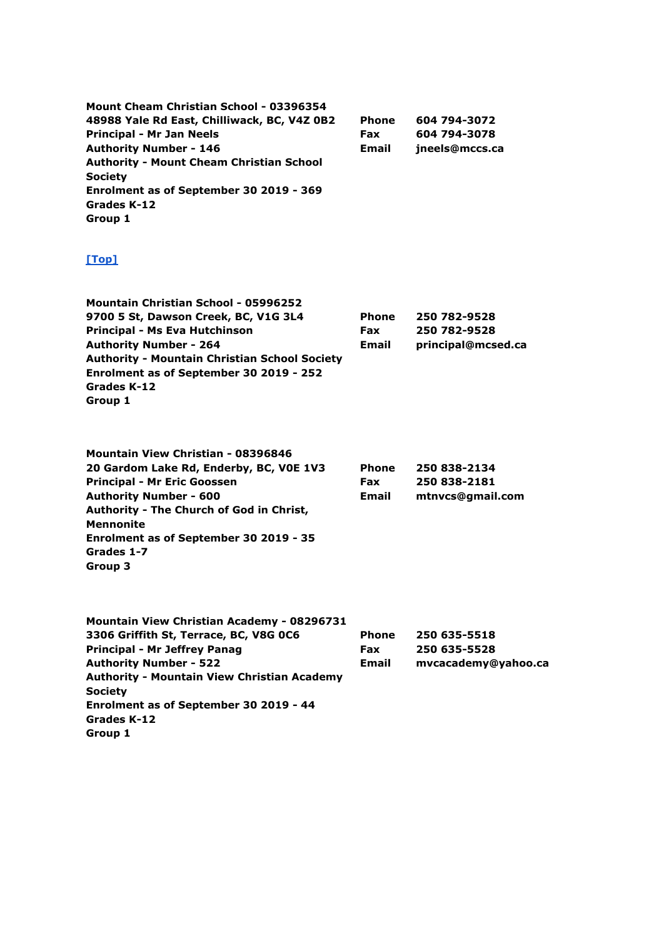**Mount Cheam Christian School - 03396354 48988 Yale Rd East, Chilliwack, BC, V4Z 0B2 Principal - Mr Jan Neels Authority Number - 146 Authority - Mount Cheam Christian School Society Enrolment as of September 30 2019 - 369 Grades K-12 Group 1 Phone Fax Email 604 794-3072 604 794-3078 jneels@mccs.ca**

| <b>Mountain Christian School - 05996252</b>          |              |                    |
|------------------------------------------------------|--------------|--------------------|
| 9700 5 St, Dawson Creek, BC, V1G 3L4                 | <b>Phone</b> | 250 782-9528       |
| Principal - Ms Eva Hutchinson                        | <b>Fax</b>   | 250 782-9528       |
| <b>Authority Number - 264</b>                        | Email        | principal@mcsed.ca |
| <b>Authority - Mountain Christian School Society</b> |              |                    |
| Enrolment as of September 30 2019 - 252              |              |                    |
| Grades K-12                                          |              |                    |
| Group 1                                              |              |                    |

| <b>Mountain View Christian - 08396846</b> |              |                  |
|-------------------------------------------|--------------|------------------|
| 20 Gardom Lake Rd, Enderby, BC, VOE 1V3   | <b>Phone</b> | 250 838-2134     |
| <b>Principal - Mr Eric Goossen</b>        | Fax          | 250 838-2181     |
| <b>Authority Number - 600</b>             | Email        | mtnycs@gmail.com |
| Authority - The Church of God in Christ,  |              |                  |
| <b>Mennonite</b>                          |              |                  |
| Enrolment as of September 30 2019 - 35    |              |                  |
| Grades 1-7                                |              |                  |
| Group 3                                   |              |                  |
|                                           |              |                  |

| mvcacademy@yahoo.ca |
|---------------------|
|                     |
|                     |
|                     |
|                     |
|                     |
|                     |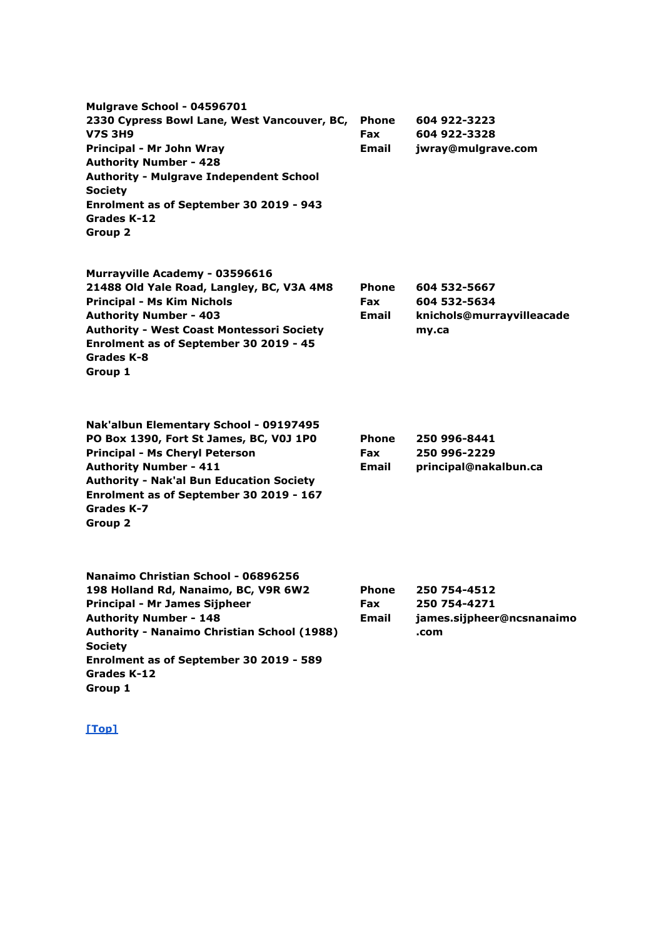**Mulgrave School - 04596701 2330 Cypress Bowl Lane, West Vancouver, BC, V7S 3H9 Principal - Mr John Wray Authority Number - 428 Authority - Mulgrave Independent School Society Enrolment as of September 30 2019 - 943 Grades K-12 Group 2 Phone Fax Email 604 922-3223 604 922-3328 jwray@mulgrave.com Murrayville Academy - 03596616 21488 Old Yale Road, Langley, BC, V3A 4M8 Principal - Ms Kim Nichols Authority Number - 403 Authority - West Coast Montessori Society Enrolment as of September 30 2019 - 45 Grades K-8 Group 1 Phone Fax Email 604 532-5667 604 532-5634 knichols@murrayvilleacade my.ca Nak'albun Elementary School - 09197495 PO Box 1390, Fort St James, BC, V0J 1P0 Principal - Ms Cheryl Peterson Authority Number - 411 Authority - Nak'al Bun Education Society Enrolment as of September 30 2019 - 167 Grades K-7 Group 2 Phone Fax Email 250 996-8441 250 996-2229 principal@nakalbun.ca Nanaimo Christian School - 06896256 198 Holland Rd, Nanaimo, BC, V9R 6W2 Principal - Mr James Sijpheer Authority Number - 148 Authority - Nanaimo Christian School (1988) Society Enrolment as of September 30 2019 - 589 Grades K-12 Group 1 Phone Fax Email 250 754-4512 250 754-4271 james.sijpheer@ncsnanaimo .com**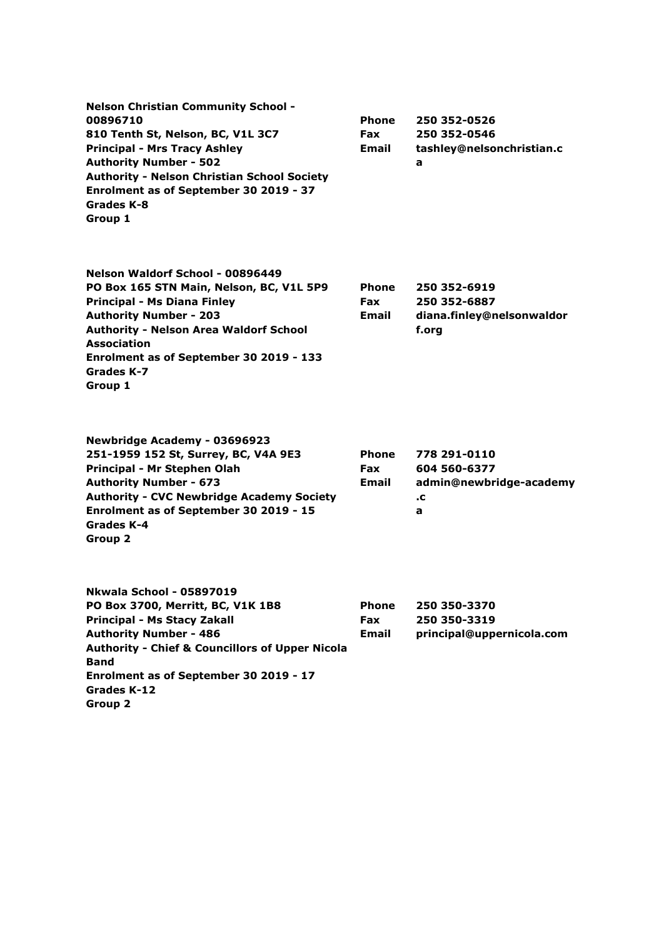| <b>Nelson Christian Community School -</b><br>00896710<br>810 Tenth St, Nelson, BC, V1L 3C7<br><b>Principal - Mrs Tracy Ashley</b><br><b>Authority Number - 502</b><br><b>Authority - Nelson Christian School Society</b><br>Enrolment as of September 30 2019 - 37<br>Grades K-8<br>Group 1   | <b>Phone</b><br><b>Fax</b><br>Email | 250 352-0526<br>250 352-0546<br>tashley@nelsonchristian.c<br>a     |
|------------------------------------------------------------------------------------------------------------------------------------------------------------------------------------------------------------------------------------------------------------------------------------------------|-------------------------------------|--------------------------------------------------------------------|
| Nelson Waldorf School - 00896449<br>PO Box 165 STN Main, Nelson, BC, V1L 5P9<br><b>Principal - Ms Diana Finley</b><br><b>Authority Number - 203</b><br><b>Authority - Nelson Area Waldorf School</b><br><b>Association</b><br>Enrolment as of September 30 2019 - 133<br>Grades K-7<br>Group 1 | <b>Phone</b><br><b>Fax</b><br>Email | 250 352-6919<br>250 352-6887<br>diana.finley@nelsonwaldor<br>f.org |
| Newbridge Academy - 03696923<br>251-1959 152 St, Surrey, BC, V4A 9E3<br>Principal - Mr Stephen Olah<br><b>Authority Number - 673</b><br><b>Authority - CVC Newbridge Academy Society</b><br>Enrolment as of September 30 2019 - 15<br>Grades K-4<br>Group 2                                    | <b>Phone</b><br><b>Fax</b><br>Email | 778 291-0110<br>604 560-6377<br>admin@newbridge-academy<br>.c<br>a |
| <b>Nkwala School - 05897019</b><br>PO Box 3700, Merritt, BC, V1K 1B8<br><b>Principal - Ms Stacy Zakall</b><br><b>Authority Number - 486</b><br><b>Authority - Chief &amp; Councillors of Upper Nicola</b><br><b>Band</b><br>Enrolment as of September 30 2019 - 17<br>Grades K-12<br>Group 2   | <b>Phone</b><br>Fax<br><b>Email</b> | 250 350-3370<br>250 350-3319<br>principal@uppernicola.com          |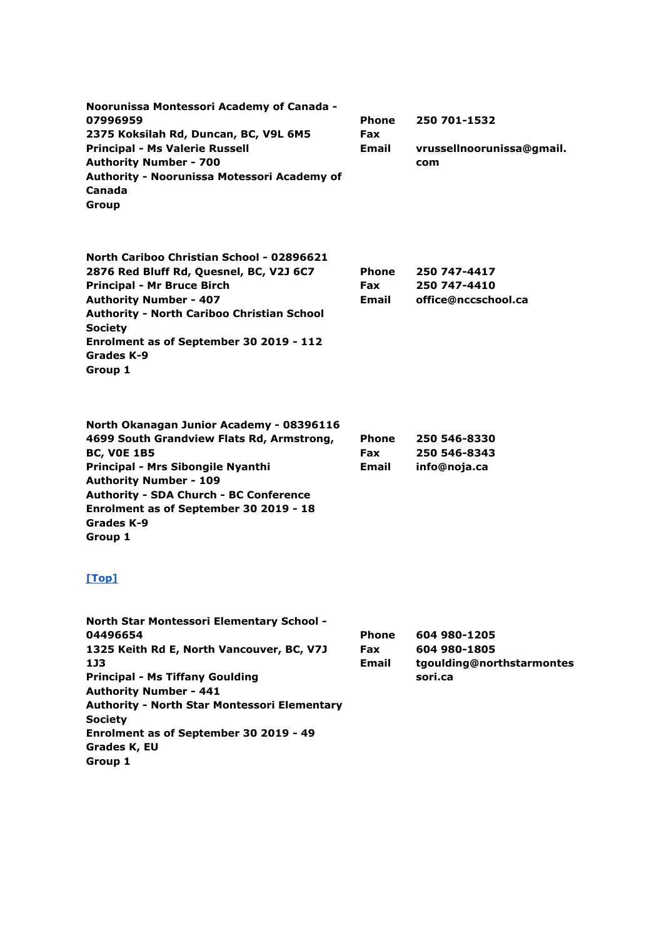| Noorunissa Montessori Academy of Canada -<br>07996959<br>2375 Koksilah Rd, Duncan, BC, V9L 6M5<br><b>Principal - Ms Valerie Russell</b><br><b>Authority Number - 700</b><br>Authority - Noorunissa Motessori Academy of<br>Canada<br>Group                                                                                         | Phone<br><b>Fax</b><br>Email        | 250 701-1532<br>vrussellnoorunissa@gmail.<br>com                     |
|------------------------------------------------------------------------------------------------------------------------------------------------------------------------------------------------------------------------------------------------------------------------------------------------------------------------------------|-------------------------------------|----------------------------------------------------------------------|
| North Cariboo Christian School - 02896621<br>2876 Red Bluff Rd, Quesnel, BC, V2J 6C7<br><b>Principal - Mr Bruce Birch</b><br><b>Authority Number - 407</b><br><b>Authority - North Cariboo Christian School</b><br><b>Society</b><br>Enrolment as of September 30 2019 - 112<br>Grades K-9<br>Group 1                              | <b>Phone</b><br><b>Fax</b><br>Email | 250 747-4417<br>250 747-4410<br>office@nccschool.ca                  |
| North Okanagan Junior Academy - 08396116<br>4699 South Grandview Flats Rd, Armstrong,<br><b>BC, VOE 1B5</b><br>Principal - Mrs Sibongile Nyanthi<br><b>Authority Number - 109</b><br><b>Authority - SDA Church - BC Conference</b><br>Enrolment as of September 30 2019 - 18<br>Grades K-9<br>Group 1                              | Phone<br><b>Fax</b><br>Email        | 250 546-8330<br>250 546-8343<br>info@noja.ca                         |
| [Top]                                                                                                                                                                                                                                                                                                                              |                                     |                                                                      |
| North Star Montessori Elementary School -<br>04496654<br>1325 Keith Rd E, North Vancouver, BC, V7J<br>1J3<br><b>Principal - Ms Tiffany Goulding</b><br><b>Authority Number - 441</b><br><b>Authority - North Star Montessori Elementary</b><br><b>Society</b><br>Enrolment as of September 30 2019 - 49<br>Grades K, EU<br>Group 1 | Phone<br><b>Fax</b><br><b>Email</b> | 604 980-1205<br>604 980-1805<br>tgoulding@northstarmontes<br>sori.ca |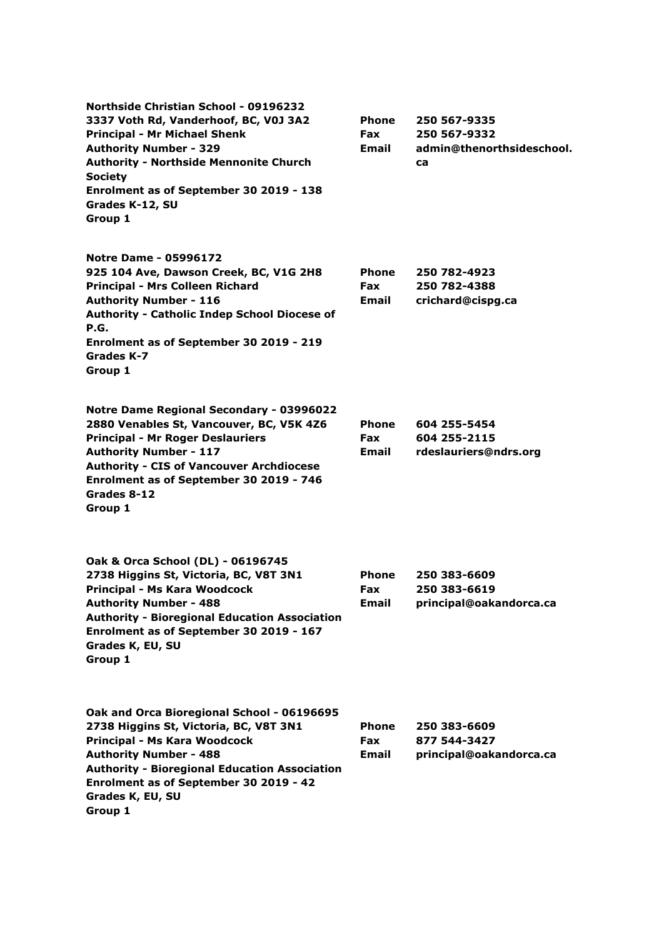**Northside Christian School - 09196232 3337 Voth Rd, Vanderhoof, BC, V0J 3A2 Principal - Mr Michael Shenk Authority Number - 329 Authority - Northside Mennonite Church Society Enrolment as of September 30 2019 - 138 Grades K-12, SU Group 1 Phone Fax Email 250 567-9335 250 567-9332 admin@thenorthsideschool. ca Notre Dame - 05996172 925 104 Ave, Dawson Creek, BC, V1G 2H8 Principal - Mrs Colleen Richard Authority Number - 116 Authority - Catholic Indep School Diocese of P.G. Enrolment as of September 30 2019 - 219 Grades K-7 Group 1 Phone Fax Email 250 782-4923 250 782-4388 crichard@cispg.ca Notre Dame Regional Secondary - 03996022 2880 Venables St, Vancouver, BC, V5K 4Z6 Principal - Mr Roger Deslauriers Authority Number - 117 Authority - CIS of Vancouver Archdiocese Enrolment as of September 30 2019 - 746 Grades 8-12 Group 1 Phone Fax Email 604 255-5454 604 255-2115 rdeslauriers@ndrs.org Oak & Orca School (DL) - 06196745 2738 Higgins St, Victoria, BC, V8T 3N1 Principal - Ms Kara Woodcock Authority Number - 488 Authority - Bioregional Education Association Enrolment as of September 30 2019 - 167 Grades K, EU, SU Group 1 Phone Fax Email 250 383-6609 250 383-6619 principal@oakandorca.ca Oak and Orca Bioregional School - 06196695 2738 Higgins St, Victoria, BC, V8T 3N1 Principal - Ms Kara Woodcock Authority Number - 488 Authority - Bioregional Education Association Enrolment as of September 30 2019 - 42 Grades K, EU, SU Group 1 Phone Fax Email 250 383-6609 877 544-3427 principal@oakandorca.ca**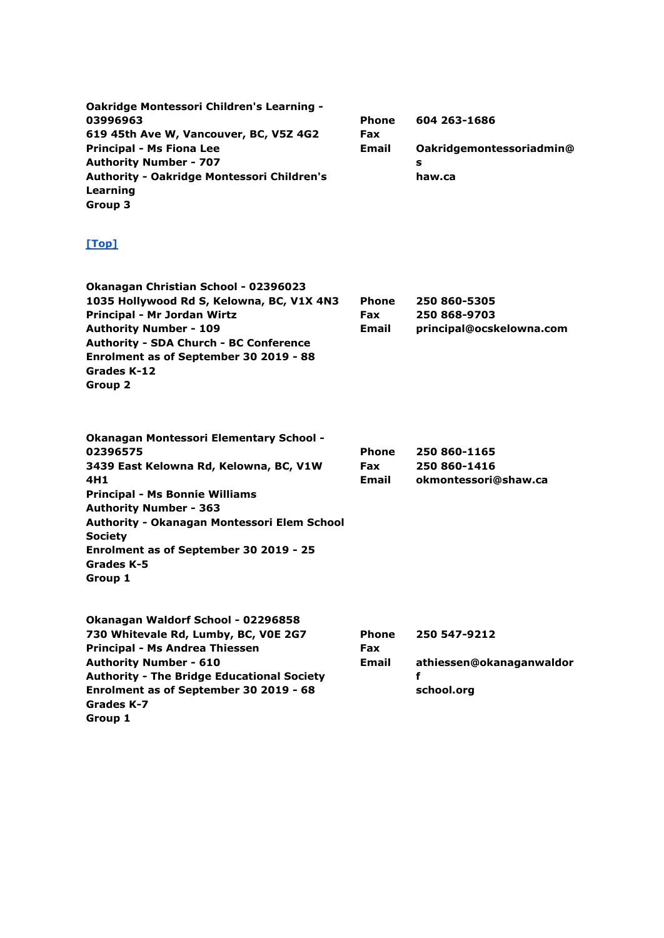| Oakridge Montessori Children's Learning -<br>03996963<br>619 45th Ave W, Vancouver, BC, V5Z 4G2<br><b>Principal - Ms Fiona Lee</b><br><b>Authority Number - 707</b><br>Authority - Oakridge Montessori Children's<br>Learning<br>Group 3                                                                                       | Phone<br>Fax<br>Email        | 604 263-1686<br>Oakridgemontessoriadmin@<br>s<br>haw.ca     |
|--------------------------------------------------------------------------------------------------------------------------------------------------------------------------------------------------------------------------------------------------------------------------------------------------------------------------------|------------------------------|-------------------------------------------------------------|
| [Top]                                                                                                                                                                                                                                                                                                                          |                              |                                                             |
| Okanagan Christian School - 02396023<br>1035 Hollywood Rd S, Kelowna, BC, V1X 4N3<br>Principal - Mr Jordan Wirtz<br><b>Authority Number - 109</b><br><b>Authority - SDA Church - BC Conference</b><br>Enrolment as of September 30 2019 - 88<br>Grades K-12<br>Group 2                                                         | Phone<br><b>Fax</b><br>Email | 250 860-5305<br>250 868-9703<br>principal@ocskelowna.com    |
| Okanagan Montessori Elementary School -<br>02396575<br>3439 East Kelowna Rd, Kelowna, BC, V1W<br>4H <sub>1</sub><br><b>Principal - Ms Bonnie Williams</b><br><b>Authority Number - 363</b><br>Authority - Okanagan Montessori Elem School<br><b>Society</b><br>Enrolment as of September 30 2019 - 25<br>Grades K-5<br>Group 1 | Phone<br><b>Fax</b><br>Email | 250 860-1165<br>250 860-1416<br>okmontessori@shaw.ca        |
| Okanagan Waldorf School - 02296858<br>730 Whitevale Rd, Lumby, BC, VOE 2G7<br>Principal - Ms Andrea Thiessen<br><b>Authority Number - 610</b><br><b>Authority - The Bridge Educational Society</b><br>Enrolment as of September 30 2019 - 68<br>Grades K-7<br>Group 1                                                          | Phone<br>Fax<br>Email        | 250 547-9212<br>athiessen@okanaganwaldor<br>f<br>school.org |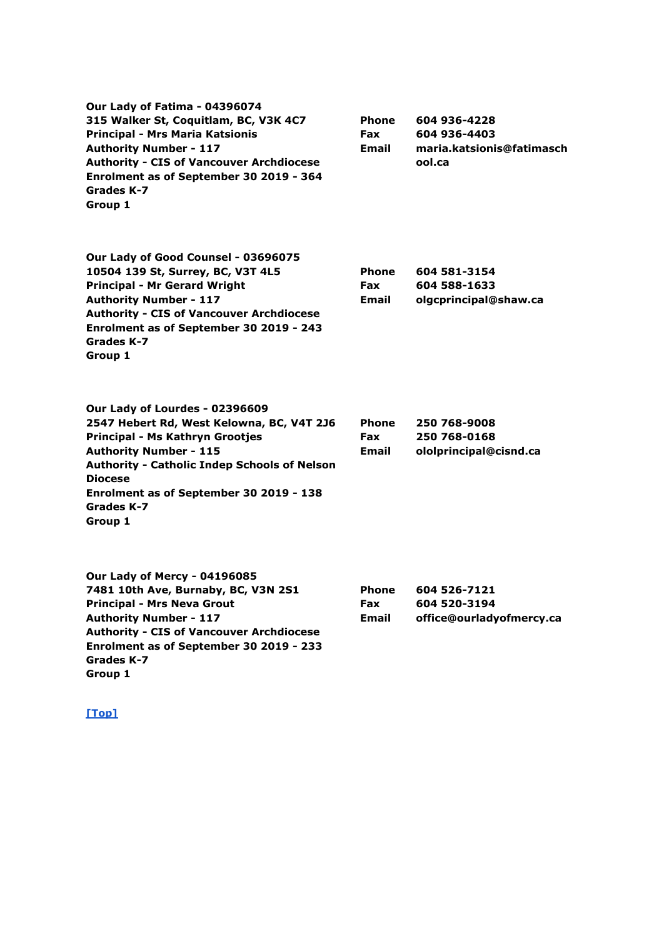| Our Lady of Fatima - 04396074<br>315 Walker St, Coquitlam, BC, V3K 4C7<br><b>Principal - Mrs Maria Katsionis</b><br><b>Authority Number - 117</b><br><b>Authority - CIS of Vancouver Archdiocese</b><br>Enrolment as of September 30 2019 - 364<br>Grades K-7<br>Group 1                     | <b>Phone</b><br><b>Fax</b><br><b>Email</b> | 604 936-4228<br>604 936-4403<br>maria.katsionis@fatimasch<br>ool.ca |
|----------------------------------------------------------------------------------------------------------------------------------------------------------------------------------------------------------------------------------------------------------------------------------------------|--------------------------------------------|---------------------------------------------------------------------|
| Our Lady of Good Counsel - 03696075<br>10504 139 St, Surrey, BC, V3T 4L5<br><b>Principal - Mr Gerard Wright</b><br><b>Authority Number - 117</b><br><b>Authority - CIS of Vancouver Archdiocese</b><br>Enrolment as of September 30 2019 - 243<br>Grades K-7<br>Group 1                      | <b>Phone</b><br><b>Fax</b><br><b>Email</b> | 604 581-3154<br>604 588-1633<br>olgcprincipal@shaw.ca               |
| Our Lady of Lourdes - 02396609<br>2547 Hebert Rd, West Kelowna, BC, V4T 2J6<br>Principal - Ms Kathryn Grootjes<br><b>Authority Number - 115</b><br><b>Authority - Catholic Indep Schools of Nelson</b><br><b>Diocese</b><br>Enrolment as of September 30 2019 - 138<br>Grades K-7<br>Group 1 | <b>Phone</b><br>Fax<br>Email               | 250 768-9008<br>250 768-0168<br>ololprincipal@cisnd.ca              |
| Our Lady of Mercy - 04196085<br>7481 10th Ave, Burnaby, BC, V3N 2S1<br><b>Principal - Mrs Neva Grout</b><br><b>Authority Number - 117</b><br><b>Authority - CIS of Vancouver Archdiocese</b><br>Enrolment as of September 30 2019 - 233                                                      | <b>Phone</b><br>Fax<br><b>Email</b>        | 604 526-7121<br>604 520-3194<br>office@ourladyofmercy.ca            |

**Grades K-7 Group 1**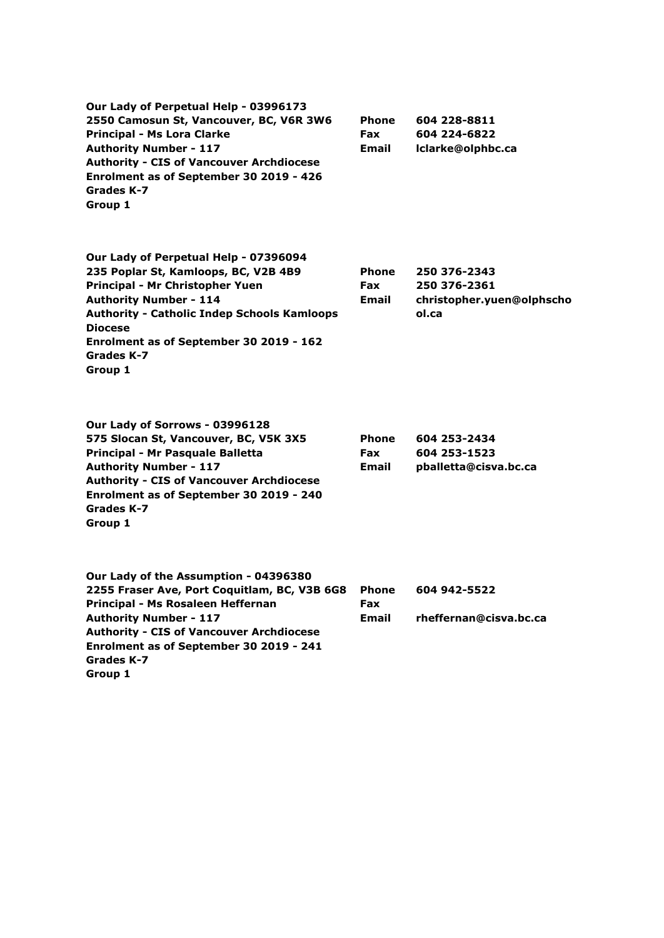| Our Lady of Perpetual Help - 03996173              |              |                           |
|----------------------------------------------------|--------------|---------------------------|
| 2550 Camosun St, Vancouver, BC, V6R 3W6            | <b>Phone</b> | 604 228-8811              |
| <b>Principal - Ms Lora Clarke</b>                  | <b>Fax</b>   | 604 224-6822              |
| <b>Authority Number - 117</b>                      | Email        | Iclarke@olphbc.ca         |
| <b>Authority - CIS of Vancouver Archdiocese</b>    |              |                           |
| Enrolment as of September 30 2019 - 426            |              |                           |
| Grades K-7                                         |              |                           |
| Group 1                                            |              |                           |
|                                                    |              |                           |
| Our Lady of Perpetual Help - 07396094              |              |                           |
| 235 Poplar St, Kamloops, BC, V2B 4B9               | <b>Phone</b> | 250 376-2343              |
| Principal - Mr Christopher Yuen                    | <b>Fax</b>   | 250 376-2361              |
| <b>Authority Number - 114</b>                      | Email        | christopher.yuen@olphscho |
| <b>Authority - Catholic Indep Schools Kamloops</b> |              | ol.ca                     |
| <b>Diocese</b>                                     |              |                           |
| Enrolment as of September 30 2019 - 162            |              |                           |
| Grades K-7                                         |              |                           |
| Group 1                                            |              |                           |
|                                                    |              |                           |
|                                                    |              |                           |

**Our Lady of Sorrows - 03996128 575 Slocan St, Vancouver, BC, V5K 3X5 Principal - Mr Pasquale Balletta Authority Number - 117 Authority - CIS of Vancouver Archdiocese Enrolment as of September 30 2019 - 240 Grades K-7 Group 1**

| <b>Phone</b> | 604 253-2434          |
|--------------|-----------------------|
| <b>Fax</b>   | 604 253-1523          |
| Email        | pballetta@cisva.bc.ca |

| Our Lady of the Assumption - 04396380           |            |                        |
|-------------------------------------------------|------------|------------------------|
| 2255 Fraser Ave, Port Coquitlam, BC, V3B 6G8    | Phone      | 604 942-5522           |
| Principal - Ms Rosaleen Heffernan               | <b>Fax</b> |                        |
| <b>Authority Number - 117</b>                   | Email      | rheffernan@cisva.bc.ca |
| <b>Authority - CIS of Vancouver Archdiocese</b> |            |                        |
| Enrolment as of September 30 2019 - 241         |            |                        |
| Grades K-7                                      |            |                        |
| Group 1                                         |            |                        |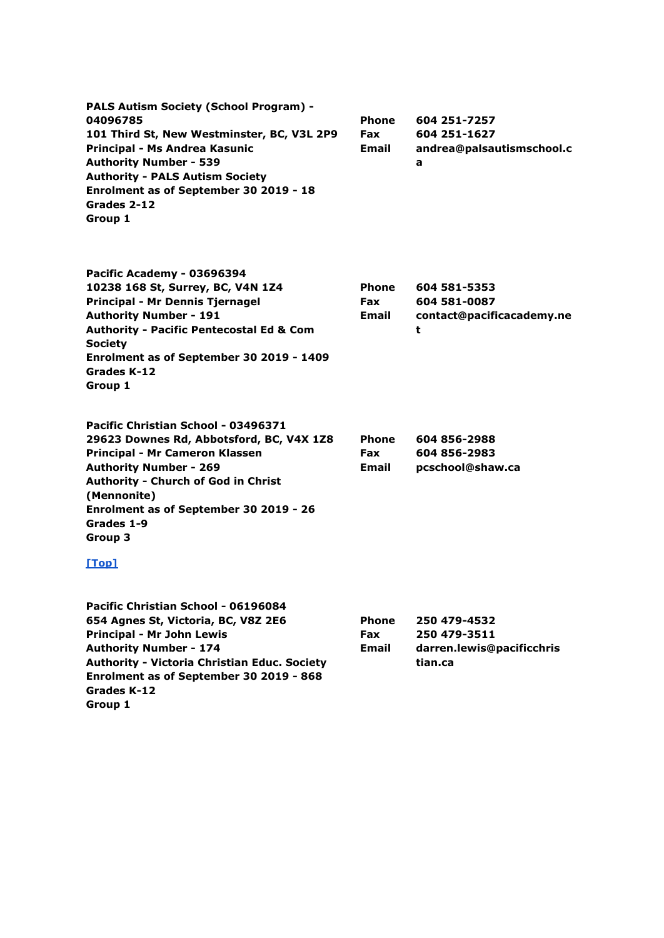| <b>PALS Autism Society (School Program) -</b> |              |                           |
|-----------------------------------------------|--------------|---------------------------|
| 04096785                                      | <b>Phone</b> | 604 251-7257              |
| 101 Third St, New Westminster, BC, V3L 2P9    | <b>Fax</b>   | 604 251-1627              |
| Principal - Ms Andrea Kasunic                 | Email        | andrea@palsautismschool.c |
| <b>Authority Number - 539</b>                 |              | a                         |
| <b>Authority - PALS Autism Society</b>        |              |                           |
| Enrolment as of September 30 2019 - 18        |              |                           |
| Grades 2-12                                   |              |                           |
| Group 1                                       |              |                           |

**Pacific Academy - 03696394 10238 168 St, Surrey, BC, V4N 1Z4 Principal - Mr Dennis Tjernagel Authority Number - 191 Authority - Pacific Pentecostal Ed & Com Society Enrolment as of September 30 2019 - 1409 Grades K-12 Group 1 Phone Fax Email 604 581-5353 604 581-0087 contact@pacificacademy.ne t**

| Pacific Christian School - 03496371        |              |                  |
|--------------------------------------------|--------------|------------------|
| 29623 Downes Rd, Abbotsford, BC, V4X 1Z8   | <b>Phone</b> | 604 856-2988     |
| Principal - Mr Cameron Klassen             | <b>Fax</b>   | 604 856-2983     |
| <b>Authority Number - 269</b>              | <b>Email</b> | pcschool@shaw.ca |
| <b>Authority - Church of God in Christ</b> |              |                  |
| (Mennonite)                                |              |                  |
| Enrolment as of September 30 2019 - 26     |              |                  |
| Grades 1-9                                 |              |                  |
| Group 3                                    |              |                  |

| Pacific Christian School - 06196084                 |              |                           |
|-----------------------------------------------------|--------------|---------------------------|
| 654 Agnes St, Victoria, BC, V8Z 2E6                 | <b>Phone</b> | 250 479-4532              |
| Principal - Mr John Lewis                           | <b>Fax</b>   | 250 479-3511              |
| <b>Authority Number - 174</b>                       | Email        | darren.lewis@pacificchris |
| <b>Authority - Victoria Christian Educ. Society</b> |              | tian.ca                   |
| Enrolment as of September 30 2019 - 868             |              |                           |
| Grades K-12                                         |              |                           |
| Group 1                                             |              |                           |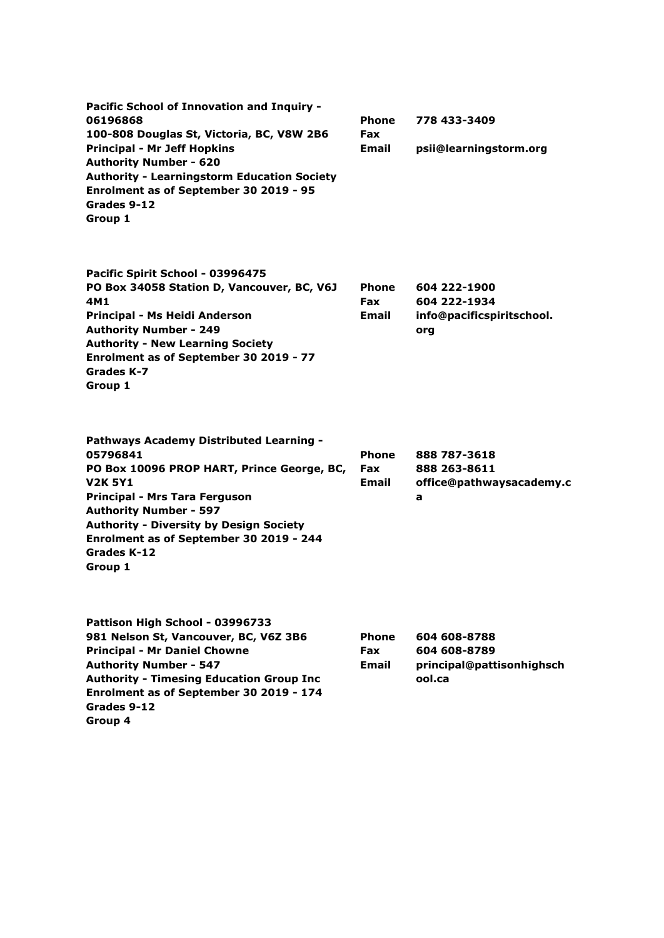| Pacific School of Innovation and Inquiry -<br>06196868<br>100-808 Douglas St, Victoria, BC, V8W 2B6<br><b>Principal - Mr Jeff Hopkins</b><br><b>Authority Number - 620</b><br><b>Authority - Learningstorm Education Society</b><br>Enrolment as of September 30 2019 - 95<br>Grades 9-12<br>Group 1         | <b>Phone</b><br><b>Fax</b><br>Email | 778 433-3409<br>psii@learningstorm.org                              |
|--------------------------------------------------------------------------------------------------------------------------------------------------------------------------------------------------------------------------------------------------------------------------------------------------------------|-------------------------------------|---------------------------------------------------------------------|
| Pacific Spirit School - 03996475<br>PO Box 34058 Station D, Vancouver, BC, V6J<br>4M1<br>Principal - Ms Heidi Anderson<br><b>Authority Number - 249</b><br><b>Authority - New Learning Society</b><br>Enrolment as of September 30 2019 - 77<br>Grades K-7<br>Group 1                                        | Phone<br><b>Fax</b><br>Email        | 604 222-1900<br>604 222-1934<br>info@pacificspiritschool.<br>org    |
| Pathways Academy Distributed Learning -<br>05796841<br>PO Box 10096 PROP HART, Prince George, BC,<br><b>V2K 5Y1</b><br>Principal - Mrs Tara Ferguson<br><b>Authority Number - 597</b><br><b>Authority - Diversity by Design Society</b><br>Enrolment as of September 30 2019 - 244<br>Grades K-12<br>Group 1 | <b>Phone</b><br><b>Fax</b><br>Email | 888 787-3618<br>888 263-8611<br>office@pathwaysacademy.c<br>a       |
| Pattison High School - 03996733<br>981 Nelson St, Vancouver, BC, V6Z 3B6<br><b>Principal - Mr Daniel Chowne</b><br><b>Authority Number - 547</b><br><b>Authority - Timesing Education Group Inc</b><br>Enrolment as of September 30 2019 - 174<br>Grades 9-12                                                | Phone<br><b>Fax</b><br>Email        | 604 608-8788<br>604 608-8789<br>principal@pattisonhighsch<br>ool.ca |

**Group 4**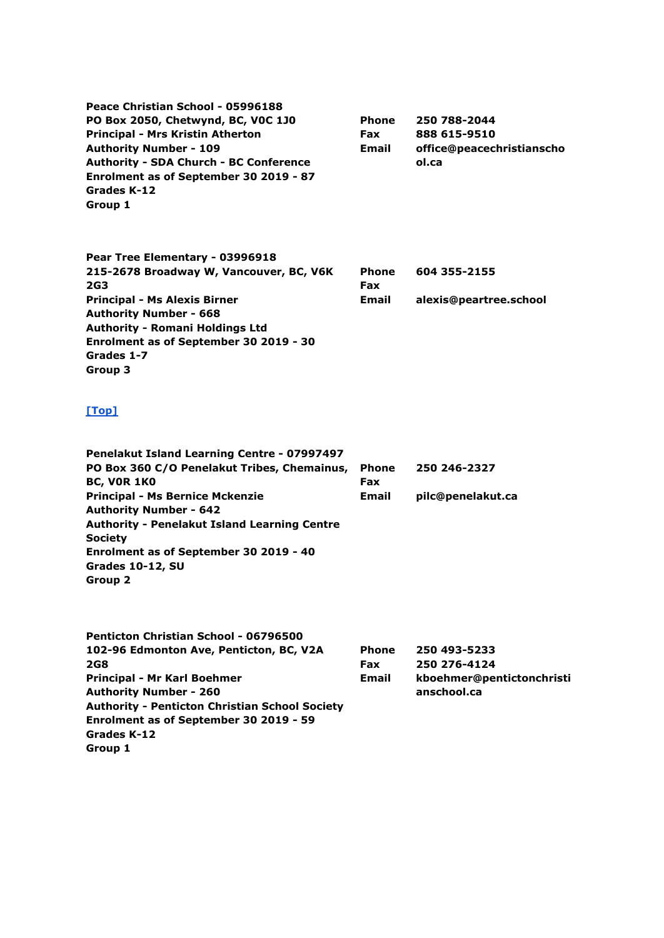| Peace Christian School - 05996188<br>PO Box 2050, Chetwynd, BC, VOC 1J0<br><b>Principal - Mrs Kristin Atherton</b><br><b>Authority Number - 109</b><br>Authority - SDA Church - BC Conference<br>Enrolment as of September 30 2019 - 87<br>Grades K-12<br>Group 1         | Phone<br><b>Fax</b><br>Email | 250 788-2044<br>888 615-9510<br>office@peacechristianscho<br>ol.ca       |
|---------------------------------------------------------------------------------------------------------------------------------------------------------------------------------------------------------------------------------------------------------------------------|------------------------------|--------------------------------------------------------------------------|
| Pear Tree Elementary - 03996918<br>215-2678 Broadway W, Vancouver, BC, V6K<br>2G3<br><b>Principal - Ms Alexis Birner</b><br><b>Authority Number - 668</b><br><b>Authority - Romani Holdings Ltd</b><br>Enrolment as of September 30 2019 - 30<br>Grades 1-7<br>Group 3    | Phone<br>Fax<br>Email        | 604 355-2155<br>alexis@peartree.school                                   |
| [Top]<br>Penelakut Island Learning Centre - 07997497                                                                                                                                                                                                                      |                              |                                                                          |
| PO Box 360 C/O Penelakut Tribes, Chemainus,<br><b>BC, VOR 1K0</b>                                                                                                                                                                                                         | <b>Phone</b><br>Fax          | 250 246-2327                                                             |
| <b>Principal - Ms Bernice Mckenzie</b><br><b>Authority Number - 642</b><br><b>Authority - Penelakut Island Learning Centre</b><br><b>Society</b><br>Enrolment as of September 30 2019 - 40<br>Grades 10-12, SU<br><b>Group 2</b>                                          | Email                        | pilc@penelakut.ca                                                        |
| Penticton Christian School - 06796500<br>102-96 Edmonton Ave, Penticton, BC, V2A<br>2G8<br>Principal - Mr Karl Boehmer<br><b>Authority Number - 260</b><br><b>Authority - Penticton Christian School Society</b><br>Enrolment as of September 30 2019 - 59<br>Grades K-12 | Phone<br><b>Fax</b><br>Email | 250 493-5233<br>250 276-4124<br>kboehmer@pentictonchristi<br>anschool.ca |

**Group 1**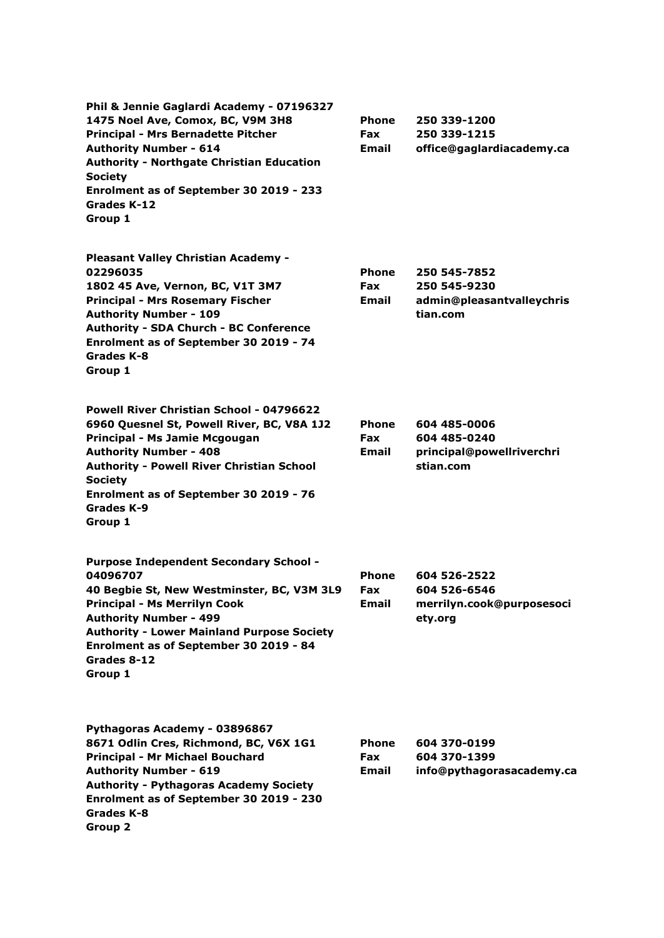**Phil & Jennie Gaglardi Academy - 07196327 1475 Noel Ave, Comox, BC, V9M 3H8 Principal - Mrs Bernadette Pitcher Authority Number - 614 Authority - Northgate Christian Education Society Enrolment as of September 30 2019 - 233 Grades K-12 Group 1 Phone Fax Email 250 339-1200 250 339-1215 office@gaglardiacademy.ca Pleasant Valley Christian Academy - 02296035 1802 45 Ave, Vernon, BC, V1T 3M7 Principal - Mrs Rosemary Fischer Authority Number - 109 Authority - SDA Church - BC Conference Enrolment as of September 30 2019 - 74 Grades K-8 Group 1 Phone Fax Email 250 545-7852 250 545-9230 admin@pleasantvalleychris tian.com Powell River Christian School - 04796622 6960 Quesnel St, Powell River, BC, V8A 1J2 Principal - Ms Jamie Mcgougan Authority Number - 408 Authority - Powell River Christian School Society Enrolment as of September 30 2019 - 76 Grades K-9 Group 1 Phone Fax Email 604 485-0006 604 485-0240 principal@powellriverchri stian.com Purpose Independent Secondary School - 04096707 40 Begbie St, New Westminster, BC, V3M 3L9 Principal - Ms Merrilyn Cook Authority Number - 499 Authority - Lower Mainland Purpose Society Enrolment as of September 30 2019 - 84 Grades 8-12 Group 1 Phone Fax Email 604 526-2522 604 526-6546 merrilyn.cook@purposesoci ety.org Pythagoras Academy - 03896867 8671 Odlin Cres, Richmond, BC, V6X 1G1 Principal - Mr Michael Bouchard Authority Number - 619 Authority - Pythagoras Academy Society Enrolment as of September 30 2019 - 230 Phone Fax Email 604 370-0199 604 370-1399 info@pythagorasacademy.ca**

**Grades K-8 Group 2**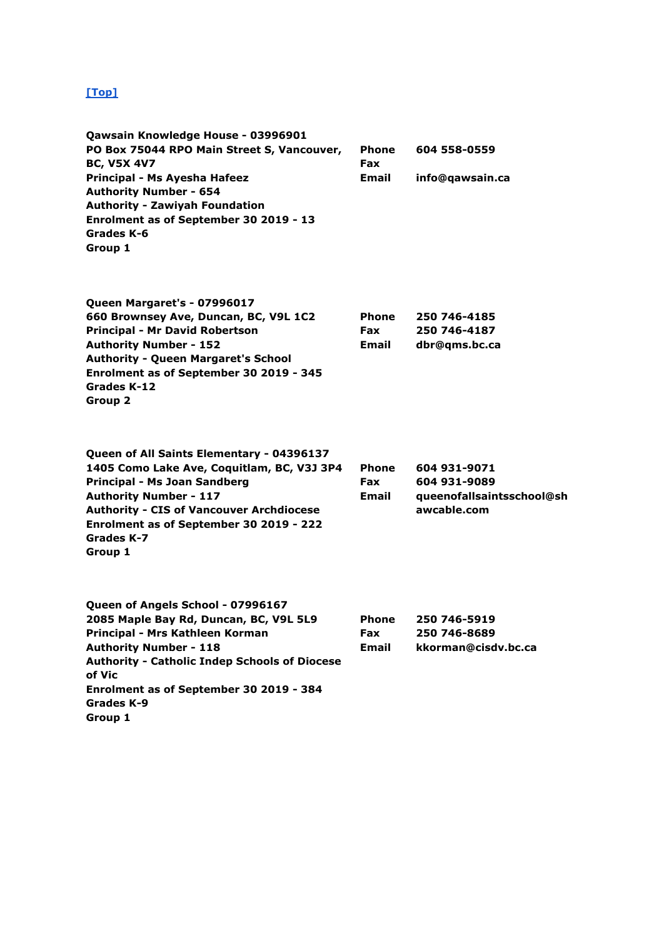| Qawsain Knowledge House - 03996901<br>PO Box 75044 RPO Main Street S, Vancouver,<br><b>BC, V5X 4V7</b><br>Principal - Ms Ayesha Hafeez<br><b>Authority Number - 654</b><br><b>Authority - Zawiyah Foundation</b><br>Enrolment as of September 30 2019 - 13<br>Grades K-6<br>Group 1   | <b>Phone</b><br>Fax<br>Email | 604 558-0559<br>info@qawsain.ca                                          |
|---------------------------------------------------------------------------------------------------------------------------------------------------------------------------------------------------------------------------------------------------------------------------------------|------------------------------|--------------------------------------------------------------------------|
| Queen Margaret's - 07996017<br>660 Brownsey Ave, Duncan, BC, V9L 1C2<br><b>Principal - Mr David Robertson</b><br><b>Authority Number - 152</b><br><b>Authority - Queen Margaret's School</b><br>Enrolment as of September 30 2019 - 345<br>Grades K-12<br>Group 2                     | Phone<br>Fax<br>Email        | 250 746-4185<br>250 746-4187<br>dbr@qms.bc.ca                            |
| Queen of All Saints Elementary - 04396137<br>1405 Como Lake Ave, Coquitlam, BC, V3J 3P4<br>Principal - Ms Joan Sandberg<br><b>Authority Number - 117</b><br><b>Authority - CIS of Vancouver Archdiocese</b><br>Enrolment as of September 30 2019 - 222<br>Grades K-7<br>Group 1       | Phone<br><b>Fax</b><br>Email | 604 931-9071<br>604 931-9089<br>queenofallsaintsschool@sh<br>awcable.com |
| Queen of Angels School - 07996167<br>2085 Maple Bay Rd, Duncan, BC, V9L 5L9<br>Principal - Mrs Kathleen Korman<br><b>Authority Number - 118</b><br><b>Authority - Catholic Indep Schools of Diocese</b><br>of Vic<br>Enrolment as of September 30 2019 - 384<br>Grades K-9<br>Group 1 | Phone<br>Fax<br><b>Email</b> | 250 746-5919<br>250 746-8689<br>kkorman@cisdv.bc.ca                      |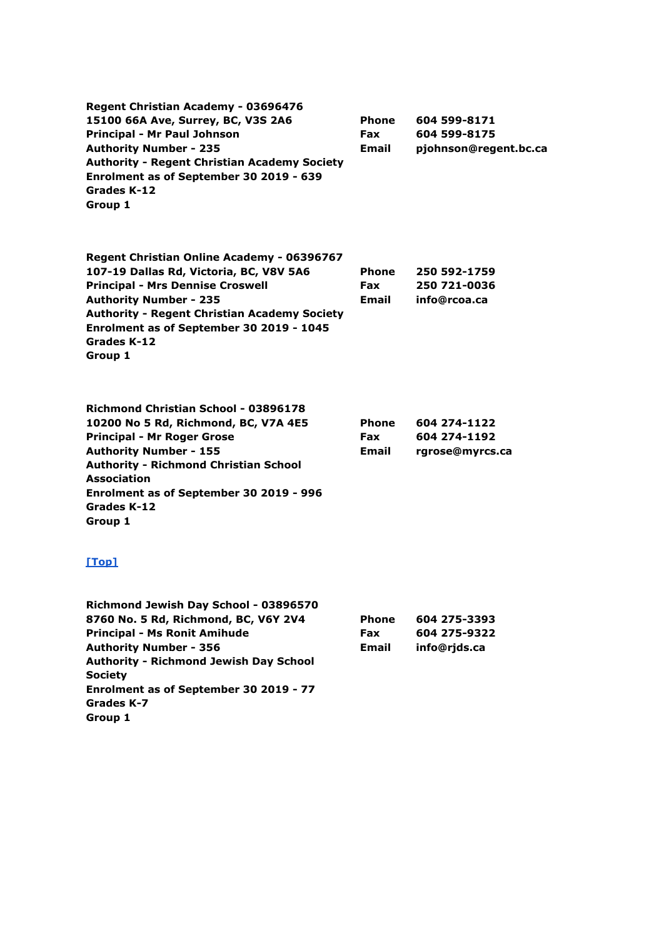| Regent Christian Academy - 03696476<br>15100 66A Ave, Surrey, BC, V3S 2A6<br><b>Principal - Mr Paul Johnson</b><br><b>Authority Number - 235</b><br><b>Authority - Regent Christian Academy Society</b><br>Enrolment as of September 30 2019 - 639<br>Grades K-12<br>Group 1                         | Phone<br><b>Fax</b><br>Email | 604 599-8171<br>604 599-8175<br>pjohnson@regent.bc.ca |
|------------------------------------------------------------------------------------------------------------------------------------------------------------------------------------------------------------------------------------------------------------------------------------------------------|------------------------------|-------------------------------------------------------|
| Regent Christian Online Academy - 06396767<br>107-19 Dallas Rd, Victoria, BC, V8V 5A6<br><b>Principal - Mrs Dennise Croswell</b><br><b>Authority Number - 235</b><br><b>Authority - Regent Christian Academy Society</b><br>Enrolment as of September 30 2019 - 1045<br>Grades K-12<br>Group 1       | Phone<br>Fax<br><b>Email</b> | 250 592-1759<br>250 721-0036<br>info@rcoa.ca          |
| <b>Richmond Christian School - 03896178</b><br>10200 No 5 Rd, Richmond, BC, V7A 4E5<br><b>Principal - Mr Roger Grose</b><br><b>Authority Number - 155</b><br><b>Authority - Richmond Christian School</b><br><b>Association</b><br>Enrolment as of September 30 2019 - 996<br>Grades K-12<br>Group 1 | Phone<br><b>Fax</b><br>Email | 604 274-1122<br>604 274-1192<br>rgrose@myrcs.ca       |
| [Top]                                                                                                                                                                                                                                                                                                |                              |                                                       |
| Richmond Jewish Day School - 03896570<br>8760 No. 5 Rd, Richmond, BC, V6Y 2V4<br><b>Principal - Ms Ronit Amihude</b><br><b>Authority Number - 356</b><br><b>Authority - Richmond Jewish Day School</b>                                                                                               | Phone<br>Fax<br>Email        | 604 275-3393<br>604 275-9322<br>info@rjds.ca          |

**Grades K-7 Group 1**

**Society**

**Enrolment as of September 30 2019 - 77**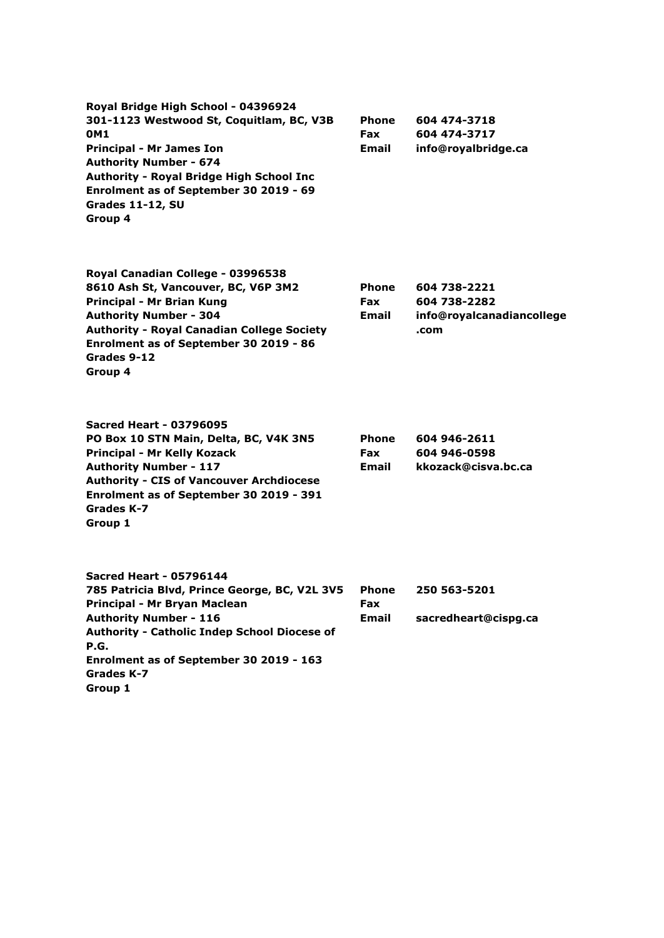**Royal Bridge High School - 04396924 301-1123 Westwood St, Coquitlam, BC, V3B 0M1 Principal - Mr James Ion Authority Number - 674 Authority - Royal Bridge High School Inc Enrolment as of September 30 2019 - 69 Grades 11-12, SU Group 4 Phone Fax Email 604 474-3718 604 474-3717 info@royalbridge.ca**

**Royal Canadian College - 03996538 8610 Ash St, Vancouver, BC, V6P 3M2 Principal - Mr Brian Kung Authority Number - 304 Authority - Royal Canadian College Society Enrolment as of September 30 2019 - 86 Grades 9-12 Group 4**

**Phone Fax Email 604 738-2221 604 738-2282 info@royalcanadiancollege .com**

**Sacred Heart - 03796095 PO Box 10 STN Main, Delta, BC, V4K 3N5 Principal - Mr Kelly Kozack Authority Number - 117 Authority - CIS of Vancouver Archdiocese Enrolment as of September 30 2019 - 391 Grades K-7 Group 1**

**Phone Fax Email 604 946-2611 604 946-0598 kkozack@cisva.bc.ca**

**Sacred Heart - 05796144 785 Patricia Blvd, Prince George, BC, V2L 3V5 Principal - Mr Bryan Maclean Authority Number - 116 Authority - Catholic Indep School Diocese of P.G. Enrolment as of September 30 2019 - 163 Grades K-7 Group 1 Phone Fax Email 250 563-5201 sacredheart@cispg.ca**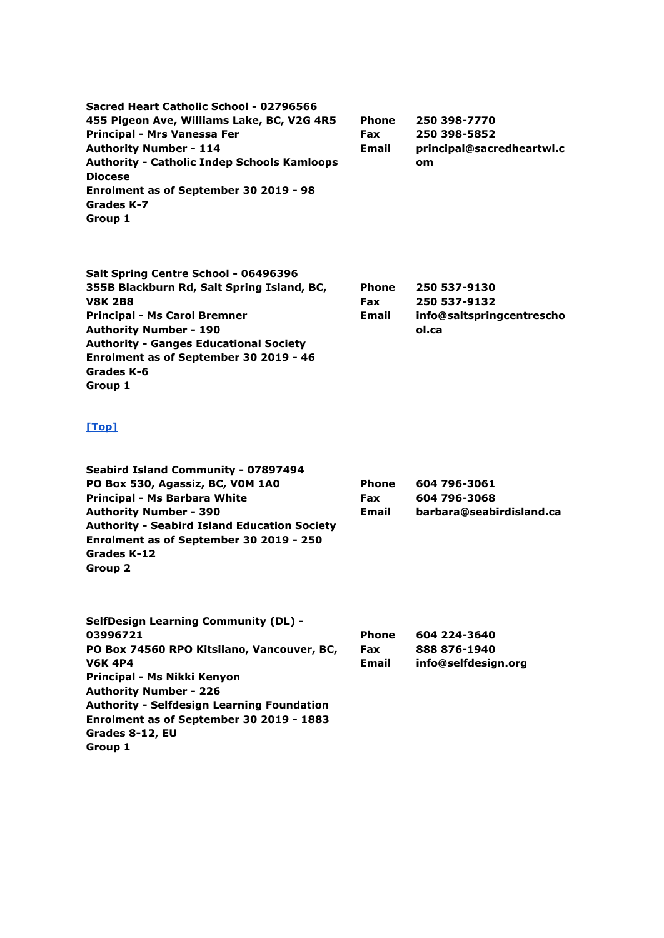| Sacred Heart Catholic School - 02796566<br>455 Pigeon Ave, Williams Lake, BC, V2G 4R5<br>Principal - Mrs Vanessa Fer<br><b>Authority Number - 114</b><br><b>Authority - Catholic Indep Schools Kamloops</b><br><b>Diocese</b><br>Enrolment as of September 30 2019 - 98<br>Grades K-7<br>Group 1            | Phone<br><b>Fax</b><br>Email               | 250 398-7770<br>250 398-5852<br>principal@sacredheartwl.c<br><b>om</b> |
|-------------------------------------------------------------------------------------------------------------------------------------------------------------------------------------------------------------------------------------------------------------------------------------------------------------|--------------------------------------------|------------------------------------------------------------------------|
| Salt Spring Centre School - 06496396<br>355B Blackburn Rd, Salt Spring Island, BC,<br><b>V8K 2B8</b><br><b>Principal - Ms Carol Bremner</b><br><b>Authority Number - 190</b><br><b>Authority - Ganges Educational Society</b><br>Enrolment as of September 30 2019 - 46<br>Grades K-6<br>Group 1            | <b>Phone</b><br><b>Fax</b><br><b>Email</b> | 250 537-9130<br>250 537-9132<br>info@saltspringcentrescho<br>ol.ca     |
| [Top]                                                                                                                                                                                                                                                                                                       |                                            |                                                                        |
| Seabird Island Community - 07897494<br>PO Box 530, Agassiz, BC, VOM 1A0<br><b>Principal - Ms Barbara White</b><br><b>Authority Number - 390</b><br><b>Authority - Seabird Island Education Society</b><br>Enrolment as of September 30 2019 - 250<br><b>Grades K-12</b><br>Group 2                          | <b>Phone</b><br><b>Fax</b><br>Email        | 604 796-3061<br>604 796-3068<br>barbara@seabirdisland.ca               |
| <b>SelfDesign Learning Community (DL) -</b><br>03996721<br>PO Box 74560 RPO Kitsilano, Vancouver, BC,<br><b>V6K 4P4</b><br>Principal - Ms Nikki Kenyon<br><b>Authority Number - 226</b><br><b>Authority - Selfdesign Learning Foundation</b><br>Enrolment as of September 30 2019 - 1883<br>Grades 8-12, EU | Phone<br><b>Fax</b><br>Email               | 604 224-3640<br>888 876-1940<br>info@selfdesign.org                    |

**Group 1**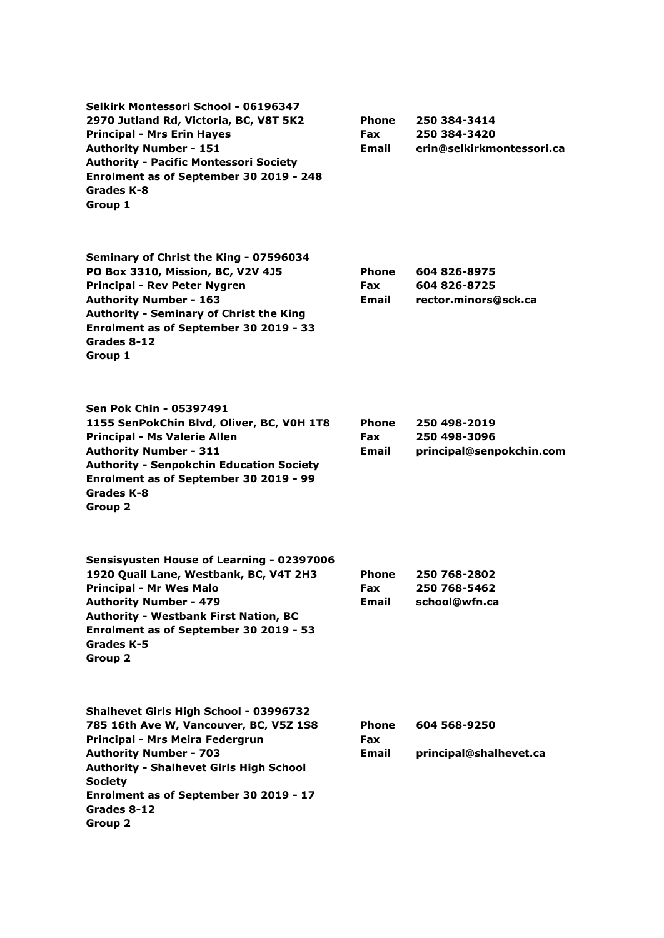| Selkirk Montessori School - 06196347<br>2970 Jutland Rd, Victoria, BC, V8T 5K2<br><b>Principal - Mrs Erin Hayes</b><br><b>Authority Number - 151</b><br><b>Authority - Pacific Montessori Society</b><br>Enrolment as of September 30 2019 - 248<br>Grades K-8<br>Group 1                    | <b>Phone</b><br><b>Fax</b><br>Email | 250 384-3414<br>250 384-3420<br>erin@selkirkmontessori.ca |
|----------------------------------------------------------------------------------------------------------------------------------------------------------------------------------------------------------------------------------------------------------------------------------------------|-------------------------------------|-----------------------------------------------------------|
| Seminary of Christ the King - 07596034<br>PO Box 3310, Mission, BC, V2V 4J5<br><b>Principal - Rev Peter Nygren</b><br><b>Authority Number - 163</b><br><b>Authority - Seminary of Christ the King</b><br>Enrolment as of September 30 2019 - 33<br>Grades 8-12<br>Group 1                    | <b>Phone</b><br><b>Fax</b><br>Email | 604 826-8975<br>604 826-8725<br>rector.minors@sck.ca      |
| Sen Pok Chin - 05397491<br>1155 SenPokChin Blvd, Oliver, BC, V0H 1T8<br><b>Principal - Ms Valerie Allen</b><br><b>Authority Number - 311</b><br><b>Authority - Senpokchin Education Society</b><br>Enrolment as of September 30 2019 - 99<br>Grades K-8<br>Group 2                           | Phone<br>Fax<br>Email               | 250 498-2019<br>250 498-3096<br>principal@senpokchin.com  |
| Sensisyusten House of Learning - 02397006<br>1920 Quail Lane, Westbank, BC, V4T 2H3<br><b>Principal - Mr Wes Malo</b><br><b>Authority Number - 479</b><br><b>Authority - Westbank First Nation, BC</b><br>Enrolment as of September 30 2019 - 53<br>Grades K-5<br>Group 2                    | Phone<br>Fax<br><b>Email</b>        | 250 768-2802<br>250 768-5462<br>school@wfn.ca             |
| Shalhevet Girls High School - 03996732<br>785 16th Ave W, Vancouver, BC, V5Z 1S8<br>Principal - Mrs Meira Federgrun<br><b>Authority Number - 703</b><br><b>Authority - Shalhevet Girls High School</b><br><b>Society</b><br>Enrolment as of September 30 2019 - 17<br>Grades 8-12<br>Group 2 | Phone<br><b>Fax</b><br>Email        | 604 568-9250<br>principal@shalhevet.ca                    |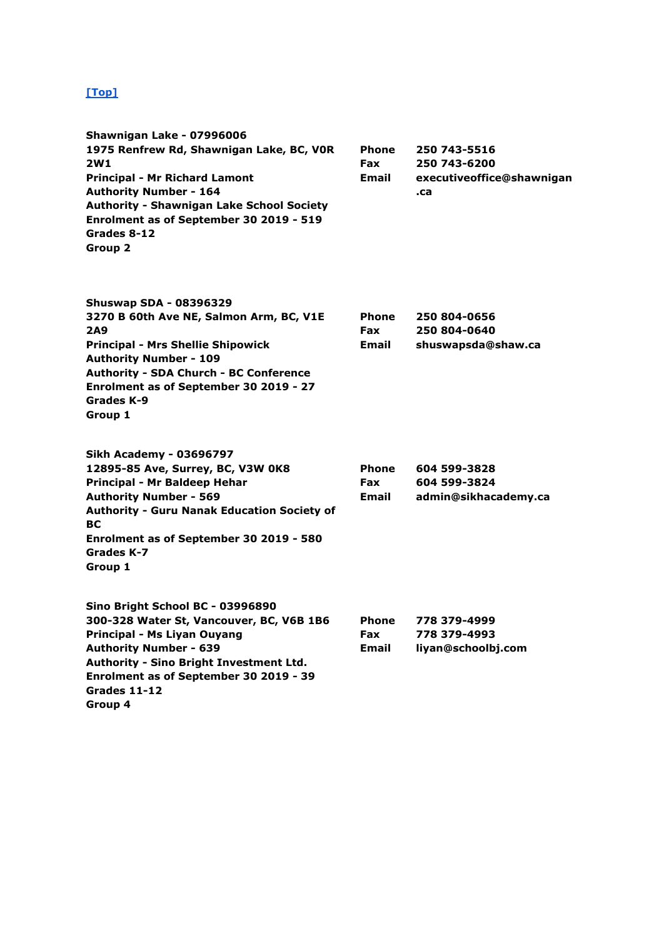| <b>Shawnigan Lake - 07996006</b>                 |              |                           |
|--------------------------------------------------|--------------|---------------------------|
| 1975 Renfrew Rd, Shawnigan Lake, BC, VOR         | <b>Phone</b> | 250 743-5516              |
| 2W1                                              | <b>Fax</b>   | 250 743-6200              |
| <b>Principal - Mr Richard Lamont</b>             | <b>Email</b> | executiveoffice@shawnigan |
| <b>Authority Number - 164</b>                    |              | .ca                       |
| <b>Authority - Shawnigan Lake School Society</b> |              |                           |
| Enrolment as of September 30 2019 - 519          |              |                           |
| Grades 8-12                                      |              |                           |
| Group 2                                          |              |                           |
|                                                  |              |                           |
|                                                  |              |                           |

| <b>Shuswap SDA - 08396329</b>                 |              |                    |
|-----------------------------------------------|--------------|--------------------|
| 3270 B 60th Ave NE, Salmon Arm, BC, V1E       | <b>Phone</b> | 250 804-0656       |
| <b>2A9</b>                                    | <b>Fax</b>   | 250 804-0640       |
| <b>Principal - Mrs Shellie Shipowick</b>      | <b>Email</b> | shuswapsda@shaw.ca |
| <b>Authority Number - 109</b>                 |              |                    |
| <b>Authority - SDA Church - BC Conference</b> |              |                    |
| Enrolment as of September 30 2019 - 27        |              |                    |
| Grades K-9                                    |              |                    |
| Group 1                                       |              |                    |
|                                               |              |                    |

| Sikh Academy - 03696797                                                                                                                                                            |                     |                                      |                                  |  |  |
|------------------------------------------------------------------------------------------------------------------------------------------------------------------------------------|---------------------|--------------------------------------|----------------------------------|--|--|
| 12895-85 Ave, Surrey, BC, V3W 0K8                                                                                                                                                  | <b>Phone</b>        | 604 599-3828                         |                                  |  |  |
| Principal - Mr Baldeep Hehar<br><b>Authority Number - 569</b><br><b>Authority - Guru Nanak Education Society of</b><br>BС<br>Enrolment as of September 30 2019 - 580<br>Grades K-7 | <b>Fax</b><br>Email | 604 599-3824<br>admin@sikhacademy.ca |                                  |  |  |
|                                                                                                                                                                                    |                     |                                      | Group 1                          |  |  |
|                                                                                                                                                                                    |                     |                                      | Sino Bright School BC - 03996890 |  |  |

| 300-328 Water St, Vancouver, BC, V6B 1B6       | <b>Phone</b> | 778 379-4999       |
|------------------------------------------------|--------------|--------------------|
| <b>Principal - Ms Liyan Ouyang</b>             | <b>Fax</b>   | 778 379-4993       |
| <b>Authority Number - 639</b>                  | <b>Email</b> | liyan@schoolbj.com |
| <b>Authority - Sino Bright Investment Ltd.</b> |              |                    |
| Enrolment as of September 30 2019 - 39         |              |                    |
| Grades 11-12                                   |              |                    |
| Group 4                                        |              |                    |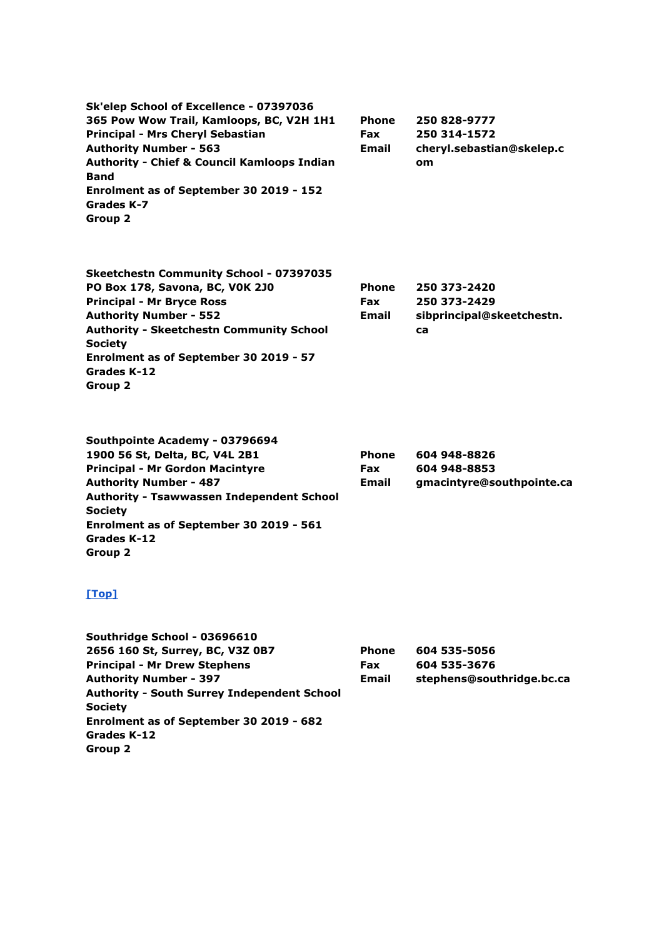**Sk'elep School of Excellence - 07397036 365 Pow Wow Trail, Kamloops, BC, V2H 1H1 Principal - Mrs Cheryl Sebastian Authority Number - 563 Authority - Chief & Council Kamloops Indian Band Enrolment as of September 30 2019 - 152 Grades K-7 Group 2 Phone Fax Email 250 828-9777 250 314-1572 cheryl.sebastian@skelep.c om**

| <b>Skeetchestn Community School - 07397035</b>  |              |                           |
|-------------------------------------------------|--------------|---------------------------|
| PO Box 178, Savona, BC, VOK 2J0                 | <b>Phone</b> | 250 373-2420              |
| <b>Principal - Mr Bryce Ross</b>                | <b>Fax</b>   | 250 373-2429              |
| <b>Authority Number - 552</b>                   | Email        | sibprincipal@skeetchestn. |
| <b>Authority - Skeetchestn Community School</b> |              | ca                        |
| <b>Society</b>                                  |              |                           |
| Enrolment as of September 30 2019 - 57          |              |                           |
| Grades K-12                                     |              |                           |
| Group 2                                         |              |                           |

| Southpointe Academy - 03796694                   |              |                           |
|--------------------------------------------------|--------------|---------------------------|
| 1900 56 St, Delta, BC, V4L 2B1                   | <b>Phone</b> | 604 948-8826              |
| <b>Principal - Mr Gordon Macintyre</b>           | <b>Fax</b>   | 604 948-8853              |
| <b>Authority Number - 487</b>                    | Email        | gmacintyre@southpointe.ca |
| <b>Authority - Tsawwassen Independent School</b> |              |                           |
| <b>Society</b>                                   |              |                           |
| Enrolment as of September 30 2019 - 561          |              |                           |
| Grades K-12                                      |              |                           |
| Group 2                                          |              |                           |

| Southridge School - 03696610                       |              |                           |
|----------------------------------------------------|--------------|---------------------------|
| 2656 160 St, Surrey, BC, V3Z 0B7                   | <b>Phone</b> | 604 535-5056              |
| <b>Principal - Mr Drew Stephens</b>                | <b>Fax</b>   | 604 535-3676              |
| <b>Authority Number - 397</b>                      | <b>Email</b> | stephens@southridge.bc.ca |
| <b>Authority - South Surrey Independent School</b> |              |                           |
| <b>Society</b>                                     |              |                           |
| Enrolment as of September 30 2019 - 682            |              |                           |
| Grades K-12                                        |              |                           |
| Group 2                                            |              |                           |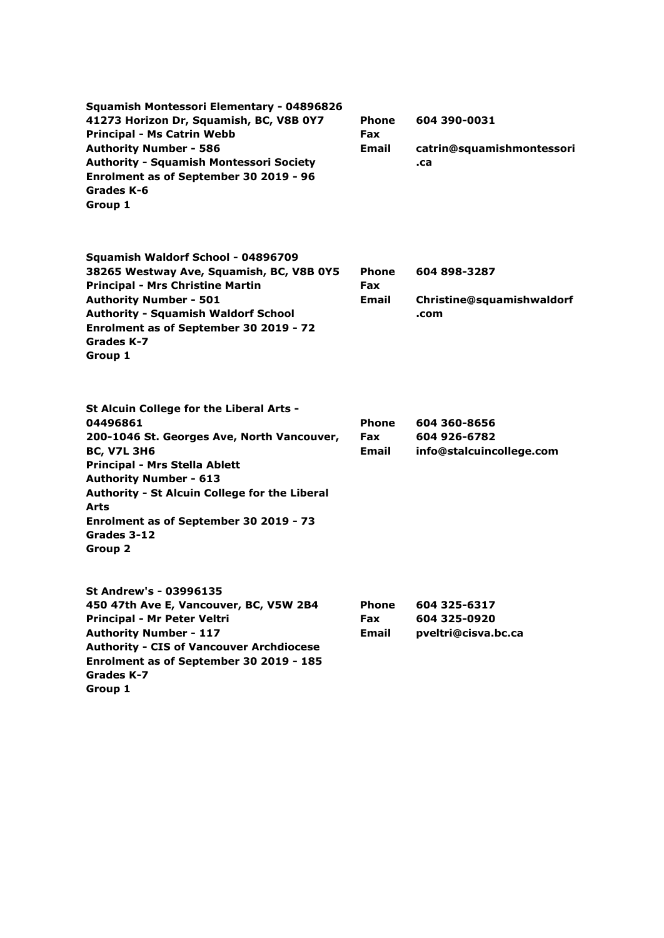| Squamish Montessori Elementary - 04896826<br>41273 Horizon Dr, Squamish, BC, V8B 0Y7<br><b>Principal - Ms Catrin Webb</b><br><b>Authority Number - 586</b><br><b>Authority - Squamish Montessori Society</b><br>Enrolment as of September 30 2019 - 96<br>Grades K-6<br>Group 1                                                       | <b>Phone</b><br><b>Fax</b><br>Email        | 604 390-0031<br>catrin@squamishmontessori<br>.ca         |
|---------------------------------------------------------------------------------------------------------------------------------------------------------------------------------------------------------------------------------------------------------------------------------------------------------------------------------------|--------------------------------------------|----------------------------------------------------------|
| Squamish Waldorf School - 04896709<br>38265 Westway Ave, Squamish, BC, V8B 0Y5<br><b>Principal - Mrs Christine Martin</b><br><b>Authority Number - 501</b><br><b>Authority - Squamish Waldorf School</b><br>Enrolment as of September 30 2019 - 72<br>Grades K-7<br>Group 1                                                           | <b>Phone</b><br>Fax<br>Email               | 604 898-3287<br>Christine@squamishwaldorf<br>.com        |
| St Alcuin College for the Liberal Arts -<br>04496861<br>200-1046 St. Georges Ave, North Vancouver,<br><b>BC, V7L 3H6</b><br><b>Principal - Mrs Stella Ablett</b><br><b>Authority Number - 613</b><br>Authority - St Alcuin College for the Liberal<br><b>Arts</b><br>Enrolment as of September 30 2019 - 73<br>Grades 3-12<br>Group 2 | <b>Phone</b><br><b>Fax</b><br>Email        | 604 360-8656<br>604 926-6782<br>info@stalcuincollege.com |
| St Andrew's - 03996135<br>450 47th Ave E, Vancouver, BC, V5W 2B4<br>Principal - Mr Peter Veltri<br><b>Authority Number - 117</b><br><b>Authority - CIS of Vancouver Archdiocese</b><br>Enrolment as of September 30 2019 - 185<br>Grades K-7<br>Group 1                                                                               | <b>Phone</b><br><b>Fax</b><br><b>Email</b> | 604 325-6317<br>604 325-0920<br>pveltri@cisva.bc.ca      |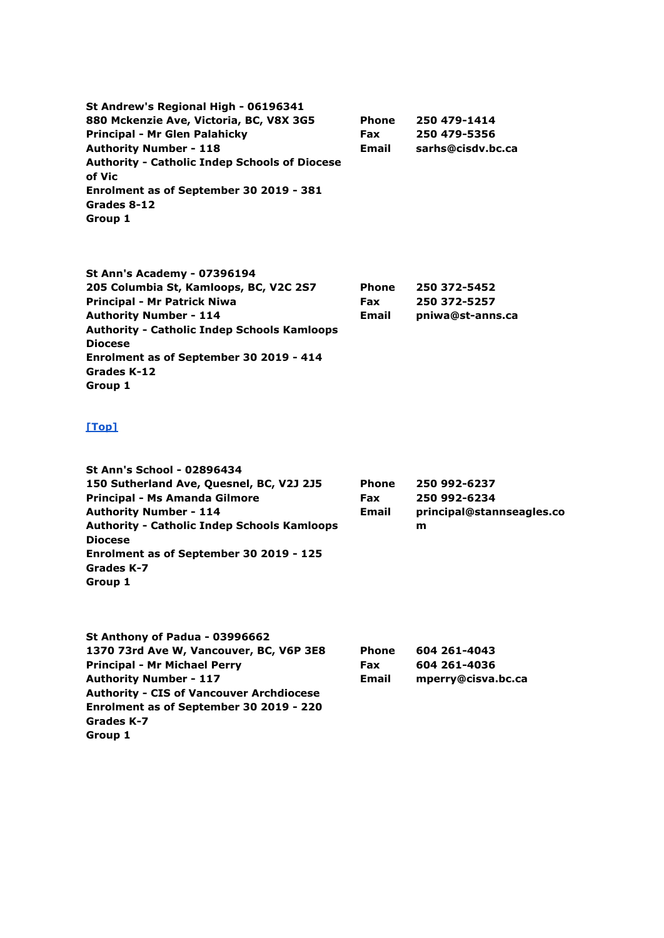**St Andrew's Regional High - 06196341 880 Mckenzie Ave, Victoria, BC, V8X 3G5 Principal - Mr Glen Palahicky Authority Number - 118 Authority - Catholic Indep Schools of Diocese of Vic Enrolment as of September 30 2019 - 381 Grades 8-12 Group 1 Phone Fax Email 250 479-1414 250 479-5356 sarhs@cisdv.bc.ca**

**St Ann's Academy - 07396194 205 Columbia St, Kamloops, BC, V2C 2S7 Principal - Mr Patrick Niwa Authority Number - 114 Authority - Catholic Indep Schools Kamloops Diocese Enrolment as of September 30 2019 - 414 Grades K-12 Group 1 Phone Fax Email 250 372-5452 250 372-5257 pniwa@st-anns.ca**

| <b>St Ann's School - 02896434</b>                  |            |                           |
|----------------------------------------------------|------------|---------------------------|
| 150 Sutherland Ave, Quesnel, BC, V2J 2J5           | Phone      | 250 992-6237              |
| Principal - Ms Amanda Gilmore                      | <b>Fax</b> | 250 992-6234              |
| <b>Authority Number - 114</b>                      | Email      | principal@stannseagles.co |
| <b>Authority - Catholic Indep Schools Kamloops</b> |            | m                         |
| <b>Diocese</b>                                     |            |                           |
| Enrolment as of September 30 2019 - 125            |            |                           |
| Grades K-7                                         |            |                           |
| Group 1                                            |            |                           |
|                                                    |            |                           |

| St Anthony of Padua - 03996662                  |              |                    |
|-------------------------------------------------|--------------|--------------------|
| 1370 73rd Ave W, Vancouver, BC, V6P 3E8         | <b>Phone</b> | 604 261-4043       |
| <b>Principal - Mr Michael Perry</b>             | <b>Fax</b>   | 604 261-4036       |
| <b>Authority Number - 117</b>                   | Email        | mperry@cisva.bc.ca |
| <b>Authority - CIS of Vancouver Archdiocese</b> |              |                    |
| Enrolment as of September 30 2019 - 220         |              |                    |
| Grades K-7                                      |              |                    |
| Group 1                                         |              |                    |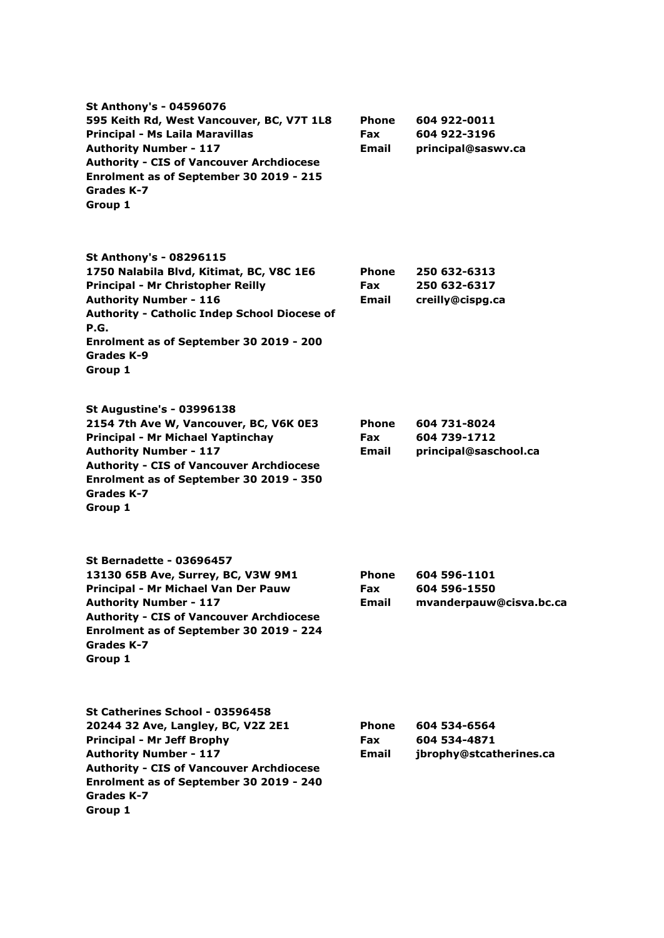| <b>St Anthony's - 04596076</b><br>595 Keith Rd, West Vancouver, BC, V7T 1L8<br><b>Principal - Ms Laila Maravillas</b><br><b>Authority Number - 117</b><br><b>Authority - CIS of Vancouver Archdiocese</b><br>Enrolment as of September 30 2019 - 215<br>Grades K-7<br>Group 1 | Phone<br><b>Fax</b><br>Email        | 604 922-0011<br>604 922-3196<br>principal@saswv.ca      |
|-------------------------------------------------------------------------------------------------------------------------------------------------------------------------------------------------------------------------------------------------------------------------------|-------------------------------------|---------------------------------------------------------|
| St Anthony's - 08296115<br>1750 Nalabila Blvd, Kitimat, BC, V8C 1E6<br>Principal - Mr Christopher Reilly<br><b>Authority Number - 116</b><br><b>Authority - Catholic Indep School Diocese of</b><br>P.G.<br>Enrolment as of September 30 2019 - 200<br>Grades K-9<br>Group 1  | <b>Phone</b><br><b>Fax</b><br>Email | 250 632-6313<br>250 632-6317<br>creilly@cispg.ca        |
| <b>St Augustine's - 03996138</b><br>2154 7th Ave W, Vancouver, BC, V6K 0E3<br>Principal - Mr Michael Yaptinchay<br><b>Authority Number - 117</b><br><b>Authority - CIS of Vancouver Archdiocese</b><br>Enrolment as of September 30 2019 - 350<br>Grades K-7<br>Group 1       | <b>Phone</b><br><b>Fax</b><br>Email | 604 731-8024<br>604 739-1712<br>principal@saschool.ca   |
| <b>St Bernadette - 03696457</b><br>13130 65B Ave, Surrey, BC, V3W 9M1<br>Principal - Mr Michael Van Der Pauw<br><b>Authority Number - 117</b><br><b>Authority - CIS of Vancouver Archdiocese</b><br>Enrolment as of September 30 2019 - 224<br>Grades K-7<br>Group 1          | Phone<br><b>Fax</b><br><b>Email</b> | 604 596-1101<br>604 596-1550<br>mvanderpauw@cisva.bc.ca |
| St Catherines School - 03596458<br>20244 32 Ave, Langley, BC, V2Z 2E1<br><b>Principal - Mr Jeff Brophy</b><br><b>Authority Number - 117</b><br><b>Authority - CIS of Vancouver Archdiocese</b><br>Enrolment as of September 30 2019 - 240<br>Grades K-7<br>Group 1            | <b>Phone</b><br><b>Fax</b><br>Email | 604 534-6564<br>604 534-4871<br>jbrophy@stcatherines.ca |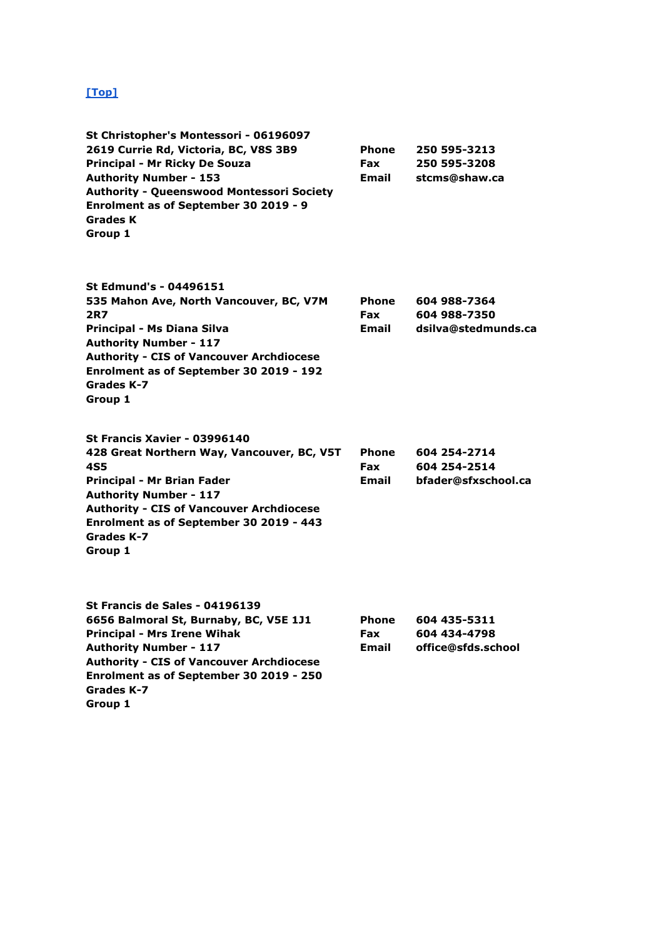| St Christopher's Montessori - 06196097<br>2619 Currie Rd, Victoria, BC, V8S 3B9<br>Principal - Mr Ricky De Souza<br><b>Authority Number - 153</b><br><b>Authority - Queenswood Montessori Society</b><br>Enrolment as of September 30 2019 - 9<br><b>Grades K</b><br>Group 1  | <b>Phone</b><br><b>Fax</b><br><b>Email</b> | 250 595-3213<br>250 595-3208<br>stcms@shaw.ca       |
|-------------------------------------------------------------------------------------------------------------------------------------------------------------------------------------------------------------------------------------------------------------------------------|--------------------------------------------|-----------------------------------------------------|
| St Edmund's - 04496151<br>535 Mahon Ave, North Vancouver, BC, V7M<br>2R7<br>Principal - Ms Diana Silva<br><b>Authority Number - 117</b><br><b>Authority - CIS of Vancouver Archdiocese</b><br>Enrolment as of September 30 2019 - 192<br>Grades K-7<br>Group 1                | <b>Phone</b><br><b>Fax</b><br>Email        | 604 988-7364<br>604 988-7350<br>dsilva@stedmunds.ca |
| St Francis Xavier - 03996140<br>428 Great Northern Way, Vancouver, BC, V5T<br>4S5<br>Principal - Mr Brian Fader<br><b>Authority Number - 117</b><br><b>Authority - CIS of Vancouver Archdiocese</b><br>Enrolment as of September 30 2019 - 443<br>Grades K-7<br>Group 1       | <b>Phone</b><br>Fax<br><b>Email</b>        | 604 254-2714<br>604 254-2514<br>bfader@sfxschool.ca |
| <b>St Francis de Sales - 04196139</b><br>6656 Balmoral St, Burnaby, BC, V5E 1J1<br><b>Principal - Mrs Irene Wihak</b><br><b>Authority Number - 117</b><br><b>Authority - CIS of Vancouver Archdiocese</b><br>Enrolment as of September 30 2019 - 250<br>Grades K-7<br>Group 1 | <b>Phone</b><br><b>Fax</b><br>Email        | 604 435-5311<br>604 434-4798<br>office@sfds.school  |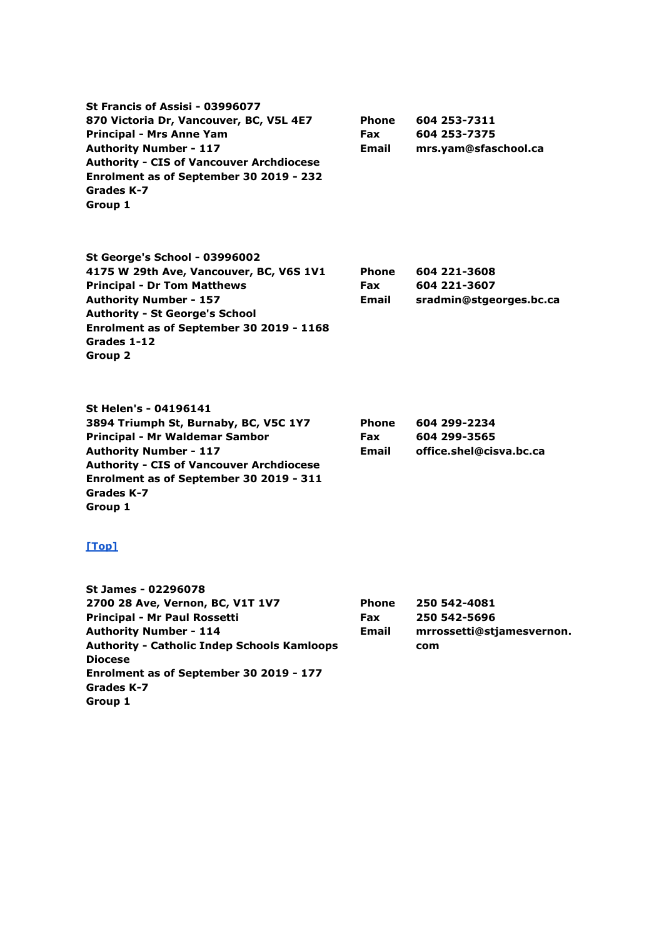**St Francis of Assisi - 03996077 870 Victoria Dr, Vancouver, BC, V5L 4E7 Principal - Mrs Anne Yam Authority Number - 117 Authority - CIS of Vancouver Archdiocese Enrolment as of September 30 2019 - 232 Grades K-7 Group 1 Phone Fax Email 604 253-7311 604 253-7375 mrs.yam@sfaschool.ca St George's School - 03996002 4175 W 29th Ave, Vancouver, BC, V6S 1V1 Principal - Dr Tom Matthews Authority Number - 157 Authority - St George's School Enrolment as of September 30 2019 - 1168 Grades 1-12 Group 2 Phone Fax Email 604 221-3608 604 221-3607 sradmin@stgeorges.bc.ca St Helen's - 04196141**

**3894 Triumph St, Burnaby, BC, V5C 1Y7 Principal - Mr Waldemar Sambor Authority Number - 117 Authority - CIS of Vancouver Archdiocese Enrolment as of September 30 2019 - 311 Grades K-7 Group 1 Phone Fax Email 604 299-2234 604 299-3565 office.shel@cisva.bc.ca**

#### **[\[Top\]](http://www.bced.gov.bc.ca/apps/imcl/imclWeb/IndSchool.do?school_category=Independent%20School#top)**

**St James - 02296078 2700 28 Ave, Vernon, BC, V1T 1V7 Principal - Mr Paul Rossetti Authority Number - 114 Authority - Catholic Indep Schools Kamloops Diocese Enrolment as of September 30 2019 - 177 Grades K-7 Group 1 Phone Fax Email 250 542-4081 250 542-5696 mrrossetti@stjamesvernon. com**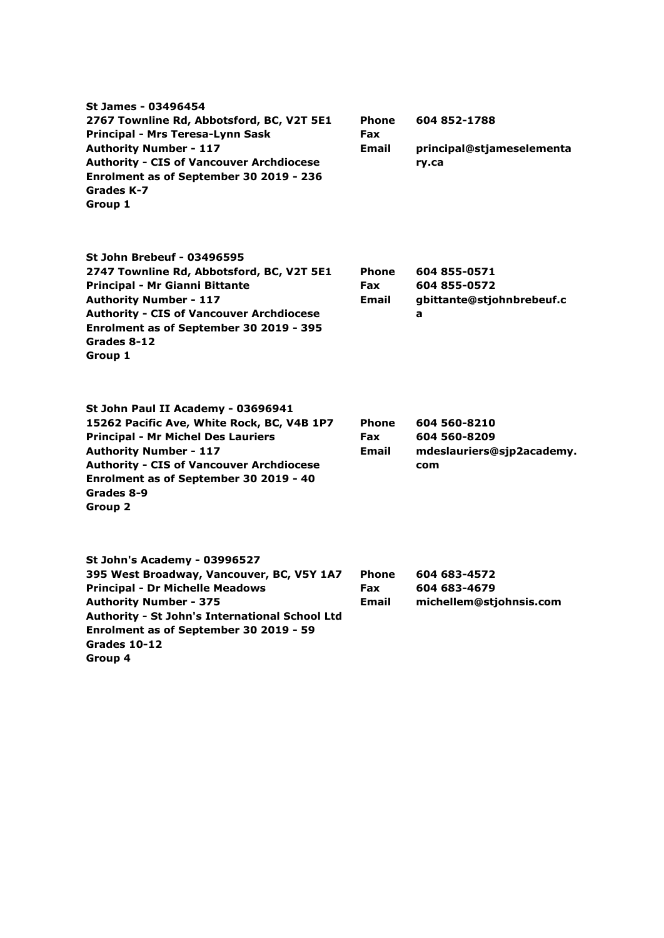| St James - 03496454<br>2767 Townline Rd, Abbotsford, BC, V2T 5E1<br>Principal - Mrs Teresa-Lynn Sask<br><b>Authority Number - 117</b><br><b>Authority - CIS of Vancouver Archdiocese</b><br>Enrolment as of September 30 2019 - 236<br>Grades K-7<br>Group 1                                | <b>Phone</b><br>Fax<br><b>Email</b>        | 604 852-1788<br>principal@stjameselementa<br>ry.ca               |
|---------------------------------------------------------------------------------------------------------------------------------------------------------------------------------------------------------------------------------------------------------------------------------------------|--------------------------------------------|------------------------------------------------------------------|
| <b>St John Brebeuf - 03496595</b><br>2747 Townline Rd, Abbotsford, BC, V2T 5E1<br>Principal - Mr Gianni Bittante<br><b>Authority Number - 117</b><br><b>Authority - CIS of Vancouver Archdiocese</b><br>Enrolment as of September 30 2019 - 395<br>Grades 8-12<br>Group 1                   | <b>Phone</b><br><b>Fax</b><br><b>Email</b> | 604 855-0571<br>604 855-0572<br>gbittante@stjohnbrebeuf.c<br>a   |
| St John Paul II Academy - 03696941<br>15262 Pacific Ave, White Rock, BC, V4B 1P7<br><b>Principal - Mr Michel Des Lauriers</b><br><b>Authority Number - 117</b><br><b>Authority - CIS of Vancouver Archdiocese</b><br>Enrolment as of September 30 2019 - 40<br>Grades 8-9<br><b>Group 2</b> | <b>Phone</b><br><b>Fax</b><br>Email        | 604 560-8210<br>604 560-8209<br>mdeslauriers@sjp2academy.<br>com |
| St John's Academy - 03996527<br>395 West Broadway, Vancouver, BC, V5Y 1A7<br><b>Principal - Dr Michelle Meadows</b><br><b>Authority Number - 375</b><br>Authority - St John's International School Ltd<br>Enrolment as of September 30 2019 - 59<br>Grades 10-12<br>Group 4                 | <b>Phone</b><br><b>Fax</b><br>Email        | 604 683-4572<br>604 683-4679<br>michellem@stjohnsis.com          |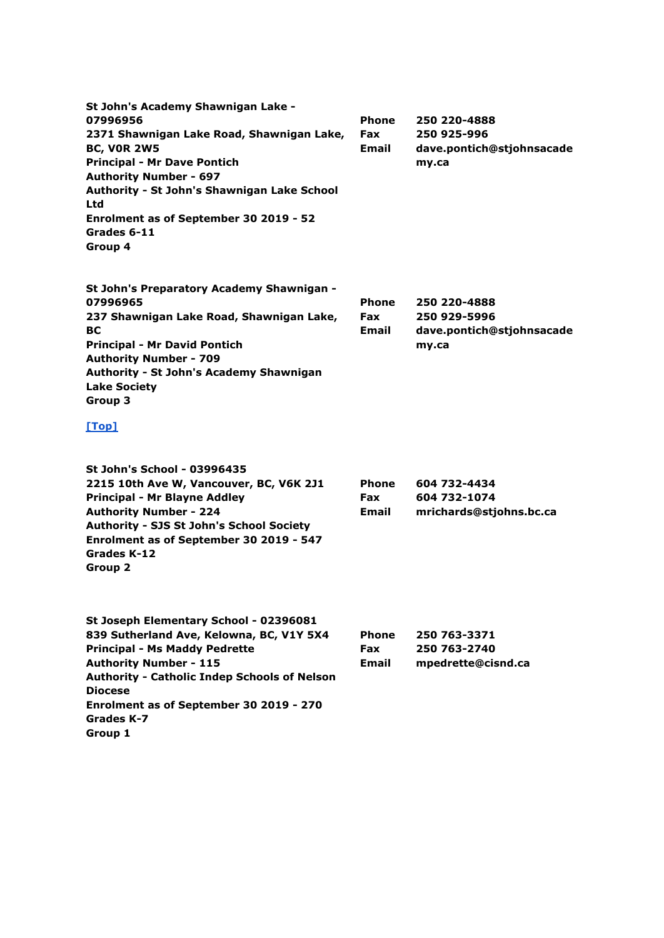| St John's Academy Shawnigan Lake -<br>07996956<br>2371 Shawnigan Lake Road, Shawnigan Lake,<br><b>BC, VOR 2W5</b><br><b>Principal - Mr Dave Pontich</b><br><b>Authority Number - 697</b><br>Authority - St John's Shawnigan Lake School<br>Ltd<br>Enrolment as of September 30 2019 - 52<br>Grades 6-11<br>Group 4 | <b>Phone</b><br><b>Fax</b><br>Email | 250 220-4888<br>250 925-996<br>dave.pontich@stjohnsacade<br>my.ca  |
|--------------------------------------------------------------------------------------------------------------------------------------------------------------------------------------------------------------------------------------------------------------------------------------------------------------------|-------------------------------------|--------------------------------------------------------------------|
| St John's Preparatory Academy Shawnigan -<br>07996965<br>237 Shawnigan Lake Road, Shawnigan Lake,<br><b>BC</b><br><b>Principal - Mr David Pontich</b><br><b>Authority Number - 709</b><br>Authority - St John's Academy Shawnigan<br><b>Lake Society</b><br>Group 3                                                | <b>Phone</b><br><b>Fax</b><br>Email | 250 220-4888<br>250 929-5996<br>dave.pontich@stjohnsacade<br>my.ca |
| [Top]                                                                                                                                                                                                                                                                                                              |                                     |                                                                    |
| <b>St John's School - 03996435</b><br>2215 10th Ave W, Vancouver, BC, V6K 2J1<br><b>Principal - Mr Blayne Addley</b><br><b>Authority Number - 224</b><br>Authority - SJS St John's School Society<br>Enrolment as of September 30 2019 - 547<br>Grades K-12<br>Group 2                                             | Phone<br><b>Fax</b><br>Email        | 604 732-4434<br>604 732-1074<br>mrichards@stjohns.bc.ca            |
| St Joseph Elementary School - 02396081<br>839 Sutherland Ave, Kelowna, BC, V1Y 5X4<br><b>Principal - Ms Maddy Pedrette</b><br><b>Authority Number - 115</b><br><b>Authority - Catholic Indep Schools of Nelson</b><br><b>Diocese</b><br>Enrolment as of September 30 2019 - 270<br>Grades K-7<br>Group 1           | <b>Phone</b><br><b>Fax</b><br>Email | 250 763-3371<br>250 763-2740<br>mpedrette@cisnd.ca                 |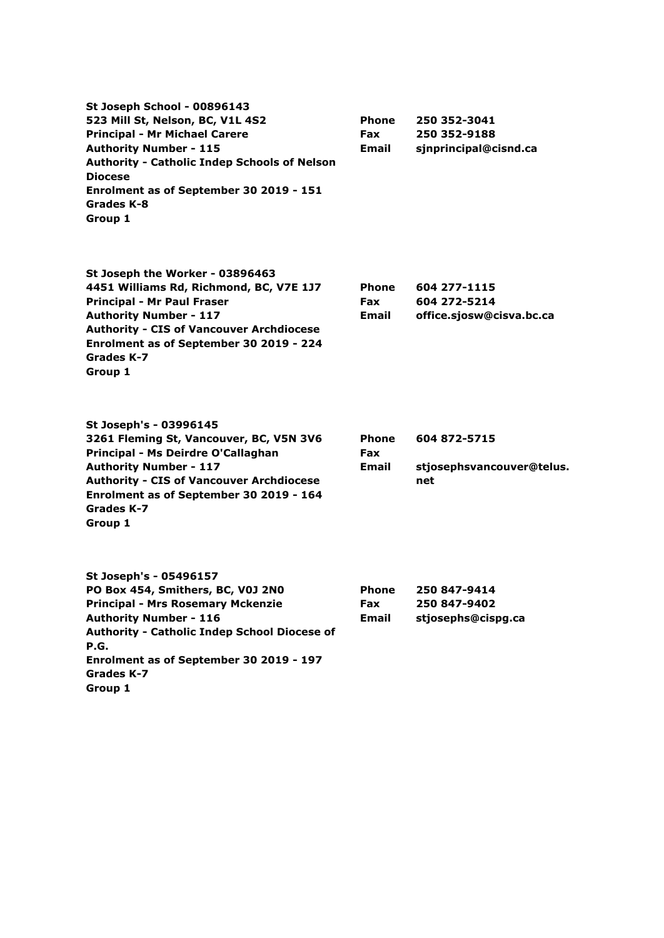**St Joseph School - 00896143 523 Mill St, Nelson, BC, V1L 4S2 Principal - Mr Michael Carere Authority Number - 115 Authority - Catholic Indep Schools of Nelson Diocese Enrolment as of September 30 2019 - 151 Grades K-8 Group 1 Phone Fax Email 250 352-3041 250 352-9188 sjnprincipal@cisnd.ca St Joseph the Worker - 03896463 4451 Williams Rd, Richmond, BC, V7E 1J7 Principal - Mr Paul Fraser Authority Number - 117 Authority - CIS of Vancouver Archdiocese Enrolment as of September 30 2019 - 224 Grades K-7 Group 1 Phone Fax Email 604 277-1115 604 272-5214 office.sjosw@cisva.bc.ca St Joseph's - 03996145 3261 Fleming St, Vancouver, BC, V5N 3V6 Principal - Ms Deirdre O'Callaghan Authority Number - 117 Authority - CIS of Vancouver Archdiocese Enrolment as of September 30 2019 - 164 Grades K-7 Group 1 Phone Fax Email 604 872-5715 stjosephsvancouver@telus. net St Joseph's - 05496157 PO Box 454, Smithers, BC, V0J 2N0 Principal - Mrs Rosemary Mckenzie Authority Number - 116 Authority - Catholic Indep School Diocese of P.G. Phone Fax Email 250 847-9414 250 847-9402 stjosephs@cispg.ca**

**Enrolment as of September 30 2019 - 197 Grades K-7**

**Group 1**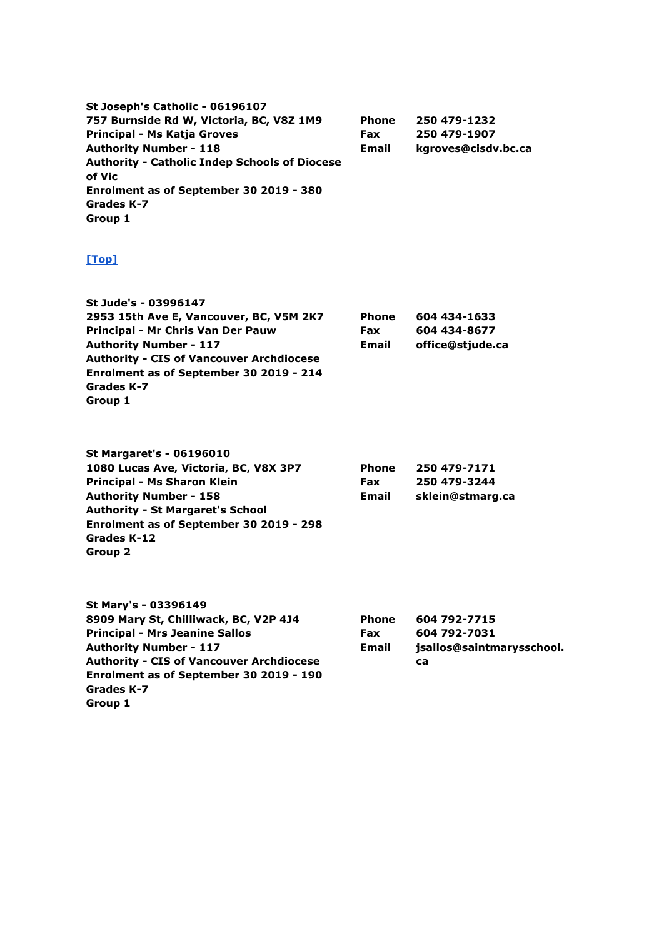**St Joseph's Catholic - 06196107 757 Burnside Rd W, Victoria, BC, V8Z 1M9 Principal - Ms Katja Groves Authority Number - 118 Authority - Catholic Indep Schools of Diocese of Vic Enrolment as of September 30 2019 - 380 Grades K-7 Group 1 Phone Fax Email 250 479-1232 250 479-1907 kgroves@cisdv.bc.ca**

| St Jude's - 03996147                            |              |                  |
|-------------------------------------------------|--------------|------------------|
| 2953 15th Ave E, Vancouver, BC, V5M 2K7         | <b>Phone</b> | 604 434-1633     |
| Principal - Mr Chris Van Der Pauw               | <b>Fax</b>   | 604 434-8677     |
| <b>Authority Number - 117</b>                   | <b>Email</b> | office@stjude.ca |
| <b>Authority - CIS of Vancouver Archdiocese</b> |              |                  |
| Enrolment as of September 30 2019 - 214         |              |                  |
| Grades K-7                                      |              |                  |
| Group 1                                         |              |                  |

| <b>St Margaret's - 06196010</b>         |              |                  |
|-----------------------------------------|--------------|------------------|
| 1080 Lucas Ave, Victoria, BC, V8X 3P7   | <b>Phone</b> | 250 479-7171     |
| Principal - Ms Sharon Klein             | <b>Fax</b>   | 250 479-3244     |
| <b>Authority Number - 158</b>           | Email        | sklein@stmarg.ca |
| <b>Authority - St Margaret's School</b> |              |                  |
| Enrolment as of September 30 2019 - 298 |              |                  |
| Grades K-12                             |              |                  |
| Group 2                                 |              |                  |

| St Mary's - 03396149                            |              |                           |
|-------------------------------------------------|--------------|---------------------------|
| 8909 Mary St, Chilliwack, BC, V2P 4J4           | <b>Phone</b> | 604 792-7715              |
| <b>Principal - Mrs Jeanine Sallos</b>           | <b>Fax</b>   | 604 792-7031              |
| <b>Authority Number - 117</b>                   | Email        | jsallos@saintmarysschool. |
| <b>Authority - CIS of Vancouver Archdiocese</b> |              | ca                        |
| Enrolment as of September 30 2019 - 190         |              |                           |
| Grades K-7                                      |              |                           |
| Group 1                                         |              |                           |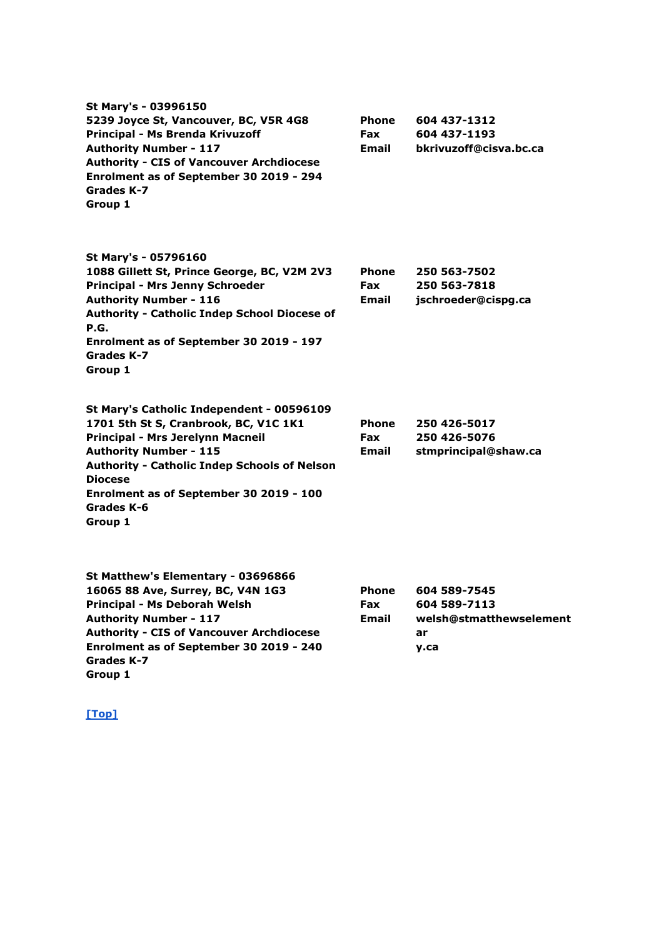| St Mary's - 03996150<br>5239 Joyce St, Vancouver, BC, V5R 4G8<br>Principal - Ms Brenda Krivuzoff<br><b>Authority Number - 117</b><br><b>Authority - CIS of Vancouver Archdiocese</b><br>Enrolment as of September 30 2019 - 294<br>Grades K-7<br>Group 1                                             | <b>Phone</b><br><b>Fax</b><br><b>Email</b> | 604 437-1312<br>604 437-1193<br>bkrivuzoff@cisva.bc.ca                |
|------------------------------------------------------------------------------------------------------------------------------------------------------------------------------------------------------------------------------------------------------------------------------------------------------|--------------------------------------------|-----------------------------------------------------------------------|
| St Mary's - 05796160<br>1088 Gillett St, Prince George, BC, V2M 2V3<br>Principal - Mrs Jenny Schroeder<br><b>Authority Number - 116</b><br>Authority - Catholic Indep School Diocese of<br>P.G.                                                                                                      | <b>Phone</b><br><b>Fax</b><br>Email        | 250 563-7502<br>250 563-7818<br>jschroeder@cispg.ca                   |
| Enrolment as of September 30 2019 - 197<br>Grades K-7<br>Group 1                                                                                                                                                                                                                                     |                                            |                                                                       |
| St Mary's Catholic Independent - 00596109<br>1701 5th St S, Cranbrook, BC, V1C 1K1<br>Principal - Mrs Jerelynn Macneil<br><b>Authority Number - 115</b><br><b>Authority - Catholic Indep Schools of Nelson</b><br><b>Diocese</b><br>Enrolment as of September 30 2019 - 100<br>Grades K-6<br>Group 1 | <b>Phone</b><br><b>Fax</b><br>Email        | 250 426-5017<br>250 426-5076<br>stmprincipal@shaw.ca                  |
| St Matthew's Elementary - 03696866<br>16065 88 Ave, Surrey, BC, V4N 1G3<br>Principal - Ms Deborah Welsh<br><b>Authority Number - 117</b><br><b>Authority - CIS of Vancouver Archdiocese</b><br>Enrolment as of September 30 2019 - 240<br>Grades K-7                                                 | <b>Phone</b><br><b>Fax</b><br>Email        | 604 589-7545<br>604 589-7113<br>welsh@stmatthewselement<br>ar<br>y.ca |

**Group 1**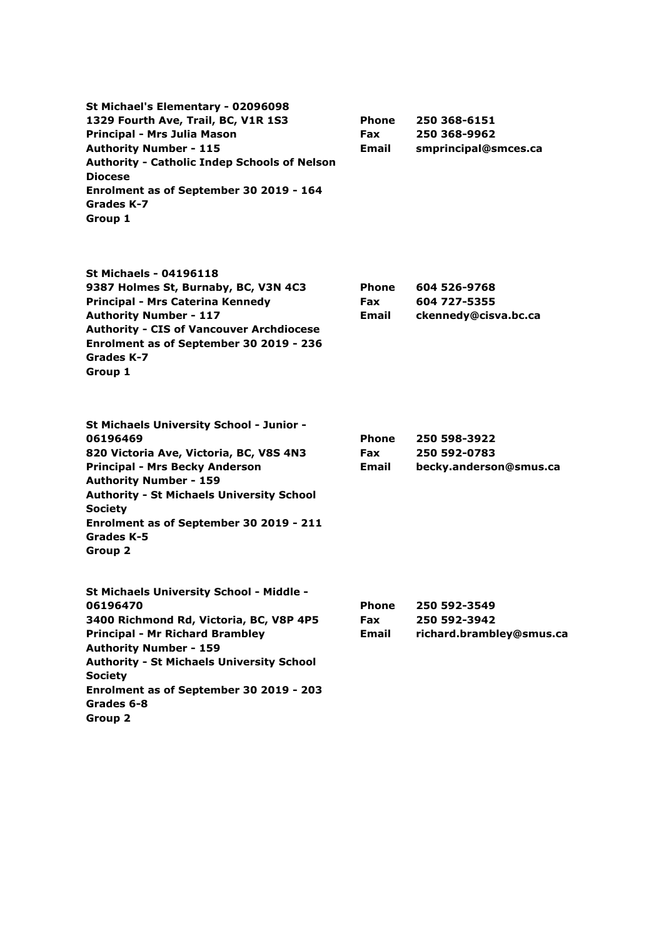**St Michael's Elementary - 02096098 1329 Fourth Ave, Trail, BC, V1R 1S3 Principal - Mrs Julia Mason Authority Number - 115 Authority - Catholic Indep Schools of Nelson Diocese Enrolment as of September 30 2019 - 164 Grades K-7 Group 1 Phone Fax Email 250 368-6151 250 368-9962 smprincipal@smces.ca**

**St Michaels - 04196118 9387 Holmes St, Burnaby, BC, V3N 4C3 Principal - Mrs Caterina Kennedy Authority Number - 117 Authority - CIS of Vancouver Archdiocese Enrolment as of September 30 2019 - 236 Grades K-7 Group 1 Phone Fax Email**

**St Michaels University School - Junior - 06196469 820 Victoria Ave, Victoria, BC, V8S 4N3 Principal - Mrs Becky Anderson Authority Number - 159 Authority - St Michaels University School Society Enrolment as of September 30 2019 - 211 Grades K-5 Group 2 Phone Fax Email 250 598-3922 250 592-0783 becky.anderson@smus.ca St Michaels University School - Middle - 06196470 Phone 250 592-3549**

**3400 Richmond Rd, Victoria, BC, V8P 4P5 Principal - Mr Richard Brambley Authority Number - 159 Authority - St Michaels University School Society Enrolment as of September 30 2019 - 203 Grades 6-8 Email**

**Group 2**

**Fax 250 592-3942 richard.brambley@smus.ca**

**604 526-9768 604 727-5355**

**ckennedy@cisva.bc.ca**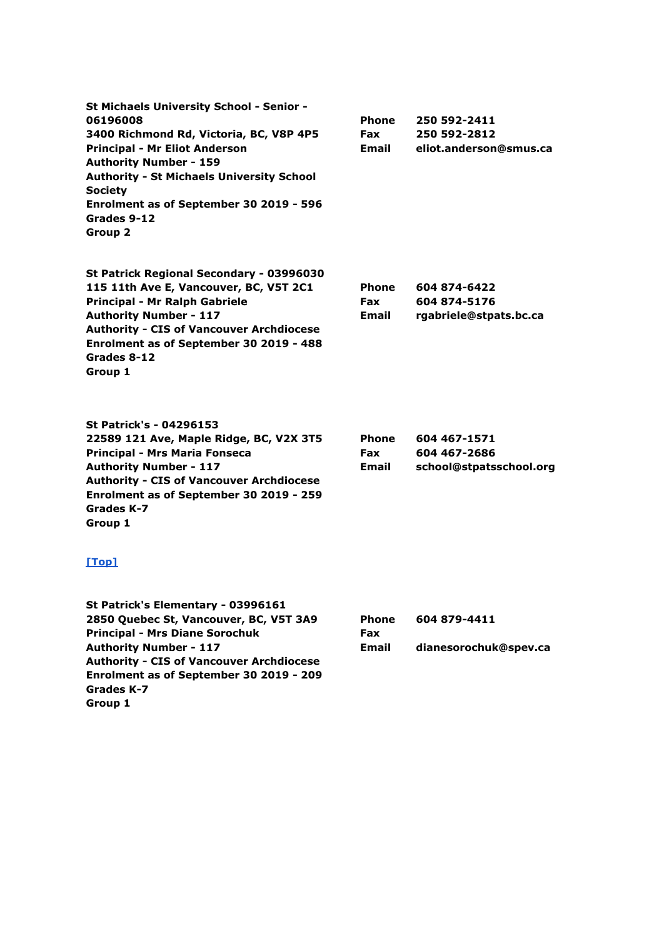**St Michaels University School - Senior - 06196008 3400 Richmond Rd, Victoria, BC, V8P 4P5 Principal - Mr Eliot Anderson Authority Number - 159 Authority - St Michaels University School Society Enrolment as of September 30 2019 - 596 Grades 9-12 Group 2 Phone Fax Email 250 592-2411 250 592-2812 eliot.anderson@smus.ca**

**St Patrick Regional Secondary - 03996030 115 11th Ave E, Vancouver, BC, V5T 2C1 Principal - Mr Ralph Gabriele Authority Number - 117 Authority - CIS of Vancouver Archdiocese Enrolment as of September 30 2019 - 488 Grades 8-12 Group 1**

**Phone Fax Email 604 874-6422 604 874-5176 rgabriele@stpats.bc.ca**

**St Patrick's - 04296153 22589 121 Ave, Maple Ridge, BC, V2X 3T5 Principal - Mrs Maria Fonseca Authority Number - 117 Authority - CIS of Vancouver Archdiocese Enrolment as of September 30 2019 - 259 Grades K-7 Group 1**

| <b>Phone</b> | 604 467-1571            |
|--------------|-------------------------|
| <b>Fax</b>   | 604 467-2686            |
| <b>Email</b> | school@stpatsschool.org |

#### **[\[Top\]](http://www.bced.gov.bc.ca/apps/imcl/imclWeb/IndSchool.do?school_category=Independent%20School#top)**

**St Patrick's Elementary - 03996161 2850 Quebec St, Vancouver, BC, V5T 3A9 Principal - Mrs Diane Sorochuk Authority Number - 117 Authority - CIS of Vancouver Archdiocese Enrolment as of September 30 2019 - 209 Grades K-7 Group 1**

**Phone Fax Email 604 879-4411 dianesorochuk@spev.ca**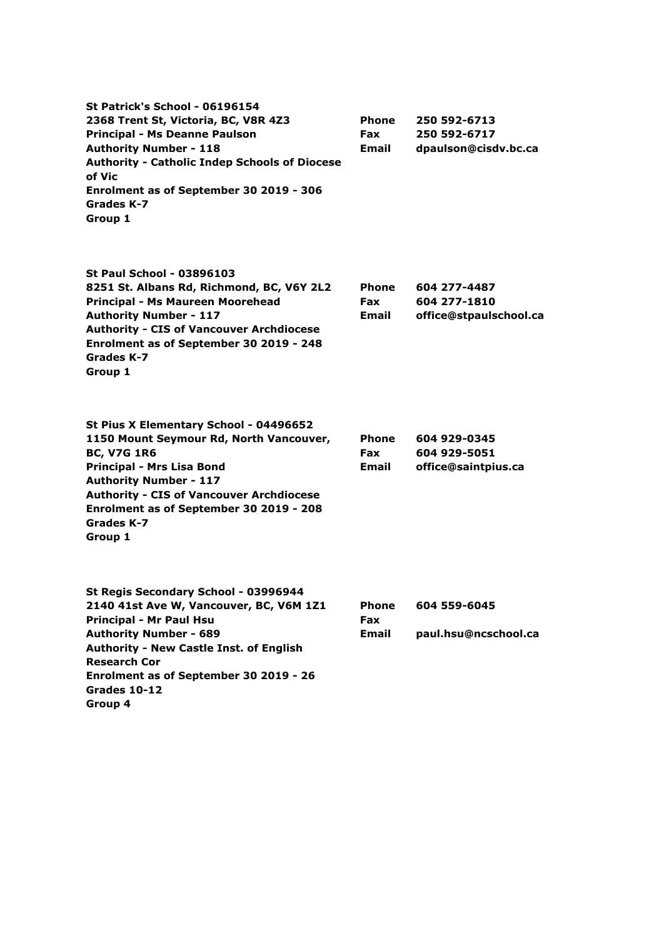**St Patrick's School - 06196154 2368 Trent St, Victoria, BC, V8R 4Z3 Principal - Ms Deanne Paulson Authority Number - 118 Authority - Catholic Indep Schools of Diocese of Vic Enrolment as of September 30 2019 - 306 Grades K-7 Group 1 Phone Fax Email 250 592-6713 250 592-6717 dpaulson@cisdv.bc.ca St Paul School - 03896103 8251 St. Albans Rd, Richmond, BC, V6Y 2L2 Principal - Ms Maureen Moorehead Authority Number - 117 Authority - CIS of Vancouver Archdiocese Enrolment as of September 30 2019 - 248 Grades K-7 Group 1 Phone Fax Email 604 277-4487 604 277-1810 office@stpaulschool.ca St Pius X Elementary School - 04496652 1150 Mount Seymour Rd, North Vancouver, BC, V7G 1R6 Principal - Mrs Lisa Bond Authority Number - 117 Authority - CIS of Vancouver Archdiocese Enrolment as of September 30 2019 - 208 Grades K-7 Group 1 Phone Fax Email 604 929-0345 604 929-5051 office@saintpius.ca St Regis Secondary School - 03996944 2140 41st Ave W, Vancouver, BC, V6M 1Z1 Principal - Mr Paul Hsu Authority Number - 689 Authority - New Castle Inst. of English Research Cor Enrolment as of September 30 2019 - 26 Grades 10-12 Group 4 Phone Fax Email 604 559-6045 paul.hsu@ncschool.ca**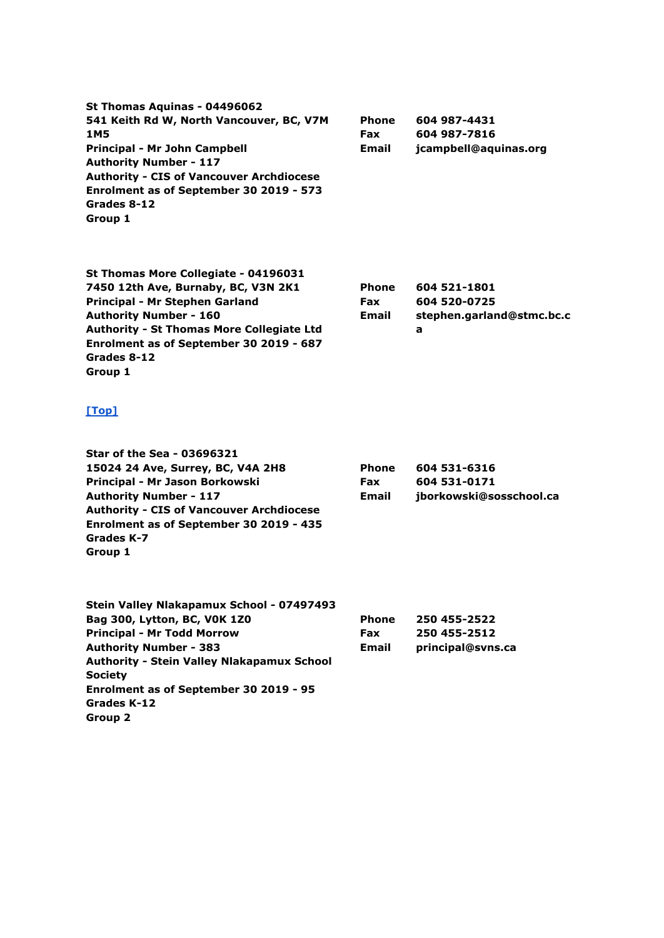**St Thomas Aquinas - 04496062 541 Keith Rd W, North Vancouver, BC, V7M 1M5 Principal - Mr John Campbell Authority Number - 117 Authority - CIS of Vancouver Archdiocese Enrolment as of September 30 2019 - 573 Grades 8-12 Group 1 Phone Fax Email**

**St Thomas More Collegiate - 04196031 7450 12th Ave, Burnaby, BC, V3N 2K1 Principal - Mr Stephen Garland Authority Number - 160 Authority - St Thomas More Collegiate Ltd Enrolment as of September 30 2019 - 687 Grades 8-12 Group 1**

| <b>Phone</b> | 604 521-1801              |
|--------------|---------------------------|
| <b>Fax</b>   | 604 520-0725              |
| Email        | stephen.garland@stmc.bc.c |
|              | а                         |

**604 987-4431 604 987-7816**

**jcampbell@aquinas.org**

| <b>Star of the Sea - 03696321</b>               |              |                         |
|-------------------------------------------------|--------------|-------------------------|
| 15024 24 Ave, Surrey, BC, V4A 2H8               | <b>Phone</b> | 604 531-6316            |
| Principal - Mr Jason Borkowski                  | <b>Fax</b>   | 604 531-0171            |
| <b>Authority Number - 117</b>                   | <b>Email</b> | jborkowski@sosschool.ca |
| <b>Authority - CIS of Vancouver Archdiocese</b> |              |                         |
| Enrolment as of September 30 2019 - 435         |              |                         |
| Grades K-7                                      |              |                         |
| Group 1                                         |              |                         |
| Stein Valley Nlakapamux School - 07497493       |              |                         |
| <b>Bag 200 Lytton BC VOK 170</b>                | Dhana        | JEN JEE_JEJJ            |

| Bag 300, Lytton, BC, VOK 1Z0                      | <b>Phone</b> | 250 455-2522      |
|---------------------------------------------------|--------------|-------------------|
| <b>Principal - Mr Todd Morrow</b>                 | <b>Fax</b>   | 250 455-2512      |
| <b>Authority Number - 383</b>                     | <b>Email</b> | principal@svns.ca |
| <b>Authority - Stein Valley Nlakapamux School</b> |              |                   |
| <b>Society</b>                                    |              |                   |
| Enrolment as of September 30 2019 - 95            |              |                   |
| Grades K-12                                       |              |                   |
| Group 2                                           |              |                   |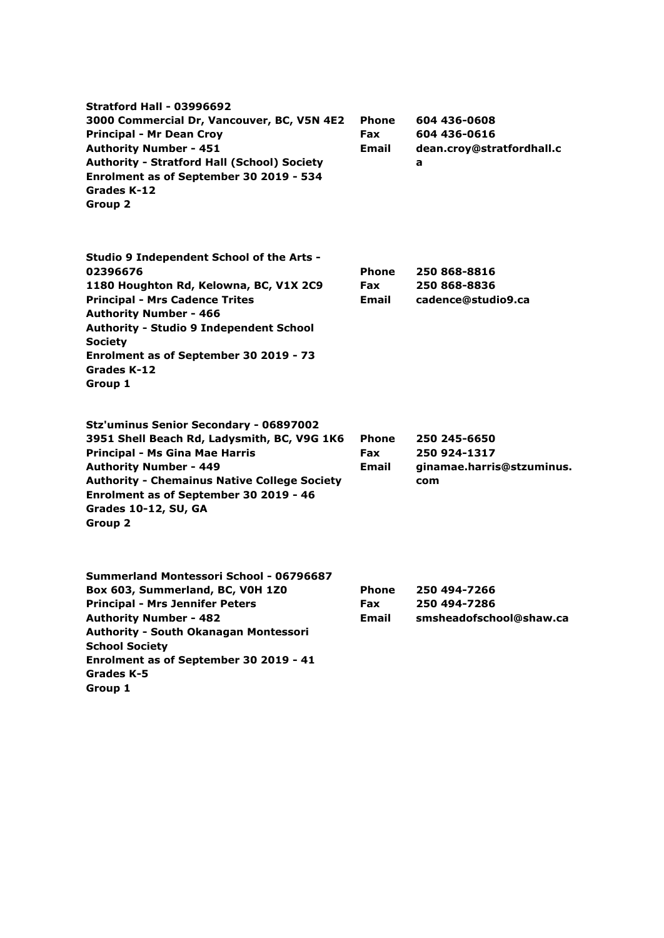| <b>Stratford Hall - 03996692</b><br>3000 Commercial Dr, Vancouver, BC, V5N 4E2<br><b>Principal - Mr Dean Croy</b><br><b>Authority Number - 451</b><br><b>Authority - Stratford Hall (School) Society</b><br>Enrolment as of September 30 2019 - 534<br>Grades K-12<br><b>Group 2</b>                              | <b>Phone</b><br>Fax<br>Email               | 604 436-0608<br>604 436-0616<br>dean.croy@stratfordhall.c<br>a   |
|-------------------------------------------------------------------------------------------------------------------------------------------------------------------------------------------------------------------------------------------------------------------------------------------------------------------|--------------------------------------------|------------------------------------------------------------------|
| Studio 9 Independent School of the Arts -<br>02396676<br>1180 Houghton Rd, Kelowna, BC, V1X 2C9<br><b>Principal - Mrs Cadence Trites</b><br><b>Authority Number - 466</b><br><b>Authority - Studio 9 Independent School</b><br><b>Society</b><br>Enrolment as of September 30 2019 - 73<br>Grades K-12<br>Group 1 | Phone<br><b>Fax</b><br>Email               | 250 868-8816<br>250 868-8836<br>cadence@studio9.ca               |
| Stz'uminus Senior Secondary - 06897002<br>3951 Shell Beach Rd, Ladysmith, BC, V9G 1K6<br><b>Principal - Ms Gina Mae Harris</b><br><b>Authority Number - 449</b><br><b>Authority - Chemainus Native College Society</b><br>Enrolment as of September 30 2019 - 46<br>Grades 10-12, SU, GA<br><b>Group 2</b>        | <b>Phone</b><br><b>Fax</b><br><b>Email</b> | 250 245-6650<br>250 924-1317<br>ginamae.harris@stzuminus.<br>com |
| Summerland Montessori School - 06796687<br>Box 603, Summerland, BC, V0H 1Z0<br><b>Principal - Mrs Jennifer Peters</b><br><b>Authority Number - 482</b><br>Authority - South Okanagan Montessori<br><b>School Society</b><br>Enrolment as of September 30 2019 - 41<br>Grades K-5<br>Group 1                       | Phone<br>Fax<br><b>Email</b>               | 250 494-7266<br>250 494-7286<br>smsheadofschool@shaw.ca          |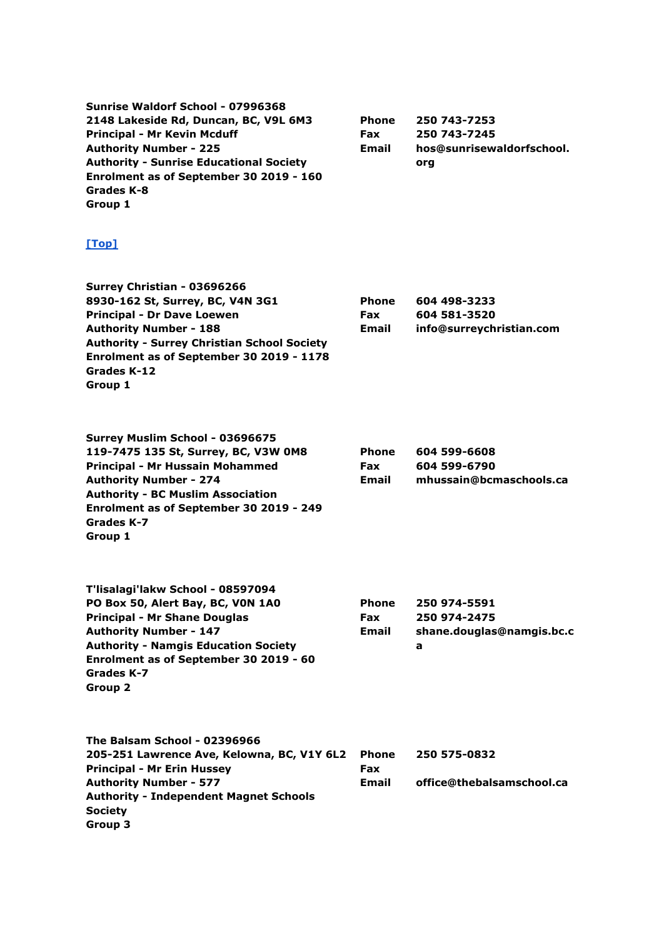| Sunrise Waldorf School - 07996368<br>2148 Lakeside Rd, Duncan, BC, V9L 6M3<br><b>Principal - Mr Kevin Mcduff</b><br><b>Authority Number - 225</b><br><b>Authority - Sunrise Educational Society</b><br>Enrolment as of September 30 2019 - 160<br>Grades K-8<br>Group 1  | <b>Phone</b><br><b>Fax</b><br><b>Email</b> | 250 743-7253<br>250 743-7245<br>hos@sunrisewaldorfschool.<br>org |
|--------------------------------------------------------------------------------------------------------------------------------------------------------------------------------------------------------------------------------------------------------------------------|--------------------------------------------|------------------------------------------------------------------|
| [Top]                                                                                                                                                                                                                                                                    |                                            |                                                                  |
| Surrey Christian - 03696266<br>8930-162 St, Surrey, BC, V4N 3G1<br><b>Principal - Dr Dave Loewen</b><br><b>Authority Number - 188</b><br><b>Authority - Surrey Christian School Society</b><br>Enrolment as of September 30 2019 - 1178<br><b>Grades K-12</b><br>Group 1 | <b>Phone</b><br><b>Fax</b><br><b>Email</b> | 604 498-3233<br>604 581-3520<br>info@surreychristian.com         |
| Surrey Muslim School - 03696675<br>119-7475 135 St, Surrey, BC, V3W 0M8<br>Principal - Mr Hussain Mohammed<br><b>Authority Number - 274</b><br><b>Authority - BC Muslim Association</b><br>Enrolment as of September 30 2019 - 249<br>Grades K-7<br>Group 1              | <b>Phone</b><br><b>Fax</b><br>Email        | 604 599-6608<br>604 599-6790<br>mhussain@bcmaschools.ca          |
| T'lisalagi'lakw School - 08597094<br>PO Box 50, Alert Bay, BC, VON 1A0<br><b>Principal - Mr Shane Douglas</b><br><b>Authority Number - 147</b><br><b>Authority - Namgis Education Society</b><br>Enrolment as of September 30 2019 - 60<br>Grades K-7<br>Group 2         | <b>Phone</b><br>Fax<br><b>Email</b>        | 250 974-5591<br>250 974-2475<br>shane.douglas@namgis.bc.c<br>a   |
| The Balsam School - 02396966<br>205-251 Lawrence Ave, Kelowna, BC, V1Y 6L2<br><b>Principal - Mr Erin Hussey</b><br><b>Authority Number - 577</b><br><b>Authority - Independent Magnet Schools</b><br><b>Society</b><br>Group 3                                           | Phone<br><b>Fax</b><br><b>Email</b>        | 250 575-0832<br>office@thebalsamschool.ca                        |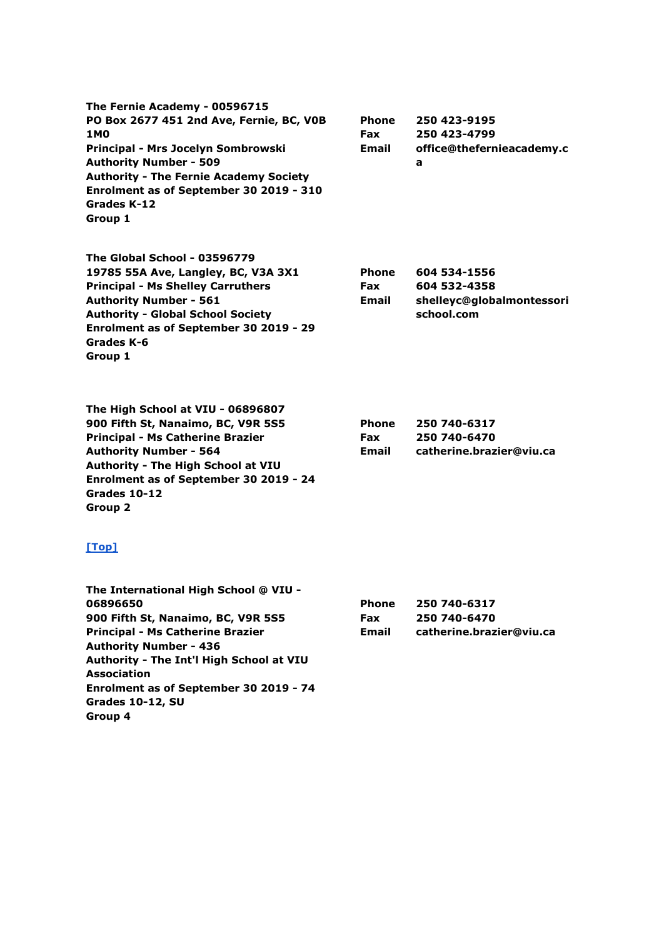**The Fernie Academy - 00596715 PO Box 2677 451 2nd Ave, Fernie, BC, V0B 1M0 Principal - Mrs Jocelyn Sombrowski Authority Number - 509 Authority - The Fernie Academy Society Enrolment as of September 30 2019 - 310 Grades K-12 Group 1**

**The Global School - 03596779 19785 55A Ave, Langley, BC, V3A 3X1 Principal - Ms Shelley Carruthers Authority Number - 561 Authority - Global School Society Enrolment as of September 30 2019 - 29 Grades K-6 Group 1**

**The High School at VIU - 06896807 900 Fifth St, Nanaimo, BC, V9R 5S5 Principal - Ms Catherine Brazier Authority Number - 564 Authority - The High School at VIU Enrolment as of September 30 2019 - 24 Grades 10-12 Group 2**

#### **[\[Top\]](http://www.bced.gov.bc.ca/apps/imcl/imclWeb/IndSchool.do?school_category=Independent%20School#top)**

**The International High School @ VIU - 06896650 900 Fifth St, Nanaimo, BC, V9R 5S5 Principal - Ms Catherine Brazier Authority Number - 436 Authority - The Int'l High School at VIU Association Enrolment as of September 30 2019 - 74 Grades 10-12, SU Group 4 Phone Fax Email 250 740-6317 250 740-6470 catherine.brazier@viu.ca**

**Phone Fax Email**

**Phone Fax Email**

**Phone Fax Email**

**250 423-9195 250 423-4799**

**604 534-1556 604 532-4358**

**school.com**

**250 740-6317 250 740-6470**

**catherine.brazier@viu.ca**

**a**

**office@thefernieacademy.c**

**shelleyc@globalmontessori**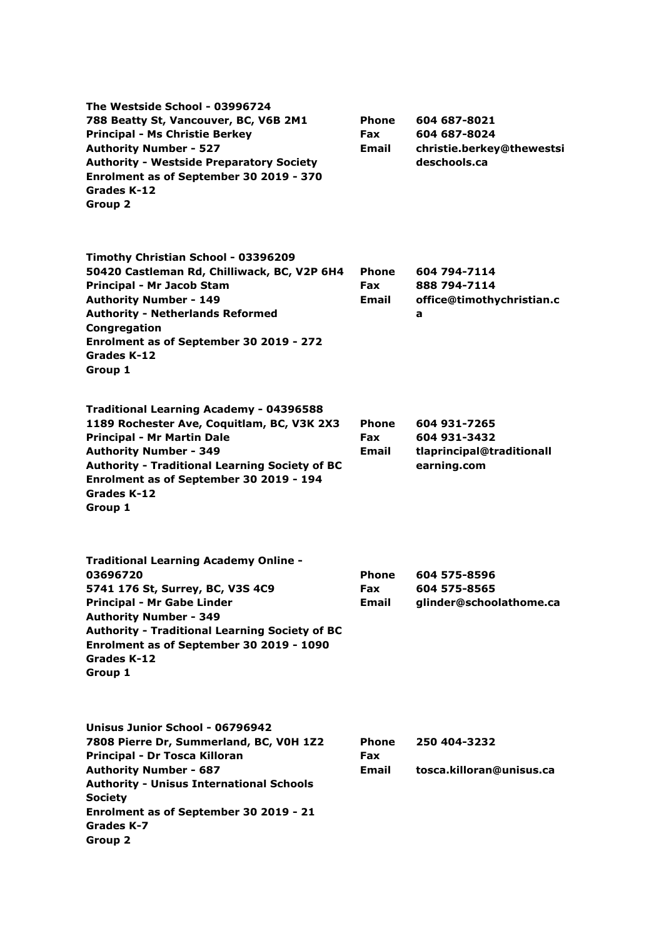| The Westside School - 03996724<br>788 Beatty St, Vancouver, BC, V6B 2M1<br><b>Principal - Ms Christie Berkey</b><br><b>Authority Number - 527</b><br><b>Authority - Westside Preparatory Society</b><br>Enrolment as of September 30 2019 - 370<br>Grades K-12<br>Group 2                        | <b>Phone</b><br>Fax<br>Email | 604 687-8021<br>604 687-8024<br>christie.berkey@thewestsi<br>deschools.ca |
|--------------------------------------------------------------------------------------------------------------------------------------------------------------------------------------------------------------------------------------------------------------------------------------------------|------------------------------|---------------------------------------------------------------------------|
| Timothy Christian School - 03396209<br>50420 Castleman Rd, Chilliwack, BC, V2P 6H4<br>Principal - Mr Jacob Stam<br><b>Authority Number - 149</b><br><b>Authority - Netherlands Reformed</b><br>Congregation<br>Enrolment as of September 30 2019 - 272<br>Grades K-12<br>Group 1                 | Phone<br>Fax<br>Email        | 604 794-7114<br>888 794-7114<br>office@timothychristian.c<br>a            |
| <b>Traditional Learning Academy - 04396588</b><br>1189 Rochester Ave, Coquitlam, BC, V3K 2X3<br><b>Principal - Mr Martin Dale</b><br><b>Authority Number - 349</b><br><b>Authority - Traditional Learning Society of BC</b><br>Enrolment as of September 30 2019 - 194<br>Grades K-12<br>Group 1 | Phone<br>Fax<br><b>Email</b> | 604 931-7265<br>604 931-3432<br>tlaprincipal@traditionall<br>earning.com  |
| <b>Traditional Learning Academy Online -</b><br>03696720<br>5741 176 St, Surrey, BC, V3S 4C9<br>Principal - Mr Gabe Linder<br><b>Authority Number - 349</b><br><b>Authority - Traditional Learning Society of BC</b><br>Enrolment as of September 30 2019 - 1090<br>Grades K-12<br>Group 1       | Phone<br>Fax<br>Email        | 604 575-8596<br>604 575-8565<br>glinder@schoolathome.ca                   |
| Unisus Junior School - 06796942<br>7808 Pierre Dr, Summerland, BC, V0H 1Z2<br>Principal - Dr Tosca Killoran<br><b>Authority Number - 687</b><br><b>Authority - Unisus International Schools</b><br><b>Society</b><br>Enrolment as of September 30 2019 - 21<br>Grades K-7<br><b>Group 2</b>      | Phone<br>Fax<br>Email        | 250 404-3232<br>tosca.killoran@unisus.ca                                  |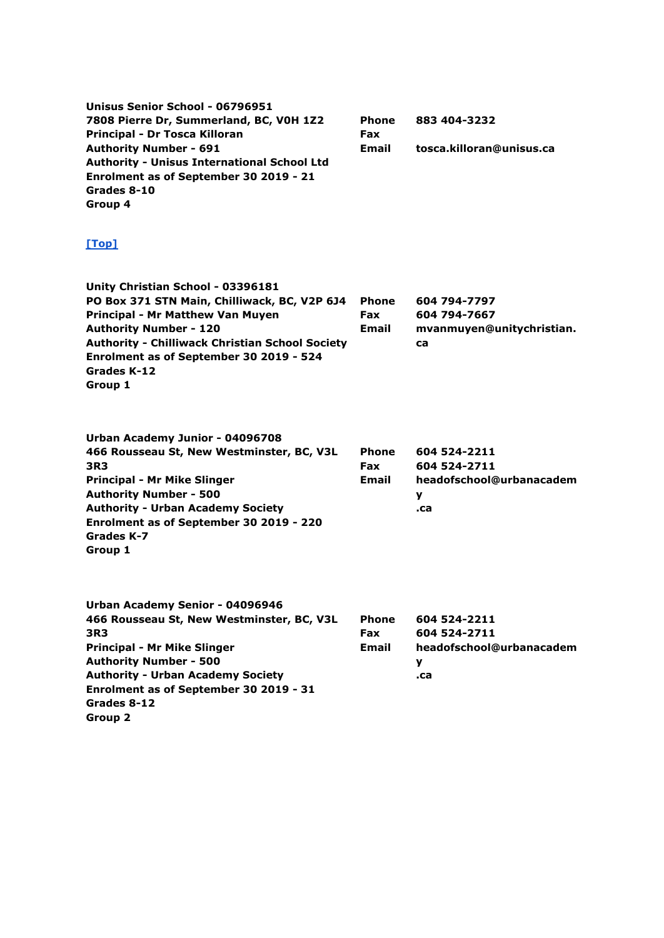| Unisus Senior School - 06796951<br>7808 Pierre Dr, Summerland, BC, V0H 1Z2<br>Principal - Dr Tosca Killoran<br><b>Authority Number - 691</b><br><b>Authority - Unisus International School Ltd</b><br>Enrolment as of September 30 2019 - 21<br>Grades 8-10<br>Group 4                | <b>Phone</b><br>Fax<br>Email               | 883 404-3232<br>tosca.killoran@unisus.ca                             |
|---------------------------------------------------------------------------------------------------------------------------------------------------------------------------------------------------------------------------------------------------------------------------------------|--------------------------------------------|----------------------------------------------------------------------|
| [Top]                                                                                                                                                                                                                                                                                 |                                            |                                                                      |
| Unity Christian School - 03396181<br>PO Box 371 STN Main, Chilliwack, BC, V2P 6J4<br>Principal - Mr Matthew Van Muyen<br><b>Authority Number - 120</b><br><b>Authority - Chilliwack Christian School Society</b><br>Enrolment as of September 30 2019 - 524<br>Grades K-12<br>Group 1 | <b>Phone</b><br><b>Fax</b><br>Email        | 604 794-7797<br>604 794-7667<br>mvanmuyen@unitychristian.<br>ca      |
| Urban Academy Junior - 04096708<br>466 Rousseau St, New Westminster, BC, V3L<br>3R3<br><b>Principal - Mr Mike Slinger</b><br><b>Authority Number - 500</b><br><b>Authority - Urban Academy Society</b><br>Enrolment as of September 30 2019 - 220<br><b>Grades K-7</b><br>Group 1     | <b>Phone</b><br><b>Fax</b><br><b>Email</b> | 604 524-2211<br>604 524-2711<br>headofschool@urbanacadem<br>у<br>.ca |
| Urban Academy Senior - 04096946<br>466 Rousseau St, New Westminster, BC, V3L<br>3R3<br><b>Principal - Mr Mike Slinger</b><br><b>Authority Number - 500</b><br><b>Authority - Urban Academy Society</b><br>Enrolment as of September 30 2019 - 31<br>Grades 8-12<br>Group 2            | <b>Phone</b><br><b>Fax</b><br><b>Email</b> | 604 524-2211<br>604 524-2711<br>headofschool@urbanacadem<br>у<br>.ca |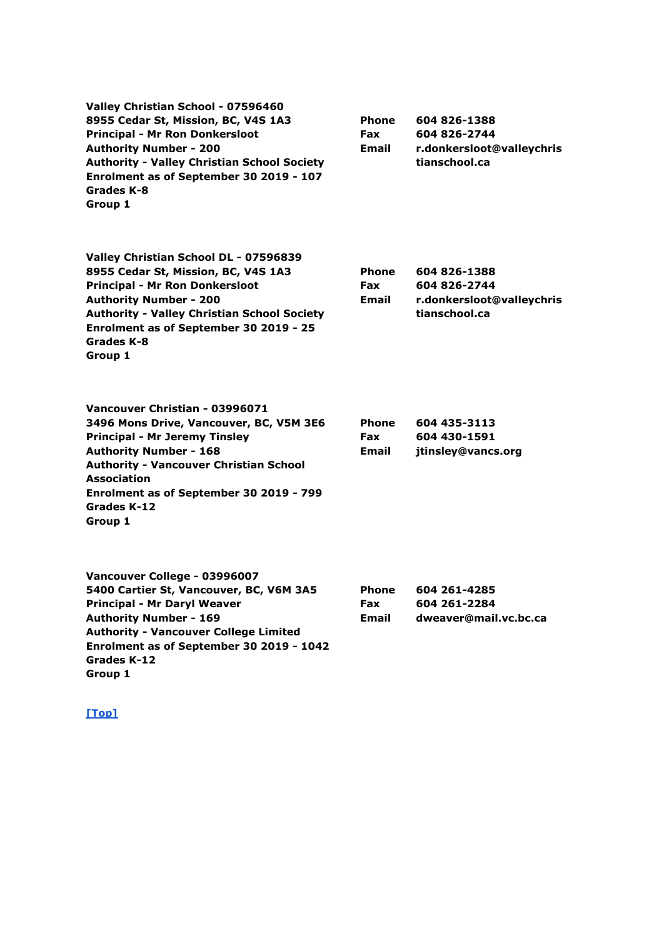| Valley Christian School - 07596460<br>8955 Cedar St, Mission, BC, V4S 1A3<br><b>Principal - Mr Ron Donkersloot</b><br><b>Authority Number - 200</b><br><b>Authority - Valley Christian School Society</b><br>Enrolment as of September 30 2019 - 107<br>Grades K-8<br>Group 1   | <b>Phone</b><br><b>Fax</b><br><b>Email</b> | 604 826-1388<br>604 826-2744<br>r.donkersloot@valleychris<br>tianschool.ca |
|---------------------------------------------------------------------------------------------------------------------------------------------------------------------------------------------------------------------------------------------------------------------------------|--------------------------------------------|----------------------------------------------------------------------------|
| Valley Christian School DL - 07596839<br>8955 Cedar St, Mission, BC, V4S 1A3<br><b>Principal - Mr Ron Donkersloot</b><br><b>Authority Number - 200</b><br><b>Authority - Valley Christian School Society</b><br>Enrolment as of September 30 2019 - 25<br>Grades K-8<br>Group 1 | <b>Phone</b><br><b>Fax</b><br><b>Email</b> | 604 826-1388<br>604 826-2744<br>r.donkersloot@valleychris<br>tianschool.ca |
| Vancouver Christian - 03996071<br>3496 Mons Drive, Vancouver, BC, V5M 3E6<br><b>Principal - Mr Jeremy Tinsley</b><br><b>Authority Number - 168</b><br><b>Authority - Vancouver Christian School</b><br><b>Association</b><br>Enrolment as of September 30 2019 - 799            | <b>Phone</b><br>Fax<br><b>Email</b>        | 604 435-3113<br>604 430-1591<br>jtinsley@vancs.org                         |

| Vancouver College - 03996007                 |              |                       |
|----------------------------------------------|--------------|-----------------------|
| 5400 Cartier St, Vancouver, BC, V6M 3A5      | <b>Phone</b> | 604 261-4285          |
| <b>Principal - Mr Daryl Weaver</b>           | <b>Fax</b>   | 604 261-2284          |
| <b>Authority Number - 169</b>                | Email        | dweaver@mail.vc.bc.ca |
| <b>Authority - Vancouver College Limited</b> |              |                       |
| Enrolment as of September 30 2019 - 1042     |              |                       |
| Grades K-12                                  |              |                       |
| Group 1                                      |              |                       |

**Grades K-12 Group 1**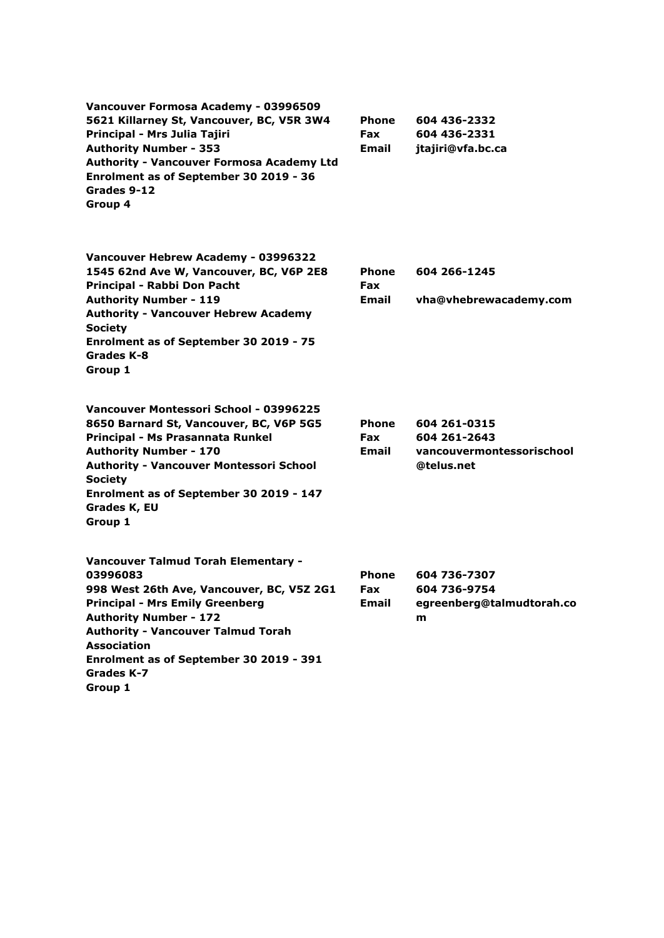| Vancouver Formosa Academy - 03996509<br>5621 Killarney St, Vancouver, BC, V5R 3W4<br>Principal - Mrs Julia Tajiri<br><b>Authority Number - 353</b><br><b>Authority - Vancouver Formosa Academy Ltd</b><br>Enrolment as of September 30 2019 - 36<br>Grades 9-12<br>Group 4                                     | Phone<br><b>Fax</b><br>Email | 604 436-2332<br>604 436-2331<br>jtajiri@vfa.bc.ca                       |
|----------------------------------------------------------------------------------------------------------------------------------------------------------------------------------------------------------------------------------------------------------------------------------------------------------------|------------------------------|-------------------------------------------------------------------------|
| Vancouver Hebrew Academy - 03996322<br>1545 62nd Ave W, Vancouver, BC, V6P 2E8<br>Principal - Rabbi Don Pacht<br><b>Authority Number - 119</b><br><b>Authority - Vancouver Hebrew Academy</b><br><b>Society</b><br>Enrolment as of September 30 2019 - 75<br>Grades K-8<br>Group 1                             | Phone<br>Fax<br><b>Email</b> | 604 266-1245<br>vha@vhebrewacademy.com                                  |
| Vancouver Montessori School - 03996225<br>8650 Barnard St, Vancouver, BC, V6P 5G5<br>Principal - Ms Prasannata Runkel<br><b>Authority Number - 170</b><br><b>Authority - Vancouver Montessori School</b><br><b>Society</b><br>Enrolment as of September 30 2019 - 147<br>Grades K, EU<br>Group 1               | Phone<br><b>Fax</b><br>Email | 604 261-0315<br>604 261-2643<br>vancouvermontessorischool<br>@telus.net |
| Vancouver Talmud Torah Elementary -<br>03996083<br>998 West 26th Ave, Vancouver, BC, V5Z 2G1<br><b>Principal - Mrs Emily Greenberg</b><br><b>Authority Number - 172</b><br><b>Authority - Vancouver Talmud Torah</b><br><b>Association</b><br>Enrolment as of September 30 2019 - 391<br>Grades K-7<br>Group 1 | Phone<br>Fax<br><b>Email</b> | 604 736-7307<br>604 736-9754<br>egreenberg@talmudtorah.co<br>m          |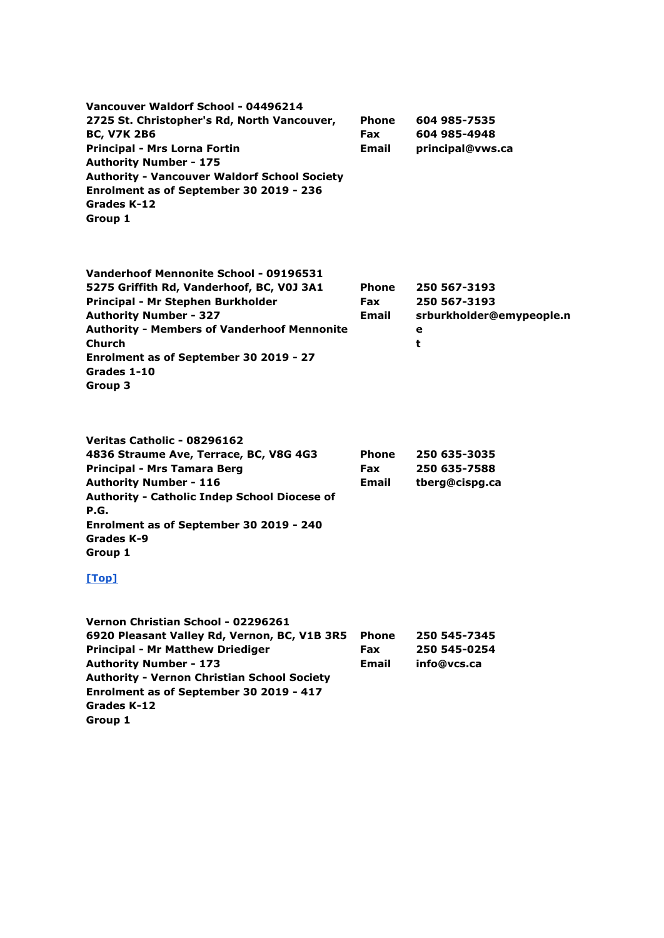| Vancouver Waldorf School - 04496214                 |              |                  |
|-----------------------------------------------------|--------------|------------------|
| 2725 St. Christopher's Rd, North Vancouver,         | <b>Phone</b> | 604 985-7535     |
| <b>BC, V7K 2B6</b>                                  | <b>Fax</b>   | 604 985-4948     |
| <b>Principal - Mrs Lorna Fortin</b>                 | <b>Email</b> | principal@vws.ca |
| <b>Authority Number - 175</b>                       |              |                  |
| <b>Authority - Vancouver Waldorf School Society</b> |              |                  |
| Enrolment as of September 30 2019 - 236             |              |                  |
| Grades K-12                                         |              |                  |
| Group 1                                             |              |                  |

| Vanderhoof Mennonite School - 09196531             |              |                          |
|----------------------------------------------------|--------------|--------------------------|
| 5275 Griffith Rd, Vanderhoof, BC, V0J 3A1          | <b>Phone</b> | 250 567-3193             |
| Principal - Mr Stephen Burkholder                  | <b>Fax</b>   | 250 567-3193             |
| <b>Authority Number - 327</b>                      | <b>Email</b> | srburkholder@emypeople.n |
| <b>Authority - Members of Vanderhoof Mennonite</b> |              | е                        |
| <b>Church</b>                                      |              | t                        |
| Enrolment as of September 30 2019 - 27             |              |                          |
| Grades 1-10                                        |              |                          |
| Group 3                                            |              |                          |
|                                                    |              |                          |

| Veritas Catholic - 08296162                         |              |                |
|-----------------------------------------------------|--------------|----------------|
| 4836 Straume Ave, Terrace, BC, V8G 4G3              | Phone        | 250 635-3035   |
| Principal - Mrs Tamara Berg                         | <b>Fax</b>   | 250 635-7588   |
| <b>Authority Number - 116</b>                       | <b>Email</b> | tberg@cispg.ca |
| <b>Authority - Catholic Indep School Diocese of</b> |              |                |
| P.G.                                                |              |                |
| Enrolment as of September 30 2019 - 240             |              |                |
| Grades K-9                                          |              |                |
| Group 1                                             |              |                |

| Vernon Christian School - 02296261                 |              |              |
|----------------------------------------------------|--------------|--------------|
| 6920 Pleasant Valley Rd, Vernon, BC, V1B 3R5       | <b>Phone</b> | 250 545-7345 |
| <b>Principal - Mr Matthew Driediger</b>            | <b>Fax</b>   | 250 545-0254 |
| <b>Authority Number - 173</b>                      | Email        | info@vcs.ca  |
| <b>Authority - Vernon Christian School Society</b> |              |              |
| Enrolment as of September 30 2019 - 417            |              |              |
| Grades K-12                                        |              |              |
| Group 1                                            |              |              |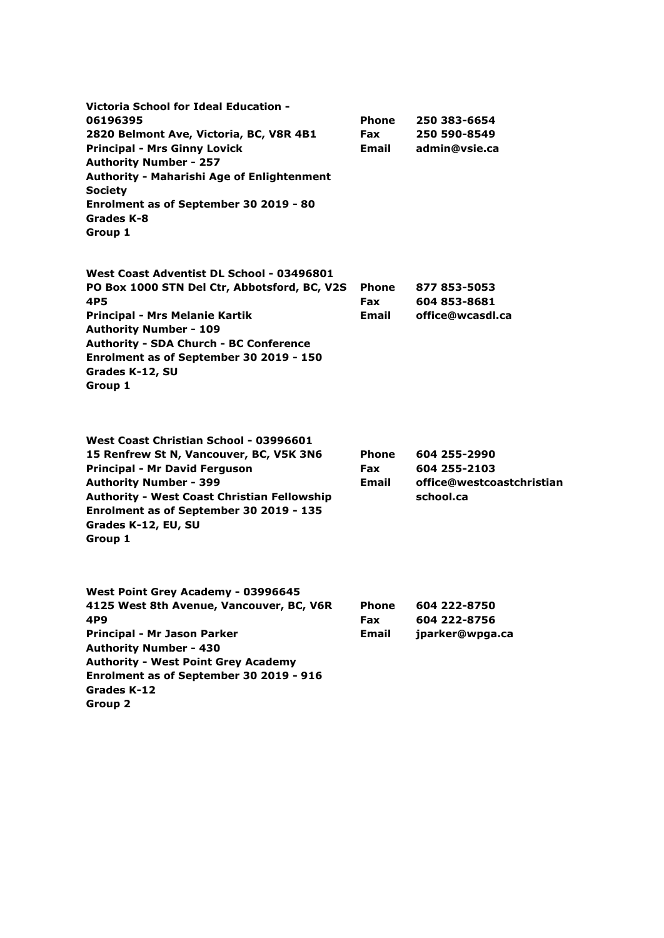| Victoria School for Ideal Education -<br>06196395<br>2820 Belmont Ave, Victoria, BC, V8R 4B1<br><b>Principal - Mrs Ginny Lovick</b><br><b>Authority Number - 257</b><br><b>Authority - Maharishi Age of Enlightenment</b><br><b>Society</b><br>Enrolment as of September 30 2019 - 80<br>Grades K-8<br>Group 1 | <b>Phone</b><br><b>Fax</b><br>Email        | 250 383-6654<br>250 590-8549<br>admin@vsie.ca                          |
|----------------------------------------------------------------------------------------------------------------------------------------------------------------------------------------------------------------------------------------------------------------------------------------------------------------|--------------------------------------------|------------------------------------------------------------------------|
| West Coast Adventist DL School - 03496801<br>PO Box 1000 STN Del Ctr, Abbotsford, BC, V2S<br>4P5<br><b>Principal - Mrs Melanie Kartik</b><br><b>Authority Number - 109</b><br><b>Authority - SDA Church - BC Conference</b><br>Enrolment as of September 30 2019 - 150<br>Grades K-12, SU<br>Group 1           | <b>Phone</b><br><b>Fax</b><br>Email        | 877 853-5053<br>604 853-8681<br>office@wcasdl.ca                       |
| West Coast Christian School - 03996601<br>15 Renfrew St N, Vancouver, BC, V5K 3N6<br><b>Principal - Mr David Ferguson</b><br><b>Authority Number - 399</b><br><b>Authority - West Coast Christian Fellowship</b><br>Enrolment as of September 30 2019 - 135<br>Grades K-12, EU, SU<br>Group 1                  | <b>Phone</b><br>Fax<br>Email               | 604 255-2990<br>604 255-2103<br>office@westcoastchristian<br>school.ca |
| West Point Grey Academy - 03996645<br>4125 West 8th Avenue, Vancouver, BC, V6R<br>4P9<br>Principal - Mr Jason Parker<br><b>Authority Number - 430</b><br><b>Authority - West Point Grey Academy</b><br>Enrolment as of September 30 2019 - 916<br>Grades K-12<br>Group 2                                       | <b>Phone</b><br><b>Fax</b><br><b>Email</b> | 604 222-8750<br>604 222-8756<br>jparker@wpga.ca                        |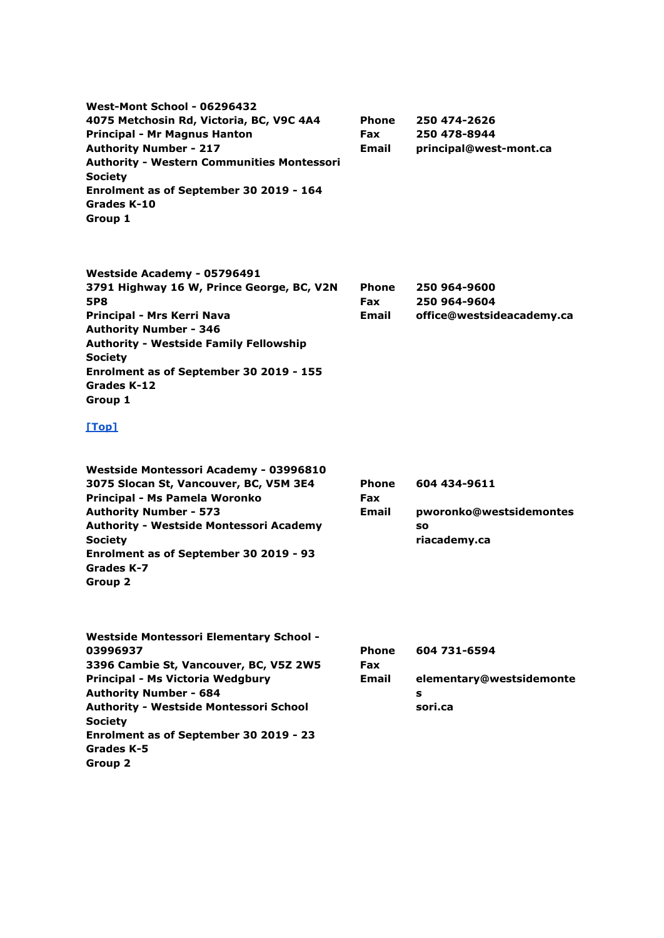**West-Mont School - 06296432 4075 Metchosin Rd, Victoria, BC, V9C 4A4 Principal - Mr Magnus Hanton Authority Number - 217 Authority - Western Communities Montessori Society Enrolment as of September 30 2019 - 164 Grades K-10 Group 1 Phone Fax Email 250 474-2626 250 478-8944 principal@west-mont.ca Westside Academy - 05796491 3791 Highway 16 W, Prince George, BC, V2N 5P8 Principal - Mrs Kerri Nava Authority Number - 346 Authority - Westside Family Fellowship Society Enrolment as of September 30 2019 - 155 Grades K-12 Group 1 Phone Fax Email 250 964-9600 250 964-9604 office@westsideacademy.ca [\[Top\]](http://www.bced.gov.bc.ca/apps/imcl/imclWeb/IndSchool.do?school_category=Independent%20School#top) Westside Montessori Academy - 03996810 3075 Slocan St, Vancouver, BC, V5M 3E4 Principal - Ms Pamela Woronko Authority Number - 573 Authority - Westside Montessori Academy Society Enrolment as of September 30 2019 - 93 Grades K-7 Group 2 Phone Fax Email 604 434-9611 pworonko@westsidemontes so riacademy.ca Westside Montessori Elementary School - 03996937 3396 Cambie St, Vancouver, BC, V5Z 2W5 Principal - Ms Victoria Wedgbury Authority Number - 684 Authority - Westside Montessori School Society Enrolment as of September 30 2019 - 23 Grades K-5 Group 2 Phone Fax Email 604 731-6594 elementary@westsidemonte s sori.ca**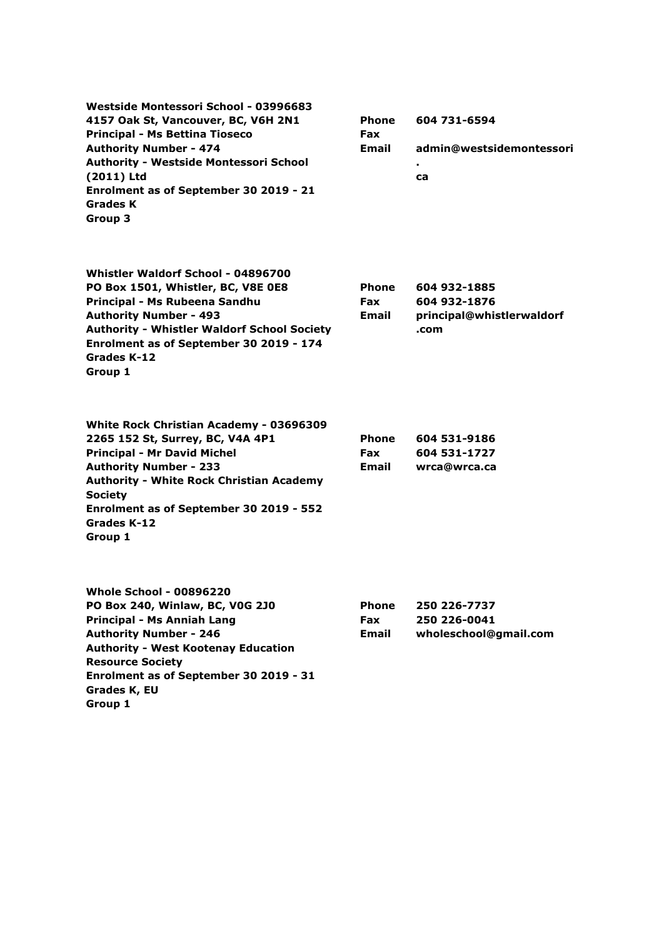**Westside Montessori School - 03996683 4157 Oak St, Vancouver, BC, V6H 2N1 Principal - Ms Bettina Tioseco Authority Number - 474 Authority - Westside Montessori School (2011) Ltd Enrolment as of September 30 2019 - 21 Grades K Group 3**

**Phone Fax Email 604 731-6594 admin@westsidemontessori . ca**

| Whistler Waldorf School - 04896700                 |              |                           |
|----------------------------------------------------|--------------|---------------------------|
| PO Box 1501, Whistler, BC, V8E 0E8                 | <b>Phone</b> | 604 932-1885              |
| Principal - Ms Rubeena Sandhu                      | <b>Fax</b>   | 604 932-1876              |
| <b>Authority Number - 493</b>                      | <b>Email</b> | principal@whistlerwaldorf |
| <b>Authority - Whistler Waldorf School Society</b> |              | .com                      |
| Enrolment as of September 30 2019 - 174            |              |                           |
| Grades K-12                                        |              |                           |
| Group 1                                            |              |                           |

| White Rock Christian Academy - 03696309         |              |              |
|-------------------------------------------------|--------------|--------------|
| 2265 152 St, Surrey, BC, V4A 4P1                | <b>Phone</b> | 604 531-9186 |
| <b>Principal - Mr David Michel</b>              | <b>Fax</b>   | 604 531-1727 |
| <b>Authority Number - 233</b>                   | <b>Email</b> | wrca@wrca.ca |
| <b>Authority - White Rock Christian Academy</b> |              |              |
| <b>Society</b>                                  |              |              |
| Enrolment as of September 30 2019 - 552         |              |              |
| Grades K-12                                     |              |              |
| Group 1                                         |              |              |

| <b>Whole School - 00896220</b>             |              |                       |
|--------------------------------------------|--------------|-----------------------|
| PO Box 240, Winlaw, BC, V0G 2J0            | <b>Phone</b> | 250 226-7737          |
| <b>Principal - Ms Anniah Lang</b>          | <b>Fax</b>   | 250 226-0041          |
| <b>Authority Number - 246</b>              | <b>Email</b> | wholeschool@gmail.com |
| <b>Authority - West Kootenay Education</b> |              |                       |
| <b>Resource Society</b>                    |              |                       |
| Enrolment as of September 30 2019 - 31     |              |                       |
| Grades K, EU                               |              |                       |
| Group 1                                    |              |                       |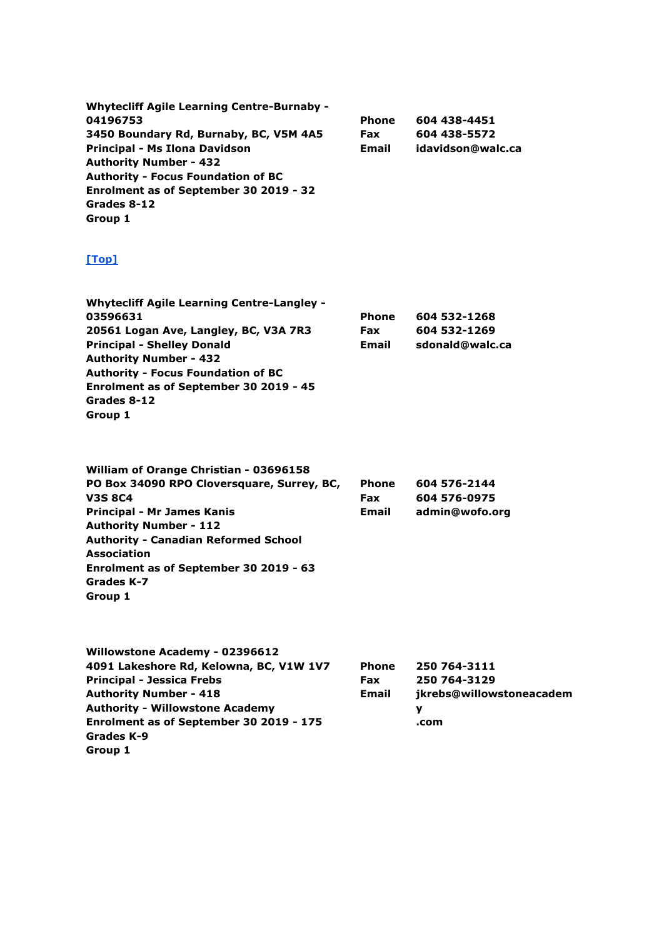| <b>Whytecliff Agile Learning Centre-Burnaby -</b> |            |                   |
|---------------------------------------------------|------------|-------------------|
| 04196753                                          | Phone      | 604 438-4451      |
| 3450 Boundary Rd, Burnaby, BC, V5M 4A5            | <b>Fax</b> | 604 438-5572      |
| Principal - Ms Ilona Davidson                     | Email      | idavidson@walc.ca |
| <b>Authority Number - 432</b>                     |            |                   |
| <b>Authority - Focus Foundation of BC</b>         |            |                   |
| Enrolment as of September 30 2019 - 32            |            |                   |
| Grades 8-12                                       |            |                   |
| Group 1                                           |            |                   |

| <b>Whytecliff Agile Learning Centre-Langley -</b> |              |                 |
|---------------------------------------------------|--------------|-----------------|
| 03596631                                          | <b>Phone</b> | 604 532-1268    |
| 20561 Logan Ave, Langley, BC, V3A 7R3             | <b>Fax</b>   | 604 532-1269    |
| <b>Principal - Shelley Donald</b>                 | Email        | sdonald@walc.ca |
| <b>Authority Number - 432</b>                     |              |                 |
| <b>Authority - Focus Foundation of BC</b>         |              |                 |
| Enrolment as of September 30 2019 - 45            |              |                 |
| Grades 8-12                                       |              |                 |
| Group 1                                           |              |                 |

| William of Orange Christian - 03696158      |              |                |
|---------------------------------------------|--------------|----------------|
| PO Box 34090 RPO Cloversquare, Surrey, BC,  | <b>Phone</b> | 604 576-2144   |
| <b>V3S 8C4</b>                              | <b>Fax</b>   | 604 576-0975   |
| <b>Principal - Mr James Kanis</b>           | Email        | admin@wofo.org |
| <b>Authority Number - 112</b>               |              |                |
| <b>Authority - Canadian Reformed School</b> |              |                |
| <b>Association</b>                          |              |                |
| Enrolment as of September 30 2019 - 63      |              |                |
| Grades K-7                                  |              |                |
| Group 1                                     |              |                |
|                                             |              |                |

| Willowstone Academy - 02396612          |              |                          |
|-----------------------------------------|--------------|--------------------------|
| 4091 Lakeshore Rd, Kelowna, BC, V1W 1V7 | <b>Phone</b> | 250 764-3111             |
| <b>Principal - Jessica Frebs</b>        | <b>Fax</b>   | 250 764-3129             |
| <b>Authority Number - 418</b>           | <b>Email</b> | jkrebs@willowstoneacadem |
| <b>Authority - Willowstone Academy</b>  |              | v                        |
| Enrolment as of September 30 2019 - 175 |              | .com                     |
| Grades K-9                              |              |                          |
| Group 1                                 |              |                          |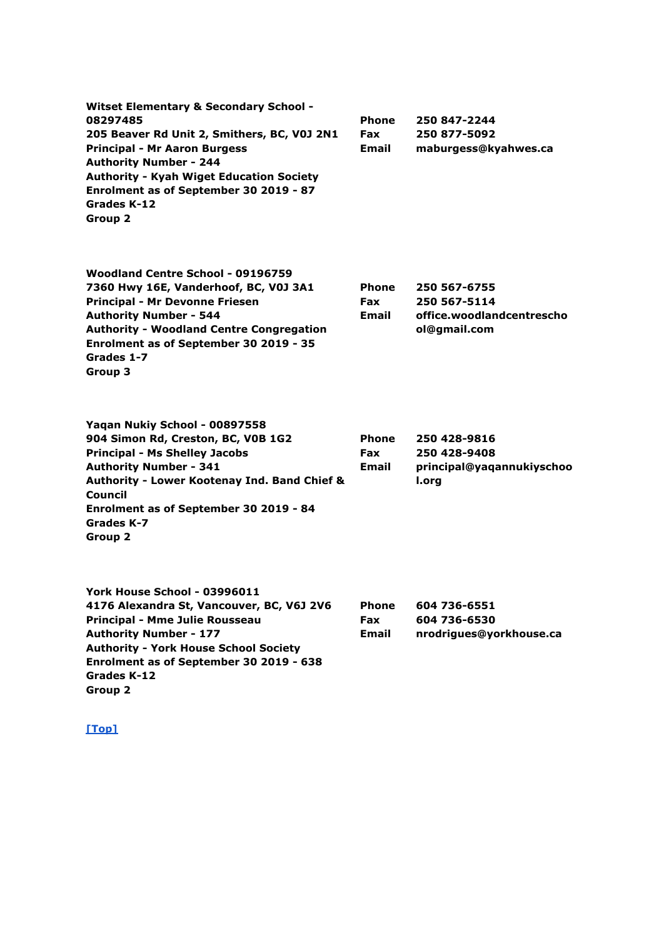| Witset Elementary & Secondary School -          |              |                      |
|-------------------------------------------------|--------------|----------------------|
| 08297485                                        | <b>Phone</b> | 250 847-2244         |
| 205 Beaver Rd Unit 2, Smithers, BC, V0J 2N1     | <b>Fax</b>   | 250 877-5092         |
| <b>Principal - Mr Aaron Burgess</b>             | <b>Email</b> | maburgess@kyahwes.ca |
| <b>Authority Number - 244</b>                   |              |                      |
| <b>Authority - Kyah Wiget Education Society</b> |              |                      |
| Enrolment as of September 30 2019 - 87          |              |                      |
| Grades K-12                                     |              |                      |
| Group 2                                         |              |                      |
|                                                 |              |                      |

| Woodland Centre School - 09196759               |              |                           |
|-------------------------------------------------|--------------|---------------------------|
| 7360 Hwy 16E, Vanderhoof, BC, V0J 3A1           | <b>Phone</b> | 250 567-6755              |
| <b>Principal - Mr Devonne Friesen</b>           | <b>Fax</b>   | 250 567-5114              |
| <b>Authority Number - 544</b>                   | Email        | office.woodlandcentrescho |
| <b>Authority - Woodland Centre Congregation</b> |              | ol@gmail.com              |
| Enrolment as of September 30 2019 - 35          |              |                           |
| Grades 1-7                                      |              |                           |
| Group 3                                         |              |                           |

| Yaqan Nukiy School - 00897558                           |              |                           |
|---------------------------------------------------------|--------------|---------------------------|
| 904 Simon Rd, Creston, BC, V0B 1G2                      | <b>Phone</b> | 250 428-9816              |
| <b>Principal - Ms Shelley Jacobs</b>                    | <b>Fax</b>   | 250 428-9408              |
| <b>Authority Number - 341</b>                           | <b>Email</b> | principal@yaqannukiyschoo |
| <b>Authority - Lower Kootenay Ind. Band Chief &amp;</b> |              | l.org                     |
| Council                                                 |              |                           |
| Enrolment as of September 30 2019 - 84                  |              |                           |
| Grades K-7                                              |              |                           |
| Group 2                                                 |              |                           |
|                                                         |              |                           |

| York House School - 03996011                 |              |                         |
|----------------------------------------------|--------------|-------------------------|
| 4176 Alexandra St, Vancouver, BC, V6J 2V6    | <b>Phone</b> | 604 736-6551            |
| Principal - Mme Julie Rousseau               | <b>Fax</b>   | 604 736-6530            |
| <b>Authority Number - 177</b>                | Email        | nrodrigues@yorkhouse.ca |
| <b>Authority - York House School Society</b> |              |                         |
| Enrolment as of September 30 2019 - 638      |              |                         |
| Grades K-12                                  |              |                         |
| Group 2                                      |              |                         |